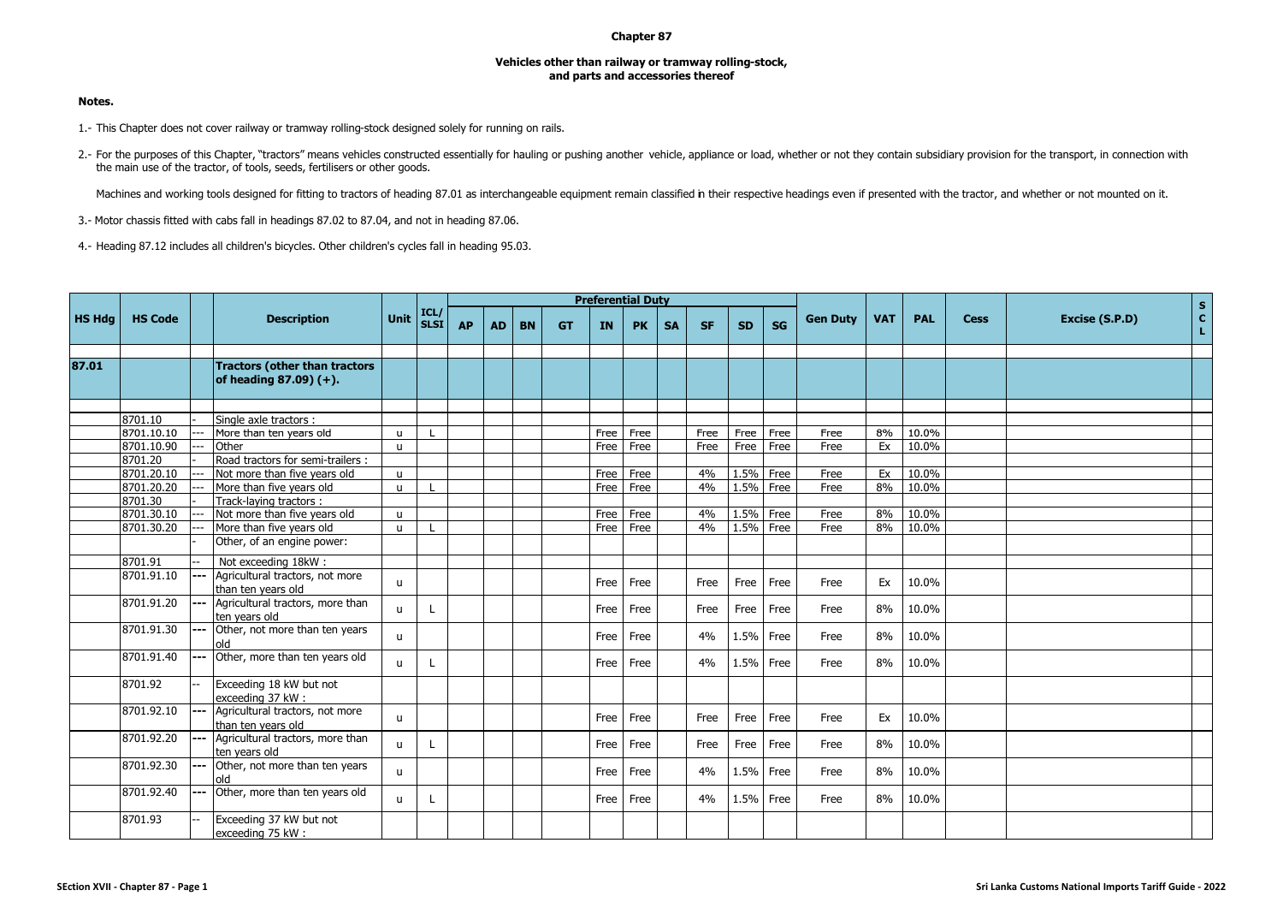## **Chapter 87**

## **Vehicles other than railway or tramway rolling-stock, and parts and accessories thereof**

## **Notes.**

- 1.- This Chapter does not cover railway or tramway rolling-stock designed solely for running on rails.
- 2.- For the purposes of this Chapter, "tractors" means vehicles constructed essentially for hauling or pushing another vehicle, appliance or load, whether or not they contain subsidiary provision for the transport, in conn the main use of the tractor, of tools, seeds, fertilisers or other goods.

Machines and working tools designed for fitting to tractors of heading 87.01 as interchangeable equipment remain classified in their respective headings even if presented with the tractor, and whether or not mounted on it.

- 3.- Motor chassis fitted with cabs fall in headings 87.02 to 87.04, and not in heading 87.06.
- 4.- Heading 87.12 includes all children's bicycles. Other children's cycles fall in heading 95.03.

|               |                |       |                                                                      |              |                     |           |           |           |           |           | <b>Preferential Duty</b> |           |           |           |           |                 |            |       |             | $\mathsf{s}$   |                    |
|---------------|----------------|-------|----------------------------------------------------------------------|--------------|---------------------|-----------|-----------|-----------|-----------|-----------|--------------------------|-----------|-----------|-----------|-----------|-----------------|------------|-------|-------------|----------------|--------------------|
| <b>HS Hdg</b> | <b>HS Code</b> |       | <b>Description</b>                                                   | Unit         | ICL/<br><b>SLSI</b> | <b>AP</b> | <b>AD</b> | <b>BN</b> | <b>GT</b> | <b>IN</b> | <b>PK</b>                | <b>SA</b> | <b>SF</b> | <b>SD</b> | <b>SG</b> | <b>Gen Duty</b> | <b>VAT</b> | PAL   | <b>Cess</b> | Excise (S.P.D) | $\mathbf{c}$<br>L. |
|               |                |       |                                                                      |              |                     |           |           |           |           |           |                          |           |           |           |           |                 |            |       |             |                |                    |
| 87.01         |                |       | <b>Tractors (other than tractors</b><br>of heading $87.09$ ) $(+)$ . |              |                     |           |           |           |           |           |                          |           |           |           |           |                 |            |       |             |                |                    |
|               |                |       |                                                                      |              |                     |           |           |           |           |           |                          |           |           |           |           |                 |            |       |             |                |                    |
|               | 8701.10        |       | Single axle tractors :                                               |              |                     |           |           |           |           |           |                          |           |           |           |           |                 |            |       |             |                |                    |
|               | 8701.10.10     |       | More than ten years old                                              | $\mathbf{u}$ |                     |           |           |           |           | Free      | Free                     |           | Free      | Free      | Free      | Free            | 8%         | 10.0% |             |                |                    |
|               | 8701.10.90     | $-1$  | Other                                                                | $\mathbf{u}$ |                     |           |           |           |           | Free      | Free                     |           | Free      | Free      | Free      | Free            | Ex         | 10.0% |             |                |                    |
|               | 8701.20        |       | Road tractors for semi-trailers :                                    |              |                     |           |           |           |           |           |                          |           |           |           |           |                 |            |       |             |                |                    |
|               | 8701.20.10     |       | Not more than five years old                                         | $\mathsf{u}$ |                     |           |           |           |           | Free      | Free                     |           | 4%        | 1.5%      | Free      | Free            | Ex         | 10.0% |             |                |                    |
|               | 8701.20.20     |       | More than five vears old                                             | $\mathbf{u}$ |                     |           |           |           |           | Free      | Free                     |           | 4%        | 1.5%      | Free      | Free            | 8%         | 10.0% |             |                |                    |
|               | 8701.30        |       | Track-laying tractors:                                               |              |                     |           |           |           |           |           |                          |           |           |           |           |                 |            |       |             |                |                    |
|               | 8701.30.10     |       | Not more than five years old                                         | $\mathbf{u}$ |                     |           |           |           |           | Free      | Free                     |           | 4%        | 1.5%      | Free      | Free            | 8%         | 10.0% |             |                |                    |
|               | 8701.30.20     |       | More than five years old                                             | $\mathbf{u}$ |                     |           |           |           |           | Free      | Free                     |           | 4%        | 1.5% Free |           | Free            | 8%         | 10.0% |             |                |                    |
|               |                |       | Other, of an engine power:                                           |              |                     |           |           |           |           |           |                          |           |           |           |           |                 |            |       |             |                |                    |
|               | 8701.91        |       | Not exceeding 18kW:                                                  |              |                     |           |           |           |           |           |                          |           |           |           |           |                 |            |       |             |                |                    |
|               | 8701.91.10     |       | Agricultural tractors, not more<br>than ten years old                | u            |                     |           |           |           |           | Free      | Free                     |           | Free      | Free      | Free      | Free            | Ex         | 10.0% |             |                |                    |
|               | 8701.91.20     |       | Agricultural tractors, more than<br>ten years old                    | u            |                     |           |           |           |           | Free      | Free                     |           | Free      | Free      | Free      | Free            | 8%         | 10.0% |             |                |                    |
|               | 8701.91.30     |       | Other, not more than ten years<br>old                                | u.           |                     |           |           |           |           | Free      | Free                     |           | 4%        | 1.5%      | Free      | Free            | 8%         | 10.0% |             |                |                    |
|               | 8701.91.40     |       | Other, more than ten years old                                       | u            |                     |           |           |           |           | Free      | Free                     |           | 4%        | 1.5%      | Free      | Free            | 8%         | 10.0% |             |                |                    |
|               | 8701.92        |       | Exceeding 18 kW but not<br>exceeding 37 kW:                          |              |                     |           |           |           |           |           |                          |           |           |           |           |                 |            |       |             |                |                    |
|               | 8701.92.10     | $---$ | Agricultural tractors, not more<br>than ten years old                | u            |                     |           |           |           |           | Free      | Free                     |           | Free      | Free      | Free      | Free            | Ex         | 10.0% |             |                |                    |
|               | 8701.92.20     |       | Agricultural tractors, more than<br>ten vears old                    | u.           |                     |           |           |           |           | Free      | Free                     |           | Free      | Free      | Free      | Free            | 8%         | 10.0% |             |                |                    |
|               | 8701.92.30     |       | Other, not more than ten years<br>old                                | u            |                     |           |           |           |           | Free      | Free                     |           | 4%        | 1.5%      | Free      | Free            | 8%         | 10.0% |             |                |                    |
|               | 8701.92.40     | ---   | Other, more than ten years old                                       | u.           |                     |           |           |           |           | Free      | Free                     |           | 4%        | 1.5% Free |           | Free            | 8%         | 10.0% |             |                |                    |
|               | 8701.93        |       | Exceeding 37 kW but not<br>exceeding 75 kW:                          |              |                     |           |           |           |           |           |                          |           |           |           |           |                 |            |       |             |                |                    |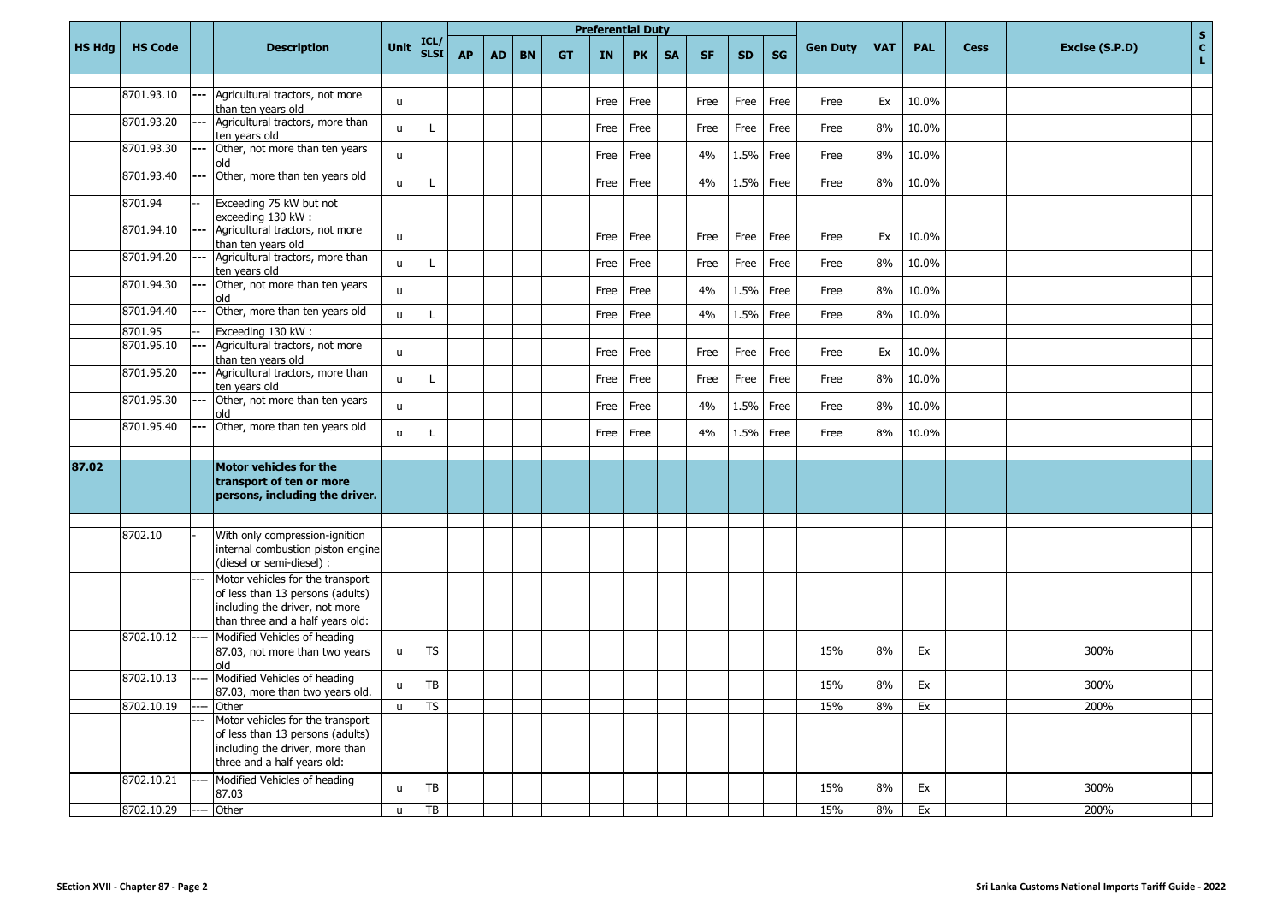|               |                |       |                                                                                                                                            |              |                     |           |           |           |           |      | <b>Preferential Duty</b> |           |           |           |           |                 |            |            |             | $\mathbf S$                          |
|---------------|----------------|-------|--------------------------------------------------------------------------------------------------------------------------------------------|--------------|---------------------|-----------|-----------|-----------|-----------|------|--------------------------|-----------|-----------|-----------|-----------|-----------------|------------|------------|-------------|--------------------------------------|
| <b>HS Hdg</b> | <b>HS Code</b> |       | <b>Description</b>                                                                                                                         | Unit         | ICL/<br><b>SLSI</b> | <b>AP</b> | <b>AD</b> | <b>BN</b> | <b>GT</b> | IN   | <b>PK</b>                | <b>SA</b> | <b>SF</b> | <b>SD</b> | <b>SG</b> | <b>Gen Duty</b> | <b>VAT</b> | <b>PAL</b> | <b>Cess</b> | $\mathbf{C}$<br>Excise (S.P.D)<br>L. |
|               | 8701.93.10     |       | Agricultural tractors, not more<br>than ten vears old                                                                                      | $\mathsf{u}$ |                     |           |           |           |           | Free | Free                     |           | Free      | Free      | Free      | Free            | Ex         | 10.0%      |             |                                      |
|               | 8701.93.20     |       | Agricultural tractors, more than<br>ten vears old                                                                                          | $\mathsf{u}$ | $\mathbf{I}$        |           |           |           |           | Free | Free                     |           | Free      | Free      | Free      | Free            | 8%         | 10.0%      |             |                                      |
|               | 8701.93.30     |       | Other, not more than ten years<br>hlo                                                                                                      | $\mathsf{u}$ |                     |           |           |           |           | Free | Free                     |           | 4%        | 1.5%      | Free      | Free            | 8%         | 10.0%      |             |                                      |
|               | 8701.93.40     | $---$ | Other, more than ten years old                                                                                                             | $\mathsf{u}$ | L                   |           |           |           |           | Free | Free                     |           | 4%        | 1.5%      | Free      | Free            | 8%         | 10.0%      |             |                                      |
|               | 8701.94        |       | Exceeding 75 kW but not<br>exceeding 130 kW:                                                                                               |              |                     |           |           |           |           |      |                          |           |           |           |           |                 |            |            |             |                                      |
|               | 8701.94.10     | ---   | Agricultural tractors, not more<br>than ten vears old                                                                                      | $\mathsf{u}$ |                     |           |           |           |           | Free | Free                     |           | Free      | Free      | Free      | Free            | Ex         | 10.0%      |             |                                      |
|               | 8701.94.20     | $---$ | Agricultural tractors, more than<br>ten years old                                                                                          | $\mathsf{u}$ | L                   |           |           |           |           | Free | Free                     |           | Free      | Free      | Free      | Free            | 8%         | 10.0%      |             |                                      |
|               | 8701.94.30     | ---   | Other, not more than ten years<br>blo                                                                                                      | $\mathsf{u}$ |                     |           |           |           |           | Free | Free                     |           | 4%        | 1.5%      | Free      | Free            | 8%         | 10.0%      |             |                                      |
|               | 8701.94.40     | ---   | Other, more than ten years old                                                                                                             | $\mathbf{u}$ | $\mathsf{L}$        |           |           |           |           | Free | Free                     |           | 4%        | 1.5%      | Free      | Free            | 8%         | 10.0%      |             |                                      |
|               | 8701.95        |       | Exceeding 130 kW:                                                                                                                          |              |                     |           |           |           |           |      |                          |           |           |           |           |                 |            |            |             |                                      |
|               | 8701.95.10     | ---   | Agricultural tractors, not more<br>than ten vears old                                                                                      | $\mathbf{u}$ |                     |           |           |           |           | Free | Free                     |           | Free      | Free      | Free      | Free            | Ex         | 10.0%      |             |                                      |
|               | 8701.95.20     |       | Agricultural tractors, more than<br>ten years old                                                                                          | $\mathsf{u}$ | $\mathsf{L}$        |           |           |           |           | Free | Free                     |           | Free      | Free      | Free      | Free            | 8%         | 10.0%      |             |                                      |
|               | 8701.95.30     | ---   | Other, not more than ten years<br>hlo                                                                                                      | $\mathsf{u}$ |                     |           |           |           |           | Free | Free                     |           | 4%        | 1.5%      | Free      | Free            | 8%         | 10.0%      |             |                                      |
|               | 8701.95.40     | ---   | Other, more than ten years old                                                                                                             | $\mathsf{u}$ | L                   |           |           |           |           | Free | Free                     |           | 4%        | 1.5%      | Free      | Free            | 8%         | 10.0%      |             |                                      |
|               |                |       |                                                                                                                                            |              |                     |           |           |           |           |      |                          |           |           |           |           |                 |            |            |             |                                      |
| 87.02         |                |       | Motor vehicles for the<br>transport of ten or more<br>persons, including the driver.                                                       |              |                     |           |           |           |           |      |                          |           |           |           |           |                 |            |            |             |                                      |
|               |                |       |                                                                                                                                            |              |                     |           |           |           |           |      |                          |           |           |           |           |                 |            |            |             |                                      |
|               | 8702.10        |       | With only compression-ignition<br>internal combustion piston engine<br>(diesel or semi-diesel) :                                           |              |                     |           |           |           |           |      |                          |           |           |           |           |                 |            |            |             |                                      |
|               |                |       | Motor vehicles for the transport<br>of less than 13 persons (adults)<br>including the driver, not more<br>than three and a half years old: |              |                     |           |           |           |           |      |                          |           |           |           |           |                 |            |            |             |                                      |
|               | 8702.10.12     |       | Modified Vehicles of heading<br>87.03, not more than two years<br>blo                                                                      | u            | <b>TS</b>           |           |           |           |           |      |                          |           |           |           |           | 15%             | 8%         | Ex         |             | 300%                                 |
|               | 8702.10.13     |       | Modified Vehicles of heading<br>87.03, more than two years old.                                                                            | $\mathsf{u}$ | <b>TB</b>           |           |           |           |           |      |                          |           |           |           |           | 15%             | 8%         | Ex         |             | 300%                                 |
|               | 8702.10.19     |       | Other                                                                                                                                      | $\mathbf{u}$ | <b>TS</b>           |           |           |           |           |      |                          |           |           |           |           | 15%             | 8%         | Ex         |             | 200%                                 |
|               |                |       | Motor vehicles for the transport<br>of less than 13 persons (adults)<br>including the driver, more than<br>three and a half years old:     |              |                     |           |           |           |           |      |                          |           |           |           |           |                 |            |            |             |                                      |
|               | 8702.10.21     |       | Modified Vehicles of heading<br>87.03                                                                                                      | $\mathsf{u}$ | TB                  |           |           |           |           |      |                          |           |           |           |           | 15%             | 8%         | Ex         |             | 300%                                 |
|               | 8702.10.29     |       | Other                                                                                                                                      | $\mathbf{u}$ | TB                  |           |           |           |           |      |                          |           |           |           |           | 15%             | 8%         | Ex         |             | 200%                                 |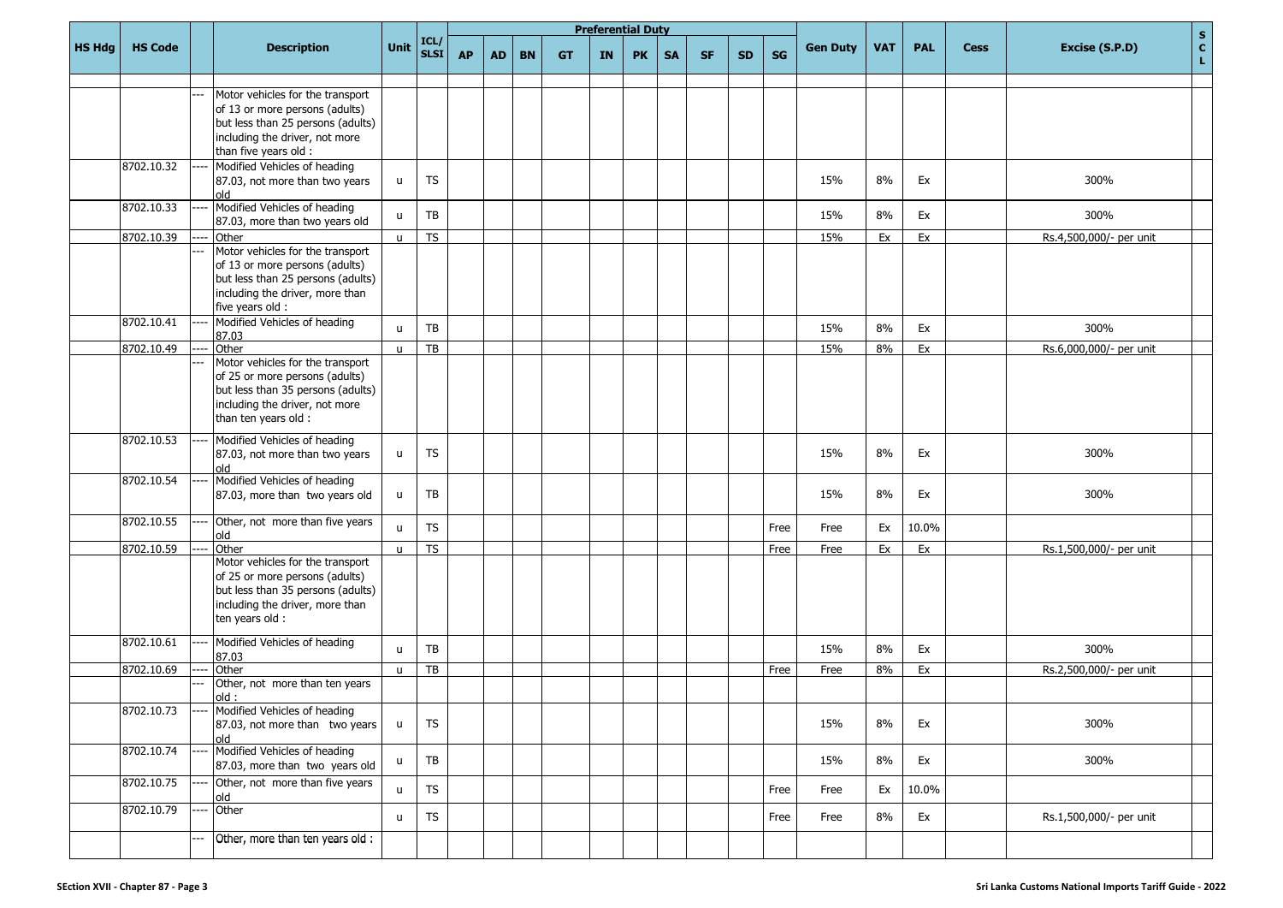|               |                |                                                                                                                                                                    |              |                 |           |           |           |           | <b>Preferential Duty</b> |           |           |           |           |           |                 |            |            |             |                         | $\mathbf{s}$         |
|---------------|----------------|--------------------------------------------------------------------------------------------------------------------------------------------------------------------|--------------|-----------------|-----------|-----------|-----------|-----------|--------------------------|-----------|-----------|-----------|-----------|-----------|-----------------|------------|------------|-------------|-------------------------|----------------------|
| <b>HS Hdg</b> | <b>HS Code</b> | <b>Description</b>                                                                                                                                                 | <b>Unit</b>  | $ICL /$<br>SLSI | <b>AP</b> | <b>AD</b> | <b>BN</b> | <b>GT</b> | IN.                      | <b>PK</b> | <b>SA</b> | <b>SF</b> | <b>SD</b> | <b>SG</b> | <b>Gen Duty</b> | <b>VAT</b> | <b>PAL</b> | <b>Cess</b> | Excise (S.P.D)          | $\mathbf{C}^-$<br>L, |
|               |                |                                                                                                                                                                    |              |                 |           |           |           |           |                          |           |           |           |           |           |                 |            |            |             |                         |                      |
|               |                | Motor vehicles for the transport<br>of 13 or more persons (adults)<br>but less than 25 persons (adults)<br>including the driver, not more<br>than five years old : |              |                 |           |           |           |           |                          |           |           |           |           |           |                 |            |            |             |                         |                      |
|               | 8702.10.32     | Modified Vehicles of heading<br>87.03, not more than two years<br>old                                                                                              | u            | <b>TS</b>       |           |           |           |           |                          |           |           |           |           |           | 15%             | 8%         | Ex         |             | 300%                    |                      |
|               | 8702.10.33     | Modified Vehicles of heading<br>87.03, more than two years old                                                                                                     | $\mathsf{u}$ | TB              |           |           |           |           |                          |           |           |           |           |           | 15%             | 8%         | Ex         |             | 300%                    |                      |
|               | 8702.10.39     | Other                                                                                                                                                              | $\mathbf{u}$ | <b>TS</b>       |           |           |           |           |                          |           |           |           |           |           | 15%             | Ex         | Ex         |             | Rs.4,500,000/- per unit |                      |
|               |                | Motor vehicles for the transport<br>of 13 or more persons (adults)<br>but less than 25 persons (adults)<br>including the driver, more than<br>five years old :     |              |                 |           |           |           |           |                          |           |           |           |           |           |                 |            |            |             |                         |                      |
|               | 8702.10.41     | Modified Vehicles of heading<br>87.03                                                                                                                              | $\mathsf{u}$ | TB              |           |           |           |           |                          |           |           |           |           |           | 15%             | 8%         | Ex         |             | 300%                    |                      |
|               | 8702.10.49     | Other                                                                                                                                                              | $\mathsf{u}$ | $\overline{TB}$ |           |           |           |           |                          |           |           |           |           |           | 15%             | 8%         | Ex         |             | Rs.6,000,000/- per unit |                      |
|               |                | Motor vehicles for the transport<br>of 25 or more persons (adults)<br>but less than 35 persons (adults)<br>including the driver, not more<br>than ten years old :  |              |                 |           |           |           |           |                          |           |           |           |           |           |                 |            |            |             |                         |                      |
|               | 8702.10.53     | Modified Vehicles of heading<br>87.03, not more than two years<br>old                                                                                              | u            | <b>TS</b>       |           |           |           |           |                          |           |           |           |           |           | 15%             | 8%         | Ex         |             | 300%                    |                      |
|               | 8702.10.54     | Modified Vehicles of heading<br>87.03, more than two years old                                                                                                     | u            | TB              |           |           |           |           |                          |           |           |           |           |           | 15%             | 8%         | Ex         |             | 300%                    |                      |
|               | 8702.10.55     | Other, not more than five years<br>old                                                                                                                             | u.           | <b>TS</b>       |           |           |           |           |                          |           |           |           |           | Free      | Free            | Ex         | 10.0%      |             |                         |                      |
|               | 8702.10.59     | Other                                                                                                                                                              | $\mathbf{u}$ | <b>TS</b>       |           |           |           |           |                          |           |           |           |           | Free      | Free            | Ex         | Ex         |             | Rs.1,500,000/- per unit |                      |
|               |                | Motor vehicles for the transport<br>of 25 or more persons (adults)<br>but less than 35 persons (adults)<br>including the driver, more than<br>ten years old :      |              |                 |           |           |           |           |                          |           |           |           |           |           |                 |            |            |             |                         |                      |
|               | 8702.10.61     | Modified Vehicles of heading<br>87.03                                                                                                                              | $\mathsf{u}$ | TB              |           |           |           |           |                          |           |           |           |           |           | 15%             | 8%         | Ex         |             | 300%                    |                      |
|               | 8702.10.69     | Other<br>Other, not more than ten years                                                                                                                            | $\mathsf{u}$ | TB              |           |           |           |           |                          |           |           |           |           | Free      | Free            | 8%         | Ex         |             | Rs.2,500,000/- per unit |                      |
|               |                | $\cdot$ hlo                                                                                                                                                        |              |                 |           |           |           |           |                          |           |           |           |           |           |                 |            |            |             |                         |                      |
|               | 8702.10.73     | Modified Vehicles of heading<br>87.03, not more than two years<br>old                                                                                              | u            | <b>TS</b>       |           |           |           |           |                          |           |           |           |           |           | 15%             | 8%         | Ex         |             | 300%                    |                      |
|               | 8702.10.74     | Modified Vehicles of heading<br>87.03, more than two years old                                                                                                     | u            | TB              |           |           |           |           |                          |           |           |           |           |           | 15%             | 8%         | Ex         |             | 300%                    |                      |
|               | 8702.10.75     | Other, not more than five years<br>old                                                                                                                             | u            | <b>TS</b>       |           |           |           |           |                          |           |           |           |           | Free      | Free            | Ex         | 10.0%      |             |                         |                      |
|               | 8702.10.79     | Other                                                                                                                                                              | u            | <b>TS</b>       |           |           |           |           |                          |           |           |           |           | Free      | Free            | $8\%$      | Ex         |             | Rs.1,500,000/- per unit |                      |
|               |                | Other, more than ten years old :                                                                                                                                   |              |                 |           |           |           |           |                          |           |           |           |           |           |                 |            |            |             |                         |                      |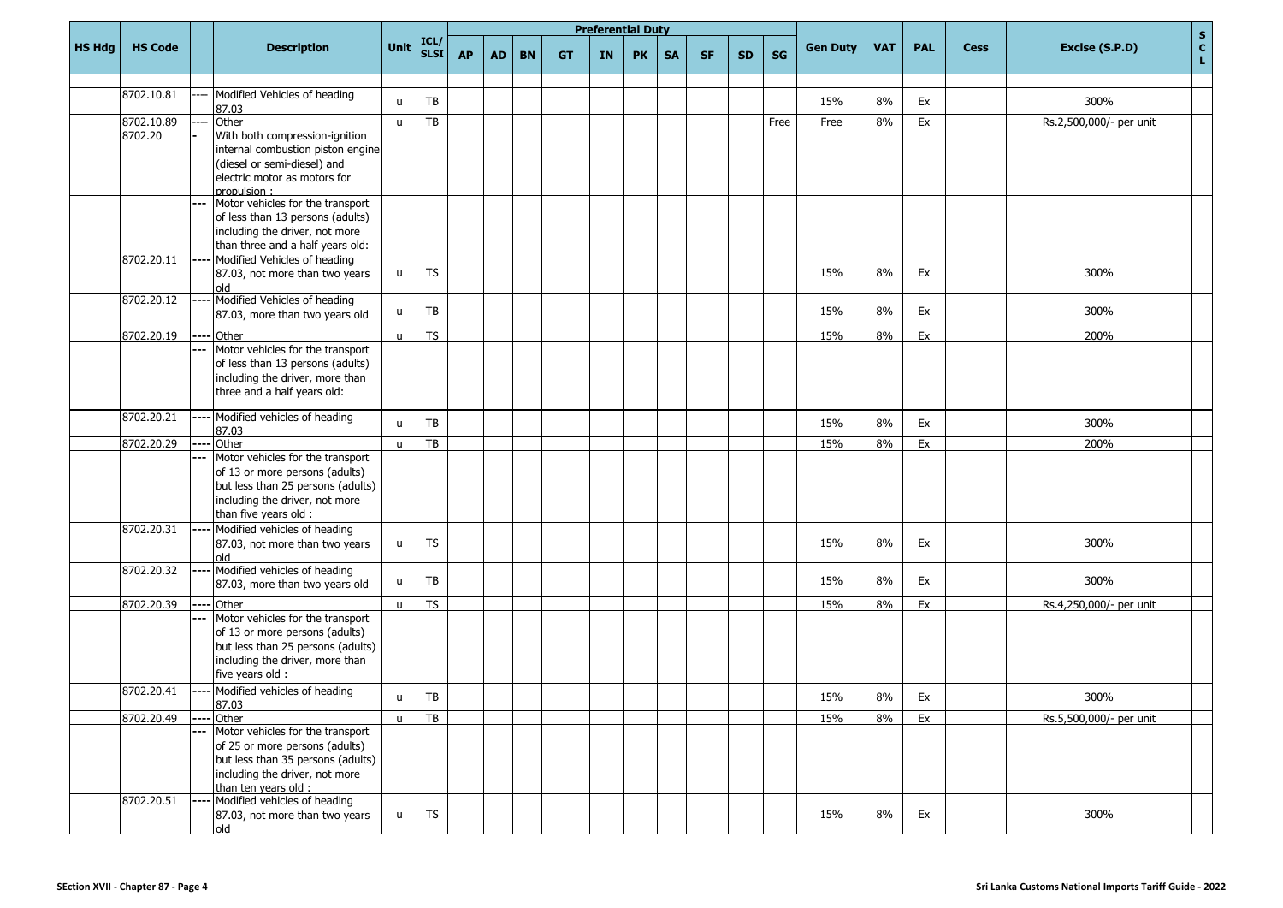|               |                |                |                                                                     |              |                     |           |           |           |           | <b>Preferential Duty</b> |           |           |           |           |           |                 |            |            |             |                         |                    |
|---------------|----------------|----------------|---------------------------------------------------------------------|--------------|---------------------|-----------|-----------|-----------|-----------|--------------------------|-----------|-----------|-----------|-----------|-----------|-----------------|------------|------------|-------------|-------------------------|--------------------|
| <b>HS Hdg</b> | <b>HS Code</b> |                | <b>Description</b>                                                  | Unit         | ICL/<br><b>SLSI</b> | <b>AP</b> | <b>AD</b> | <b>BN</b> | <b>GT</b> | <b>IN</b>                | <b>PK</b> | <b>SA</b> | <b>SF</b> | <b>SD</b> | <b>SG</b> | <b>Gen Duty</b> | <b>VAT</b> | <b>PAL</b> | <b>Cess</b> | Excise (S.P.D)          | $\frac{s}{c}$<br>L |
|               |                |                |                                                                     |              |                     |           |           |           |           |                          |           |           |           |           |           |                 |            |            |             |                         |                    |
|               | 8702.10.81     |                | Modified Vehicles of heading<br>87.03                               | $\mathbf{u}$ | TB                  |           |           |           |           |                          |           |           |           |           |           | 15%             | 8%         | Ex         |             | 300%                    |                    |
|               | 8702.10.89     |                | Other                                                               | $\mathbf{u}$ | $\overline{TB}$     |           |           |           |           |                          |           |           |           |           | Free      | Free            | 8%         | Ex         |             | Rs.2,500,000/- per unit |                    |
|               | 8702.20        |                | With both compression-ignition                                      |              |                     |           |           |           |           |                          |           |           |           |           |           |                 |            |            |             |                         |                    |
|               |                |                | internal combustion piston engine                                   |              |                     |           |           |           |           |                          |           |           |           |           |           |                 |            |            |             |                         |                    |
|               |                |                | (diesel or semi-diesel) and                                         |              |                     |           |           |           |           |                          |           |           |           |           |           |                 |            |            |             |                         |                    |
|               |                |                | electric motor as motors for<br>propulsion:                         |              |                     |           |           |           |           |                          |           |           |           |           |           |                 |            |            |             |                         |                    |
|               |                |                | Motor vehicles for the transport                                    |              |                     |           |           |           |           |                          |           |           |           |           |           |                 |            |            |             |                         |                    |
|               |                |                | of less than 13 persons (adults)                                    |              |                     |           |           |           |           |                          |           |           |           |           |           |                 |            |            |             |                         |                    |
|               |                |                | including the driver, not more                                      |              |                     |           |           |           |           |                          |           |           |           |           |           |                 |            |            |             |                         |                    |
|               | 8702.20.11     |                | than three and a half years old:<br>Modified Vehicles of heading    |              |                     |           |           |           |           |                          |           |           |           |           |           |                 |            |            |             |                         |                    |
|               |                |                | 87.03, not more than two years                                      | u            | <b>TS</b>           |           |           |           |           |                          |           |           |           |           |           | 15%             | 8%         | Ex         |             | 300%                    |                    |
|               |                |                | old                                                                 |              |                     |           |           |           |           |                          |           |           |           |           |           |                 |            |            |             |                         |                    |
|               | 8702.20.12     |                | Modified Vehicles of heading                                        |              | TB                  |           |           |           |           |                          |           |           |           |           |           | 15%             | 8%         | Ex         |             | 300%                    |                    |
|               |                |                | 87.03, more than two years old                                      | u            |                     |           |           |           |           |                          |           |           |           |           |           |                 |            |            |             |                         |                    |
|               | 8702.20.19     | ---            | Other                                                               | $\mathsf{u}$ | <b>TS</b>           |           |           |           |           |                          |           |           |           |           |           | 15%             | 8%         | Ex         |             | 200%                    |                    |
|               |                |                | Motor vehicles for the transport                                    |              |                     |           |           |           |           |                          |           |           |           |           |           |                 |            |            |             |                         |                    |
|               |                |                | of less than 13 persons (adults)<br>including the driver, more than |              |                     |           |           |           |           |                          |           |           |           |           |           |                 |            |            |             |                         |                    |
|               |                |                | three and a half years old:                                         |              |                     |           |           |           |           |                          |           |           |           |           |           |                 |            |            |             |                         |                    |
|               |                |                |                                                                     |              |                     |           |           |           |           |                          |           |           |           |           |           |                 |            |            |             |                         |                    |
|               | 8702.20.21     |                | Modified vehicles of heading<br>87.03                               | $\mathbf{u}$ | TB                  |           |           |           |           |                          |           |           |           |           |           | 15%             | 8%         | Ex         |             | 300%                    |                    |
|               | 8702.20.29     | $---$          | Other                                                               | $\mathsf{u}$ | TB                  |           |           |           |           |                          |           |           |           |           |           | 15%             | 8%         | Ex         |             | 200%                    |                    |
|               |                | $\overline{a}$ | Motor vehicles for the transport                                    |              |                     |           |           |           |           |                          |           |           |           |           |           |                 |            |            |             |                         |                    |
|               |                |                | of 13 or more persons (adults)                                      |              |                     |           |           |           |           |                          |           |           |           |           |           |                 |            |            |             |                         |                    |
|               |                |                | but less than 25 persons (adults)                                   |              |                     |           |           |           |           |                          |           |           |           |           |           |                 |            |            |             |                         |                    |
|               |                |                | including the driver, not more<br>than five years old :             |              |                     |           |           |           |           |                          |           |           |           |           |           |                 |            |            |             |                         |                    |
|               | 8702.20.31     |                | Modified vehicles of heading                                        |              |                     |           |           |           |           |                          |           |           |           |           |           |                 |            |            |             |                         |                    |
|               |                |                | 87.03, not more than two years                                      | $\sf u$      | <b>TS</b>           |           |           |           |           |                          |           |           |           |           |           | 15%             | 8%         | Ex         |             | 300%                    |                    |
|               |                |                | old                                                                 |              |                     |           |           |           |           |                          |           |           |           |           |           |                 |            |            |             |                         |                    |
|               | 8702.20.32     |                | Modified vehicles of heading                                        | u            | TB                  |           |           |           |           |                          |           |           |           |           |           | 15%             | 8%         | Ex         |             | 300%                    |                    |
|               |                |                | 87.03, more than two years old                                      |              |                     |           |           |           |           |                          |           |           |           |           |           |                 |            |            |             |                         |                    |
|               | 8702.20.39     | ---            | Other<br>Motor vehicles for the transport                           | $\mathsf{u}$ | <b>TS</b>           |           |           |           |           |                          |           |           |           |           |           | 15%             | 8%         | Ex         |             | Rs.4,250,000/- per unit |                    |
|               |                |                | of 13 or more persons (adults)                                      |              |                     |           |           |           |           |                          |           |           |           |           |           |                 |            |            |             |                         |                    |
|               |                |                | but less than 25 persons (adults)                                   |              |                     |           |           |           |           |                          |           |           |           |           |           |                 |            |            |             |                         |                    |
|               |                |                | including the driver, more than                                     |              |                     |           |           |           |           |                          |           |           |           |           |           |                 |            |            |             |                         |                    |
|               |                |                | five years old :                                                    |              |                     |           |           |           |           |                          |           |           |           |           |           |                 |            |            |             |                         |                    |
|               | 8702.20.41     |                | Modified vehicles of heading<br>87.03                               | $\sf u$      | TB                  |           |           |           |           |                          |           |           |           |           |           | 15%             | 8%         | Ex         |             | 300%                    |                    |
|               | 8702.20.49     | $---$          | Other                                                               | $\mathsf{u}$ | $\overline{TB}$     |           |           |           |           |                          |           |           |           |           |           | 15%             | 8%         | Ex         |             | Rs.5,500,000/- per unit |                    |
|               |                | $\overline{a}$ | Motor vehicles for the transport                                    |              |                     |           |           |           |           |                          |           |           |           |           |           |                 |            |            |             |                         |                    |
|               |                |                | of 25 or more persons (adults)                                      |              |                     |           |           |           |           |                          |           |           |           |           |           |                 |            |            |             |                         |                    |
|               |                |                | but less than 35 persons (adults)<br>including the driver, not more |              |                     |           |           |           |           |                          |           |           |           |           |           |                 |            |            |             |                         |                    |
|               |                |                | than ten years old :                                                |              |                     |           |           |           |           |                          |           |           |           |           |           |                 |            |            |             |                         |                    |
|               | 8702.20.51     | ---            | Modified vehicles of heading                                        |              |                     |           |           |           |           |                          |           |           |           |           |           |                 |            |            |             |                         |                    |
|               |                |                | 87.03, not more than two years<br>hlo                               | u            | <b>TS</b>           |           |           |           |           |                          |           |           |           |           |           | 15%             | 8%         | Ex         |             | 300%                    |                    |
|               |                |                |                                                                     |              |                     |           |           |           |           |                          |           |           |           |           |           |                 |            |            |             |                         |                    |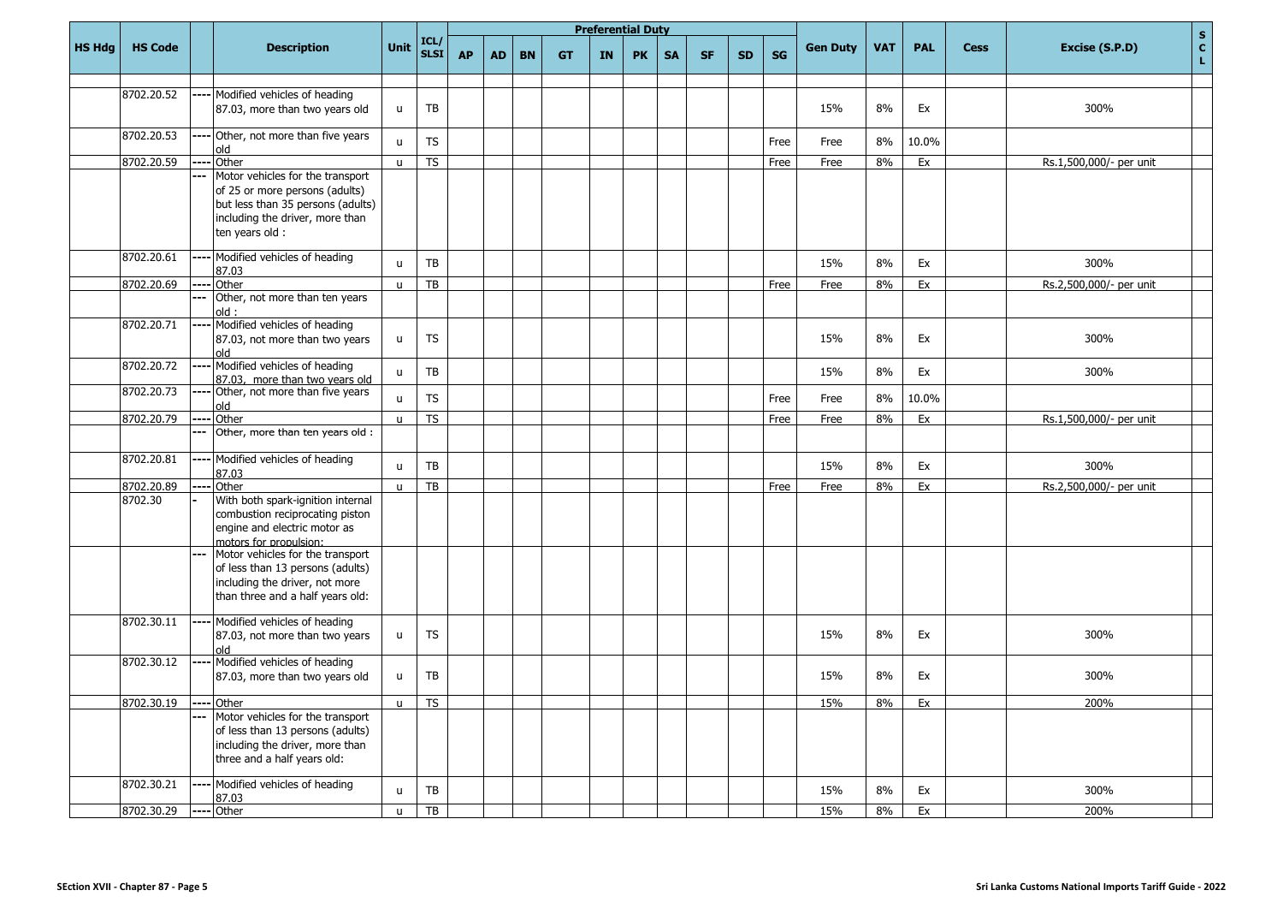|               |                |       |                                                                                                                                                               |              |                     |           |           |           |           |           | <b>Preferential Duty</b> |           |           |           |           |                 |            |            |             | $\mathbf s$                          |
|---------------|----------------|-------|---------------------------------------------------------------------------------------------------------------------------------------------------------------|--------------|---------------------|-----------|-----------|-----------|-----------|-----------|--------------------------|-----------|-----------|-----------|-----------|-----------------|------------|------------|-------------|--------------------------------------|
| <b>HS Hdg</b> | <b>HS Code</b> |       | <b>Description</b>                                                                                                                                            | Unit         | ICL/<br><b>SLSI</b> | <b>AP</b> | <b>AD</b> | <b>BN</b> | <b>GT</b> | <b>IN</b> | <b>PK</b>                | <b>SA</b> | <b>SF</b> | <b>SD</b> | <b>SG</b> | <b>Gen Duty</b> | <b>VAT</b> | <b>PAL</b> | <b>Cess</b> | $\mathbf{c}$<br>Excise (S.P.D)<br>L. |
|               |                |       |                                                                                                                                                               |              |                     |           |           |           |           |           |                          |           |           |           |           |                 |            |            |             |                                      |
|               | 8702.20.52     |       | Modified vehicles of heading<br>87.03, more than two years old                                                                                                | u            | TB                  |           |           |           |           |           |                          |           |           |           |           | 15%             | 8%         | Ex         |             | 300%                                 |
|               | 8702.20.53     |       | Other, not more than five years<br>old                                                                                                                        | $\mathbf{u}$ | <b>TS</b>           |           |           |           |           |           |                          |           |           |           | Free      | Free            | 8%         | 10.0%      |             |                                      |
|               | 8702.20.59     |       | Other                                                                                                                                                         | $\mathsf{u}$ | <b>TS</b>           |           |           |           |           |           |                          |           |           |           | Free      | Free            | 8%         | Ex         |             | Rs.1,500,000/- per unit              |
|               |                |       | Motor vehicles for the transport<br>of 25 or more persons (adults)<br>but less than 35 persons (adults)<br>including the driver, more than<br>ten years old : |              |                     |           |           |           |           |           |                          |           |           |           |           |                 |            |            |             |                                      |
|               | 8702.20.61     |       | Modified vehicles of heading<br>87.03                                                                                                                         | $\mathsf{u}$ | TB                  |           |           |           |           |           |                          |           |           |           |           | 15%             | 8%         | Ex         |             | 300%                                 |
|               | 8702.20.69     | $---$ | Other                                                                                                                                                         | $\mathsf{u}$ | <b>TB</b>           |           |           |           |           |           |                          |           |           |           | Free      | Free            | 8%         | Ex         |             | Rs.2,500,000/- per unit              |
|               |                |       | Other, not more than ten years<br>old:                                                                                                                        |              |                     |           |           |           |           |           |                          |           |           |           |           |                 |            |            |             |                                      |
|               | 8702.20.71     |       | Modified vehicles of heading<br>87.03, not more than two years<br>old                                                                                         | $\mathsf{u}$ | <b>TS</b>           |           |           |           |           |           |                          |           |           |           |           | 15%             | 8%         | Ex         |             | 300%                                 |
|               | 8702.20.72     |       | Modified vehicles of heading<br>87.03. more than two vears old                                                                                                | $\mathsf{u}$ | TB                  |           |           |           |           |           |                          |           |           |           |           | 15%             | 8%         | Ex         |             | 300%                                 |
|               | 8702.20.73     |       | Other, not more than five years<br>old                                                                                                                        | $\mathsf{u}$ | <b>TS</b>           |           |           |           |           |           |                          |           |           |           | Free      | Free            | 8%         | 10.0%      |             |                                      |
|               | 8702.20.79     |       | Other                                                                                                                                                         | $\mathsf{u}$ | <b>TS</b>           |           |           |           |           |           |                          |           |           |           | Free      | Free            | 8%         | Ex         |             | Rs.1,500,000/- per unit              |
|               |                | ---   | Other, more than ten years old :                                                                                                                              |              |                     |           |           |           |           |           |                          |           |           |           |           |                 |            |            |             |                                      |
|               | 8702.20.81     | ----  | Modified vehicles of heading<br>87.03                                                                                                                         | $\mathsf{u}$ | TB                  |           |           |           |           |           |                          |           |           |           |           | 15%             | 8%         | Ex         |             | 300%                                 |
|               | 8702.20.89     |       | Other                                                                                                                                                         | $\mathsf{u}$ | TB                  |           |           |           |           |           |                          |           |           |           | Free      | Free            | 8%         | Ex         |             | Rs.2,500,000/- per unit              |
|               | 8702.30        |       | With both spark-ignition internal<br>combustion reciprocating piston<br>engine and electric motor as<br>motors for propulsion:                                |              |                     |           |           |           |           |           |                          |           |           |           |           |                 |            |            |             |                                      |
|               |                |       | Motor vehicles for the transport<br>of less than 13 persons (adults)<br>including the driver, not more<br>than three and a half years old:                    |              |                     |           |           |           |           |           |                          |           |           |           |           |                 |            |            |             |                                      |
|               | 8702.30.11     |       | Modified vehicles of heading<br>87.03, not more than two years<br>blo                                                                                         | $\mathsf{u}$ | <b>TS</b>           |           |           |           |           |           |                          |           |           |           |           | 15%             | 8%         | Ex         |             | 300%                                 |
|               | 8702.30.12     |       | Modified vehicles of heading<br>87.03, more than two years old                                                                                                | u            | TB                  |           |           |           |           |           |                          |           |           |           |           | 15%             | 8%         | Ex         |             | 300%                                 |
|               | 8702.30.19     | ----  | Other                                                                                                                                                         | $\mathbf{u}$ | <b>TS</b>           |           |           |           |           |           |                          |           |           |           |           | 15%             | 8%         | Ex         |             | 200%                                 |
|               |                |       | Motor vehicles for the transport<br>of less than 13 persons (adults)<br>including the driver, more than<br>three and a half years old:                        |              |                     |           |           |           |           |           |                          |           |           |           |           |                 |            |            |             |                                      |
|               | 8702.30.21     |       | Modified vehicles of heading<br>87.03                                                                                                                         | $\mathsf{u}$ | TB                  |           |           |           |           |           |                          |           |           |           |           | 15%             | 8%         | Ex         |             | 300%                                 |
|               | 8702.30.29     | $---$ | Other                                                                                                                                                         | u            | TB                  |           |           |           |           |           |                          |           |           |           |           | 15%             | 8%         | Ex         |             | 200%                                 |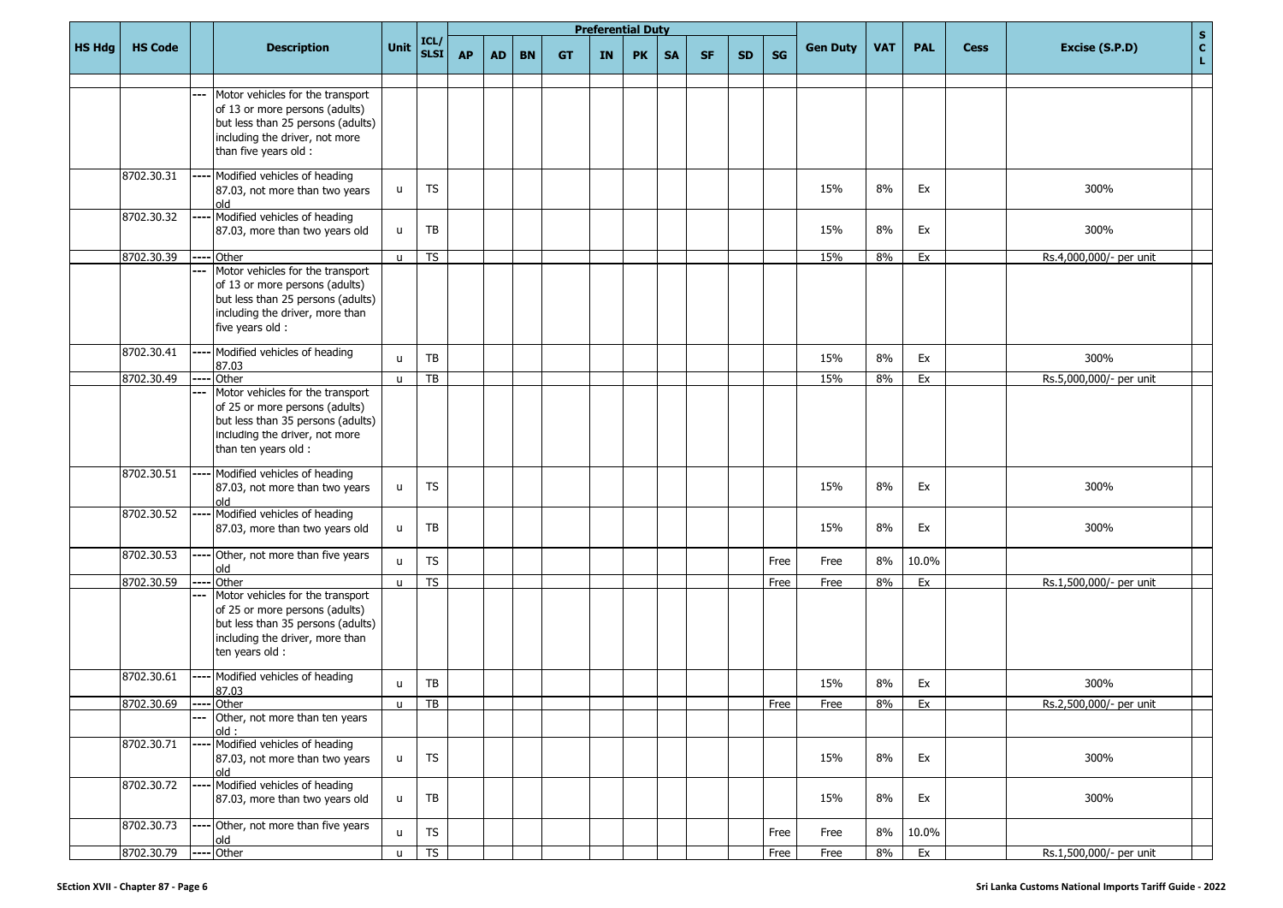|               |                |      |                                                                                                                                                                        |              |                     |           |           |           |           | <b>Preferential Duty</b> |           |           |           |           |           |                 |            |            |             | S                                                 |
|---------------|----------------|------|------------------------------------------------------------------------------------------------------------------------------------------------------------------------|--------------|---------------------|-----------|-----------|-----------|-----------|--------------------------|-----------|-----------|-----------|-----------|-----------|-----------------|------------|------------|-------------|---------------------------------------------------|
| <b>HS Hdg</b> | <b>HS Code</b> |      | <b>Description</b>                                                                                                                                                     | Unit         | ICL/<br><b>SLSI</b> | <b>AP</b> | <b>AD</b> | <b>BN</b> | <b>GT</b> | IN                       | <b>PK</b> | <b>SA</b> | <b>SF</b> | <b>SD</b> | <b>SG</b> | <b>Gen Duty</b> | <b>VAT</b> | <b>PAL</b> | <b>Cess</b> | $\frac{\mathsf{c}}{\mathsf{L}}$<br>Excise (S.P.D) |
|               |                |      | Motor vehicles for the transport<br>of 13 or more persons (adults)<br>but less than 25 persons (adults)<br>including the driver, not more<br>than five years old :     |              |                     |           |           |           |           |                          |           |           |           |           |           |                 |            |            |             |                                                   |
|               | 8702.30.31     |      | Modified vehicles of heading<br>87.03, not more than two years<br>blo                                                                                                  | u            | TS                  |           |           |           |           |                          |           |           |           |           |           | 15%             | 8%         | Ex         |             | 300%                                              |
|               | 8702.30.32     |      | Modified vehicles of heading<br>87.03, more than two years old                                                                                                         | u.           | TB                  |           |           |           |           |                          |           |           |           |           |           | 15%             | 8%         | Ex         |             | 300%                                              |
|               | 8702.30.39     |      | $---$ Other                                                                                                                                                            | $\mathsf{u}$ | <b>TS</b>           |           |           |           |           |                          |           |           |           |           |           | 15%             | 8%         | Ex         |             | Rs.4,000,000/- per unit                           |
|               |                |      | Motor vehicles for the transport<br>of 13 or more persons (adults)<br>but less than 25 persons (adults)<br>including the driver, more than<br>five years old :         |              |                     |           |           |           |           |                          |           |           |           |           |           |                 |            |            |             |                                                   |
|               | 8702.30.41     |      | Modified vehicles of heading                                                                                                                                           | u            | TB                  |           |           |           |           |                          |           |           |           |           |           | 15%             | 8%         | Ex         |             | 300%                                              |
|               | 8702.30.49     |      | 87.03<br>Other                                                                                                                                                         | $\mathsf{u}$ | TB                  |           |           |           |           |                          |           |           |           |           |           | 15%             | 8%         | Ex         |             | Rs.5,000,000/- per unit                           |
|               |                |      | Motor vehicles for the transport<br>of 25 or more persons (adults)<br>but less than 35 persons (adults)<br>including the driver, not more<br>than ten years old :      |              |                     |           |           |           |           |                          |           |           |           |           |           |                 |            |            |             |                                                   |
|               | 8702.30.51     |      | Modified vehicles of heading<br>87.03, not more than two years<br>blo                                                                                                  | u            | <b>TS</b>           |           |           |           |           |                          |           |           |           |           |           | 15%             | 8%         | Ex         |             | 300%                                              |
|               | 8702.30.52     |      | Modified vehicles of heading<br>87.03, more than two years old                                                                                                         | u            | TB                  |           |           |           |           |                          |           |           |           |           |           | 15%             | 8%         | Ex         |             | 300%                                              |
|               | 8702.30.53     |      | ---- Other, not more than five years<br>old                                                                                                                            | $\mathsf{u}$ | <b>TS</b>           |           |           |           |           |                          |           |           |           |           | Free      | Free            | 8%         | 10.0%      |             |                                                   |
|               | 8702.30.59     | ---- | Other<br>Motor vehicles for the transport<br>of 25 or more persons (adults)<br>but less than 35 persons (adults)<br>including the driver, more than<br>ten years old : | u            | <b>TS</b>           |           |           |           |           |                          |           |           |           |           | Free      | Free            | 8%         | Ex         |             | Rs.1,500,000/- per unit                           |
|               | 8702.30.61     | .    | Modified vehicles of heading<br>87.03                                                                                                                                  | u            | TB                  |           |           |           |           |                          |           |           |           |           |           | 15%             | 8%         | Ex         |             | 300%                                              |
|               | 8702.30.69     | ---  | $---$ Other<br>Other, not more than ten years                                                                                                                          | u.           | TB                  |           |           |           |           |                          |           |           |           |           | Free      | Free            | 8%         | Ex         |             | Rs.2,500,000/- per unit                           |
|               | 8702.30.71     |      | old:<br>Modified vehicles of heading<br>87.03, not more than two years<br>old                                                                                          | u.           | <b>TS</b>           |           |           |           |           |                          |           |           |           |           |           | 15%             | 8%         | Ex         |             | 300%                                              |
|               | 8702.30.72     | ---  | Modified vehicles of heading<br>87.03, more than two years old                                                                                                         | u.           | TB                  |           |           |           |           |                          |           |           |           |           |           | 15%             | 8%         | Ex         |             | 300%                                              |
|               | 8702.30.73     |      | Other, not more than five years<br>old                                                                                                                                 | u            | ${\sf TS}$          |           |           |           |           |                          |           |           |           |           | Free      | Free            | 8%         | 10.0%      |             |                                                   |
|               | 8702.30.79     |      | ---- Other                                                                                                                                                             | $\mathsf{u}$ | TS                  |           |           |           |           |                          |           |           |           |           | Free      | Free            | 8%         | Ex         |             | Rs.1,500,000/- per unit                           |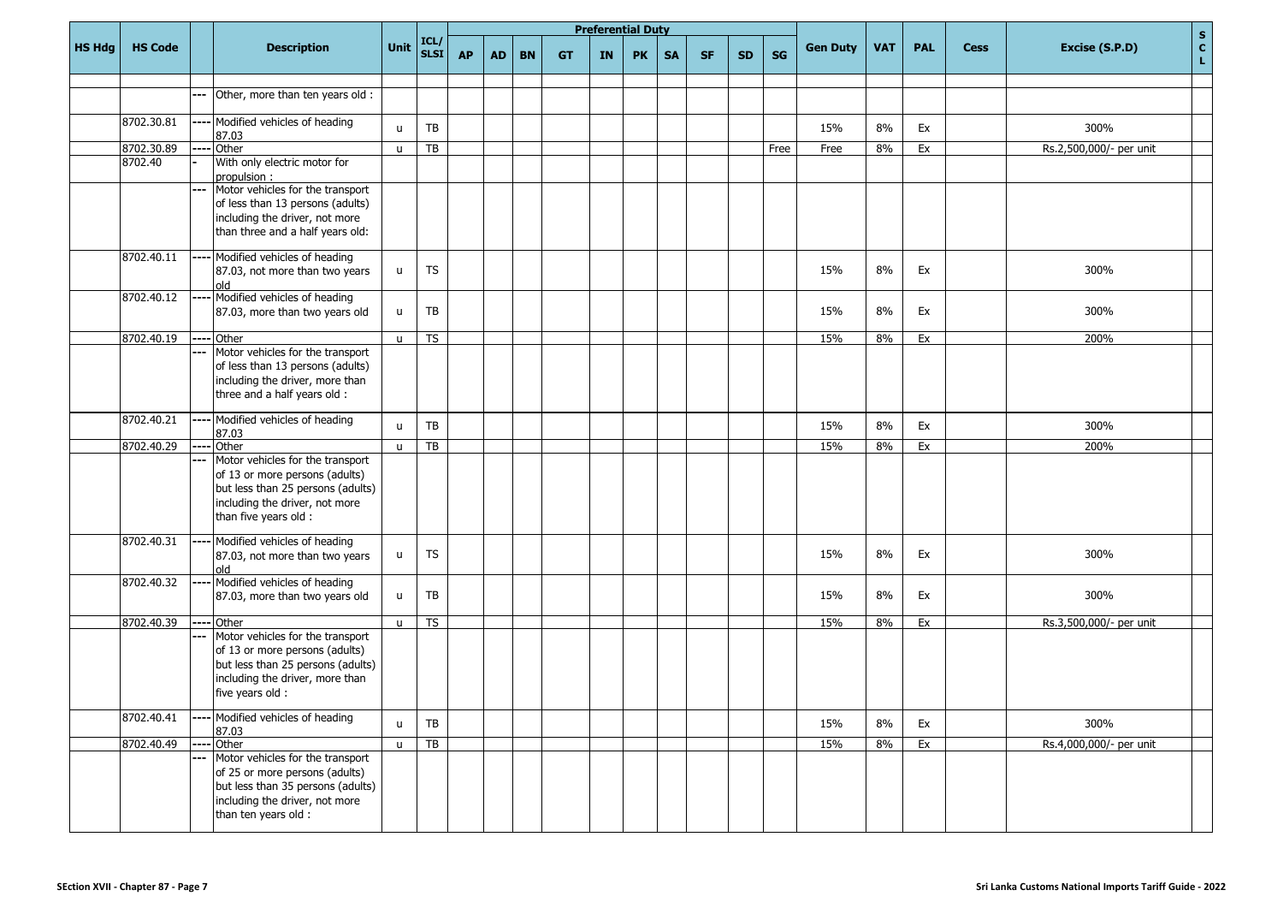|               |                |       |                                                                                                                                                                    |              |                              |           |           |           |           | <b>Preferential Duty</b> |           |           |           |           |      |                 |            |            |             |                         | $\mathbf{s}$      |
|---------------|----------------|-------|--------------------------------------------------------------------------------------------------------------------------------------------------------------------|--------------|------------------------------|-----------|-----------|-----------|-----------|--------------------------|-----------|-----------|-----------|-----------|------|-----------------|------------|------------|-------------|-------------------------|-------------------|
| <b>HS Hdg</b> | <b>HS Code</b> |       | <b>Description</b>                                                                                                                                                 | Unit         | $\vert$ ICL/ $\vert$<br>SLSI | <b>AP</b> | <b>AD</b> | <b>BN</b> | <b>GT</b> | IN                       | <b>PK</b> | <b>SA</b> | <b>SF</b> | <b>SD</b> | SG   | <b>Gen Duty</b> | <b>VAT</b> | <b>PAL</b> | <b>Cess</b> | Excise (S.P.D)          | $\mathbf{c}$<br>L |
|               |                |       |                                                                                                                                                                    |              |                              |           |           |           |           |                          |           |           |           |           |      |                 |            |            |             |                         |                   |
|               |                | ---   | Other, more than ten years old :                                                                                                                                   |              |                              |           |           |           |           |                          |           |           |           |           |      |                 |            |            |             |                         |                   |
|               | 8702.30.81     |       | Modified vehicles of heading<br>87.03                                                                                                                              | $\mathsf{u}$ | TB                           |           |           |           |           |                          |           |           |           |           |      | 15%             | 8%         | Ex         |             | 300%                    |                   |
|               | 8702.30.89     |       | Other                                                                                                                                                              | $\mathsf{u}$ | TB                           |           |           |           |           |                          |           |           |           |           | Free | Free            | 8%         | Ex         |             | Rs.2,500,000/- per unit |                   |
|               | 8702.40        |       | With only electric motor for<br>propulsion:                                                                                                                        |              |                              |           |           |           |           |                          |           |           |           |           |      |                 |            |            |             |                         |                   |
|               |                | $---$ | Motor vehicles for the transport<br>of less than 13 persons (adults)<br>including the driver, not more<br>than three and a half years old:                         |              |                              |           |           |           |           |                          |           |           |           |           |      |                 |            |            |             |                         |                   |
|               | 8702.40.11     |       | Modified vehicles of heading<br>87.03, not more than two years<br>hlo                                                                                              | u            | <b>TS</b>                    |           |           |           |           |                          |           |           |           |           |      | 15%             | 8%         | Ex         |             | 300%                    |                   |
|               | 8702.40.12     | ---   | Modified vehicles of heading<br>87.03, more than two years old                                                                                                     | u            | TB                           |           |           |           |           |                          |           |           |           |           |      | 15%             | 8%         | Ex         |             | 300%                    |                   |
|               | 8702.40.19     | $---$ | Other                                                                                                                                                              | $\mathsf{u}$ | <b>TS</b>                    |           |           |           |           |                          |           |           |           |           |      | 15%             | 8%         | Ex         |             | 200%                    |                   |
|               |                | ---   | Motor vehicles for the transport<br>of less than 13 persons (adults)<br>including the driver, more than<br>three and a half years old :                            |              |                              |           |           |           |           |                          |           |           |           |           |      |                 |            |            |             |                         |                   |
|               | 8702.40.21     |       | Modified vehicles of heading<br>87.03                                                                                                                              | $\mathbf{u}$ | TB                           |           |           |           |           |                          |           |           |           |           |      | 15%             | 8%         | Ex         |             | 300%                    |                   |
|               | 8702.40.29     | $---$ | Other                                                                                                                                                              | $\mathsf{u}$ | TB                           |           |           |           |           |                          |           |           |           |           |      | 15%             | 8%         | Ex         |             | 200%                    |                   |
|               |                |       | Motor vehicles for the transport<br>of 13 or more persons (adults)<br>but less than 25 persons (adults)<br>including the driver, not more<br>than five years old : |              |                              |           |           |           |           |                          |           |           |           |           |      |                 |            |            |             |                         |                   |
|               | 8702.40.31     |       | Modified vehicles of heading<br>87.03, not more than two years<br>blo                                                                                              | u            | <b>TS</b>                    |           |           |           |           |                          |           |           |           |           |      | 15%             | 8%         | Ex         |             | 300%                    |                   |
|               | 8702.40.32     |       | Modified vehicles of heading<br>87.03, more than two years old                                                                                                     | u            | TB                           |           |           |           |           |                          |           |           |           |           |      | 15%             | 8%         | Ex         |             | 300%                    |                   |
|               | 8702.40.39     | ----  | Other                                                                                                                                                              | $\mathsf{u}$ | <b>TS</b>                    |           |           |           |           |                          |           |           |           |           |      | 15%             | 8%         | Ex         |             | Rs.3,500,000/- per unit |                   |
|               |                | ---   | Motor vehicles for the transport<br>of 13 or more persons (adults)<br>but less than 25 persons (adults)<br>including the driver, more than<br>five years old :     |              |                              |           |           |           |           |                          |           |           |           |           |      |                 |            |            |             |                         |                   |
|               | 8702.40.41     |       | Modified vehicles of heading<br>87.03                                                                                                                              | $\mathsf{u}$ | TB                           |           |           |           |           |                          |           |           |           |           |      | 15%             | 8%         | Ex         |             | 300%                    |                   |
|               | 8702.40.49     |       | Other                                                                                                                                                              | $\mathsf{u}$ | $\overline{TB}$              |           |           |           |           |                          |           |           |           |           |      | 15%             | 8%         | Ex         |             | Rs.4,000,000/- per unit |                   |
|               |                | ---   | Motor vehicles for the transport<br>of 25 or more persons (adults)<br>but less than 35 persons (adults)<br>including the driver, not more<br>than ten years old :  |              |                              |           |           |           |           |                          |           |           |           |           |      |                 |            |            |             |                         |                   |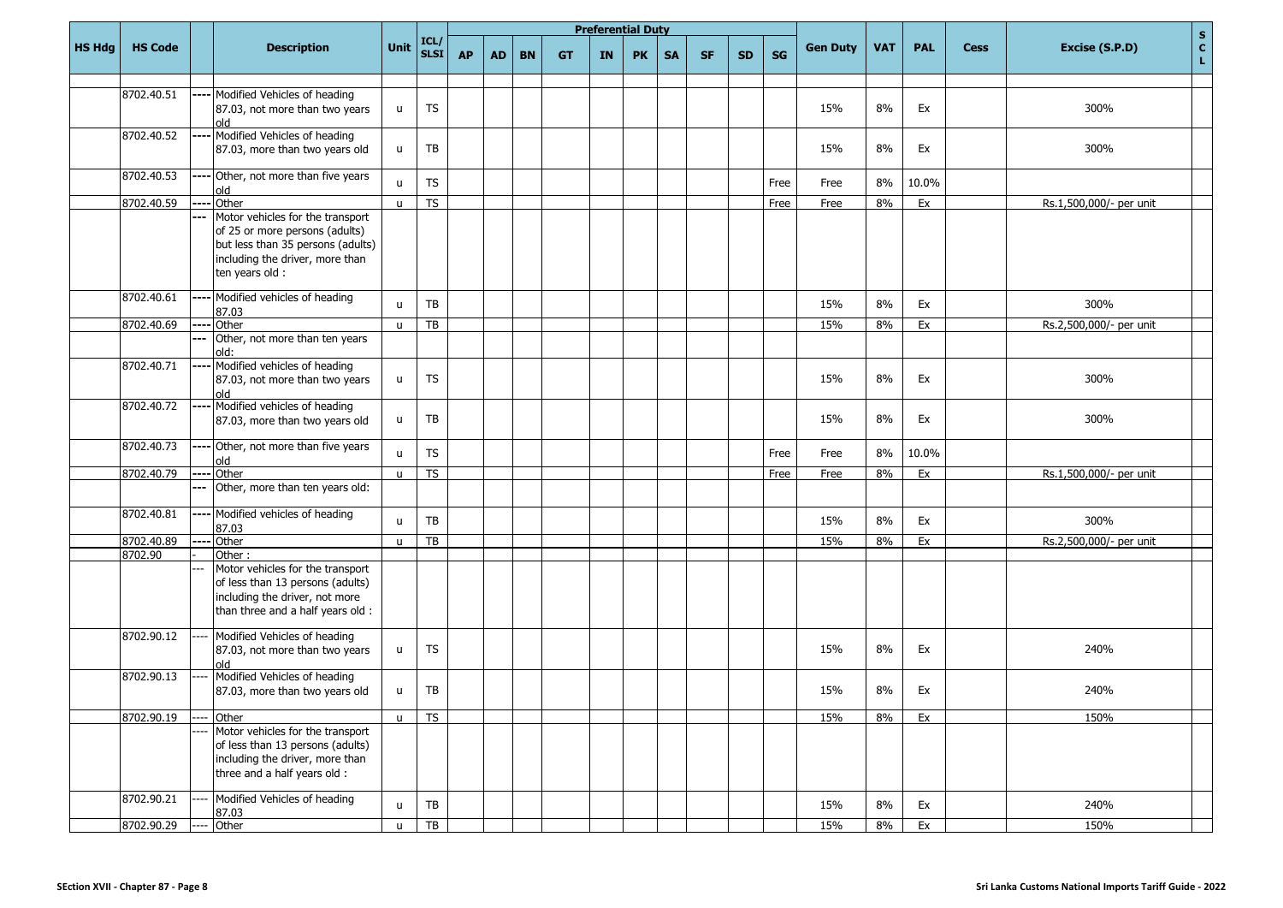|               |                |      |                                                                                                                                                               |               |                     |           |           |           |           | <b>Preferential Duty</b> |           |           |           |           |      |                 |            |            |             |                         | $\mathbf S$        |
|---------------|----------------|------|---------------------------------------------------------------------------------------------------------------------------------------------------------------|---------------|---------------------|-----------|-----------|-----------|-----------|--------------------------|-----------|-----------|-----------|-----------|------|-----------------|------------|------------|-------------|-------------------------|--------------------|
| <b>HS Hdg</b> | <b>HS Code</b> |      | <b>Description</b>                                                                                                                                            | Unit          | ICL/<br><b>SLSI</b> | <b>AP</b> | <b>AD</b> | <b>BN</b> | <b>GT</b> | IN                       | <b>PK</b> | <b>SA</b> | <b>SF</b> | <b>SD</b> | SG   | <b>Gen Duty</b> | <b>VAT</b> | <b>PAL</b> | <b>Cess</b> | Excise (S.P.D)          | $\mathbf{c}$<br>L. |
|               |                |      |                                                                                                                                                               |               |                     |           |           |           |           |                          |           |           |           |           |      |                 |            |            |             |                         |                    |
|               | 8702.40.51     |      | Modified Vehicles of heading<br>87.03, not more than two years<br>old                                                                                         | u             | TS                  |           |           |           |           |                          |           |           |           |           |      | 15%             | 8%         | Ex         |             | 300%                    |                    |
|               | 8702.40.52     |      | Modified Vehicles of heading<br>87.03, more than two years old                                                                                                | u             | TB                  |           |           |           |           |                          |           |           |           |           |      | 15%             | 8%         | Ex         |             | 300%                    |                    |
|               | 8702.40.53     |      | Other, not more than five years<br>old                                                                                                                        | $\mathbf{u}$  | <b>TS</b>           |           |           |           |           |                          |           |           |           |           | Free | Free            | 8%         | 10.0%      |             |                         |                    |
|               | 8702.40.59     |      | Other                                                                                                                                                         | $\mathbf{u}$  | <b>TS</b>           |           |           |           |           |                          |           |           |           |           | Free | Free            | 8%         | Ex         |             | Rs.1,500,000/- per unit |                    |
|               |                |      | Motor vehicles for the transport<br>of 25 or more persons (adults)<br>but less than 35 persons (adults)<br>including the driver, more than<br>ten years old : |               |                     |           |           |           |           |                          |           |           |           |           |      |                 |            |            |             |                         |                    |
|               | 8702.40.61     | ---- | Modified vehicles of heading<br>87.03                                                                                                                         | $\mathsf{u}$  | TB                  |           |           |           |           |                          |           |           |           |           |      | 15%             | 8%         | Ex         |             | 300%                    |                    |
|               | 8702.40.69     | ---- | Other                                                                                                                                                         | $\mathsf{u}$  | TB                  |           |           |           |           |                          |           |           |           |           |      | 15%             | 8%         | Ex         |             | Rs.2,500,000/- per unit |                    |
|               |                | ---  | Other, not more than ten years<br>old:                                                                                                                        |               |                     |           |           |           |           |                          |           |           |           |           |      |                 |            |            |             |                         |                    |
|               | 8702.40.71     |      | Modified vehicles of heading<br>87.03, not more than two years<br>old                                                                                         | u             | <b>TS</b>           |           |           |           |           |                          |           |           |           |           |      | 15%             | 8%         | Ex         |             | 300%                    |                    |
|               | 8702.40.72     |      | Modified vehicles of heading<br>87.03, more than two years old                                                                                                | $\mathsf{u}%$ | TB                  |           |           |           |           |                          |           |           |           |           |      | 15%             | 8%         | Ex         |             | 300%                    |                    |
|               | 8702.40.73     |      | Other, not more than five years<br>old                                                                                                                        | $\mathbf{u}$  | <b>TS</b>           |           |           |           |           |                          |           |           |           |           | Free | Free            | 8%         | 10.0%      |             |                         |                    |
|               | 8702.40.79     |      | Other                                                                                                                                                         | $\mathsf{u}$  | <b>TS</b>           |           |           |           |           |                          |           |           |           |           | Free | Free            | 8%         | Ex         |             | Rs.1,500,000/- per unit |                    |
|               |                |      | Other, more than ten years old:                                                                                                                               |               |                     |           |           |           |           |                          |           |           |           |           |      |                 |            |            |             |                         |                    |
|               | 8702.40.81     |      | Modified vehicles of heading<br>87.03                                                                                                                         | $\mathsf{u}$  | TB                  |           |           |           |           |                          |           |           |           |           |      | 15%             | 8%         | Ex         |             | 300%                    |                    |
|               | 8702.40.89     |      | Other                                                                                                                                                         | $\mathbf{u}$  | $\overline{TB}$     |           |           |           |           |                          |           |           |           |           |      | 15%             | 8%         | Ex         |             | Rs.2,500,000/- per unit |                    |
|               | 8702.90        |      | Other:                                                                                                                                                        |               |                     |           |           |           |           |                          |           |           |           |           |      |                 |            |            |             |                         |                    |
|               |                |      | Motor vehicles for the transport<br>of less than 13 persons (adults)<br>including the driver, not more<br>than three and a half years old :                   |               |                     |           |           |           |           |                          |           |           |           |           |      |                 |            |            |             |                         |                    |
|               | 8702.90.12     |      | Modified Vehicles of heading<br>87.03, not more than two years<br>hlo                                                                                         | $\mathsf{u}%$ | <b>TS</b>           |           |           |           |           |                          |           |           |           |           |      | 15%             | 8%         | Ex         |             | 240%                    |                    |
|               | 8702.90.13     |      | Modified Vehicles of heading<br>87.03, more than two years old                                                                                                | u             | TB                  |           |           |           |           |                          |           |           |           |           |      | 15%             | 8%         | Ex         |             | 240%                    |                    |
|               | 8702.90.19     |      | Other                                                                                                                                                         | $\mathsf{u}$  | <b>TS</b>           |           |           |           |           |                          |           |           |           |           |      | 15%             | 8%         | Ex         |             | 150%                    |                    |
|               |                |      | Motor vehicles for the transport<br>of less than 13 persons (adults)<br>including the driver, more than<br>three and a half years old :                       |               |                     |           |           |           |           |                          |           |           |           |           |      |                 |            |            |             |                         |                    |
|               | 8702.90.21     |      | Modified Vehicles of heading<br>87.03                                                                                                                         | $\mathsf{u}$  | ${\sf TB}$          |           |           |           |           |                          |           |           |           |           |      | 15%             | 8%         | Ex         |             | 240%                    |                    |
|               | 8702.90.29     |      | Other                                                                                                                                                         | $\mathsf{u}$  | TB                  |           |           |           |           |                          |           |           |           |           |      | 15%             | 8%         | Ex         |             | 150%                    |                    |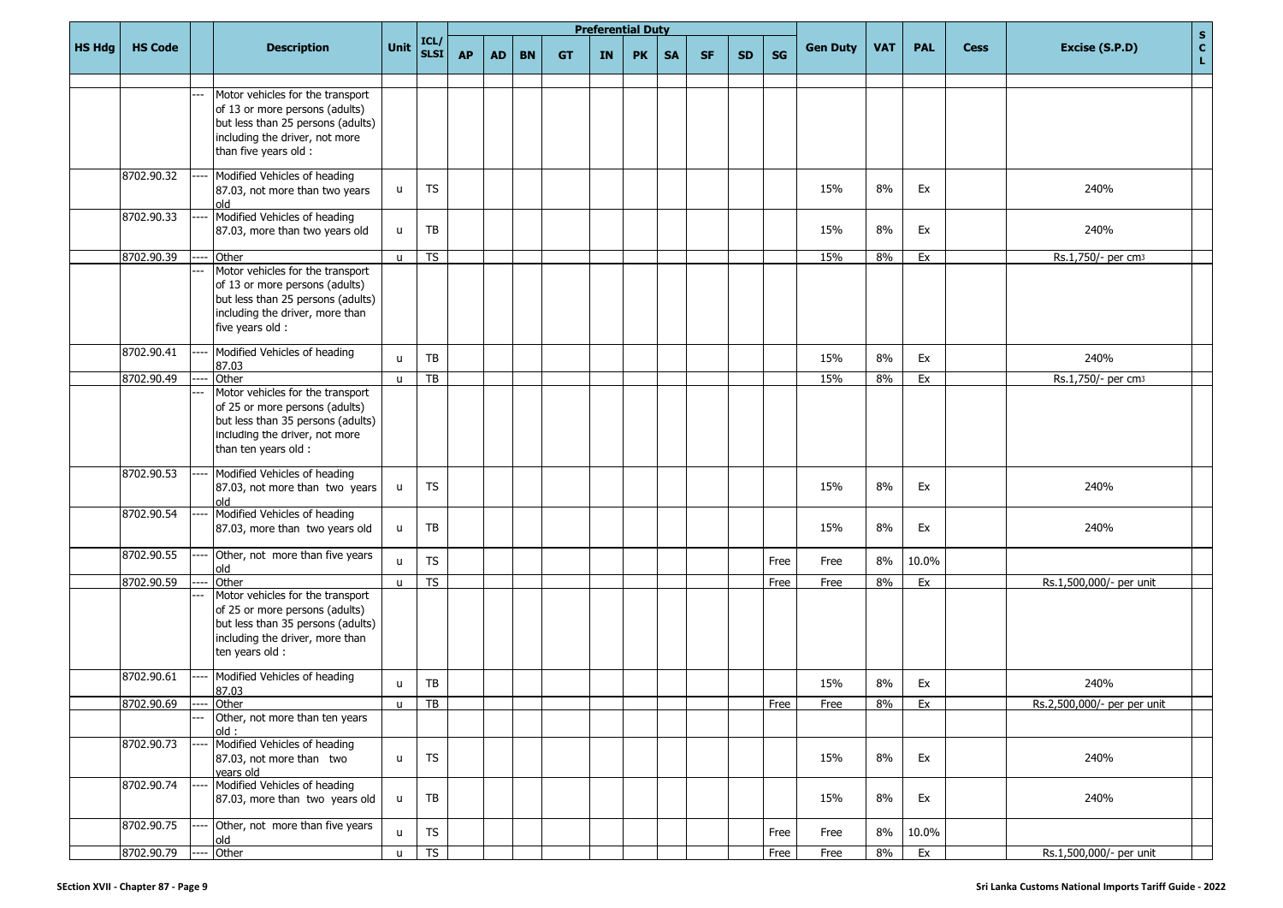|               |                |                                                                                                                                                                        |              |                     |           |           |           |           | <b>Preferential Duty</b> |           |           |           |           |           |                 |            |            |             | S                                                 |
|---------------|----------------|------------------------------------------------------------------------------------------------------------------------------------------------------------------------|--------------|---------------------|-----------|-----------|-----------|-----------|--------------------------|-----------|-----------|-----------|-----------|-----------|-----------------|------------|------------|-------------|---------------------------------------------------|
| <b>HS Hdg</b> | <b>HS Code</b> | <b>Description</b>                                                                                                                                                     | Unit         | ICL/<br><b>SLSI</b> | <b>AP</b> | <b>AD</b> | <b>BN</b> | <b>GT</b> | IN                       | <b>PK</b> | <b>SA</b> | <b>SF</b> | <b>SD</b> | <b>SG</b> | <b>Gen Duty</b> | <b>VAT</b> | <b>PAL</b> | <b>Cess</b> | $\frac{\mathsf{c}}{\mathsf{L}}$<br>Excise (S.P.D) |
|               |                | Motor vehicles for the transport<br>of 13 or more persons (adults)<br>but less than 25 persons (adults)<br>including the driver, not more<br>than five years old :     |              |                     |           |           |           |           |                          |           |           |           |           |           |                 |            |            |             |                                                   |
|               | 8702.90.32     | Modified Vehicles of heading<br>87.03, not more than two years<br>blo                                                                                                  | u            | TS                  |           |           |           |           |                          |           |           |           |           |           | 15%             | 8%         | Ex         |             | 240%                                              |
|               | 8702.90.33     | Modified Vehicles of heading<br>87.03, more than two years old                                                                                                         | u.           | TB                  |           |           |           |           |                          |           |           |           |           |           | 15%             | 8%         | Ex         |             | 240%                                              |
|               | 8702.90.39     | Other                                                                                                                                                                  | $\mathsf{u}$ | <b>TS</b>           |           |           |           |           |                          |           |           |           |           |           | 15%             | 8%         | Ex         |             | Rs.1,750/- per cm3                                |
|               |                | Motor vehicles for the transport<br>of 13 or more persons (adults)<br>but less than 25 persons (adults)<br>including the driver, more than<br>five years old :         |              |                     |           |           |           |           |                          |           |           |           |           |           |                 |            |            |             |                                                   |
|               | 8702.90.41     | Modified Vehicles of heading<br>87.03                                                                                                                                  | $\mathsf{u}$ | TB                  |           |           |           |           |                          |           |           |           |           |           | 15%             | 8%         | Ex         |             | 240%                                              |
|               | 8702.90.49     | Other                                                                                                                                                                  | $\mathsf{u}$ | TB                  |           |           |           |           |                          |           |           |           |           |           | 15%             | 8%         | Ex         |             | Rs.1,750/- per cm3                                |
|               |                | Motor vehicles for the transport<br>of 25 or more persons (adults)<br>but less than 35 persons (adults)<br>including the driver, not more<br>than ten years old :      |              |                     |           |           |           |           |                          |           |           |           |           |           |                 |            |            |             |                                                   |
|               | 8702.90.53     | Modified Vehicles of heading<br>87.03, not more than two years<br>blo                                                                                                  | u            | <b>TS</b>           |           |           |           |           |                          |           |           |           |           |           | 15%             | 8%         | Ex         |             | 240%                                              |
|               | 8702.90.54     | Modified Vehicles of heading<br>87.03, more than two years old                                                                                                         | u            | TB                  |           |           |           |           |                          |           |           |           |           |           | 15%             | 8%         | Ex         |             | 240%                                              |
|               | 8702.90.55     | Other, not more than five years<br>old                                                                                                                                 | $\mathsf{u}$ | <b>TS</b>           |           |           |           |           |                          |           |           |           |           | Free      | Free            | 8%         | 10.0%      |             |                                                   |
|               | 8702.90.59     | Other<br>Motor vehicles for the transport<br>of 25 or more persons (adults)<br>but less than 35 persons (adults)<br>including the driver, more than<br>ten years old : | u            | <b>TS</b>           |           |           |           |           |                          |           |           |           |           | Free      | Free            | 8%         | Ex         |             | Rs.1,500,000/- per unit                           |
|               | 8702.90.61     | Modified Vehicles of heading<br>87.03                                                                                                                                  | u            | TB                  |           |           |           |           |                          |           |           |           |           |           | 15%             | 8%         | Ex         |             | 240%                                              |
|               | 8702.90.69     | $ -----$ Other<br>Other, not more than ten years                                                                                                                       | $\mathsf{u}$ | $\overline{TB}$     |           |           |           |           |                          |           |           |           |           | Free      | Free            | 8%         | Ex         |             | Rs.2,500,000/- per per unit                       |
|               | 8702.90.73     | old:<br>Modified Vehicles of heading<br>87.03, not more than two<br>years old                                                                                          | u            | <b>TS</b>           |           |           |           |           |                          |           |           |           |           |           | 15%             | 8%         | Ex         |             | 240%                                              |
|               | 8702.90.74     | Modified Vehicles of heading<br>87.03, more than two years old                                                                                                         | u.           | TB                  |           |           |           |           |                          |           |           |           |           |           | 15%             | 8%         | Ex         |             | 240%                                              |
|               | 8702.90.75     | Other, not more than five years<br>old                                                                                                                                 | $\mathsf{u}$ | <b>TS</b>           |           |           |           |           |                          |           |           |           |           | Free      | Free            | 8%         | 10.0%      |             |                                                   |
|               | 8702.90.79     | Other                                                                                                                                                                  | $\mathsf{u}$ | TS                  |           |           |           |           |                          |           |           |           |           | Free      | Free            | 8%         | Ex         |             | Rs.1,500,000/- per unit                           |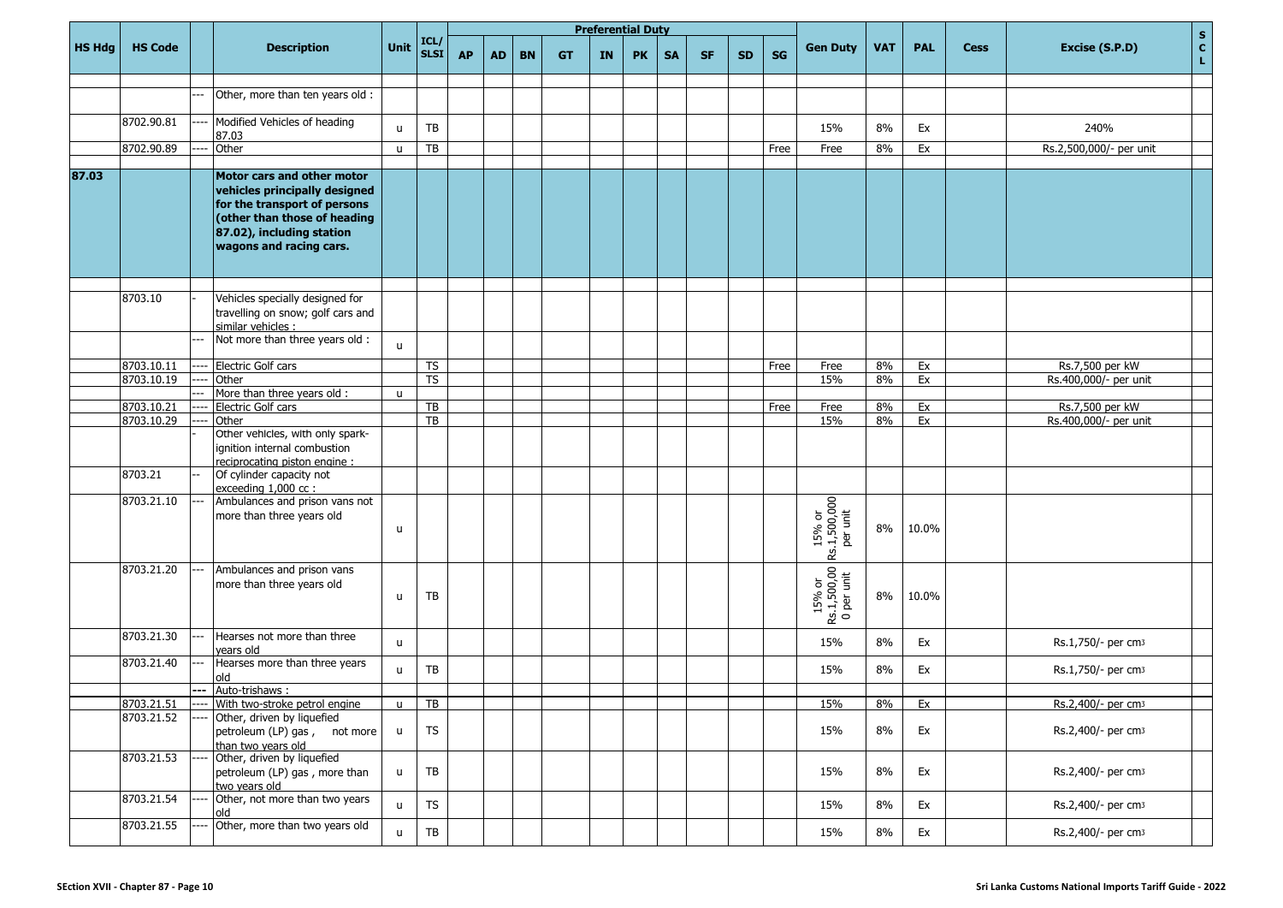|               |                          |     |                                                                                                                                                       |              |                              |           |           |           |           |    | <b>Preferential Duty</b> |           |           |           |           |                                     |            |            |             | $\mathbf S$                              |
|---------------|--------------------------|-----|-------------------------------------------------------------------------------------------------------------------------------------------------------|--------------|------------------------------|-----------|-----------|-----------|-----------|----|--------------------------|-----------|-----------|-----------|-----------|-------------------------------------|------------|------------|-------------|------------------------------------------|
| <b>HS Hdg</b> | <b>HS Code</b>           |     | <b>Description</b>                                                                                                                                    | Unit         | ICL/<br>SLSI                 | <b>AP</b> | <b>AD</b> | <b>BN</b> | <b>GT</b> | IN | <b>PK</b>                | <b>SA</b> | <b>SF</b> | <b>SD</b> | <b>SG</b> | <b>Gen Duty</b>                     | <b>VAT</b> | <b>PAL</b> | <b>Cess</b> | $\mathbf{c}$<br>Excise (S.P.D)<br>L.     |
|               |                          |     |                                                                                                                                                       |              |                              |           |           |           |           |    |                          |           |           |           |           |                                     |            |            |             |                                          |
|               |                          |     | Other, more than ten years old :                                                                                                                      |              |                              |           |           |           |           |    |                          |           |           |           |           |                                     |            |            |             |                                          |
|               | 8702.90.81               |     | Modified Vehicles of heading                                                                                                                          |              |                              |           |           |           |           |    |                          |           |           |           |           |                                     |            |            |             |                                          |
|               |                          |     | 87.03                                                                                                                                                 | u            | TB                           |           |           |           |           |    |                          |           |           |           |           | 15%                                 | 8%         | Ex         |             | 240%                                     |
|               | 8702.90.89               |     | Other                                                                                                                                                 | $\mathbf{u}$ | TB                           |           |           |           |           |    |                          |           |           |           | Free      | Free                                | 8%         | Ex         |             | Rs.2,500,000/- per unit                  |
| 87.03         |                          |     | Motor cars and other motor                                                                                                                            |              |                              |           |           |           |           |    |                          |           |           |           |           |                                     |            |            |             |                                          |
|               |                          |     | vehicles principally designed<br>for the transport of persons<br>(other than those of heading<br>87.02), including station<br>wagons and racing cars. |              |                              |           |           |           |           |    |                          |           |           |           |           |                                     |            |            |             |                                          |
|               |                          |     |                                                                                                                                                       |              |                              |           |           |           |           |    |                          |           |           |           |           |                                     |            |            |             |                                          |
|               | 8703.10                  |     | Vehicles specially designed for<br>travelling on snow; golf cars and                                                                                  |              |                              |           |           |           |           |    |                          |           |           |           |           |                                     |            |            |             |                                          |
|               |                          |     | similar vehicles :                                                                                                                                    |              |                              |           |           |           |           |    |                          |           |           |           |           |                                     |            |            |             |                                          |
|               |                          |     | Not more than three years old :                                                                                                                       | <b>u</b>     |                              |           |           |           |           |    |                          |           |           |           |           |                                     |            |            |             |                                          |
|               |                          |     |                                                                                                                                                       |              |                              |           |           |           |           |    |                          |           |           |           |           |                                     |            |            |             |                                          |
|               | 8703.10.11<br>8703.10.19 |     | Electric Golf cars<br>Other                                                                                                                           |              | TS<br>$\overline{\text{TS}}$ |           |           |           |           |    |                          |           |           |           | Free      | Free<br>15%                         | 8%<br>8%   | Ex<br>Ex   |             | Rs.7,500 per kW<br>Rs.400,000/- per unit |
|               |                          | --- | More than three years old :                                                                                                                           | $\mathbf{u}$ |                              |           |           |           |           |    |                          |           |           |           |           |                                     |            |            |             |                                          |
|               | 8703.10.21               |     | Electric Golf cars                                                                                                                                    |              | $\overline{TB}$              |           |           |           |           |    |                          |           |           |           | Free      | Free                                | 8%         | Ex         |             | Rs.7,500 per kW                          |
|               | 8703.10.29               |     | Other                                                                                                                                                 |              | $\overline{TB}$              |           |           |           |           |    |                          |           |           |           |           | 15%                                 | 8%         | Ex         |             | Rs.400,000/- per unit                    |
|               |                          |     | Other vehicles, with only spark-<br>ignition internal combustion<br>reciprocating piston engine:                                                      |              |                              |           |           |           |           |    |                          |           |           |           |           |                                     |            |            |             |                                          |
|               | 8703.21                  |     | Of cylinder capacity not<br>exceeding 1,000 cc:                                                                                                       |              |                              |           |           |           |           |    |                          |           |           |           |           |                                     |            |            |             |                                          |
|               | 8703.21.10               |     | Ambulances and prison vans not<br>more than three years old                                                                                           | u            |                              |           |           |           |           |    |                          |           |           |           |           | 15% or<br>Rs.1,500,000<br>per unit  | 8%         | 10.0%      |             |                                          |
|               | 8703.21.20               |     | Ambulances and prison vans<br>more than three years old                                                                                               | u            | TB                           |           |           |           |           |    |                          |           |           |           |           | 15% or<br>Rs.1,500,00<br>O per unit | 8%         | 10.0%      |             |                                          |
|               | 8703.21.30               |     | Hearses not more than three<br>years old                                                                                                              | u            |                              |           |           |           |           |    |                          |           |           |           |           | 15%                                 | 8%         | Ex         |             | Rs.1,750/- per cm3                       |
|               | 8703.21.40               |     | Hearses more than three years<br>old                                                                                                                  | u            | TB                           |           |           |           |           |    |                          |           |           |           |           | 15%                                 | 8%         | Ex         |             | Rs.1,750/- per cm3                       |
|               | 8703.21.51               | --- | Auto-trishaws:<br>With two-stroke petrol engine                                                                                                       | $\mathbf{u}$ | TB                           |           |           |           |           |    |                          |           |           |           |           | 15%                                 | 8%         | Ex         |             | Rs.2.400/- per cm3                       |
|               | 8703.21.52               |     | Other, driven by liquefied                                                                                                                            |              |                              |           |           |           |           |    |                          |           |           |           |           |                                     |            |            |             |                                          |
|               |                          |     | petroleum (LP) gas, not more<br>than two years old                                                                                                    | u            | <b>TS</b>                    |           |           |           |           |    |                          |           |           |           |           | 15%                                 | 8%         | Ex         |             | Rs.2,400/- per cm3                       |
|               | 8703.21.53               |     | Other, driven by liquefied<br>petroleum (LP) gas, more than<br>two years old                                                                          | u            | TB                           |           |           |           |           |    |                          |           |           |           |           | 15%                                 | 8%         | Ex         |             | Rs.2,400/- per cm3                       |
|               | 8703.21.54               |     | Other, not more than two years<br>old                                                                                                                 | u            | TS                           |           |           |           |           |    |                          |           |           |           |           | 15%                                 | 8%         | Ex         |             | Rs.2,400/- per cm3                       |
|               | 8703.21.55               |     | Other, more than two years old                                                                                                                        | <b>u</b>     | TB                           |           |           |           |           |    |                          |           |           |           |           | 15%                                 | $8\%$      | Ex         |             | Rs.2,400/- per cm3                       |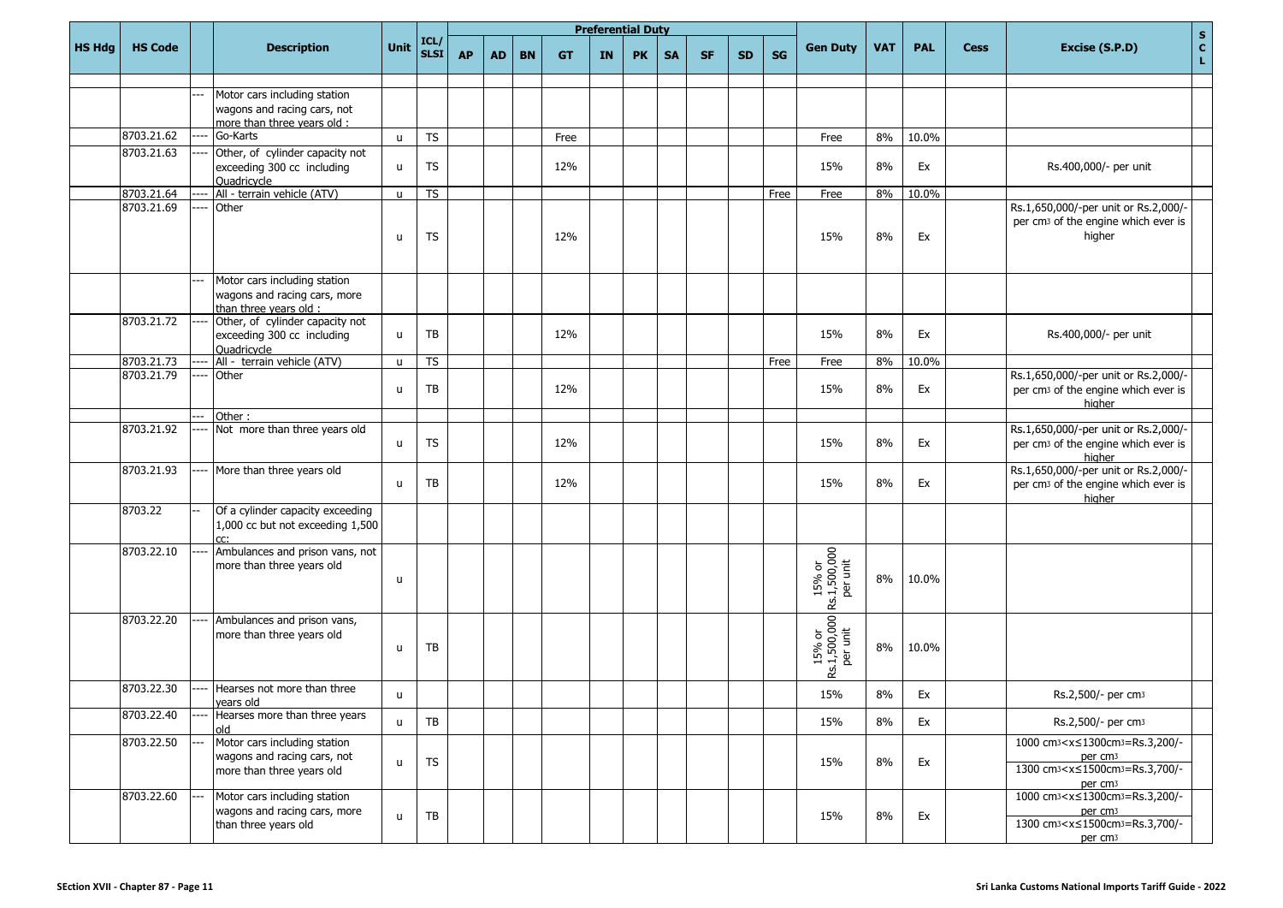|               |                |     |                                                                                          |              |                          |           |           |           |           | <b>Preferential Duty</b> |           |           |           |           |           |                                      |            |            |             | $\mathbf{s}$                                                                                                                                                                |
|---------------|----------------|-----|------------------------------------------------------------------------------------------|--------------|--------------------------|-----------|-----------|-----------|-----------|--------------------------|-----------|-----------|-----------|-----------|-----------|--------------------------------------|------------|------------|-------------|-----------------------------------------------------------------------------------------------------------------------------------------------------------------------------|
| <b>HS Hdg</b> | <b>HS Code</b> |     | <b>Description</b>                                                                       | Unit         | ICL/<br><b>SLST</b>      | <b>AP</b> | <b>AD</b> | <b>BN</b> | <b>GT</b> | IN                       | <b>PK</b> | <b>SA</b> | <b>SF</b> | <b>SD</b> | <b>SG</b> | <b>Gen Duty</b>                      | <b>VAT</b> | <b>PAL</b> | <b>Cess</b> | $\mathbf{C}$<br>Excise (S.P.D)<br>$\mathbf{L}$ .                                                                                                                            |
|               |                |     |                                                                                          |              |                          |           |           |           |           |                          |           |           |           |           |           |                                      |            |            |             |                                                                                                                                                                             |
|               |                |     | Motor cars including station<br>wagons and racing cars, not                              |              |                          |           |           |           |           |                          |           |           |           |           |           |                                      |            |            |             |                                                                                                                                                                             |
|               |                |     | more than three years old:                                                               |              |                          |           |           |           |           |                          |           |           |           |           |           |                                      |            |            |             |                                                                                                                                                                             |
|               | 8703.21.62     |     | Go-Karts                                                                                 | u            | ${\sf TS}$               |           |           |           | Free      |                          |           |           |           |           |           | Free                                 | 8%         | 10.0%      |             |                                                                                                                                                                             |
|               | 8703.21.63     |     | Other, of cylinder capacity not                                                          |              |                          |           |           |           |           |                          |           |           |           |           |           |                                      |            |            |             |                                                                                                                                                                             |
|               |                |     | exceeding 300 cc including                                                               | u            | <b>TS</b>                |           |           |           | 12%       |                          |           |           |           |           |           | 15%                                  | 8%         | Ex         |             | Rs.400,000/- per unit                                                                                                                                                       |
|               | 8703.21.64     |     | Ouadricycle<br>All - terrain vehicle (ATV)                                               | u            | $\overline{\mathsf{TS}}$ |           |           |           |           |                          |           |           |           |           | Free      | Free                                 | 8%         | 10.0%      |             |                                                                                                                                                                             |
|               | 8703.21.69     |     | Other                                                                                    |              |                          |           |           |           |           |                          |           |           |           |           |           |                                      |            |            |             | Rs.1,650,000/-per unit or Rs.2,000/-                                                                                                                                        |
|               |                |     |                                                                                          | u            | <b>TS</b>                |           |           |           | 12%       |                          |           |           |           |           |           | 15%                                  | 8%         | Ex         |             | per cm <sub>3</sub> of the engine which ever is<br>higher                                                                                                                   |
|               |                |     | Motor cars including station                                                             |              |                          |           |           |           |           |                          |           |           |           |           |           |                                      |            |            |             |                                                                                                                                                                             |
|               |                |     | wagons and racing cars, more                                                             |              |                          |           |           |           |           |                          |           |           |           |           |           |                                      |            |            |             |                                                                                                                                                                             |
|               | 8703.21.72     |     | than three vears old:                                                                    |              |                          |           |           |           |           |                          |           |           |           |           |           |                                      |            |            |             |                                                                                                                                                                             |
|               |                |     | Other, of cylinder capacity not<br>exceeding 300 cc including                            | u            | TB                       |           |           |           | 12%       |                          |           |           |           |           |           | 15%                                  | 8%         | Ex         |             | Rs.400,000/- per unit                                                                                                                                                       |
|               |                |     | Ouadricycle                                                                              |              |                          |           |           |           |           |                          |           |           |           |           |           |                                      |            |            |             |                                                                                                                                                                             |
|               | 8703.21.73     |     | All - terrain vehicle (ATV)                                                              | $\mathsf{u}$ | TS                       |           |           |           |           |                          |           |           |           |           | Free      | Free                                 | 8%         | 10.0%      |             |                                                                                                                                                                             |
|               | 8703.21.79     |     | Other                                                                                    | u            | TB                       |           |           |           | 12%       |                          |           |           |           |           |           | 15%                                  | 8%         | Ex         |             | Rs.1,650,000/-per unit or Rs.2,000/-<br>per cm <sub>3</sub> of the engine which ever is<br>higher                                                                           |
|               |                |     | Other:                                                                                   |              |                          |           |           |           |           |                          |           |           |           |           |           |                                      |            |            |             |                                                                                                                                                                             |
|               | 8703.21.92     |     | Not more than three years old                                                            | u            | <b>TS</b>                |           |           |           | 12%       |                          |           |           |           |           |           | 15%                                  | 8%         | Ex         |             | Rs.1,650,000/-per unit or Rs.2,000/-<br>per cm <sub>3</sub> of the engine which ever is<br>higher                                                                           |
|               | 8703.21.93     |     | More than three years old                                                                | u            | TB                       |           |           |           | 12%       |                          |           |           |           |           |           | 15%                                  | 8%         | Ex         |             | Rs.1,650,000/-per unit or Rs.2,000/-<br>per cm <sub>3</sub> of the engine which ever is<br>higher                                                                           |
|               | 8703.22        |     | Of a cylinder capacity exceeding<br>1,000 cc but not exceeding 1,500<br>rr.              |              |                          |           |           |           |           |                          |           |           |           |           |           |                                      |            |            |             |                                                                                                                                                                             |
|               | 8703.22.10     |     | Ambulances and prison vans, not<br>more than three years old                             | u            |                          |           |           |           |           |                          |           |           |           |           |           | 15% or<br>Rs.1,500,000<br>Per unit   | 8%         | 10.0%      |             |                                                                                                                                                                             |
|               | 8703.22.20     |     | Ambulances and prison vans,<br>more than three years old                                 | u            | TB                       |           |           |           |           |                          |           |           |           |           |           | 15% or<br>Rs.1,500,000  <br>Per unit | 8%         | 10.0%      |             |                                                                                                                                                                             |
|               | 8703.22.30     | --- | Hearses not more than three<br>years old                                                 | u.           |                          |           |           |           |           |                          |           |           |           |           |           | 15%                                  | 8%         | Ex         |             | Rs.2,500/- per cm3                                                                                                                                                          |
|               | 8703.22.40     |     | Hearses more than three years<br>old                                                     | u            | TB                       |           |           |           |           |                          |           |           |           |           |           | 15%                                  | 8%         | Ex         |             | Rs.2,500/- per cm <sub>3</sub>                                                                                                                                              |
|               | 8703.22.50     |     | Motor cars including station<br>wagons and racing cars, not<br>more than three years old | u            | <b>TS</b>                |           |           |           |           |                          |           |           |           |           |           | 15%                                  | 8%         | Ex         |             | 1000 cm <sub>3</sub> < x ≤ 1300 cm <sub>3</sub> = Rs.3, 200/-<br>per cm <sub>3</sub><br>1300 cm <sup>3</sup> < x ≤ 1500 cm <sup>3</sup> = Rs.3,700/-<br>per cm <sub>3</sub> |
|               | 8703.22.60     |     | Motor cars including station<br>wagons and racing cars, more<br>than three years old     | u            | TB                       |           |           |           |           |                          |           |           |           |           |           | 15%                                  | 8%         | Ex         |             | 1000 cm <sup>3</sup> < x ≤ 1300 cm <sup>3</sup> = Rs.3, 200/-<br>per cm <sub>3</sub><br>1300 cm <sub>3</sub> < x ≤ 1500 cm <sub>3</sub> = Rs.3,700/-<br>per cm <sub>3</sub> |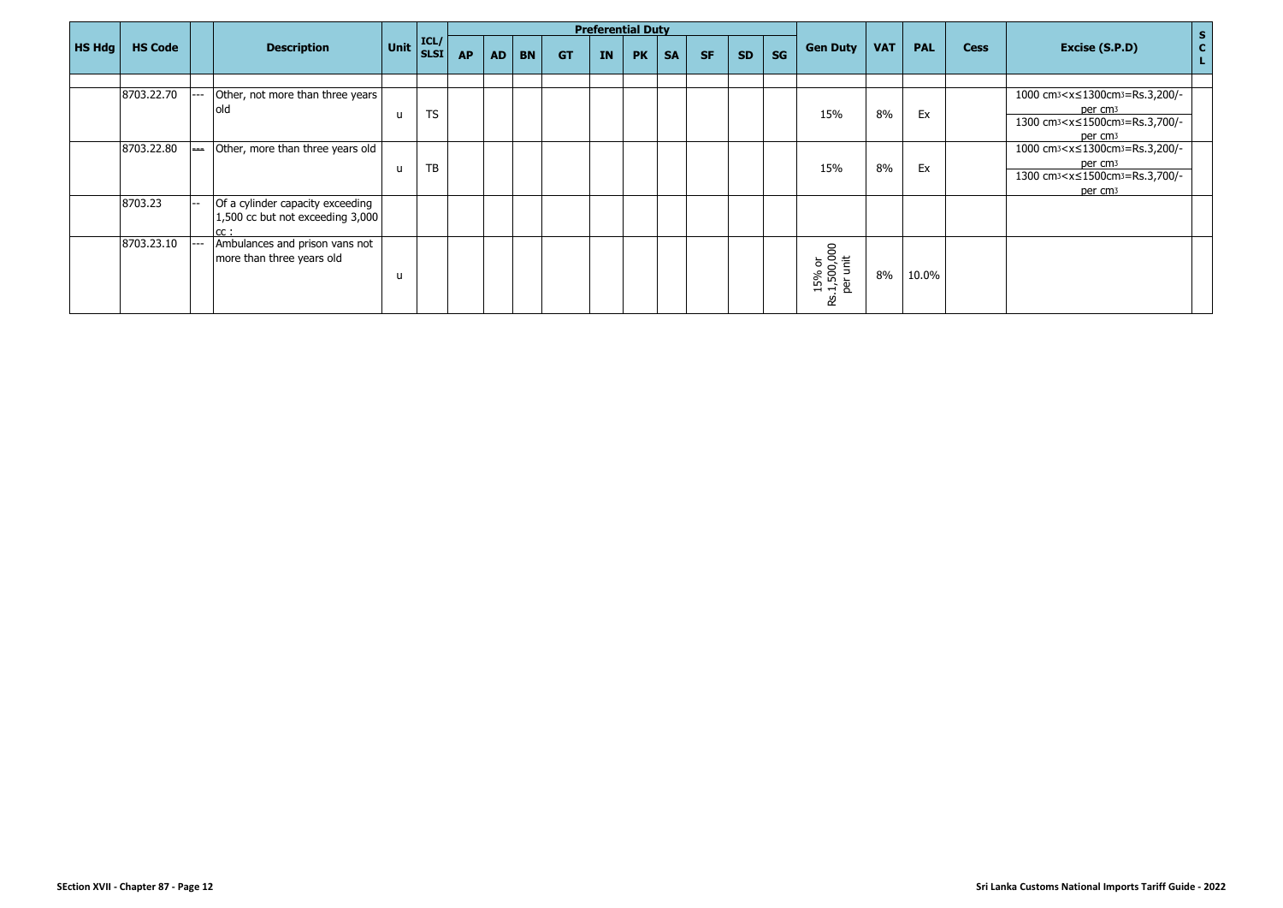|               |                |                          |                                                                             |                                                       |           |           |           |           |           | <b>Preferential Duty</b> |           |           |           |           |           |                                        |            |            |             |                                                                                                                                                                               | $\mathbf{s}$     |
|---------------|----------------|--------------------------|-----------------------------------------------------------------------------|-------------------------------------------------------|-----------|-----------|-----------|-----------|-----------|--------------------------|-----------|-----------|-----------|-----------|-----------|----------------------------------------|------------|------------|-------------|-------------------------------------------------------------------------------------------------------------------------------------------------------------------------------|------------------|
| <b>HS Hdg</b> | <b>HS Code</b> |                          | <b>Description</b>                                                          | $\vert$ Unit $\vert_{\text{SLSI}}^{\text{ICL/}}\vert$ |           | <b>AP</b> | <b>AD</b> | <b>BN</b> | <b>GT</b> | <b>IN</b>                | <b>PK</b> | <b>SA</b> | <b>SF</b> | <b>SD</b> | <b>SG</b> | <b>Gen Duty</b>                        | <b>VAT</b> | <b>PAL</b> | <b>Cess</b> | Excise (S.P.D)                                                                                                                                                                | $\mathbf c$<br>L |
|               |                |                          |                                                                             |                                                       |           |           |           |           |           |                          |           |           |           |           |           |                                        |            |            |             |                                                                                                                                                                               |                  |
|               | 8703.22.70     | $---$                    | Other, not more than three years<br>lold                                    | u                                                     | <b>TS</b> |           |           |           |           |                          |           |           |           |           |           | 15%                                    | 8%         | Ex         |             | 1000 cm <sub>3</sub> < x ≤ 1300 cm <sub>3</sub> = Rs. 3, 200/-<br>per cm <sub>3</sub><br>1300 cm <sub>3</sub> < x ≤ 1500 cm <sub>3</sub> = Rs. 3,700/-<br>per cm <sub>3</sub> |                  |
|               | 8703.22.80     | $\overline{\phantom{a}}$ | Other, more than three years old                                            | u                                                     | TB        |           |           |           |           |                          |           |           |           |           |           | 15%                                    | 8%         | Ex         |             | 1000 cm <sub>3</sub> < x ≤ 1300 cm <sub>3</sub> = Rs. 3, 200/-<br>per cm <sub>3</sub><br>1300 cm <sub>3</sub> < x ≤ 1500 cm <sub>3</sub> = Rs. 3,700/-<br>per cm <sub>3</sub> |                  |
|               | 8703.23        | <b>1-</b>                | Of a cylinder capacity exceeding<br>1,500 cc but not exceeding 3,000<br>cc: |                                                       |           |           |           |           |           |                          |           |           |           |           |           |                                        |            |            |             |                                                                                                                                                                               |                  |
|               | 8703.23.10     | $---$                    | Ambulances and prison vans not<br>more than three years old                 | u                                                     |           |           |           |           |           |                          |           |           |           |           |           | 15% or<br>.1,500,000<br>per unit<br>చి | 8%         | 10.0%      |             |                                                                                                                                                                               |                  |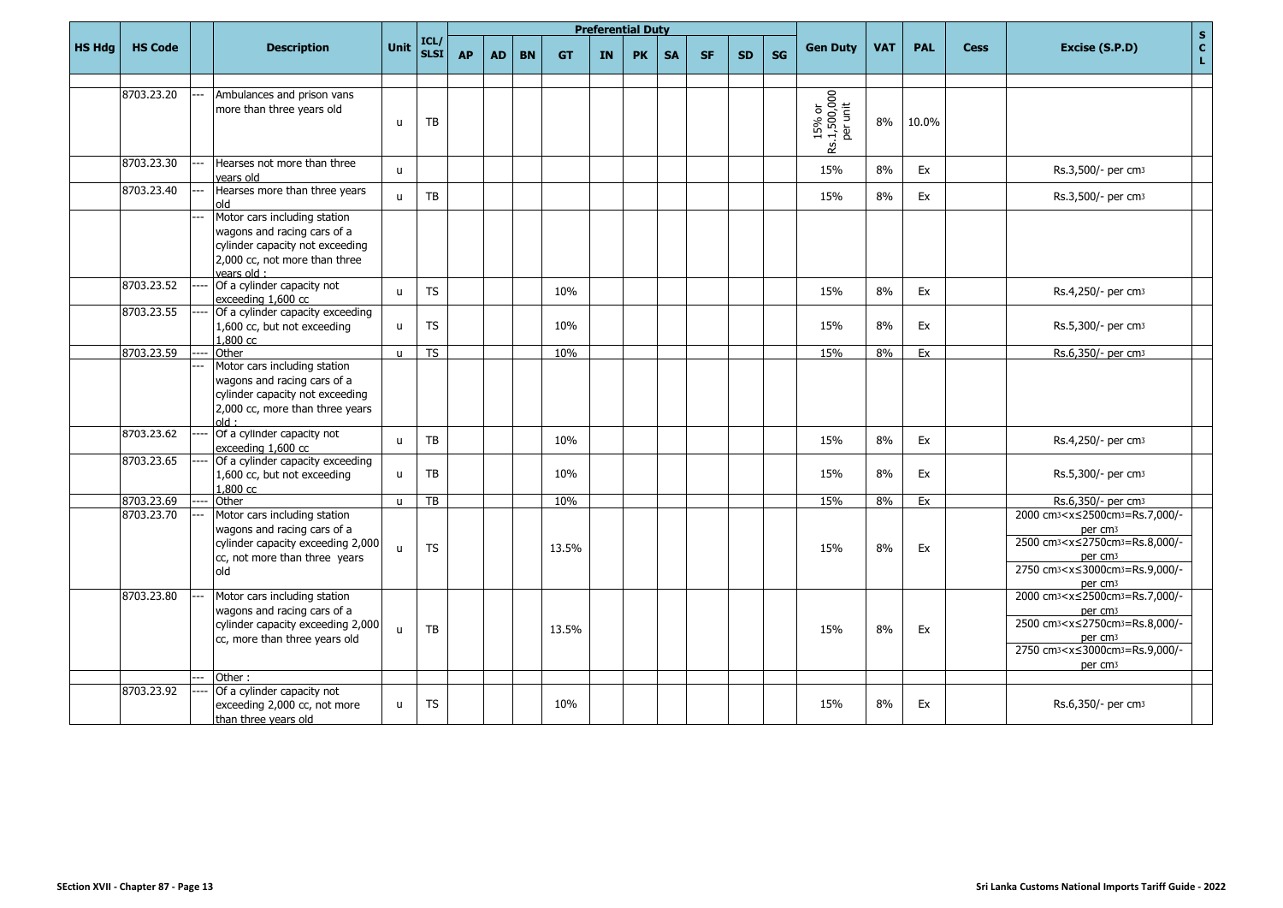|               |                |                                                                                                                                                  |              |                     |           |           |           |           |           | <b>Preferential Duty</b> |           |           |           |           |                                    |            |            |             | $\mathbf{s}$                                                                                                                                                                                                                                                         |
|---------------|----------------|--------------------------------------------------------------------------------------------------------------------------------------------------|--------------|---------------------|-----------|-----------|-----------|-----------|-----------|--------------------------|-----------|-----------|-----------|-----------|------------------------------------|------------|------------|-------------|----------------------------------------------------------------------------------------------------------------------------------------------------------------------------------------------------------------------------------------------------------------------|
| <b>HS Hdg</b> | <b>HS Code</b> | <b>Description</b>                                                                                                                               | Unit         | ICL/<br><b>SLSI</b> | <b>AP</b> | <b>AD</b> | <b>BN</b> | <b>GT</b> | <b>IN</b> | <b>PK</b>                | <b>SA</b> | <b>SF</b> | <b>SD</b> | <b>SG</b> | <b>Gen Duty</b>                    | <b>VAT</b> | <b>PAL</b> | <b>Cess</b> | $\mathbf{C}$<br>Excise (S.P.D)<br>L.                                                                                                                                                                                                                                 |
|               | 8703.23.20     | Ambulances and prison vans<br>more than three years old                                                                                          | u            | TB                  |           |           |           |           |           |                          |           |           |           |           | 15% or<br>Rs.1,500,000<br>per unit | 8%         | 10.0%      |             |                                                                                                                                                                                                                                                                      |
|               | 8703.23.30     | Hearses not more than three<br>vears old                                                                                                         | $\mathbf{u}$ |                     |           |           |           |           |           |                          |           |           |           |           | 15%                                | 8%         | Ex         |             | Rs.3,500/- per cm3                                                                                                                                                                                                                                                   |
|               | 8703.23.40     | Hearses more than three years<br>old                                                                                                             | $\mathbf{H}$ | <b>TB</b>           |           |           |           |           |           |                          |           |           |           |           | 15%                                | 8%         | Ex         |             | Rs.3,500/- per cm3                                                                                                                                                                                                                                                   |
|               |                | Motor cars including station<br>wagons and racing cars of a<br>cylinder capacity not exceeding<br>2,000 cc, not more than three<br>vears old:    |              |                     |           |           |           |           |           |                          |           |           |           |           |                                    |            |            |             |                                                                                                                                                                                                                                                                      |
|               | 8703.23.52     | Of a cylinder capacity not<br>exceeding 1,600 cc                                                                                                 | u            | <b>TS</b>           |           |           |           | 10%       |           |                          |           |           |           |           | 15%                                | 8%         | Ex         |             | Rs.4,250/- per cm3                                                                                                                                                                                                                                                   |
|               | 8703.23.55     | Of a cylinder capacity exceeding<br>1,600 cc, but not exceeding<br>1,800 cc                                                                      | $\mathbf{u}$ | TS.                 |           |           |           | 10%       |           |                          |           |           |           |           | 15%                                | 8%         | Ex         |             | Rs.5,300/- per cm <sub>3</sub>                                                                                                                                                                                                                                       |
|               | 8703.23.59     | Other                                                                                                                                            | $\mathbf{u}$ | <b>TS</b>           |           |           |           | 10%       |           |                          |           |           |           |           | 15%                                | 8%         | Ex         |             | Rs.6,350/- per cm3                                                                                                                                                                                                                                                   |
|               |                | Motor cars including station<br>wagons and racing cars of a<br>cylinder capacity not exceeding<br>2,000 cc, more than three years<br>$\cdot$ hlo |              |                     |           |           |           |           |           |                          |           |           |           |           |                                    |            |            |             |                                                                                                                                                                                                                                                                      |
|               | 8703.23.62     | Of a cylinder capacity not<br>exceeding 1,600 cc                                                                                                 | u            | TB                  |           |           |           | 10%       |           |                          |           |           |           |           | 15%                                | 8%         | Ex         |             | Rs.4,250/- per cm <sub>3</sub>                                                                                                                                                                                                                                       |
|               | 8703.23.65     | Of a cylinder capacity exceeding<br>1,600 cc, but not exceeding<br>1,800 cc                                                                      | u            | ТB                  |           |           |           | 10%       |           |                          |           |           |           |           | 15%                                | 8%         | Ex         |             | Rs.5,300/- per cm <sub>3</sub>                                                                                                                                                                                                                                       |
|               | 8703.23.69     | Other                                                                                                                                            | $\mathbf{u}$ | TB                  |           |           |           | 10%       |           |                          |           |           |           |           | 15%                                | 8%         | Ex         |             | Rs.6,350/- per cm3                                                                                                                                                                                                                                                   |
|               | 8703.23.70     | Motor cars including station<br>wagons and racing cars of a<br>cylinder capacity exceeding 2,000<br>cc, not more than three years<br>old         | $\mathbf{u}$ | <b>TS</b>           |           |           |           | 13.5%     |           |                          |           |           |           |           | 15%                                | 8%         | Ex         |             | 2000 cm <sub>3</sub> < x ≤ 2500 cm <sub>3</sub> = Rs. 7,000/-<br>per cm <sub>3</sub><br>2500 cm <sub>3</sub> < x ≤ 2750 cm <sub>3</sub> = Rs.8,000/-<br>per cm <sub>3</sub><br>2750 cm <sub>3</sub> <x≤3000cm<sub>3=Rs.9,000/-<br/>per cm<sub>3</sub></x≤3000cm<sub> |
|               | 8703.23.80     | Motor cars including station<br>wagons and racing cars of a<br>cylinder capacity exceeding 2,000<br>cc, more than three years old                | $\mathbf{u}$ | TB                  |           |           |           | 13.5%     |           |                          |           |           |           |           | 15%                                | 8%         | Ex         |             | 2000 cm <sup>3</sup> < x ≤ 2500 cm <sup>3</sup> = Rs. 7,000/-<br>per cm <sub>3</sub><br>2500 cm <sup>3</sup> < x ≤ 2750 cm <sup>3</sup> = Rs.8,000/-<br>per cm <sub>3</sub><br>2750 cm <sub>3</sub> <x≤3000cm<sub>3=Rs.9,000/-<br/>per cm<sub>3</sub></x≤3000cm<sub> |
|               |                | Other:                                                                                                                                           |              |                     |           |           |           |           |           |                          |           |           |           |           |                                    |            |            |             |                                                                                                                                                                                                                                                                      |
|               | 8703.23.92     | Of a cylinder capacity not<br>exceeding 2,000 cc, not more<br>than three vears old                                                               | u            | <b>TS</b>           |           |           |           | 10%       |           |                          |           |           |           |           | 15%                                | 8%         | Ex         |             | Rs.6,350/- per cm <sub>3</sub>                                                                                                                                                                                                                                       |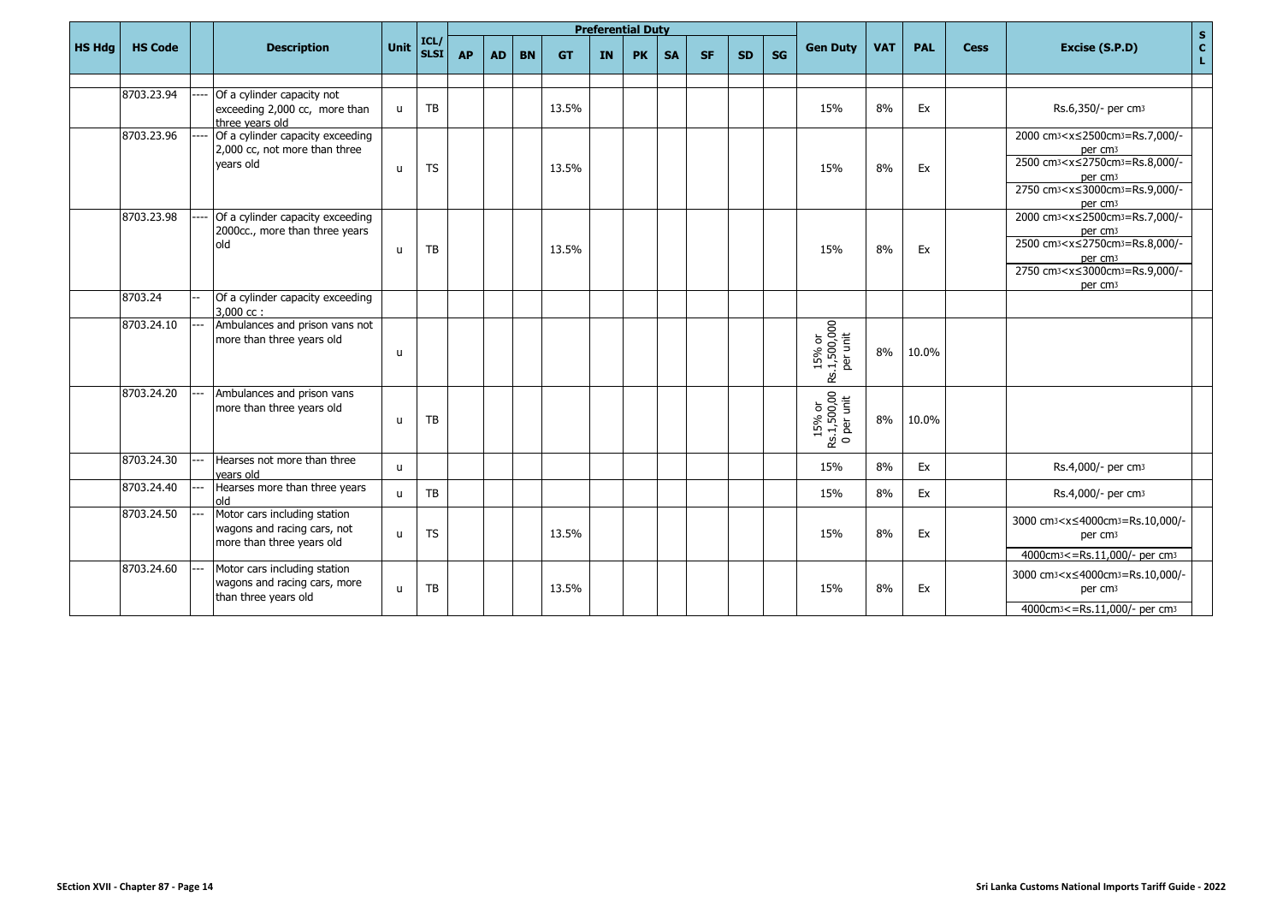|               |                |                                                                                          |              |                    |           |           |           |           |           | <b>Preferential Duty</b> |           |           |           |           |                                     |            |            |             |                                                                                                                                                                                                                                                                       | $\mathbf{s}$  |
|---------------|----------------|------------------------------------------------------------------------------------------|--------------|--------------------|-----------|-----------|-----------|-----------|-----------|--------------------------|-----------|-----------|-----------|-----------|-------------------------------------|------------|------------|-------------|-----------------------------------------------------------------------------------------------------------------------------------------------------------------------------------------------------------------------------------------------------------------------|---------------|
| <b>HS Hdg</b> | <b>HS Code</b> | <b>Description</b>                                                                       | Unit         | ICL<br><b>SLSI</b> | <b>AP</b> | <b>AD</b> | <b>BN</b> | <b>GT</b> | <b>IN</b> | <b>PK</b>                | <b>SA</b> | <b>SF</b> | <b>SD</b> | <b>SG</b> | <b>Gen Duty</b>                     | <b>VAT</b> | <b>PAL</b> | <b>Cess</b> | Excise (S.P.D)                                                                                                                                                                                                                                                        | $\frac{c}{L}$ |
|               |                |                                                                                          |              |                    |           |           |           |           |           |                          |           |           |           |           |                                     |            |            |             |                                                                                                                                                                                                                                                                       |               |
|               | 8703.23.94     | Of a cylinder capacity not<br>exceeding 2,000 cc, more than<br>three vears old           | $\mathsf{u}$ | TB                 |           |           |           | 13.5%     |           |                          |           |           |           |           | 15%                                 | 8%         | Ex         |             | Rs.6,350/- per cm3                                                                                                                                                                                                                                                    |               |
|               | 8703.23.96     | Of a cylinder capacity exceeding<br>2,000 cc, not more than three<br>vears old           | u            | <b>TS</b>          |           |           |           | 13.5%     |           |                          |           |           |           |           | 15%                                 | 8%         | Ex         |             | 2000 cm <sub>3</sub> <x≤2500cm<sub>3=Rs.7,000/-<br/>per cm<sub>3</sub><br/>2500 cm<sub>3</sub><x≤2750cm<sub>3=Rs.8,000/-<br/>per cm<sub>3</sub><br/>2750 cm<sub>3</sub><x≤3000cm<sub>3=Rs.9,000/-<br/>per cm<sub>3</sub></x≤3000cm<sub></x≤2750cm<sub></x≤2500cm<sub> |               |
|               | 8703.23.98     | Of a cylinder capacity exceeding<br>2000cc., more than three years<br>blo                | u            | TB                 |           |           |           | 13.5%     |           |                          |           |           |           |           | 15%                                 | 8%         | Ex         |             | 2000 cm <sub>3</sub> <x≤2500cm<sub>3=Rs.7,000/-<br/>per cm<sub>3</sub><br/>2500 cm<sub>3</sub><x≤2750cm<sub>3=Rs.8,000/-<br/>per cm<sub>3</sub><br/>2750 cm<sub>3</sub><x≤3000cm<sub>3=Rs.9,000/-<br/>per cm<sub>3</sub></x≤3000cm<sub></x≤2750cm<sub></x≤2500cm<sub> |               |
|               | 8703.24        | Of a cylinder capacity exceeding<br>$3.000$ cc:                                          |              |                    |           |           |           |           |           |                          |           |           |           |           |                                     |            |            |             |                                                                                                                                                                                                                                                                       |               |
|               | 8703.24.10     | Ambulances and prison vans not<br>more than three years old                              | u            |                    |           |           |           |           |           |                          |           |           |           |           | 15% or<br>Rs.1,500,000<br>per unit  | 8%         | 10.0%      |             |                                                                                                                                                                                                                                                                       |               |
|               | 8703.24.20     | Ambulances and prison vans<br>more than three years old                                  | $\mathbf{u}$ | TB                 |           |           |           |           |           |                          |           |           |           |           | 15% or<br>Rs.1,500,00<br>0 per unit | 8%         | 10.0%      |             |                                                                                                                                                                                                                                                                       |               |
|               | 8703.24.30     | Hearses not more than three<br>vears old                                                 | $\mathbf{u}$ |                    |           |           |           |           |           |                          |           |           |           |           | 15%                                 | 8%         | Ex         |             | Rs.4,000/- per cm3                                                                                                                                                                                                                                                    |               |
|               | 8703.24.40     | Hearses more than three years<br>old                                                     | u            | TB                 |           |           |           |           |           |                          |           |           |           |           | 15%                                 | 8%         | Ex         |             | Rs.4,000/- per cm <sub>3</sub>                                                                                                                                                                                                                                        |               |
|               | 8703.24.50     | Motor cars including station<br>wagons and racing cars, not<br>more than three years old | $\mathbf{u}$ | <b>TS</b>          |           |           |           | 13.5%     |           |                          |           |           |           |           | 15%                                 | 8%         | Ex         |             | 3000 cm <sub>3</sub> <x≤4000cm<sub>3=Rs.10,000/-<br/>per cm<sub>3</sub><br/>4000cm<sub>3</sub> &lt;= Rs.11,000/- per cm<sub>3</sub></x≤4000cm<sub>                                                                                                                    |               |
|               | 8703.24.60     | Motor cars including station<br>wagons and racing cars, more<br>than three years old     | $\mathsf{u}$ | TB                 |           |           |           | 13.5%     |           |                          |           |           |           |           | 15%                                 | 8%         | Ex         |             | 3000 cm <sub>3</sub> <x≤4000cm<sub>3=Rs.10,000/-<br/>per cm<sub>3</sub><br/>4000cm<sup>3</sup> &lt;= Rs.11,000/- per cm<sup>3</sup></x≤4000cm<sub>                                                                                                                    |               |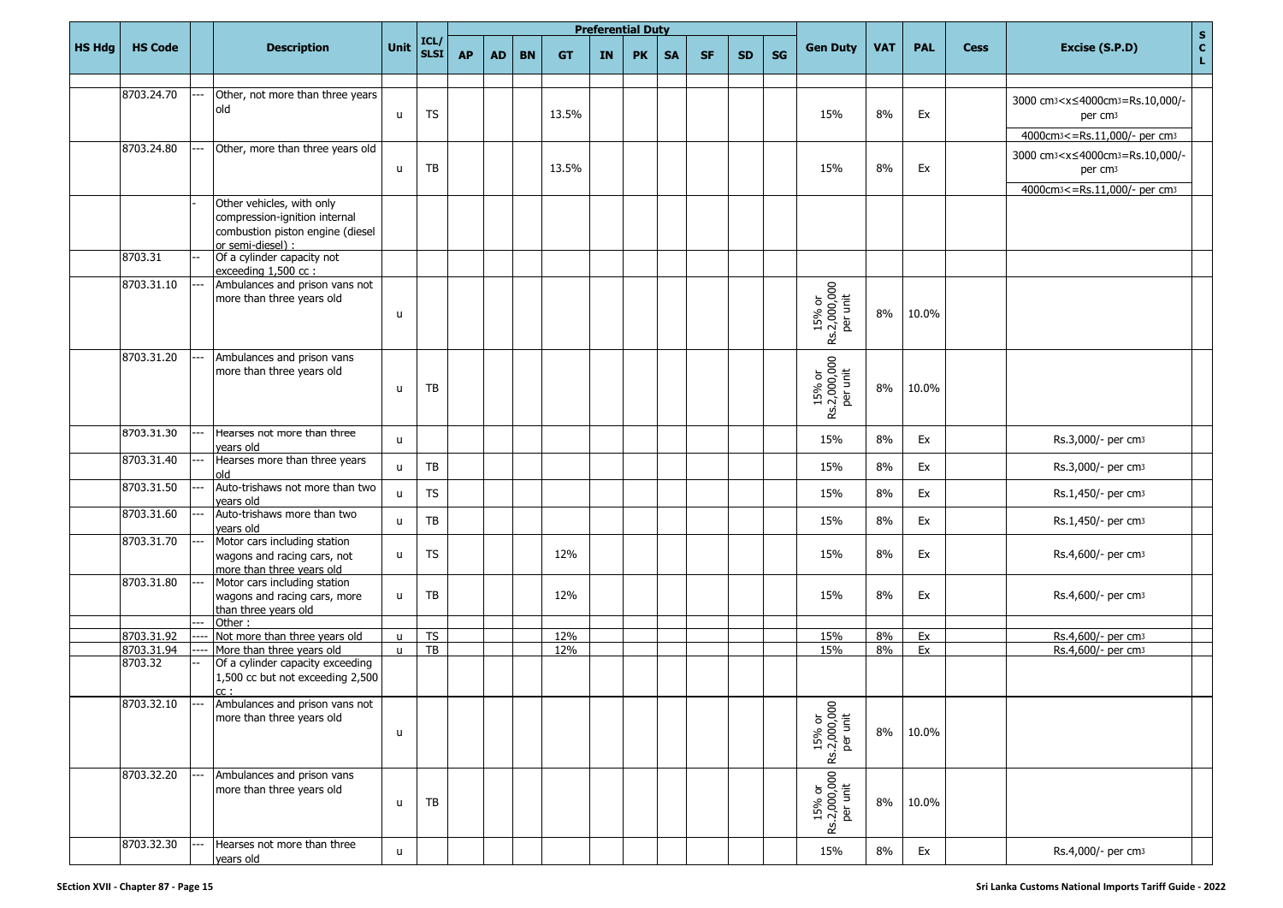|               |                |     |                                                                                                                     |                              |                     |           |           |           |           |    | <b>Preferential Duty</b> |           |           |           |           |                                                                                            |            |            |             |                                                                                                                                                |               |
|---------------|----------------|-----|---------------------------------------------------------------------------------------------------------------------|------------------------------|---------------------|-----------|-----------|-----------|-----------|----|--------------------------|-----------|-----------|-----------|-----------|--------------------------------------------------------------------------------------------|------------|------------|-------------|------------------------------------------------------------------------------------------------------------------------------------------------|---------------|
| <b>HS Hdg</b> | <b>HS Code</b> |     | <b>Description</b>                                                                                                  | <b>Unit</b>                  | ICL/<br><b>SLSI</b> | <b>AP</b> | <b>AD</b> | <b>BN</b> | <b>GT</b> | IN | <b>PK</b>                | <b>SA</b> | <b>SF</b> | <b>SD</b> | <b>SG</b> | <b>Gen Duty</b>                                                                            | <b>VAT</b> | <b>PAL</b> | <b>Cess</b> | Excise (S.P.D)                                                                                                                                 | $\frac{S}{C}$ |
|               |                |     |                                                                                                                     |                              |                     |           |           |           |           |    |                          |           |           |           |           |                                                                                            |            |            |             |                                                                                                                                                |               |
|               | 8703.24.70     |     | Other, not more than three years<br>old                                                                             | u                            | <b>TS</b>           |           |           |           | 13.5%     |    |                          |           |           |           |           | 15%                                                                                        | 8%         | Ex         |             | 3000 cm <sup>3</sup> < x ≤ 4000cm <sup>3</sup> = Rs. 10,000/-<br>per cm <sub>3</sub><br>4000cm <sub>3</sub> <= Rs.11,000/- per cm <sub>3</sub> |               |
|               | 8703.24.80     |     | Other, more than three years old                                                                                    | u                            | TB                  |           |           |           | 13.5%     |    |                          |           |           |           |           | 15%                                                                                        | 8%         | Ex         |             | 3000 cm3 <x≤4000cm3=rs.10,000 -<br="">per cm<sub>3</sub><br/>4000cm<sub>3</sub> &lt;= Rs.11,000/- per cm<sub>3</sub></x≤4000cm3=rs.10,000>     |               |
|               |                |     | Other vehicles, with only<br>compression-ignition internal<br>combustion piston engine (diesel<br>or semi-diesel) : |                              |                     |           |           |           |           |    |                          |           |           |           |           |                                                                                            |            |            |             |                                                                                                                                                |               |
|               | 8703.31        |     | Of a cylinder capacity not<br>exceeding 1,500 cc :                                                                  |                              |                     |           |           |           |           |    |                          |           |           |           |           |                                                                                            |            |            |             |                                                                                                                                                |               |
|               | 8703.31.10     |     | Ambulances and prison vans not<br>more than three years old                                                         | u                            |                     |           |           |           |           |    |                          |           |           |           |           | 15% or<br>Rs.2,000,000<br>per unit                                                         | 8%         | 10.0%      |             |                                                                                                                                                |               |
|               | 8703.31.20     |     | Ambulances and prison vans<br>more than three years old                                                             | u                            | TB                  |           |           |           |           |    |                          |           |           |           |           | 15% or<br>Rs.2,000,000<br>per unit                                                         | 8%         | 10.0%      |             |                                                                                                                                                |               |
|               | 8703.31.30     |     | Hearses not more than three<br>vears old                                                                            | $\mathsf{u}$                 |                     |           |           |           |           |    |                          |           |           |           |           | 15%                                                                                        | 8%         | Ex         |             | Rs.3,000/- per cm3                                                                                                                             |               |
|               | 8703.31.40     |     | Hearses more than three years<br>old                                                                                | u                            | TB                  |           |           |           |           |    |                          |           |           |           |           | 15%                                                                                        | 8%         | Ex         |             | Rs.3,000/- per cm <sub>3</sub>                                                                                                                 |               |
|               | 8703.31.50     |     | Auto-trishaws not more than two<br>vears old                                                                        | $\mathsf{u}$                 | <b>TS</b>           |           |           |           |           |    |                          |           |           |           |           | 15%                                                                                        | 8%         | Ex         |             | Rs.1,450/- per cm <sub>3</sub>                                                                                                                 |               |
|               | 8703.31.60     |     | Auto-trishaws more than two<br>years old                                                                            | $\mathsf{u}$                 | TB                  |           |           |           |           |    |                          |           |           |           |           | 15%                                                                                        | 8%         | Ex         |             | Rs.1,450/- per cm <sub>3</sub>                                                                                                                 |               |
|               | 8703.31.70     |     | Motor cars including station<br>wagons and racing cars, not<br>more than three years old                            | $\mathsf{u}$                 | <b>TS</b>           |           |           |           | 12%       |    |                          |           |           |           |           | 15%                                                                                        | 8%         | Ex         |             | Rs.4,600/- per cm <sub>3</sub>                                                                                                                 |               |
|               | 8703.31.80     |     | Motor cars including station<br>wagons and racing cars, more<br>than three years old                                | u                            | TB                  |           |           |           | 12%       |    |                          |           |           |           |           | 15%                                                                                        | 8%         | Ex         |             | Rs.4,600/- per cm <sub>3</sub>                                                                                                                 |               |
|               | 8703.31.92     |     | Other:<br>Not more than three years old                                                                             |                              | <b>TS</b>           |           |           |           | 12%       |    |                          |           |           |           |           | 15%                                                                                        | 8%         | Ex         |             | Rs.4,600/- per cm3                                                                                                                             |               |
|               | 8703.31.94     |     | More than three years old                                                                                           | $\mathsf{u}$<br>$\mathsf{u}$ | TB                  |           |           |           | 12%       |    |                          |           |           |           |           | 15%                                                                                        | 8%         | Ex         |             | Rs.4,600/- per cm3                                                                                                                             |               |
|               | 8703.32        |     | Of a cylinder capacity exceeding<br>1,500 cc but not exceeding 2,500<br>cc:                                         |                              |                     |           |           |           |           |    |                          |           |           |           |           |                                                                                            |            |            |             |                                                                                                                                                |               |
|               | 8703.32.10     | --- | Ambulances and prison vans not<br>more than three years old                                                         | u                            |                     |           |           |           |           |    |                          |           |           |           |           | 15% or<br>Rs.2,000,000<br>per unit                                                         | 8%         | 10.0%      |             |                                                                                                                                                |               |
|               | 8703.32.20     |     | Ambulances and prison vans<br>more than three years old                                                             | u                            | TB                  |           |           |           |           |    |                          |           |           |           |           | $\begin{array}{c c} 15\% \text{ or} \\ \text{Rs.2,000,000} \\ \text{per unit} \end{array}$ | 8%         | 10.0%      |             |                                                                                                                                                |               |
|               | 8703.32.30     |     | Hearses not more than three<br>years old                                                                            | u.                           |                     |           |           |           |           |    |                          |           |           |           |           | 15%                                                                                        | 8%         | Ex         |             | Rs.4,000/- per cm3                                                                                                                             |               |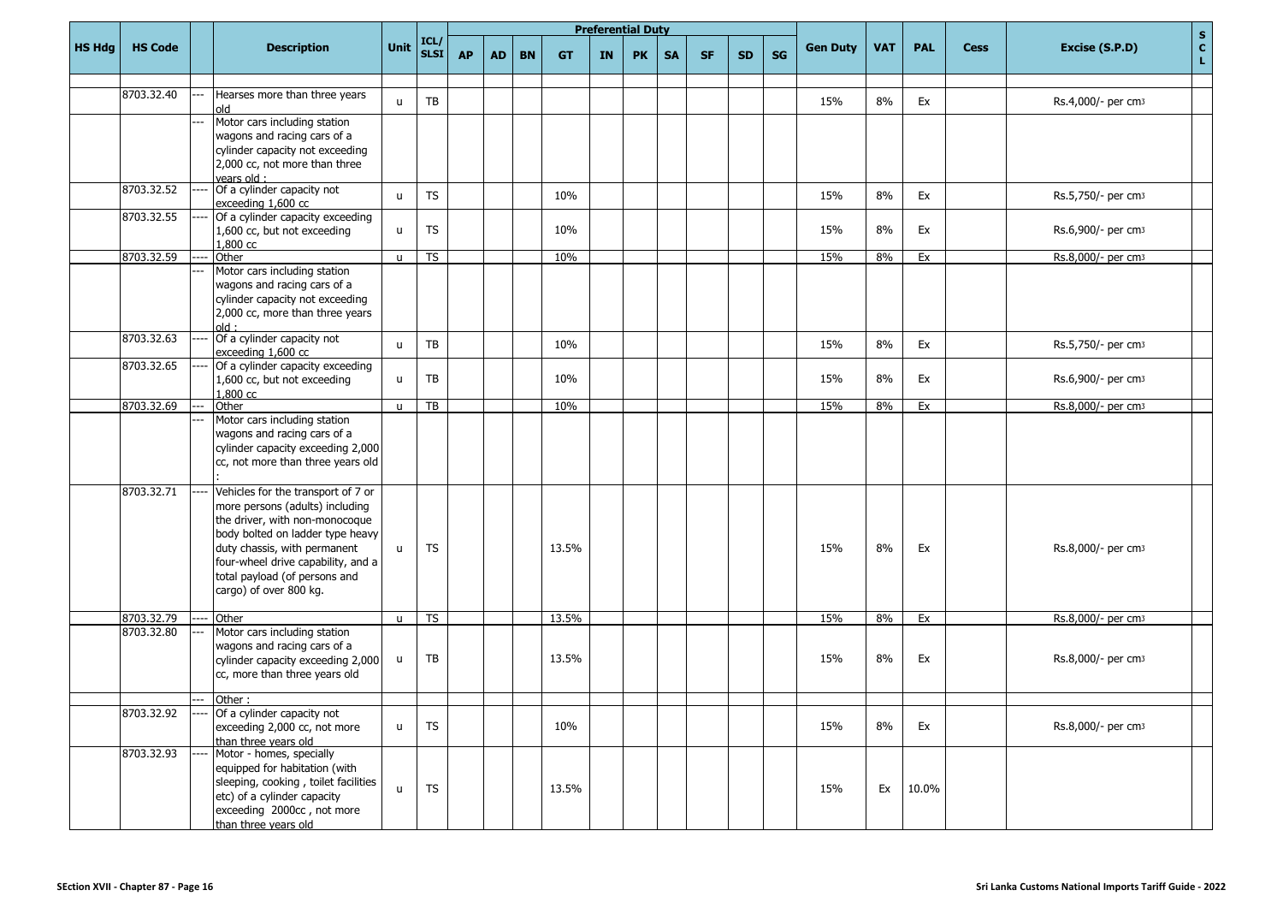|               |                |     |                                                                  |              |                     |           |           |           |           | <b>Preferential Duty</b> |           |           |           |           |    |                 |            |            |             |                                |                                      |
|---------------|----------------|-----|------------------------------------------------------------------|--------------|---------------------|-----------|-----------|-----------|-----------|--------------------------|-----------|-----------|-----------|-----------|----|-----------------|------------|------------|-------------|--------------------------------|--------------------------------------|
| <b>HS Hdg</b> | <b>HS Code</b> |     | <b>Description</b>                                               | Unit         | ICL/<br><b>SLSI</b> | <b>AP</b> | <b>AD</b> | <b>BN</b> | <b>GT</b> | <b>IN</b>                | <b>PK</b> | <b>SA</b> | <b>SF</b> | <b>SD</b> | SG | <b>Gen Duty</b> | <b>VAT</b> | <b>PAL</b> | <b>Cess</b> | Excise (S.P.D)                 | $\frac{\mathsf{s}}{\mathsf{c}}$<br>L |
|               |                |     |                                                                  |              |                     |           |           |           |           |                          |           |           |           |           |    |                 |            |            |             |                                |                                      |
|               | 8703.32.40     |     | Hearses more than three years<br>old                             | $\mathbf{u}$ | TB                  |           |           |           |           |                          |           |           |           |           |    | 15%             | 8%         | Ex         |             | Rs.4,000/- per cm <sub>3</sub> |                                      |
|               |                |     | Motor cars including station                                     |              |                     |           |           |           |           |                          |           |           |           |           |    |                 |            |            |             |                                |                                      |
|               |                |     | wagons and racing cars of a                                      |              |                     |           |           |           |           |                          |           |           |           |           |    |                 |            |            |             |                                |                                      |
|               |                |     | cylinder capacity not exceeding<br>2,000 cc, not more than three |              |                     |           |           |           |           |                          |           |           |           |           |    |                 |            |            |             |                                |                                      |
|               |                |     | vears old:                                                       |              |                     |           |           |           |           |                          |           |           |           |           |    |                 |            |            |             |                                |                                      |
|               | 8703.32.52     |     | Of a cylinder capacity not                                       | $\mathbf{u}$ | <b>TS</b>           |           |           |           | 10%       |                          |           |           |           |           |    | 15%             | 8%         | Ex         |             | Rs.5,750/- per cm <sub>3</sub> |                                      |
|               |                |     | exceeding 1,600 cc                                               |              |                     |           |           |           |           |                          |           |           |           |           |    |                 |            |            |             |                                |                                      |
|               | 8703.32.55     |     | Of a cylinder capacity exceeding                                 |              |                     |           |           |           |           |                          |           |           |           |           |    |                 |            |            |             |                                |                                      |
|               |                |     | 1,600 cc, but not exceeding<br>1,800 cc                          | u            | <b>TS</b>           |           |           |           | 10%       |                          |           |           |           |           |    | 15%             | 8%         | Ex         |             | Rs.6,900/- per cm <sub>3</sub> |                                      |
|               | 8703.32.59     |     | Other                                                            | $\mathsf{u}$ | <b>TS</b>           |           |           |           | 10%       |                          |           |           |           |           |    | 15%             | 8%         | Ex         |             | Rs.8,000/- per cm3             |                                      |
|               |                |     | Motor cars including station                                     |              |                     |           |           |           |           |                          |           |           |           |           |    |                 |            |            |             |                                |                                      |
|               |                |     | wagons and racing cars of a                                      |              |                     |           |           |           |           |                          |           |           |           |           |    |                 |            |            |             |                                |                                      |
|               |                |     | cylinder capacity not exceeding                                  |              |                     |           |           |           |           |                          |           |           |           |           |    |                 |            |            |             |                                |                                      |
|               |                |     | 2,000 cc, more than three years                                  |              |                     |           |           |           |           |                          |           |           |           |           |    |                 |            |            |             |                                |                                      |
|               | 8703.32.63     |     | $:$ blo<br>Of a cylinder capacity not                            |              |                     |           |           |           |           |                          |           |           |           |           |    |                 |            |            |             |                                |                                      |
|               |                |     | exceeding 1,600 cc                                               | $\mathsf{u}$ | TB                  |           |           |           | 10%       |                          |           |           |           |           |    | 15%             | 8%         | Ex         |             | Rs.5,750/- per cm3             |                                      |
|               | 8703.32.65     |     | Of a cylinder capacity exceeding                                 |              |                     |           |           |           |           |                          |           |           |           |           |    |                 |            |            |             |                                |                                      |
|               |                |     | 1,600 cc, but not exceeding                                      | u            | TB                  |           |           |           | 10%       |                          |           |           |           |           |    | 15%             | 8%         | Ex         |             | Rs.6,900/- per cm <sub>3</sub> |                                      |
|               |                |     | 1,800 cc                                                         |              |                     |           |           |           |           |                          |           |           |           |           |    |                 |            |            |             |                                |                                      |
|               | 8703.32.69     |     | Other<br>Motor cars including station                            | $\mathsf{u}$ | TB                  |           |           |           | 10%       |                          |           |           |           |           |    | 15%             | 8%         | Ex         |             | Rs.8,000/- per cm3             |                                      |
|               |                |     | wagons and racing cars of a                                      |              |                     |           |           |           |           |                          |           |           |           |           |    |                 |            |            |             |                                |                                      |
|               |                |     | cylinder capacity exceeding 2,000                                |              |                     |           |           |           |           |                          |           |           |           |           |    |                 |            |            |             |                                |                                      |
|               |                |     | cc, not more than three years old                                |              |                     |           |           |           |           |                          |           |           |           |           |    |                 |            |            |             |                                |                                      |
|               |                |     |                                                                  |              |                     |           |           |           |           |                          |           |           |           |           |    |                 |            |            |             |                                |                                      |
|               | 8703.32.71     |     | Vehicles for the transport of 7 or                               |              |                     |           |           |           |           |                          |           |           |           |           |    |                 |            |            |             |                                |                                      |
|               |                |     | more persons (adults) including                                  |              |                     |           |           |           |           |                          |           |           |           |           |    |                 |            |            |             |                                |                                      |
|               |                |     | the driver, with non-monocoque                                   |              |                     |           |           |           |           |                          |           |           |           |           |    |                 |            |            |             |                                |                                      |
|               |                |     | body bolted on ladder type heavy<br>duty chassis, with permanent |              | <b>TS</b>           |           |           |           | 13.5%     |                          |           |           |           |           |    | 15%             | 8%         |            |             | Rs.8,000/- per cm3             |                                      |
|               |                |     | four-wheel drive capability, and a                               | $\mathbf{u}$ |                     |           |           |           |           |                          |           |           |           |           |    |                 |            | Ex         |             |                                |                                      |
|               |                |     | total payload (of persons and                                    |              |                     |           |           |           |           |                          |           |           |           |           |    |                 |            |            |             |                                |                                      |
|               |                |     | cargo) of over 800 kg.                                           |              |                     |           |           |           |           |                          |           |           |           |           |    |                 |            |            |             |                                |                                      |
|               |                |     |                                                                  |              |                     |           |           |           |           |                          |           |           |           |           |    |                 |            |            |             |                                |                                      |
|               | 8703.32.79     |     | Other                                                            | $\mathsf{u}$ | <b>TS</b>           |           |           |           | 13.5%     |                          |           |           |           |           |    | 15%             | 8%         | Ex         |             | Rs.8,000/- per cm3             |                                      |
|               | 8703.32.80     |     | Motor cars including station                                     |              |                     |           |           |           |           |                          |           |           |           |           |    |                 |            |            |             |                                |                                      |
|               |                |     | wagons and racing cars of a<br>cylinder capacity exceeding 2,000 | u            | TB                  |           |           |           | 13.5%     |                          |           |           |           |           |    | 15%             | 8%         | Ex         |             | Rs.8,000/- per cm3             |                                      |
|               |                |     | cc, more than three years old                                    |              |                     |           |           |           |           |                          |           |           |           |           |    |                 |            |            |             |                                |                                      |
|               |                |     |                                                                  |              |                     |           |           |           |           |                          |           |           |           |           |    |                 |            |            |             |                                |                                      |
|               |                | --- | Other:                                                           |              |                     |           |           |           |           |                          |           |           |           |           |    |                 |            |            |             |                                |                                      |
|               | 8703.32.92     |     | Of a cylinder capacity not                                       |              |                     |           |           |           |           |                          |           |           |           |           |    |                 |            |            |             |                                |                                      |
|               |                |     | exceeding 2,000 cc, not more<br>than three years old             | $\mathsf{u}$ | TS                  |           |           |           | 10%       |                          |           |           |           |           |    | 15%             | 8%         | Ex         |             | Rs.8,000/- per cm <sub>3</sub> |                                      |
|               | 8703.32.93     |     | Motor - homes, specially                                         |              |                     |           |           |           |           |                          |           |           |           |           |    |                 |            |            |             |                                |                                      |
|               |                |     | equipped for habitation (with                                    |              |                     |           |           |           |           |                          |           |           |           |           |    |                 |            |            |             |                                |                                      |
|               |                |     | sleeping, cooking, toilet facilities                             | $\mathsf{u}$ | <b>TS</b>           |           |           |           | 13.5%     |                          |           |           |           |           |    | 15%             | Ex         | 10.0%      |             |                                |                                      |
|               |                |     | etc) of a cylinder capacity                                      |              |                     |           |           |           |           |                          |           |           |           |           |    |                 |            |            |             |                                |                                      |
|               |                |     | exceeding 2000cc, not more                                       |              |                     |           |           |           |           |                          |           |           |           |           |    |                 |            |            |             |                                |                                      |
|               |                |     | than three years old                                             |              |                     |           |           |           |           |                          |           |           |           |           |    |                 |            |            |             |                                |                                      |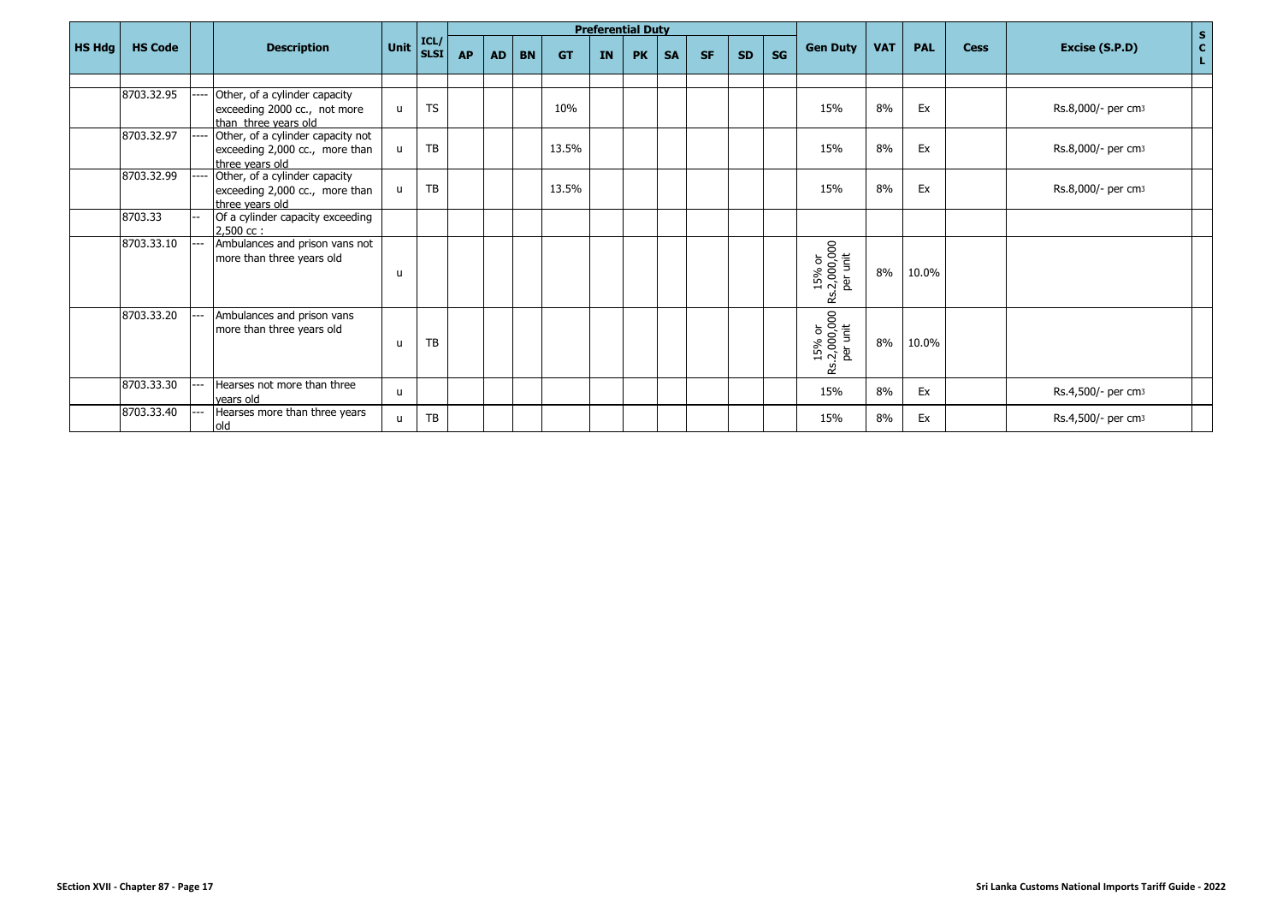|               |                |                          |                                                                                        |              |                                                 |           |           |           |           |           | <b>Preferential Duty</b> |           |           |           |           |                                    |            |            |             |                                | ${\bf S}$                   |
|---------------|----------------|--------------------------|----------------------------------------------------------------------------------------|--------------|-------------------------------------------------|-----------|-----------|-----------|-----------|-----------|--------------------------|-----------|-----------|-----------|-----------|------------------------------------|------------|------------|-------------|--------------------------------|-----------------------------|
| <b>HS Hdg</b> | <b>HS Code</b> |                          | <b>Description</b>                                                                     | Unit         | $\left  \frac{\text{ICL}}{\text{SLSI}} \right $ | <b>AP</b> | <b>AD</b> | <b>BN</b> | <b>GT</b> | <b>IN</b> | <b>PK</b>                | <b>SA</b> | <b>SF</b> | <b>SD</b> | <b>SG</b> | <b>Gen Duty</b>                    | <b>VAT</b> | <b>PAL</b> | <b>Cess</b> | Excise (S.P.D)                 | $\mathbf{c}$<br>$\mathbf L$ |
|               |                |                          |                                                                                        |              |                                                 |           |           |           |           |           |                          |           |           |           |           |                                    |            |            |             |                                |                             |
|               | 8703.32.95     |                          | Other, of a cylinder capacity<br>exceeding 2000 cc., not more<br>than three years old  | u            | <b>TS</b>                                       |           |           |           | 10%       |           |                          |           |           |           |           | 15%                                | 8%         | Ex         |             | Rs.8,000/- per cm <sub>3</sub> |                             |
|               | 8703.32.97     |                          | Other, of a cylinder capacity not<br>exceeding 2,000 cc., more than<br>three vears old | $\mathbf{u}$ | <b>TB</b>                                       |           |           |           | 13.5%     |           |                          |           |           |           |           | 15%                                | 8%         | Ex         |             | Rs.8,000/- per cm <sub>3</sub> |                             |
|               | 8703.32.99     |                          | Other, of a cylinder capacity<br>exceeding 2,000 cc., more than<br>three vears old     | u            | <b>TB</b>                                       |           |           |           | 13.5%     |           |                          |           |           |           |           | 15%                                | 8%         | Ex         |             | Rs.8,000/- per cm3             |                             |
|               | 8703.33        | $\overline{\phantom{0}}$ | Of a cylinder capacity exceeding<br>$2.500 \text{ cc}$ :                               |              |                                                 |           |           |           |           |           |                          |           |           |           |           |                                    |            |            |             |                                |                             |
|               | 8703.33.10     |                          | Ambulances and prison vans not<br>more than three years old                            | u            |                                                 |           |           |           |           |           |                          |           |           |           |           | 15% or<br>Rs.2,000,000<br>per unit | 8%         | 10.0%      |             |                                |                             |
|               | 8703.33.20     |                          | Ambulances and prison vans<br>more than three years old                                | u            | TB                                              |           |           |           |           |           |                          |           |           |           |           | 15% or<br>Rs.2,000,000<br>Per unit | 8%         | 10.0%      |             |                                |                             |
|               | 8703.33.30     |                          | Hearses not more than three<br>vears old                                               | u            |                                                 |           |           |           |           |           |                          |           |           |           |           | 15%                                | 8%         | Ex         |             | Rs.4,500/- per cm <sub>3</sub> |                             |
|               | 8703.33.40     |                          | Hearses more than three years<br>old                                                   | $\mathbf{H}$ | <b>TB</b>                                       |           |           |           |           |           |                          |           |           |           |           | 15%                                | 8%         | Ex         |             | Rs.4,500/- per cm <sub>3</sub> |                             |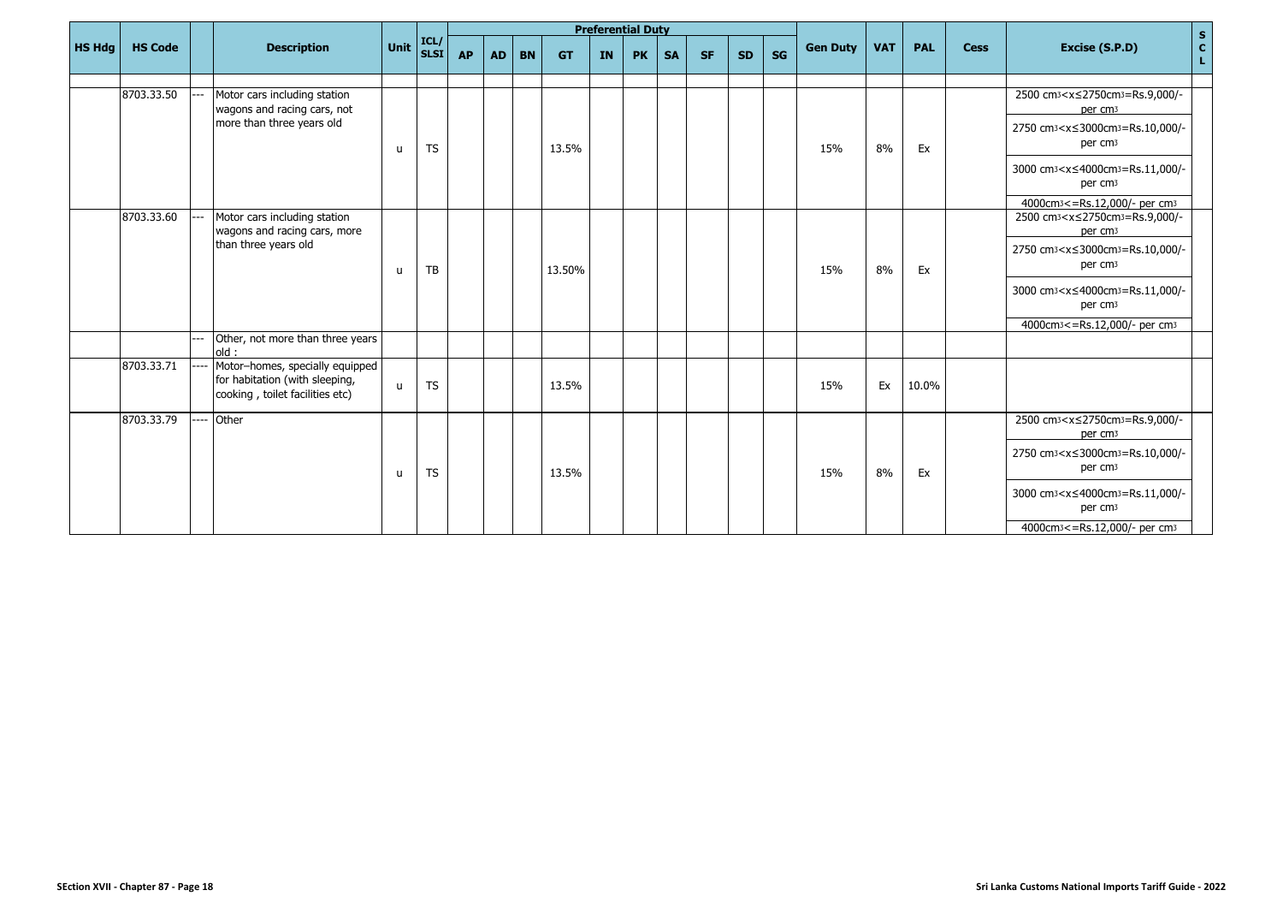|               |                |                                                                                                      |              |              |           |           |           |           | <b>Preferential Duty</b> |           |           |           |           |    |                 |            |            |             |                                                                                        | $\mathbf S$       |
|---------------|----------------|------------------------------------------------------------------------------------------------------|--------------|--------------|-----------|-----------|-----------|-----------|--------------------------|-----------|-----------|-----------|-----------|----|-----------------|------------|------------|-------------|----------------------------------------------------------------------------------------|-------------------|
| <b>HS Hdg</b> | <b>HS Code</b> | <b>Description</b>                                                                                   | <b>Unit</b>  | ICL/<br>SLSI | <b>AP</b> | <b>AD</b> | <b>BN</b> | <b>GT</b> | <b>IN</b>                | <b>PK</b> | <b>SA</b> | <b>SF</b> | <b>SD</b> | SG | <b>Gen Duty</b> | <b>VAT</b> | <b>PAL</b> | <b>Cess</b> | Excise (S.P.D)                                                                         | $\mathbf{c}$<br>L |
|               |                |                                                                                                      |              |              |           |           |           |           |                          |           |           |           |           |    |                 |            |            |             |                                                                                        |                   |
|               | 8703.33.50     | Motor cars including station<br>wagons and racing cars, not                                          |              |              |           |           |           |           |                          |           |           |           |           |    |                 |            |            |             | 2500 cm <sub>3</sub> <x≤2750cm<sub>3=Rs.9,000/-<br/>per cm<sub>3</sub></x≤2750cm<sub>  |                   |
|               |                | more than three years old                                                                            | u            | <b>TS</b>    |           |           |           | 13.5%     |                          |           |           |           |           |    | 15%             | 8%         | Ex         |             | 2750 cm <sub>3</sub> <x≤3000cm<sub>3=Rs.10,000/-<br/>per cm<sub>3</sub></x≤3000cm<sub> |                   |
|               |                |                                                                                                      |              |              |           |           |           |           |                          |           |           |           |           |    |                 |            |            |             | 3000 cm <sub>3</sub> <x≤4000cm<sub>3=Rs.11,000/-<br/>per cm<sub>3</sub></x≤4000cm<sub> |                   |
|               |                |                                                                                                      |              |              |           |           |           |           |                          |           |           |           |           |    |                 |            |            |             | 4000cm <sub>3</sub> <= Rs.12,000/- per cm <sub>3</sub>                                 |                   |
|               | 8703.33.60     | Motor cars including station<br>wagons and racing cars, more                                         |              |              |           |           |           |           |                          |           |           |           |           |    |                 |            |            |             | 2500 cm <sub>3</sub> <x≤2750cm<sub>3=Rs.9,000/-<br/>per cm<sub>3</sub></x≤2750cm<sub>  |                   |
|               |                | than three years old                                                                                 | $\mathbf{u}$ | TB           |           |           |           | 13.50%    |                          |           |           |           |           |    | 15%             | 8%         | Ex         |             | 2750 cm3 <x≤3000cm3=rs.10,000 -<br="">per cm<sub>3</sub></x≤3000cm3=rs.10,000>         |                   |
|               |                |                                                                                                      |              |              |           |           |           |           |                          |           |           |           |           |    |                 |            |            |             | 3000 cm <sup>3</sup> < x ≤ 4000 cm <sup>3</sup> = Rs.11,000/-<br>per cm <sub>3</sub>   |                   |
|               |                |                                                                                                      |              |              |           |           |           |           |                          |           |           |           |           |    |                 |            |            |             | 4000cm <sub>3</sub> <= Rs.12,000/- per cm <sub>3</sub>                                 |                   |
|               |                | Other, not more than three years<br>old:                                                             |              |              |           |           |           |           |                          |           |           |           |           |    |                 |            |            |             |                                                                                        |                   |
|               | 8703.33.71     | Motor-homes, specially equipped<br>for habitation (with sleeping,<br>cooking, toilet facilities etc) | $\mathsf{u}$ | <b>TS</b>    |           |           |           | 13.5%     |                          |           |           |           |           |    | 15%             | Ex         | 10.0%      |             |                                                                                        |                   |
|               | 8703.33.79     | Other                                                                                                |              |              |           |           |           |           |                          |           |           |           |           |    |                 |            |            |             | 2500 cm <sub>3</sub> <x≤2750cm<sub>3=Rs.9,000/-<br/>per cm<sub>3</sub></x≤2750cm<sub>  |                   |
|               |                |                                                                                                      | $\mathbf{u}$ | <b>TS</b>    |           |           |           | 13.5%     |                          |           |           |           |           |    | 15%             | 8%         | Ex         |             | 2750 cm <sub>3</sub> <x≤3000cm<sub>3=Rs.10,000/-<br/>per cm<sub>3</sub></x≤3000cm<sub> |                   |
|               |                |                                                                                                      |              |              |           |           |           |           |                          |           |           |           |           |    |                 |            |            |             | 3000 cm <sub>3</sub> <x≤4000cm<sub>3=Rs.11,000/-<br/>per cm<sub>3</sub></x≤4000cm<sub> |                   |
|               |                |                                                                                                      |              |              |           |           |           |           |                          |           |           |           |           |    |                 |            |            |             | 4000cm <sup>3</sup> <= Rs.12,000/- per cm <sup>3</sup>                                 |                   |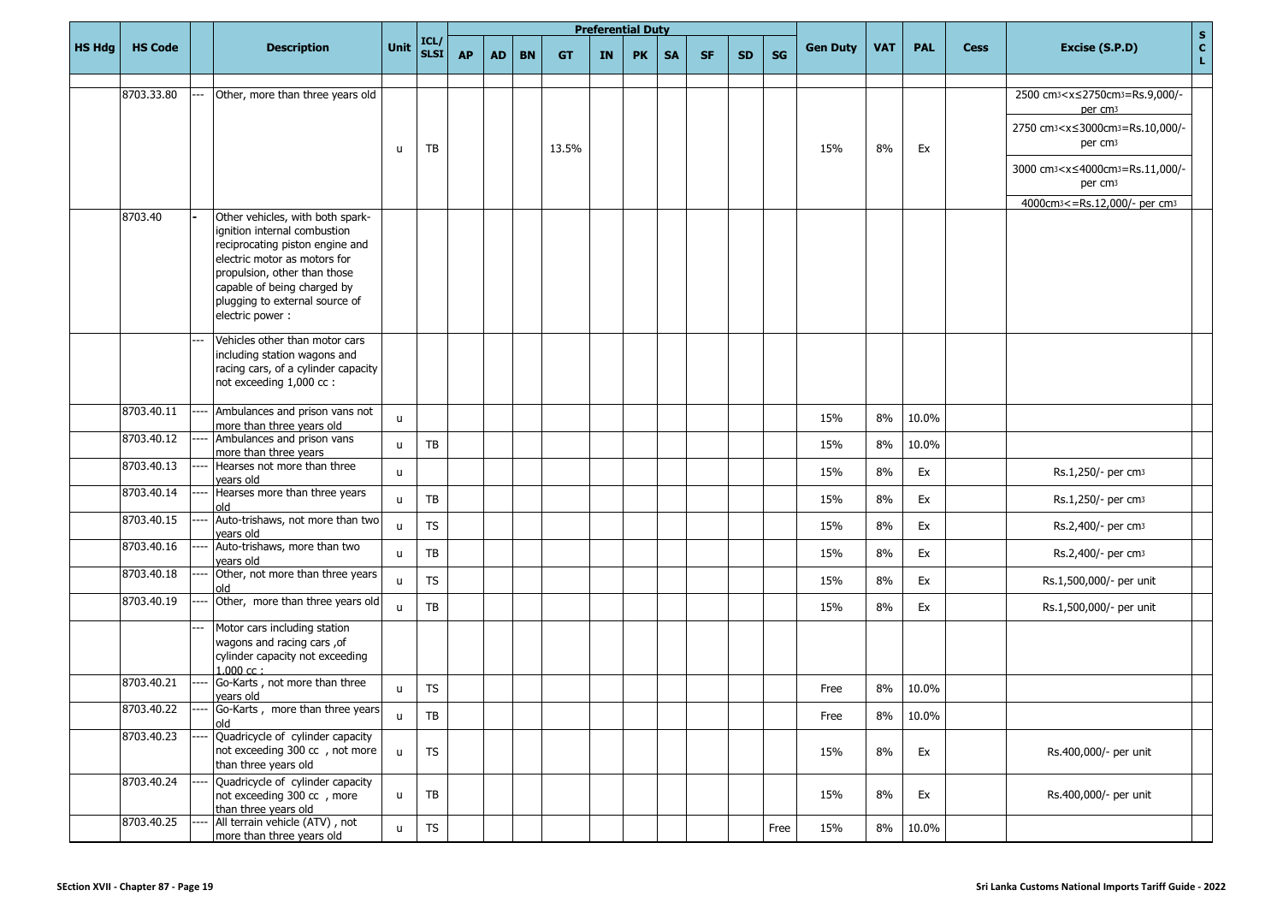|               |                |                                                                                                                                                                                                                                                         |              |                        |           |           |           |           |           | <b>Preferential Duty</b> |           |           |           |           |                 |            |            |             |                                                                                                                                                                                                                                                                  |                                       |
|---------------|----------------|---------------------------------------------------------------------------------------------------------------------------------------------------------------------------------------------------------------------------------------------------------|--------------|------------------------|-----------|-----------|-----------|-----------|-----------|--------------------------|-----------|-----------|-----------|-----------|-----------------|------------|------------|-------------|------------------------------------------------------------------------------------------------------------------------------------------------------------------------------------------------------------------------------------------------------------------|---------------------------------------|
| <b>HS Hdg</b> | <b>HS Code</b> | <b>Description</b>                                                                                                                                                                                                                                      | <b>Unit</b>  | ICL/<br><b>SLSI</b>    | <b>AP</b> | <b>AD</b> | <b>BN</b> | <b>GT</b> | <b>IN</b> | <b>PK</b>                | <b>SA</b> | <b>SF</b> | <b>SD</b> | <b>SG</b> | <b>Gen Duty</b> | <b>VAT</b> | <b>PAL</b> | <b>Cess</b> | Excise (S.P.D)                                                                                                                                                                                                                                                   | $\frac{\mathsf{s}}{\mathsf{c}}$<br>L. |
|               | 8703.33.80     | Other, more than three years old                                                                                                                                                                                                                        | u            | TB                     |           |           |           | 13.5%     |           |                          |           |           |           |           | 15%             | 8%         | Ex         |             | 2500 cm <sub>3</sub> <x≤2750cm<sub>3=Rs.9,000/-<br/>per cm<sub>3</sub><br/>2750 cm3<x≤3000cm3=rs.10,000 -<br="">per cm<sub>3</sub><br/>3000 cm<sub>3</sub><x≤4000cm<sub>3=Rs.11,000/-<br/>per cm<sub>3</sub></x≤4000cm<sub></x≤3000cm3=rs.10,000></x≤2750cm<sub> |                                       |
|               | 8703.40        | Other vehicles, with both spark-<br>ignition internal combustion<br>reciprocating piston engine and<br>electric motor as motors for<br>propulsion, other than those<br>capable of being charged by<br>plugging to external source of<br>electric power: |              |                        |           |           |           |           |           |                          |           |           |           |           |                 |            |            |             | 4000cm <sup>3</sup> <= Rs.12,000/- per cm <sup>3</sup>                                                                                                                                                                                                           |                                       |
|               |                | Vehicles other than motor cars<br>including station wagons and<br>racing cars, of a cylinder capacity<br>not exceeding 1,000 cc :                                                                                                                       |              |                        |           |           |           |           |           |                          |           |           |           |           |                 |            |            |             |                                                                                                                                                                                                                                                                  |                                       |
|               | 8703.40.11     | Ambulances and prison vans not<br>more than three years old                                                                                                                                                                                             | $\mathsf{u}$ |                        |           |           |           |           |           |                          |           |           |           |           | 15%             | 8%         | 10.0%      |             |                                                                                                                                                                                                                                                                  |                                       |
|               | 8703.40.12     | Ambulances and prison vans<br>more than three years                                                                                                                                                                                                     | $\mathsf{u}$ | TB                     |           |           |           |           |           |                          |           |           |           |           | 15%             | 8%         | 10.0%      |             |                                                                                                                                                                                                                                                                  |                                       |
|               | 8703.40.13     | Hearses not more than three<br>vears old                                                                                                                                                                                                                | $\mathsf{u}$ |                        |           |           |           |           |           |                          |           |           |           |           | 15%             | 8%         | Ex         |             | Rs.1,250/- per cm3                                                                                                                                                                                                                                               |                                       |
|               | 8703.40.14     | Hearses more than three years<br>old                                                                                                                                                                                                                    | $\mathbf{u}$ | TB                     |           |           |           |           |           |                          |           |           |           |           | 15%             | 8%         | Ex         |             | Rs.1,250/- per cm <sub>3</sub>                                                                                                                                                                                                                                   |                                       |
|               | 8703.40.15     | Auto-trishaws, not more than two<br>years old                                                                                                                                                                                                           | $\mathbf{u}$ | <b>TS</b>              |           |           |           |           |           |                          |           |           |           |           | 15%             | 8%         | Ex         |             | Rs.2,400/- per cm <sub>3</sub>                                                                                                                                                                                                                                   |                                       |
|               | 8703.40.16     | Auto-trishaws, more than two<br>years old                                                                                                                                                                                                               | $\mathsf{u}$ | TB                     |           |           |           |           |           |                          |           |           |           |           | 15%             | 8%         | Ex         |             | Rs.2,400/- per cm <sub>3</sub>                                                                                                                                                                                                                                   |                                       |
|               | 8703.40.18     | Other, not more than three years<br>old                                                                                                                                                                                                                 | $\mathbf{u}$ | <b>TS</b>              |           |           |           |           |           |                          |           |           |           |           | 15%             | 8%         | Ex         |             | Rs.1,500,000/- per unit                                                                                                                                                                                                                                          |                                       |
|               | 8703.40.19     | Other, more than three years old                                                                                                                                                                                                                        | $\mathsf{u}$ | TB                     |           |           |           |           |           |                          |           |           |           |           | 15%             | 8%         | Ex         |             | Rs.1,500,000/- per unit                                                                                                                                                                                                                                          |                                       |
|               |                | Motor cars including station<br>wagons and racing cars, of<br>cylinder capacity not exceeding<br>$1.000$ cc:                                                                                                                                            |              |                        |           |           |           |           |           |                          |           |           |           |           |                 |            |            |             |                                                                                                                                                                                                                                                                  |                                       |
|               | 8703.40.21     | Go-Karts, not more than three<br>years old                                                                                                                                                                                                              | u            | <b>TS</b>              |           |           |           |           |           |                          |           |           |           |           | Free            | 8%         | 10.0%      |             |                                                                                                                                                                                                                                                                  |                                       |
|               | 8703.40.22     | Go-Karts, more than three years<br>old                                                                                                                                                                                                                  | u            | $\mathsf{T}\mathsf{B}$ |           |           |           |           |           |                          |           |           |           |           | Free            | 8%         | 10.0%      |             |                                                                                                                                                                                                                                                                  |                                       |
|               | 8703.40.23     | Quadricycle of cylinder capacity<br>not exceeding 300 cc , not more<br>than three years old                                                                                                                                                             | $\mathsf{u}$ | <b>TS</b>              |           |           |           |           |           |                          |           |           |           |           | 15%             | 8%         | Ex         |             | Rs.400,000/- per unit                                                                                                                                                                                                                                            |                                       |
|               | 8703.40.24     | Quadricycle of cylinder capacity<br>not exceeding 300 cc , more<br>than three years old                                                                                                                                                                 | $\mathsf{u}$ | TB                     |           |           |           |           |           |                          |           |           |           |           | 15%             | $8\%$      | Ex         |             | Rs.400,000/- per unit                                                                                                                                                                                                                                            |                                       |
|               | 8703.40.25     | All terrain vehicle (ATV), not<br>more than three years old                                                                                                                                                                                             | $\mathsf{u}$ | ${\sf TS}$             |           |           |           |           |           |                          |           |           |           | Free      | 15%             | 8%         | 10.0%      |             |                                                                                                                                                                                                                                                                  |                                       |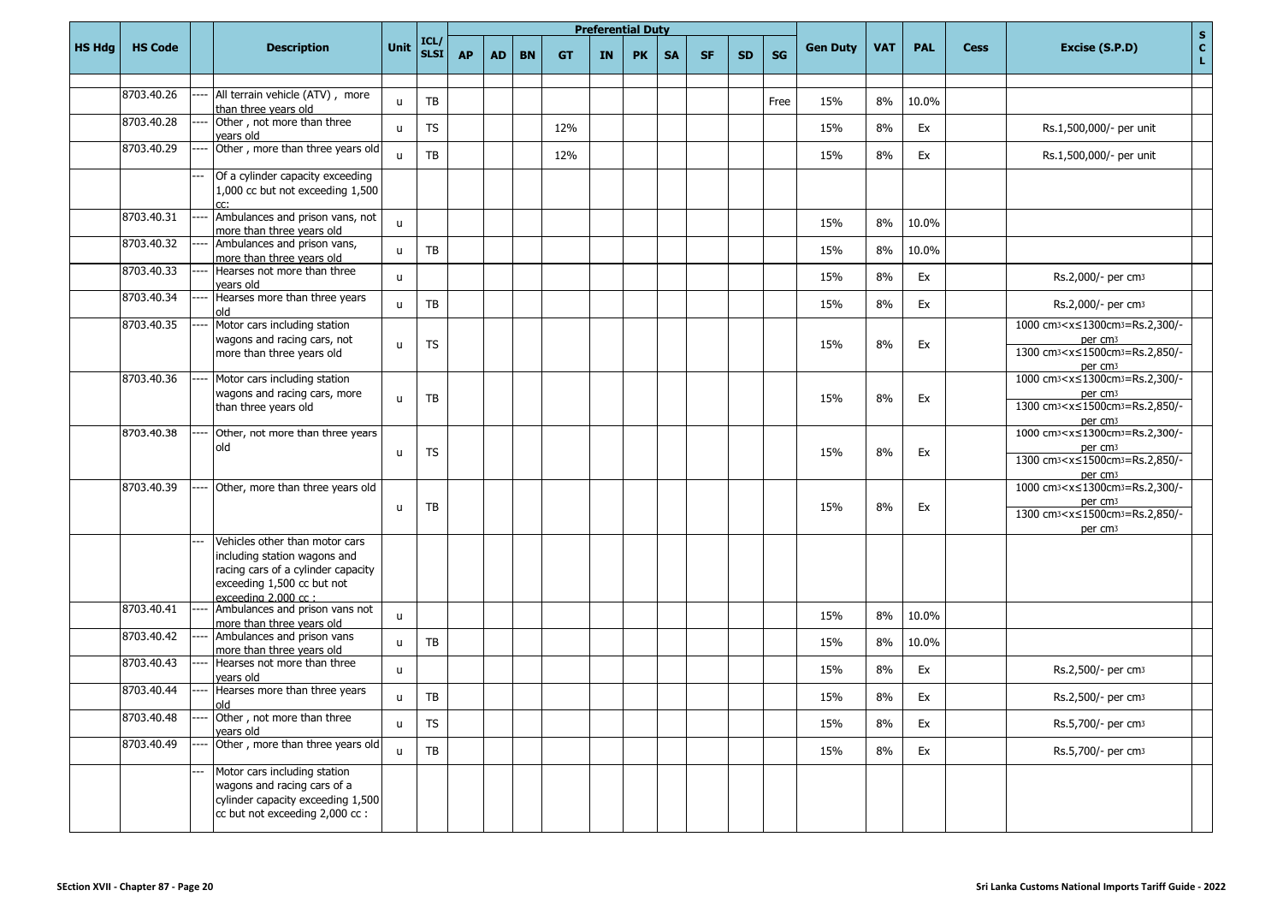|               |                |                                                                                                                                                                      |              |                     |           |           |           |           |           | <b>Preferential Duty</b> |           |           |           |      |                 |            |            |             | $\mathbf S$                                                                                                                                                                     |
|---------------|----------------|----------------------------------------------------------------------------------------------------------------------------------------------------------------------|--------------|---------------------|-----------|-----------|-----------|-----------|-----------|--------------------------|-----------|-----------|-----------|------|-----------------|------------|------------|-------------|---------------------------------------------------------------------------------------------------------------------------------------------------------------------------------|
| <b>HS Hdg</b> | <b>HS Code</b> | <b>Description</b>                                                                                                                                                   | Unit         | ICL/<br><b>SLSI</b> | <b>AP</b> | <b>AD</b> | <b>BN</b> | <b>GT</b> | <b>IN</b> | <b>PK</b>                | <b>SA</b> | <b>SF</b> | <b>SD</b> | SG   | <b>Gen Duty</b> | <b>VAT</b> | <b>PAL</b> | <b>Cess</b> | $\mathbf{c}$<br>Excise (S.P.D)<br>L.                                                                                                                                            |
|               | 8703.40.26     | All terrain vehicle (ATV), more<br>than three years old                                                                                                              | $\mathsf{u}$ | TB                  |           |           |           |           |           |                          |           |           |           | Free | 15%             | 8%         | 10.0%      |             |                                                                                                                                                                                 |
|               | 8703.40.28     | Other, not more than three<br>years old                                                                                                                              | $\mathsf{u}$ | <b>TS</b>           |           |           |           | 12%       |           |                          |           |           |           |      | 15%             | 8%         | Ex         |             | Rs.1,500,000/- per unit                                                                                                                                                         |
|               | 8703.40.29     | Other, more than three years old                                                                                                                                     | $\mathsf{u}$ | TB                  |           |           |           | 12%       |           |                          |           |           |           |      | 15%             | 8%         | Ex         |             | Rs.1,500,000/- per unit                                                                                                                                                         |
|               |                | Of a cylinder capacity exceeding<br>1,000 cc but not exceeding 1,500                                                                                                 |              |                     |           |           |           |           |           |                          |           |           |           |      |                 |            |            |             |                                                                                                                                                                                 |
|               | 8703.40.31     | Ambulances and prison vans, not<br>more than three years old                                                                                                         | $\mathsf{u}$ |                     |           |           |           |           |           |                          |           |           |           |      | 15%             | 8%         | 10.0%      |             |                                                                                                                                                                                 |
|               | 8703.40.32     | Ambulances and prison vans,<br>more than three years old                                                                                                             | $\mathbf{u}$ | TB                  |           |           |           |           |           |                          |           |           |           |      | 15%             | 8%         | 10.0%      |             |                                                                                                                                                                                 |
|               | 8703.40.33     | Hearses not more than three<br>vears old                                                                                                                             | $\mathbf{u}$ |                     |           |           |           |           |           |                          |           |           |           |      | 15%             | 8%         | Ex         |             | Rs.2,000/- per cm3                                                                                                                                                              |
|               | 8703.40.34     | Hearses more than three years<br>old                                                                                                                                 | $\mathbf{u}$ | TB                  |           |           |           |           |           |                          |           |           |           |      | 15%             | 8%         | Ex         |             | Rs.2,000/- per cm3                                                                                                                                                              |
|               | 8703.40.35     | Motor cars including station<br>wagons and racing cars, not<br>more than three years old                                                                             | $\mathsf{u}$ | <b>TS</b>           |           |           |           |           |           |                          |           |           |           |      | 15%             | 8%         | Ex         |             | 1000 cm <sub>3</sub> < x ≤ 1300 cm <sub>3</sub> = Rs. 2, 300/-<br>per cm <sub>3</sub><br>1300 cm <sub>3</sub> < x ≤ 1500 cm <sub>3</sub> = Rs. 2,850/-<br>per cm <sub>3</sub>   |
|               | 8703.40.36     | Motor cars including station<br>wagons and racing cars, more<br>than three years old                                                                                 | $\mathsf{u}$ | TB                  |           |           |           |           |           |                          |           |           |           |      | 15%             | 8%         | Ex         |             | 1000 cm <sub>3</sub> < x ≤ 1300 cm <sub>3</sub> = Rs. 2, 300/-<br>per cm <sub>3</sub><br>1300 cm <sub>3</sub> < x ≤ 1500 cm <sub>3</sub> = Rs. 2,850/-<br>per cm <sub>3</sub>   |
|               | 8703.40.38     | Other, not more than three years<br>old                                                                                                                              | $\mathsf{u}$ | <b>TS</b>           |           |           |           |           |           |                          |           |           |           |      | 15%             | 8%         | Ex         |             | 1000 cm <sub>3</sub> <x≤1300cm<sub>3=Rs.2,300/-<br/>per cm<sub>3</sub><br/>1300 cm<sub>3</sub> &lt; x ≤ 1500 cm<sub>3</sub> = Rs. 2,850/-<br/>per cm<sub>3</sub></x≤1300cm<sub> |
|               | 8703.40.39     | Other, more than three years old                                                                                                                                     | $\mathsf{u}$ | TB                  |           |           |           |           |           |                          |           |           |           |      | 15%             | 8%         | Ex         |             | 1000 cm <sub>3</sub> < x ≤ 1300 cm <sub>3</sub> = Rs.2,300/-<br>per cm <sub>3</sub><br>1300 cm <sub>3</sub> < x ≤ 1500 cm <sub>3</sub> = Rs. 2,850/-<br>per cm <sub>3</sub>     |
|               |                | Vehicles other than motor cars<br>including station wagons and<br>racing cars of a cylinder capacity<br>exceeding 1,500 cc but not<br>exceeding $2.000 \text{ cc}$ : |              |                     |           |           |           |           |           |                          |           |           |           |      |                 |            |            |             |                                                                                                                                                                                 |
|               | 8703.40.41     | Ambulances and prison vans not<br>more than three years old                                                                                                          | $\mathsf{u}$ |                     |           |           |           |           |           |                          |           |           |           |      | 15%             | 8%         | 10.0%      |             |                                                                                                                                                                                 |
|               | 8703.40.42     | Ambulances and prison vans<br>more than three years old                                                                                                              | $\mathsf{u}$ | TB                  |           |           |           |           |           |                          |           |           |           |      | 15%             | 8%         | 10.0%      |             |                                                                                                                                                                                 |
|               | 8703.40.43     | Hearses not more than three<br>vears old                                                                                                                             | $\mathsf{u}$ |                     |           |           |           |           |           |                          |           |           |           |      | 15%             | 8%         | Ex         |             | Rs.2,500/- per cm3                                                                                                                                                              |
|               | 8703.40.44     | Hearses more than three years<br>hlo                                                                                                                                 | u            | TB                  |           |           |           |           |           |                          |           |           |           |      | 15%             | 8%         | Ex         |             | Rs.2,500/- per cm3                                                                                                                                                              |
|               | 8703.40.48     | Other, not more than three<br>years old                                                                                                                              | $\mathsf{u}$ | ${\sf TS}$          |           |           |           |           |           |                          |           |           |           |      | 15%             | 8%         | Ex         |             | Rs.5,700/- per cm3                                                                                                                                                              |
|               | 8703.40.49     | Other, more than three years old                                                                                                                                     | $\mathsf{u}$ | TB                  |           |           |           |           |           |                          |           |           |           |      | 15%             | 8%         | Ex         |             | Rs.5,700/- per cm3                                                                                                                                                              |
|               |                | Motor cars including station<br>wagons and racing cars of a<br>cylinder capacity exceeding 1,500<br>cc but not exceeding 2,000 cc :                                  |              |                     |           |           |           |           |           |                          |           |           |           |      |                 |            |            |             |                                                                                                                                                                                 |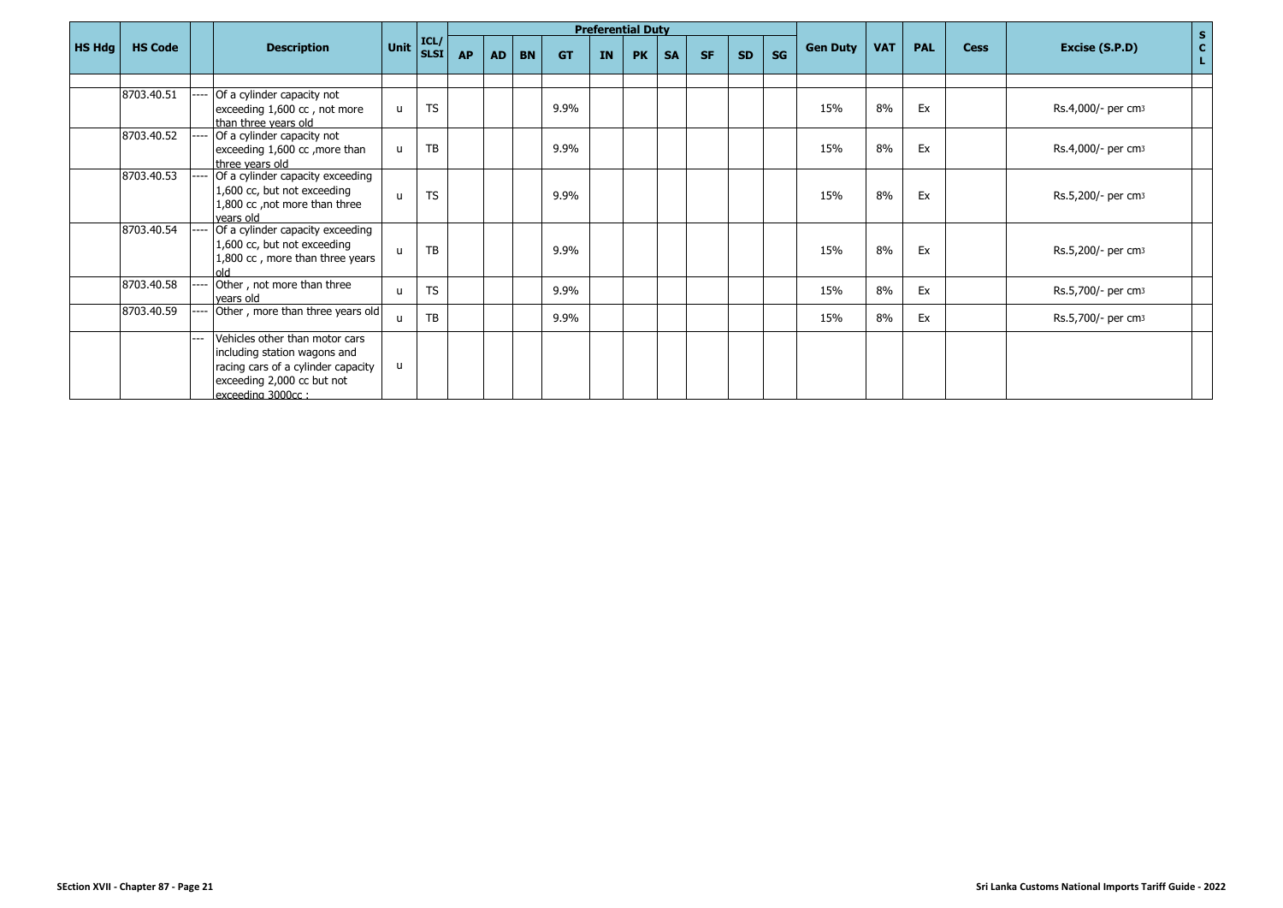|               |                |     |                                                                                                                                                         |              |                                                      |           |    |           |           |           | <b>Preferential Duty</b> |           |           |           |    |                 |            |            |             | $\mathbf{s}$                         |
|---------------|----------------|-----|---------------------------------------------------------------------------------------------------------------------------------------------------------|--------------|------------------------------------------------------|-----------|----|-----------|-----------|-----------|--------------------------|-----------|-----------|-----------|----|-----------------|------------|------------|-------------|--------------------------------------|
| <b>HS Hdg</b> | <b>HS Code</b> |     | <b>Description</b>                                                                                                                                      |              | Unit $\left  \frac{\text{ICL}}{\text{SLSI}} \right $ | <b>AP</b> | AD | <b>BN</b> | <b>GT</b> | <b>IN</b> | <b>PK</b>                | <b>SA</b> | <b>SF</b> | <b>SD</b> | SG | <b>Gen Duty</b> | <b>VAT</b> | <b>PAL</b> | <b>Cess</b> | $\mathbf{C}$<br>Excise (S.P.D)<br>L. |
|               |                |     |                                                                                                                                                         |              |                                                      |           |    |           |           |           |                          |           |           |           |    |                 |            |            |             |                                      |
|               | 8703.40.51     |     | Of a cylinder capacity not<br>exceeding 1,600 cc, not more<br>than three years old                                                                      | u            | <b>TS</b>                                            |           |    |           | 9.9%      |           |                          |           |           |           |    | 15%             | 8%         | Ex         |             | Rs.4,000/- per cm <sub>3</sub>       |
|               | 8703.40.52     |     | Of a cylinder capacity not<br>exceeding 1,600 cc, more than<br>three vears old                                                                          | u            | TB                                                   |           |    |           | 9.9%      |           |                          |           |           |           |    | 15%             | 8%         | Ex         |             | Rs.4,000/- per cm <sub>3</sub>       |
|               | 8703.40.53     |     | Of a cylinder capacity exceeding<br>1,600 cc, but not exceeding<br>1,800 cc, not more than three<br>vears old                                           | $\mathsf{u}$ | <b>TS</b>                                            |           |    |           | 9.9%      |           |                          |           |           |           |    | 15%             | 8%         | Ex         |             | Rs.5,200/- per cm <sub>3</sub>       |
|               | 8703.40.54     |     | Of a cylinder capacity exceeding<br>1,600 cc, but not exceeding<br>1,800 cc, more than three years                                                      | $\mathbf{u}$ | TB                                                   |           |    |           | 9.9%      |           |                          |           |           |           |    | 15%             | 8%         | Ex         |             | Rs.5,200/- per cm <sub>3</sub>       |
|               | 8703.40.58     |     | Other, not more than three<br>years old                                                                                                                 | $\mathbf{u}$ | <b>TS</b>                                            |           |    |           | 9.9%      |           |                          |           |           |           |    | 15%             | 8%         | Ex         |             | Rs.5,700/- per cm <sub>3</sub>       |
|               | 8703.40.59     |     | Other, more than three years old                                                                                                                        | $\mathbf{u}$ | TB                                                   |           |    |           | 9.9%      |           |                          |           |           |           |    | 15%             | 8%         | Ex         |             | Rs.5,700/- per cm <sub>3</sub>       |
|               |                | --- | Vehicles other than motor cars<br>including station wagons and<br>racing cars of a cylinder capacity<br>exceeding 2,000 cc but not<br>exceeding 3000cc: | <b>u</b>     |                                                      |           |    |           |           |           |                          |           |           |           |    |                 |            |            |             |                                      |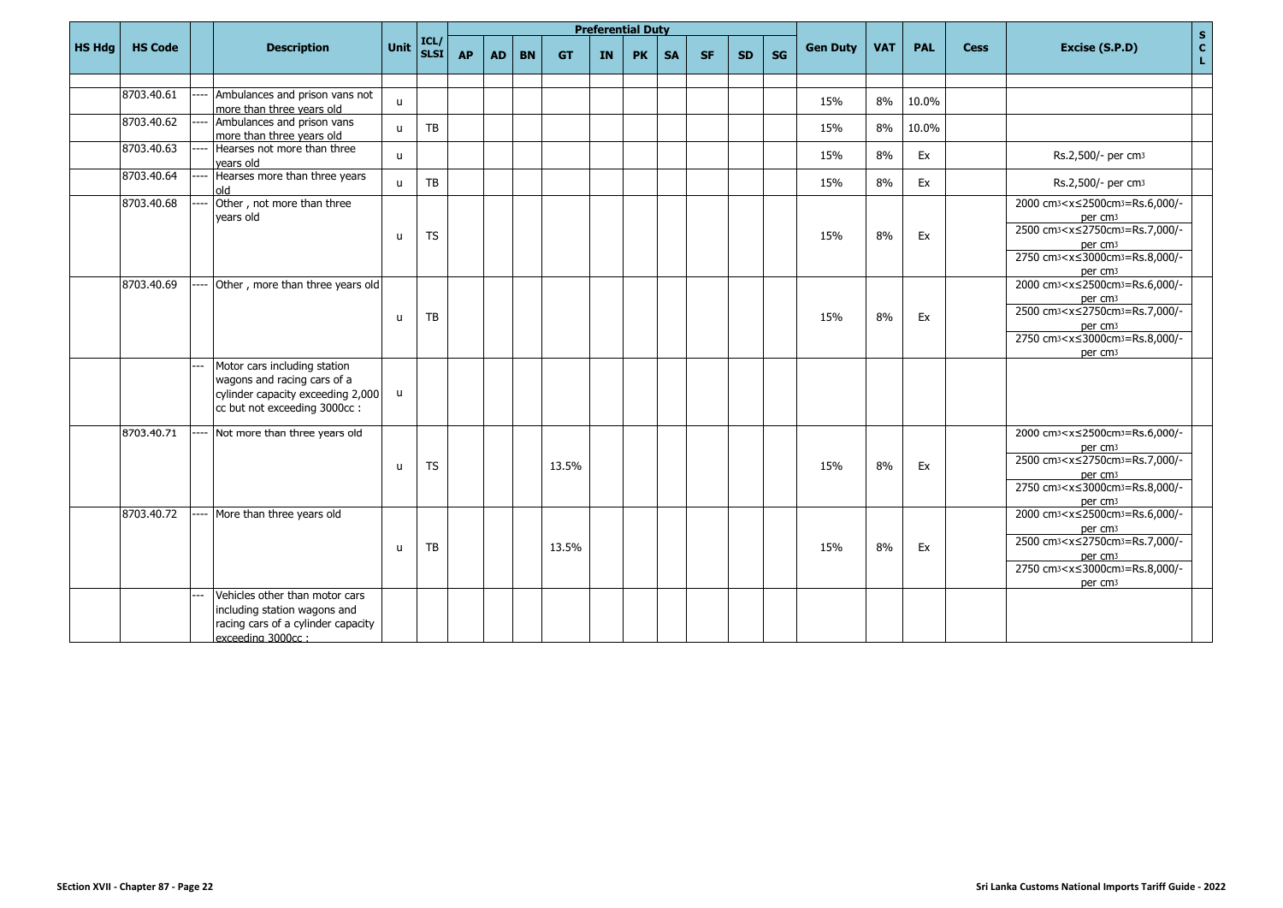|               |                |                                                                                                                                  |              |                      |           |           |           |           |    | <b>Preferential Duty</b> |           |           |           |           |                 |            |            |             |                                                                                                                                                                                                                                                                         |                     |
|---------------|----------------|----------------------------------------------------------------------------------------------------------------------------------|--------------|----------------------|-----------|-----------|-----------|-----------|----|--------------------------|-----------|-----------|-----------|-----------|-----------------|------------|------------|-------------|-------------------------------------------------------------------------------------------------------------------------------------------------------------------------------------------------------------------------------------------------------------------------|---------------------|
| <b>HS Hdg</b> | <b>HS Code</b> | <b>Description</b>                                                                                                               | <b>Unit</b>  | $\vert$ ICL/ $\vert$ | <b>AP</b> | <b>AD</b> | <b>BN</b> | <b>GT</b> | IN | <b>PK</b>                | <b>SA</b> | <b>SF</b> | <b>SD</b> | <b>SG</b> | <b>Gen Duty</b> | <b>VAT</b> | <b>PAL</b> | <b>Cess</b> | Excise (S.P.D)                                                                                                                                                                                                                                                          | $\frac{s}{c}$<br>L. |
|               |                |                                                                                                                                  |              |                      |           |           |           |           |    |                          |           |           |           |           |                 |            |            |             |                                                                                                                                                                                                                                                                         |                     |
|               | 8703.40.61     | Ambulances and prison vans not<br>more than three years old                                                                      | $\mathsf{u}$ |                      |           |           |           |           |    |                          |           |           |           |           | 15%             | 8%         | 10.0%      |             |                                                                                                                                                                                                                                                                         |                     |
|               | 8703.40.62     | Ambulances and prison vans<br>more than three years old                                                                          | $\mathbf{u}$ | TB                   |           |           |           |           |    |                          |           |           |           |           | 15%             | 8%         | 10.0%      |             |                                                                                                                                                                                                                                                                         |                     |
|               | 8703.40.63     | Hearses not more than three<br>vears old                                                                                         | $\mathbf{u}$ |                      |           |           |           |           |    |                          |           |           |           |           | 15%             | 8%         | Ex         |             | Rs.2,500/- per cm <sub>3</sub>                                                                                                                                                                                                                                          |                     |
|               | 8703.40.64     | Hearses more than three years<br>old                                                                                             | $\mathbf{u}$ | TB                   |           |           |           |           |    |                          |           |           |           |           | 15%             | 8%         | Ex         |             | Rs.2,500/- per cm <sub>3</sub>                                                                                                                                                                                                                                          |                     |
|               | 8703.40.68     | Other, not more than three<br>years old                                                                                          | $\mathbf{u}$ | <b>TS</b>            |           |           |           |           |    |                          |           |           |           |           | 15%             | 8%         | Ex         |             | 2000 cm <sub>3</sub> <x≤2500cm<sub>3=Rs.6,000/-<br/>per cm<sub>3</sub><br/>2500 cm<sup>3</sup> &lt; x ≤ 2750 cm<sup>3</sup> = Rs. 7,000/-<br/>per cm<sub>3</sub><br/>2750 cm<sub>3</sub><x≤3000cm<sub>3=Rs.8,000/-<br/>per cm<sub>3</sub></x≤3000cm<sub></x≤2500cm<sub> |                     |
|               | 8703.40.69     | Other, more than three years old                                                                                                 | u            | TB                   |           |           |           |           |    |                          |           |           |           |           | 15%             | 8%         | Ex         |             | 2000 cm <sub>3</sub> <x≤2500cm<sub>3=Rs.6,000/-<br/>per cm<sub>3</sub><br/>2500 cm<sub>3</sub><x≤2750cm<sub>3=Rs.7,000/-<br/>per cm<sub>3</sub><br/>2750 cm<sub>3</sub><x≤3000cm<sub>3=Rs.8,000/-<br/>per cm<sub>3</sub></x≤3000cm<sub></x≤2750cm<sub></x≤2500cm<sub>   |                     |
|               |                | Motor cars including station<br>wagons and racing cars of a<br>cylinder capacity exceeding 2,000<br>cc but not exceeding 3000cc: | u            |                      |           |           |           |           |    |                          |           |           |           |           |                 |            |            |             |                                                                                                                                                                                                                                                                         |                     |
|               | 8703.40.71     | Not more than three years old                                                                                                    | $\mathsf{u}$ | <b>TS</b>            |           |           |           | 13.5%     |    |                          |           |           |           |           | 15%             | 8%         | Ex         |             | 2000 cm <sub>3</sub> <x≤2500cm<sub>3=Rs.6,000/-<br/>per cm<sub>3</sub><br/>2500 cm<sub>3</sub><x≤2750cm<sub>3=Rs.7,000/-<br/>per cm<sub>3</sub><br/>2750 cm<sub>3</sub><x≤3000cm<sub>3=Rs.8,000/-<br/>per cm<sub>3</sub></x≤3000cm<sub></x≤2750cm<sub></x≤2500cm<sub>   |                     |
|               | 8703.40.72     | More than three years old                                                                                                        | u            | TB                   |           |           |           | 13.5%     |    |                          |           |           |           |           | 15%             | 8%         | Ex         |             | 2000 cm <sub>3</sub> <x≤2500cm<sub>3=Rs.6,000/-<br/>per cm<sub>3</sub><br/>2500 cm<sub>3</sub><x≤2750cm<sub>3=Rs.7,000/-<br/>per cm<sub>3</sub><br/>2750 cm<sub>3</sub><x≤3000cm<sub>3=Rs.8,000/-<br/>per cm<sub>3</sub></x≤3000cm<sub></x≤2750cm<sub></x≤2500cm<sub>   |                     |
|               |                | Vehicles other than motor cars<br>including station wagons and<br>racing cars of a cylinder capacity<br>exceeding 3000cc:        |              |                      |           |           |           |           |    |                          |           |           |           |           |                 |            |            |             |                                                                                                                                                                                                                                                                         |                     |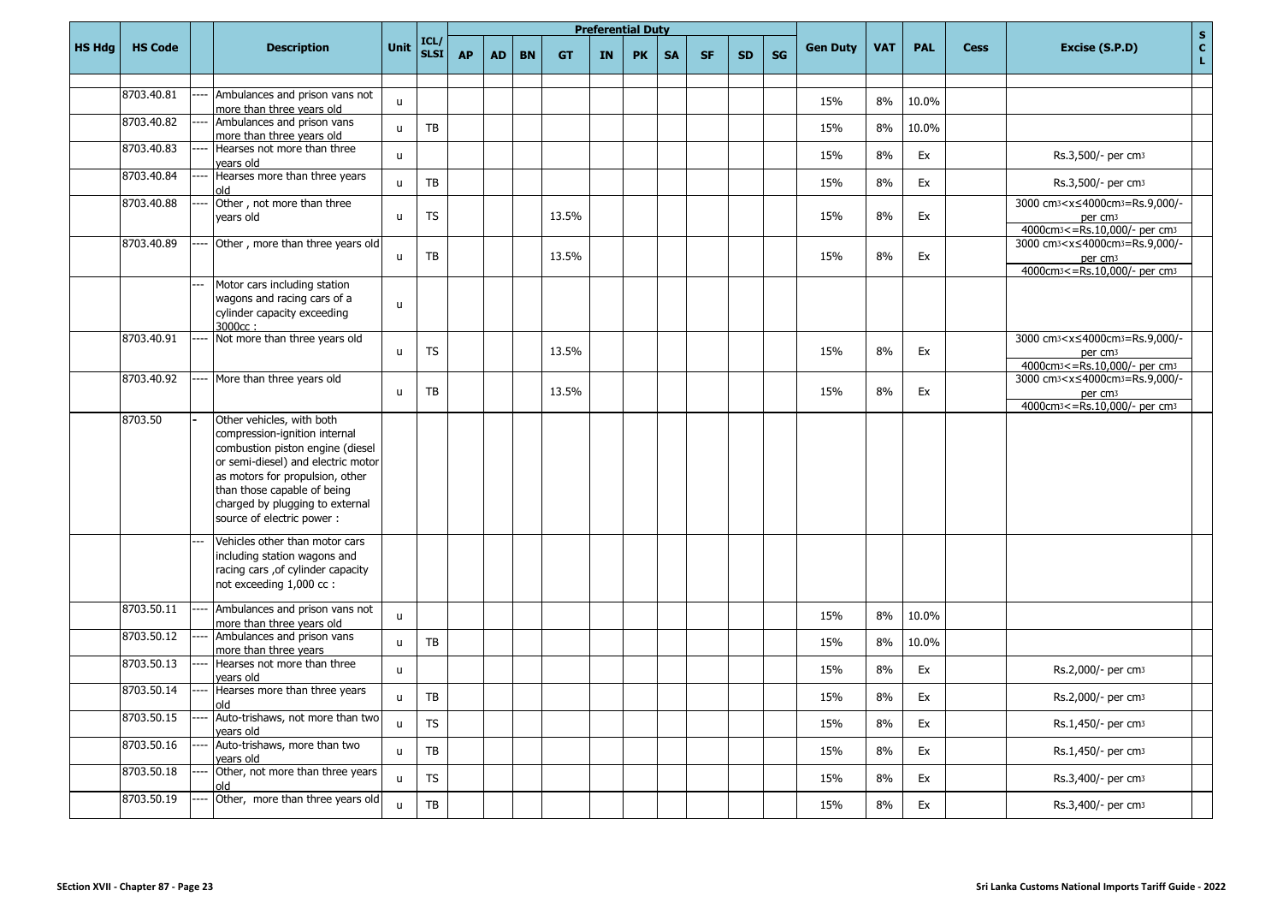|               |                |      |                                                                                                                                                                                                                                                                         |              |                        |           |           |           |           |           | <b>Preferential Duty</b> |           |           |           |           |                 |            |            |             | $\mathbf S$                                                                                                                                       |
|---------------|----------------|------|-------------------------------------------------------------------------------------------------------------------------------------------------------------------------------------------------------------------------------------------------------------------------|--------------|------------------------|-----------|-----------|-----------|-----------|-----------|--------------------------|-----------|-----------|-----------|-----------|-----------------|------------|------------|-------------|---------------------------------------------------------------------------------------------------------------------------------------------------|
| <b>HS Hdg</b> | <b>HS Code</b> |      | <b>Description</b>                                                                                                                                                                                                                                                      | Unit         | ICL/<br>SLSI           | <b>AP</b> | <b>AD</b> | <b>BN</b> | <b>GT</b> | <b>IN</b> | <b>PK</b>                | <b>SA</b> | <b>SF</b> | <b>SD</b> | <b>SG</b> | <b>Gen Duty</b> | <b>VAT</b> | <b>PAL</b> | <b>Cess</b> | c <br>Excise (S.P.D)<br>L.                                                                                                                        |
|               | 8703.40.81     |      | Ambulances and prison vans not                                                                                                                                                                                                                                          |              |                        |           |           |           |           |           |                          |           |           |           |           |                 |            |            |             |                                                                                                                                                   |
|               |                |      | more than three years old                                                                                                                                                                                                                                               | u            |                        |           |           |           |           |           |                          |           |           |           |           | 15%             | 8%         | 10.0%      |             |                                                                                                                                                   |
|               | 8703.40.82     |      | Ambulances and prison vans<br>more than three years old                                                                                                                                                                                                                 | u            | TB                     |           |           |           |           |           |                          |           |           |           |           | 15%             | 8%         | 10.0%      |             |                                                                                                                                                   |
|               | 8703.40.83     |      | Hearses not more than three<br>vears old                                                                                                                                                                                                                                | u            |                        |           |           |           |           |           |                          |           |           |           |           | 15%             | 8%         | Ex         |             | Rs.3,500/- per cm3                                                                                                                                |
|               | 8703.40.84     |      | Hearses more than three years<br>blo                                                                                                                                                                                                                                    | u            | TB                     |           |           |           |           |           |                          |           |           |           |           | 15%             | 8%         | Ex         |             | Rs.3,500/- per cm3                                                                                                                                |
|               | 8703.40.88     |      | Other, not more than three<br>years old                                                                                                                                                                                                                                 | u            | TS                     |           |           |           | 13.5%     |           |                          |           |           |           |           | 15%             | 8%         | Ex         |             | 3000 cm <sub>3</sub> <x≤4000cm<sub>3=Rs.9,000/-<br/>per cm<sub>3</sub><br/>4000cm<sub>3</sub> &lt;= Rs.10,000/- per cm<sub>3</sub></x≤4000cm<sub> |
|               | 8703.40.89     |      | Other, more than three years old                                                                                                                                                                                                                                        | u            | TB                     |           |           |           | 13.5%     |           |                          |           |           |           |           | 15%             | 8%         | Ex         |             | 3000 cm <sup>3</sup> < x ≤ 4000 cm <sup>3</sup> = Rs.9,000/-<br>per cm <sub>3</sub><br>4000cm <sub>3</sub> <= Rs. 10,000/- per cm <sub>3</sub>    |
|               |                |      | Motor cars including station<br>wagons and racing cars of a<br>cylinder capacity exceeding<br>3000cc:                                                                                                                                                                   | $\mathsf{u}$ |                        |           |           |           |           |           |                          |           |           |           |           |                 |            |            |             |                                                                                                                                                   |
|               | 8703.40.91     |      | Not more than three years old                                                                                                                                                                                                                                           | u            | <b>TS</b>              |           |           |           | 13.5%     |           |                          |           |           |           |           | 15%             | 8%         | Ex         |             | 3000 cm <sup>3</sup> < x ≤ 4000 cm <sup>3</sup> = Rs.9,000/-<br>per cm <sub>3</sub><br>4000cm <sup>3</sup> <= Rs.10,000/- per cm <sup>3</sup>     |
|               | 8703.40.92     |      | More than three years old                                                                                                                                                                                                                                               | $\mathsf{u}$ | TB                     |           |           |           | 13.5%     |           |                          |           |           |           |           | 15%             | 8%         | Ex         |             | 3000 cm <sup>3</sup> < x ≤ 4000 cm <sup>3</sup> = Rs.9,000/-<br>per cm <sub>3</sub><br>4000cm <sub>3</sub> <= Rs.10,000/- per cm <sub>3</sub>     |
|               | 8703.50        |      | Other vehicles, with both<br>compression-ignition internal<br>combustion piston engine (diesel<br>or semi-diesel) and electric motor<br>as motors for propulsion, other<br>than those capable of being<br>charged by plugging to external<br>source of electric power : |              |                        |           |           |           |           |           |                          |           |           |           |           |                 |            |            |             |                                                                                                                                                   |
|               |                |      | Vehicles other than motor cars<br>including station wagons and<br>racing cars , of cylinder capacity<br>not exceeding 1,000 cc :                                                                                                                                        |              |                        |           |           |           |           |           |                          |           |           |           |           |                 |            |            |             |                                                                                                                                                   |
|               | 8703.50.11     |      | Ambulances and prison vans not<br>more than three years old                                                                                                                                                                                                             | u            |                        |           |           |           |           |           |                          |           |           |           |           | 15%             | 8%         | 10.0%      |             |                                                                                                                                                   |
|               | 8703.50.12     |      | Ambulances and prison vans<br>more than three years                                                                                                                                                                                                                     | u            | <b>TB</b>              |           |           |           |           |           |                          |           |           |           |           | 15%             | 8%         | 10.0%      |             |                                                                                                                                                   |
|               | 8703.50.13     |      | Hearses not more than three<br>vears old                                                                                                                                                                                                                                | u            |                        |           |           |           |           |           |                          |           |           |           |           | 15%             | 8%         | Ex         |             | Rs.2,000/- per cm <sub>3</sub>                                                                                                                    |
|               | 8703.50.14     | ---- | Hearses more than three years<br>old                                                                                                                                                                                                                                    | u            | TB                     |           |           |           |           |           |                          |           |           |           |           | 15%             | $8\%$      | Ex         |             | Rs.2,000/- per cm3                                                                                                                                |
|               | 8703.50.15     |      | Auto-trishaws, not more than two<br>years old                                                                                                                                                                                                                           | $\mathsf{u}$ | <b>TS</b>              |           |           |           |           |           |                          |           |           |           |           | 15%             | 8%         | Ex         |             | Rs.1,450/- per cm <sub>3</sub>                                                                                                                    |
|               | 8703.50.16     |      | Auto-trishaws, more than two<br>years old                                                                                                                                                                                                                               | u            | ${\sf TB}$             |           |           |           |           |           |                          |           |           |           |           | 15%             | 8%         | Ex         |             | Rs.1,450/- per cm3                                                                                                                                |
|               | 8703.50.18     |      | Other, not more than three years<br>old                                                                                                                                                                                                                                 | $\mathsf{u}$ | <b>TS</b>              |           |           |           |           |           |                          |           |           |           |           | 15%             | $8\%$      | Ex         |             | Rs.3,400/- per cm3                                                                                                                                |
|               | 8703.50.19     |      | Other, more than three years old                                                                                                                                                                                                                                        | $\mathsf{u}$ | $\mathsf{T}\mathsf{B}$ |           |           |           |           |           |                          |           |           |           |           | 15%             | 8%         | Ex         |             | Rs.3,400/- per cm3                                                                                                                                |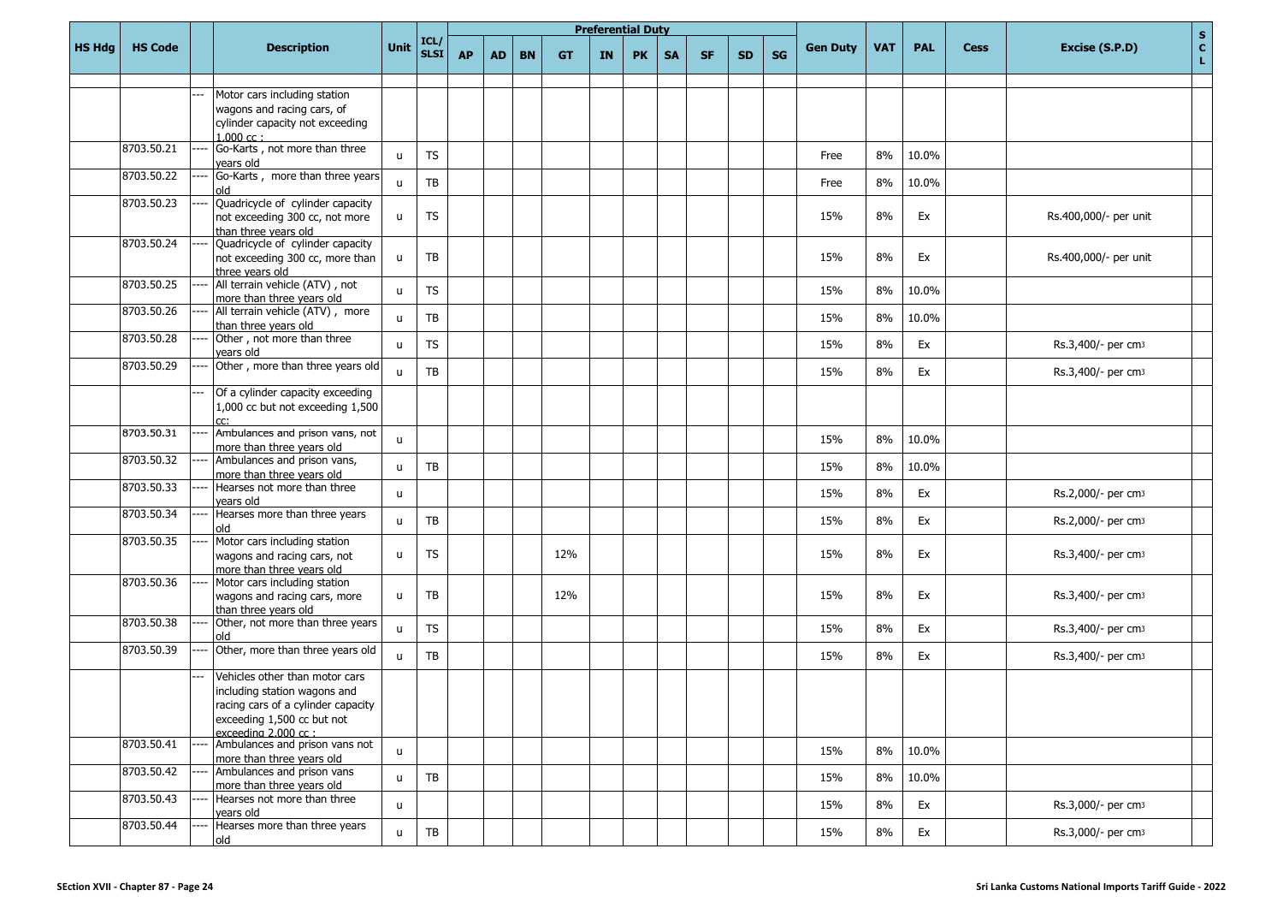|               |                |                                                                |              |                     |           |           |           |           |           | <b>Preferential Duty</b> |           |           |           |           |                 |            |            |             |                                | $\mathbf{s}$                    |
|---------------|----------------|----------------------------------------------------------------|--------------|---------------------|-----------|-----------|-----------|-----------|-----------|--------------------------|-----------|-----------|-----------|-----------|-----------------|------------|------------|-------------|--------------------------------|---------------------------------|
| <b>HS Hdg</b> | <b>HS Code</b> | <b>Description</b>                                             | Unit         | ICL/<br><b>SLSI</b> | <b>AP</b> | <b>AD</b> | <b>BN</b> | <b>GT</b> | <b>IN</b> | <b>PK</b>                | <b>SA</b> | <b>SF</b> | <b>SD</b> | <b>SG</b> | <b>Gen Duty</b> | <b>VAT</b> | <b>PAL</b> | <b>Cess</b> | Excise (S.P.D)                 | $\frac{\mathsf{c}}{\mathsf{L}}$ |
|               |                |                                                                |              |                     |           |           |           |           |           |                          |           |           |           |           |                 |            |            |             |                                |                                 |
|               |                | Motor cars including station<br>wagons and racing cars, of     |              |                     |           |           |           |           |           |                          |           |           |           |           |                 |            |            |             |                                |                                 |
|               |                | cylinder capacity not exceeding                                |              |                     |           |           |           |           |           |                          |           |           |           |           |                 |            |            |             |                                |                                 |
|               |                | $1.000 \text{ cc}$ :                                           |              |                     |           |           |           |           |           |                          |           |           |           |           |                 |            |            |             |                                |                                 |
|               | 8703.50.21     | Go-Karts, not more than three                                  | $\mathsf{u}$ | <b>TS</b>           |           |           |           |           |           |                          |           |           |           |           | Free            | 8%         | 10.0%      |             |                                |                                 |
|               |                | vears old                                                      |              |                     |           |           |           |           |           |                          |           |           |           |           |                 |            |            |             |                                |                                 |
|               | 8703.50.22     | Go-Karts, more than three years<br>blo                         | $\mathsf{u}$ | TB                  |           |           |           |           |           |                          |           |           |           |           | Free            | 8%         | 10.0%      |             |                                |                                 |
|               | 8703.50.23     | Quadricycle of cylinder capacity                               |              |                     |           |           |           |           |           |                          |           |           |           |           |                 |            |            |             |                                |                                 |
|               |                | not exceeding 300 cc, not more                                 | u.           | <b>TS</b>           |           |           |           |           |           |                          |           |           |           |           | 15%             | 8%         | Ex         |             | Rs.400,000/- per unit          |                                 |
|               |                | than three years old                                           |              |                     |           |           |           |           |           |                          |           |           |           |           |                 |            |            |             |                                |                                 |
|               | 8703.50.24     | Quadricycle of cylinder capacity                               |              |                     |           |           |           |           |           |                          |           |           |           |           |                 |            |            |             |                                |                                 |
|               |                | not exceeding 300 cc, more than                                | $\mathsf{u}$ | TB                  |           |           |           |           |           |                          |           |           |           |           | 15%             | 8%         | Ex         |             | Rs.400,000/- per unit          |                                 |
|               | 8703.50.25     | three vears old<br>All terrain vehicle (ATV), not              |              |                     |           |           |           |           |           |                          |           |           |           |           |                 |            |            |             |                                |                                 |
|               |                | more than three years old                                      | $\mathsf{u}$ | <b>TS</b>           |           |           |           |           |           |                          |           |           |           |           | 15%             | 8%         | 10.0%      |             |                                |                                 |
|               | 8703.50.26     | All terrain vehicle (ATV), more                                | $\mathsf{u}$ | TB                  |           |           |           |           |           |                          |           |           |           |           | 15%             | 8%         | 10.0%      |             |                                |                                 |
|               |                | than three years old                                           |              |                     |           |           |           |           |           |                          |           |           |           |           |                 |            |            |             |                                |                                 |
|               | 8703.50.28     | Other, not more than three                                     | $\mathsf{u}$ | <b>TS</b>           |           |           |           |           |           |                          |           |           |           |           | 15%             | 8%         | Ex         |             | Rs.3,400/- per cm3             |                                 |
|               | 8703.50.29     | years old<br>Other, more than three years old                  |              |                     |           |           |           |           |           |                          |           |           |           |           |                 |            |            |             |                                |                                 |
|               |                |                                                                | $\mathbf{u}$ | TB                  |           |           |           |           |           |                          |           |           |           |           | 15%             | 8%         | Ex         |             | Rs.3,400/- per cm3             |                                 |
|               |                | Of a cylinder capacity exceeding                               |              |                     |           |           |           |           |           |                          |           |           |           |           |                 |            |            |             |                                |                                 |
|               |                | 1,000 cc but not exceeding 1,500                               |              |                     |           |           |           |           |           |                          |           |           |           |           |                 |            |            |             |                                |                                 |
|               |                |                                                                |              |                     |           |           |           |           |           |                          |           |           |           |           |                 |            |            |             |                                |                                 |
|               | 8703.50.31     | Ambulances and prison vans, not<br>more than three vears old   | $\mathsf{u}$ |                     |           |           |           |           |           |                          |           |           |           |           | 15%             | 8%         | 10.0%      |             |                                |                                 |
|               | 8703.50.32     | Ambulances and prison vans,                                    |              |                     |           |           |           |           |           |                          |           |           |           |           |                 |            |            |             |                                |                                 |
|               |                | more than three years old                                      | u            | TB                  |           |           |           |           |           |                          |           |           |           |           | 15%             | 8%         | 10.0%      |             |                                |                                 |
|               | 8703.50.33     | Hearses not more than three                                    | u.           |                     |           |           |           |           |           |                          |           |           |           |           | 15%             | 8%         | Ex         |             | Rs.2,000/- per cm3             |                                 |
|               |                | vears old                                                      |              |                     |           |           |           |           |           |                          |           |           |           |           |                 |            |            |             |                                |                                 |
|               | 8703.50.34     | Hearses more than three years<br>blc                           | $\mathsf{u}$ | TB                  |           |           |           |           |           |                          |           |           |           |           | 15%             | 8%         | Ex         |             | Rs.2,000/- per cm3             |                                 |
|               | 8703.50.35     | Motor cars including station                                   |              |                     |           |           |           |           |           |                          |           |           |           |           |                 |            |            |             |                                |                                 |
|               |                | wagons and racing cars, not                                    | u            | <b>TS</b>           |           |           |           | 12%       |           |                          |           |           |           |           | 15%             | 8%         | Ex         |             | Rs.3,400/- per cm3             |                                 |
|               |                | more than three years old                                      |              |                     |           |           |           |           |           |                          |           |           |           |           |                 |            |            |             |                                |                                 |
|               | 8703.50.36     | Motor cars including station                                   |              |                     |           |           |           |           |           |                          |           |           |           |           |                 |            |            |             |                                |                                 |
|               |                | wagons and racing cars, more<br>than three years old           | $\mathsf{u}$ | TB                  |           |           |           | 12%       |           |                          |           |           |           |           | 15%             | 8%         | Ex         |             | Rs.3,400/- per cm3             |                                 |
|               | 8703.50.38     | Other, not more than three years                               |              |                     |           |           |           |           |           |                          |           |           |           |           |                 |            |            |             |                                |                                 |
|               |                | old                                                            | $\mathbf{u}$ | <b>TS</b>           |           |           |           |           |           |                          |           |           |           |           | 15%             | 8%         | Ex         |             | Rs.3,400/- per cm3             |                                 |
|               | 8703.50.39     | Other, more than three years old                               | $\mathsf{u}$ | TB                  |           |           |           |           |           |                          |           |           |           |           | 15%             | 8%         | Ex         |             | Rs.3,400/- per cm3             |                                 |
|               |                |                                                                |              |                     |           |           |           |           |           |                          |           |           |           |           |                 |            |            |             |                                |                                 |
|               |                | Vehicles other than motor cars<br>including station wagons and |              |                     |           |           |           |           |           |                          |           |           |           |           |                 |            |            |             |                                |                                 |
|               |                | racing cars of a cylinder capacity                             |              |                     |           |           |           |           |           |                          |           |           |           |           |                 |            |            |             |                                |                                 |
|               |                | exceeding 1,500 cc but not                                     |              |                     |           |           |           |           |           |                          |           |           |           |           |                 |            |            |             |                                |                                 |
|               |                | exceeding 2.000 cc:                                            |              |                     |           |           |           |           |           |                          |           |           |           |           |                 |            |            |             |                                |                                 |
|               | 8703.50.41     | Ambulances and prison vans not                                 | $\mathsf{u}$ |                     |           |           |           |           |           |                          |           |           |           |           | 15%             | 8%         | 10.0%      |             |                                |                                 |
|               | 8703.50.42     | more than three years old<br>Ambulances and prison vans        |              |                     |           |           |           |           |           |                          |           |           |           |           |                 |            |            |             |                                |                                 |
|               |                | more than three vears old                                      | u            | TB                  |           |           |           |           |           |                          |           |           |           |           | 15%             | 8%         | 10.0%      |             |                                |                                 |
|               | 8703.50.43     | Hearses not more than three                                    |              |                     |           |           |           |           |           |                          |           |           |           |           |                 |            |            |             |                                |                                 |
|               |                | years old                                                      | u.           |                     |           |           |           |           |           |                          |           |           |           |           | 15%             | 8%         | Ex         |             | Rs.3,000/- per cm <sub>3</sub> |                                 |
|               | 8703.50.44     | Hearses more than three years                                  | $\mathbf{u}$ | TB                  |           |           |           |           |           |                          |           |           |           |           | 15%             | 8%         | Ex         |             | Rs.3,000/- per cm <sub>3</sub> |                                 |
|               |                | old                                                            |              |                     |           |           |           |           |           |                          |           |           |           |           |                 |            |            |             |                                |                                 |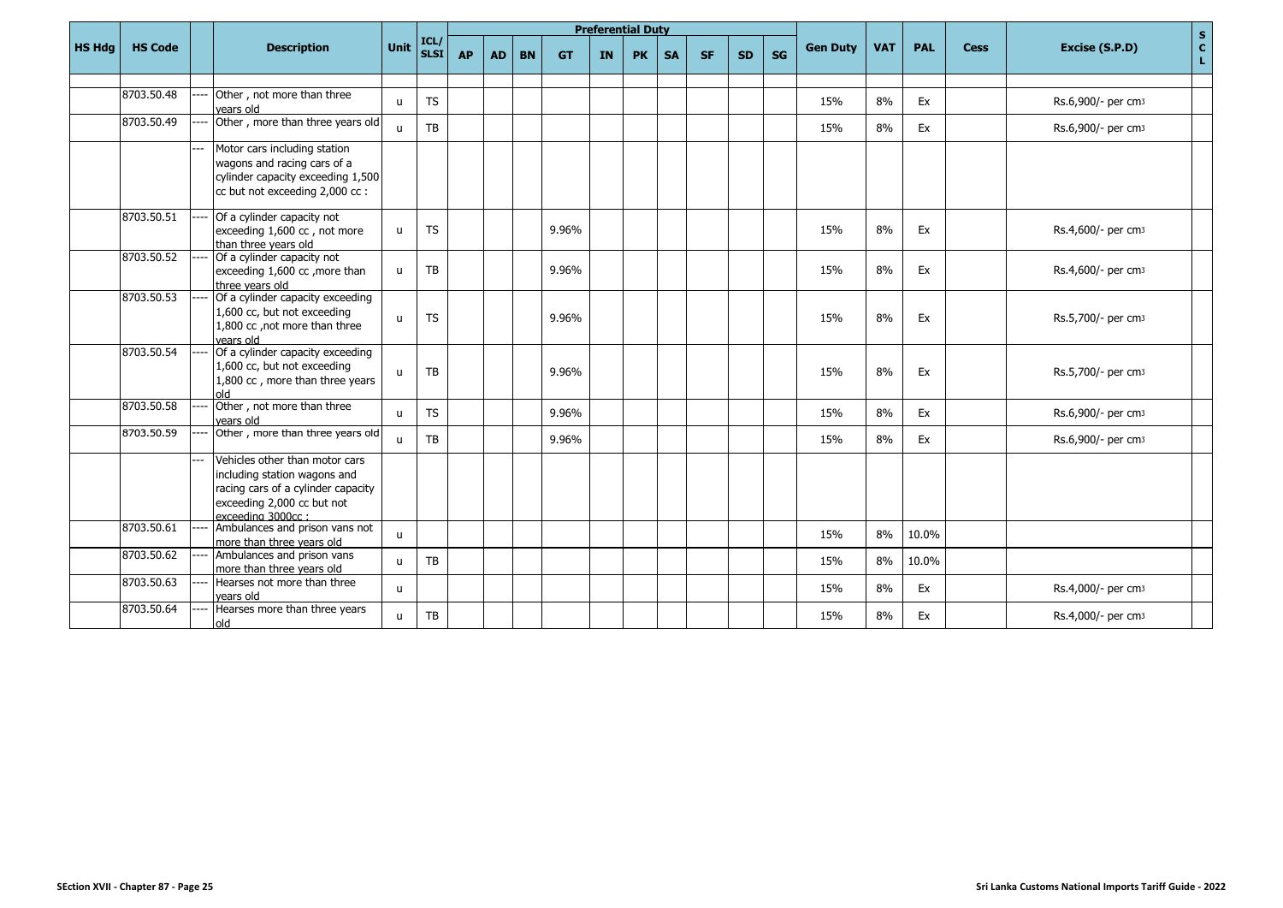|               |                |                                                                                                                                                         |              |                     |           |           |           |           |           | <b>Preferential Duty</b> |           |           |           |    |                 |            |            |             | $\mathbf S$                                   |
|---------------|----------------|---------------------------------------------------------------------------------------------------------------------------------------------------------|--------------|---------------------|-----------|-----------|-----------|-----------|-----------|--------------------------|-----------|-----------|-----------|----|-----------------|------------|------------|-------------|-----------------------------------------------|
| <b>HS Hdg</b> | <b>HS Code</b> | <b>Description</b>                                                                                                                                      | Unit         | ICL/<br><b>SLST</b> | <b>AP</b> | <b>AD</b> | <b>BN</b> | <b>GT</b> | <b>IN</b> | <b>PK</b>                | <b>SA</b> | <b>SF</b> | <b>SD</b> | SG | <b>Gen Duty</b> | <b>VAT</b> | <b>PAL</b> | <b>Cess</b> | $\mathbf{C}$<br>Excise (S.P.D)<br>$\mathbf L$ |
|               |                |                                                                                                                                                         |              |                     |           |           |           |           |           |                          |           |           |           |    |                 |            |            |             |                                               |
|               | 8703.50.48     | Other, not more than three<br>vears old                                                                                                                 | $\mathbf{H}$ | <b>TS</b>           |           |           |           |           |           |                          |           |           |           |    | 15%             | 8%         | Ex         |             | Rs.6,900/- per cm3                            |
|               | 8703.50.49     | Other, more than three years old                                                                                                                        | $\mathbf{H}$ | <b>TB</b>           |           |           |           |           |           |                          |           |           |           |    | 15%             | 8%         | Ex         |             | Rs.6,900/- per cm3                            |
|               |                | Motor cars including station<br>wagons and racing cars of a<br>cylinder capacity exceeding 1,500<br>cc but not exceeding 2,000 cc :                     |              |                     |           |           |           |           |           |                          |           |           |           |    |                 |            |            |             |                                               |
|               | 8703.50.51     | Of a cylinder capacity not<br>exceeding 1,600 cc, not more<br>than three vears old                                                                      | u            | <b>TS</b>           |           |           |           | 9.96%     |           |                          |           |           |           |    | 15%             | 8%         | Ex         |             | Rs.4,600/- per cm3                            |
|               | 8703.50.52     | Of a cylinder capacity not<br>exceeding 1,600 cc, more than<br>three vears old                                                                          | u            | TB                  |           |           |           | 9.96%     |           |                          |           |           |           |    | 15%             | 8%         | Ex         |             | Rs.4,600/- per cm3                            |
|               | 8703.50.53     | Of a cylinder capacity exceeding<br>1,600 cc, but not exceeding<br>1,800 cc , not more than three<br>vears old                                          | $\mathbf{u}$ | <b>TS</b>           |           |           |           | 9.96%     |           |                          |           |           |           |    | 15%             | 8%         | Ex         |             | Rs.5,700/- per cm3                            |
|               | 8703.50.54     | Of a cylinder capacity exceeding<br>1,600 cc, but not exceeding<br>1,800 cc, more than three years<br>hlo                                               | $\mathbf{u}$ | TB                  |           |           |           | 9.96%     |           |                          |           |           |           |    | 15%             | 8%         | Ex         |             | Rs.5,700/- per cm3                            |
|               | 8703.50.58     | Other, not more than three<br>years old                                                                                                                 | $\mathbf{H}$ | <b>TS</b>           |           |           |           | 9.96%     |           |                          |           |           |           |    | 15%             | 8%         | Ex         |             | Rs.6,900/- per cm3                            |
|               | 8703.50.59     | Other, more than three years old                                                                                                                        | $\mathbf{H}$ | <b>TB</b>           |           |           |           | 9.96%     |           |                          |           |           |           |    | 15%             | 8%         | Ex         |             | Rs.6,900/- per cm3                            |
|               |                | Vehicles other than motor cars<br>including station wagons and<br>racing cars of a cylinder capacity<br>exceeding 2,000 cc but not<br>exceeding 3000cc: |              |                     |           |           |           |           |           |                          |           |           |           |    |                 |            |            |             |                                               |
|               | 8703.50.61     | Ambulances and prison vans not<br>more than three vears old                                                                                             | $\mathbf{u}$ |                     |           |           |           |           |           |                          |           |           |           |    | 15%             | 8%         | 10.0%      |             |                                               |
|               | 8703.50.62     | Ambulances and prison vans<br>more than three years old                                                                                                 | $\mathbf{u}$ | TB                  |           |           |           |           |           |                          |           |           |           |    | 15%             | 8%         | 10.0%      |             |                                               |
|               | 8703.50.63     | Hearses not more than three<br>vears old                                                                                                                | $\mathbf{u}$ |                     |           |           |           |           |           |                          |           |           |           |    | 15%             | 8%         | Ex         |             | Rs.4,000/- per cm3                            |
|               | 8703.50.64     | Hearses more than three years<br>old                                                                                                                    | $\mathbf{u}$ | TB                  |           |           |           |           |           |                          |           |           |           |    | 15%             | 8%         | Ex         |             | Rs.4,000/- per cm3                            |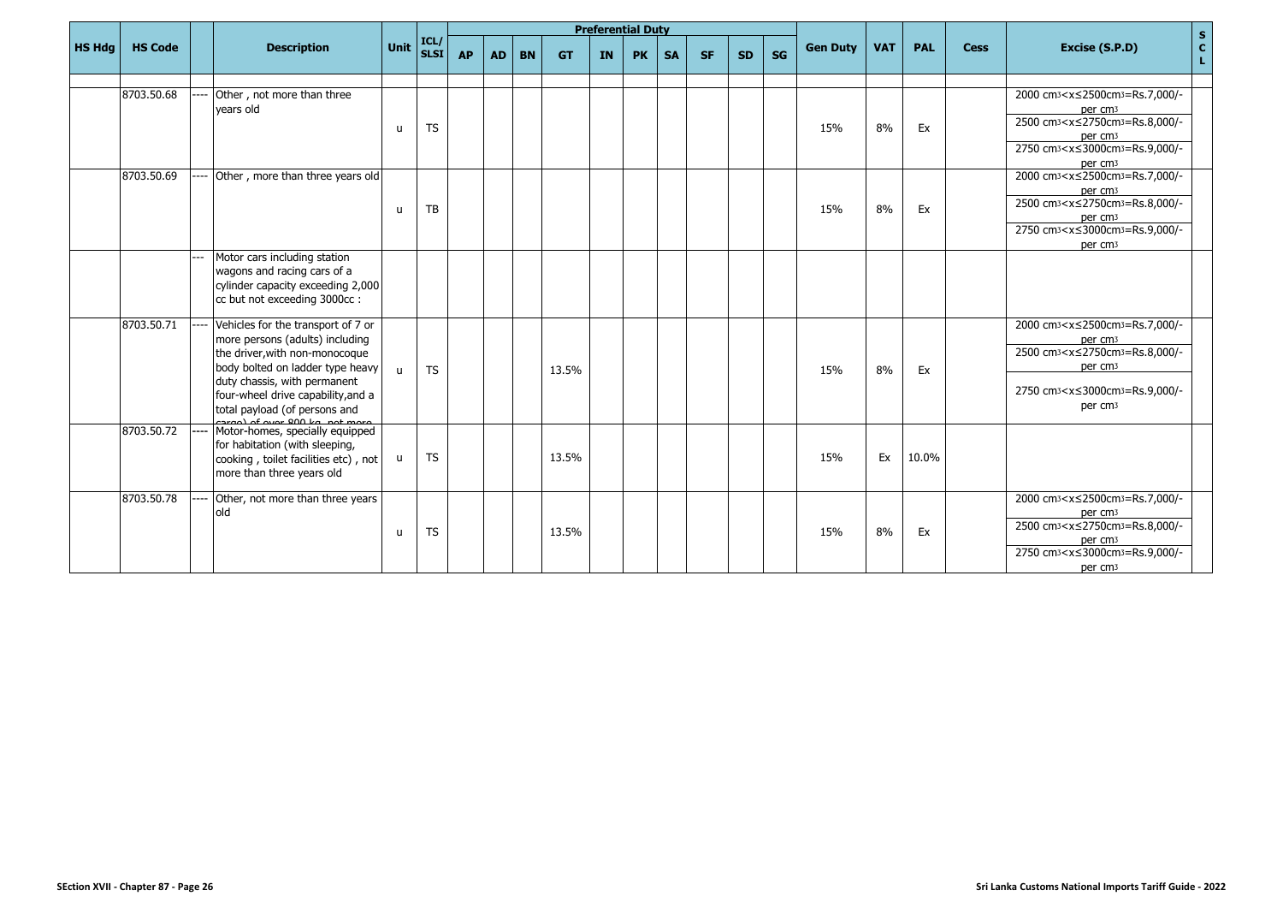|               |                |                                                                                                                                                                                                                                                                            |              |             |           |           |           |           |           | <b>Preferential Duty</b> |           |           |           |           |                 |            |            |             |                                                                                                                                                                                                                                                                                              |                     |
|---------------|----------------|----------------------------------------------------------------------------------------------------------------------------------------------------------------------------------------------------------------------------------------------------------------------------|--------------|-------------|-----------|-----------|-----------|-----------|-----------|--------------------------|-----------|-----------|-----------|-----------|-----------------|------------|------------|-------------|----------------------------------------------------------------------------------------------------------------------------------------------------------------------------------------------------------------------------------------------------------------------------------------------|---------------------|
| <b>HS Hdg</b> | <b>HS Code</b> | <b>Description</b>                                                                                                                                                                                                                                                         | Unit ICL/    | <b>SLSI</b> | <b>AP</b> | <b>AD</b> | <b>BN</b> | <b>GT</b> | <b>IN</b> | <b>PK</b>                | <b>SA</b> | <b>SF</b> | <b>SD</b> | <b>SG</b> | <b>Gen Duty</b> | <b>VAT</b> | <b>PAL</b> | <b>Cess</b> | Excise (S.P.D)                                                                                                                                                                                                                                                                               | $\frac{s}{c}$<br>L. |
|               |                |                                                                                                                                                                                                                                                                            |              |             |           |           |           |           |           |                          |           |           |           |           |                 |            |            |             |                                                                                                                                                                                                                                                                                              |                     |
|               | 8703.50.68     | Other, not more than three<br>vears old                                                                                                                                                                                                                                    | u            | TS          |           |           |           |           |           |                          |           |           |           |           | 15%             | 8%         | Ex         |             | 2000 cm <sub>3</sub> <x≤2500cm<sub>3=Rs.7,000/-<br/>per cm<sub>3</sub><br/>2500 cm<sub>3</sub><x≤2750cm<sub>3=Rs.8,000/-<br/>per cm<sub>3</sub></x≤2750cm<sub></x≤2500cm<sub>                                                                                                                |                     |
|               |                |                                                                                                                                                                                                                                                                            |              |             |           |           |           |           |           |                          |           |           |           |           |                 |            |            |             | 2750 cm <sub>3</sub> <x≤3000cm<sub>3=Rs.9,000/-</x≤3000cm<sub>                                                                                                                                                                                                                               |                     |
|               | 8703.50.69     | Other, more than three years old                                                                                                                                                                                                                                           | u            | TB          |           |           |           |           |           |                          |           |           |           |           | 15%             | 8%         | Ex         |             | per cm <sub>3</sub><br>2000 cm <sub>3</sub> <x≤2500cm<sub>3=Rs.7,000/-<br/>per cm<sub>3</sub><br/>2500 cm<sub>3</sub><x≤2750cm<sub>3=Rs.8,000/-<br/>per cm<sub>3</sub><br/>2750 cm<sub>3</sub><x≤3000cm<sub>3=Rs.9,000/-<br/>per cm<sub>3</sub></x≤3000cm<sub></x≤2750cm<sub></x≤2500cm<sub> |                     |
|               |                | Motor cars including station<br>wagons and racing cars of a<br>cylinder capacity exceeding 2,000<br>cc but not exceeding 3000cc:                                                                                                                                           |              |             |           |           |           |           |           |                          |           |           |           |           |                 |            |            |             |                                                                                                                                                                                                                                                                                              |                     |
|               | 8703.50.71     | Vehicles for the transport of 7 or<br>more persons (adults) including<br>the driver, with non-monocoque<br>body bolted on ladder type heavy<br>duty chassis, with permanent<br>four-wheel drive capability, and a<br>total payload (of persons and<br>$201$ of over 200 kg | $\mathbf{H}$ | <b>TS</b>   |           |           |           | 13.5%     |           |                          |           |           |           |           | 15%             | 8%         | Ex         |             | 2000 cm <sub>3</sub> <x≤2500cm<sub>3=Rs.7,000/-<br/>per cm<sub>3</sub><br/>2500 cm<sub>3</sub><x≤2750cm<sub>3=Rs.8,000/-<br/>per cm<sub>3</sub><br/>2750 cm<sub>3</sub><x≤3000cm<sub>3=Rs.9,000/-<br/>per cm<sub>3</sub></x≤3000cm<sub></x≤2750cm<sub></x≤2500cm<sub>                        |                     |
|               | 8703.50.72     | Motor-homes, specially equipped<br>for habitation (with sleeping,<br>cooking, toilet facilities etc), not<br>more than three years old                                                                                                                                     | u            | <b>TS</b>   |           |           |           | 13.5%     |           |                          |           |           |           |           | 15%             | Ex         | 10.0%      |             |                                                                                                                                                                                                                                                                                              |                     |
|               | 8703.50.78     | Other, not more than three years<br>old                                                                                                                                                                                                                                    | u            | <b>TS</b>   |           |           |           | 13.5%     |           |                          |           |           |           |           | 15%             | 8%         | Ex         |             | 2000 cm <sub>3</sub> <x≤2500cm<sub>3=Rs.7,000/-<br/>per cm<sub>3</sub><br/>2500 cm<sub>3</sub><x≤2750cm<sub>3=Rs.8,000/-<br/>per cm<sub>3</sub><br/>2750 cm<sub>3</sub><x≤3000cm<sub>3=Rs.9,000/-<br/>per cm<sub>3</sub></x≤3000cm<sub></x≤2750cm<sub></x≤2500cm<sub>                        |                     |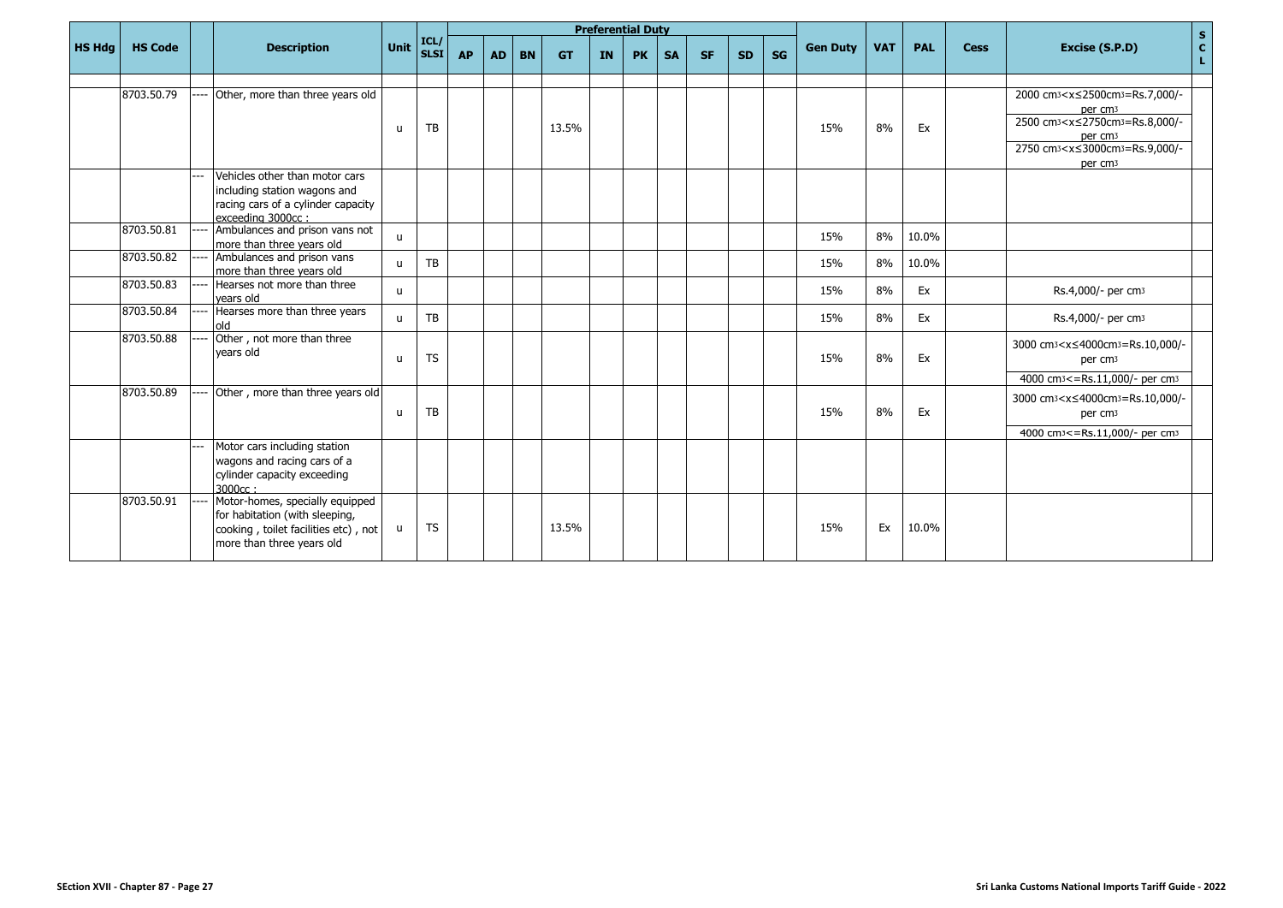|               |                |                                                                   |              |                           |           |           |           |           |           | <b>Preferential Duty</b> |           |           |           |           |                 |            |            |             |                                                                                        | $\mathbf S$       |
|---------------|----------------|-------------------------------------------------------------------|--------------|---------------------------|-----------|-----------|-----------|-----------|-----------|--------------------------|-----------|-----------|-----------|-----------|-----------------|------------|------------|-------------|----------------------------------------------------------------------------------------|-------------------|
| <b>HS Hdg</b> | <b>HS Code</b> | <b>Description</b>                                                | Unit         | ICL/<br>SLSI <sup>I</sup> | <b>AP</b> | <b>AD</b> | <b>BN</b> | <b>GT</b> | <b>IN</b> | <b>PK</b>                | <b>SA</b> | <b>SF</b> | <b>SD</b> | <b>SG</b> | <b>Gen Duty</b> | <b>VAT</b> | <b>PAL</b> | <b>Cess</b> | Excise (S.P.D)                                                                         | $\mathbf{c}$<br>L |
|               |                |                                                                   |              |                           |           |           |           |           |           |                          |           |           |           |           |                 |            |            |             |                                                                                        |                   |
|               | 8703.50.79     | Other, more than three years old                                  |              |                           |           |           |           |           |           |                          |           |           |           |           |                 |            |            |             | 2000 cm <sub>3</sub> <x≤2500cm<sub>3=Rs.7,000/-<br/>per cm<sub>3</sub></x≤2500cm<sub>  |                   |
|               |                |                                                                   | u            | TB                        |           |           |           | 13.5%     |           |                          |           |           |           |           | 15%             | 8%         | Ex         |             | 2500 cm <sup>3</sup> < x ≤ 2750 cm <sup>3</sup> = Rs.8,000/-                           |                   |
|               |                |                                                                   |              |                           |           |           |           |           |           |                          |           |           |           |           |                 |            |            |             | per cm <sub>3</sub><br>2750 cm <sub>3</sub> <x≤3000cm<sub>3=Rs.9,000/-</x≤3000cm<sub>  |                   |
|               |                | Vehicles other than motor cars                                    |              |                           |           |           |           |           |           |                          |           |           |           |           |                 |            |            |             | per cm <sub>3</sub>                                                                    |                   |
|               |                | including station wagons and                                      |              |                           |           |           |           |           |           |                          |           |           |           |           |                 |            |            |             |                                                                                        |                   |
|               |                | racing cars of a cylinder capacity<br>exceeding 3000cc:           |              |                           |           |           |           |           |           |                          |           |           |           |           |                 |            |            |             |                                                                                        |                   |
|               | 8703.50.81     | Ambulances and prison vans not<br>more than three years old       | $\mathbf{u}$ |                           |           |           |           |           |           |                          |           |           |           |           | 15%             | 8%         | 10.0%      |             |                                                                                        |                   |
|               | 8703.50.82     | Ambulances and prison vans<br>more than three years old           | $\mathbf{u}$ | TB                        |           |           |           |           |           |                          |           |           |           |           | 15%             | 8%         | 10.0%      |             |                                                                                        |                   |
|               | 8703.50.83     | Hearses not more than three<br>vears old                          | $\mathbf{u}$ |                           |           |           |           |           |           |                          |           |           |           |           | 15%             | 8%         | Ex         |             | Rs.4,000/- per cm <sub>3</sub>                                                         |                   |
|               | 8703.50.84     | Hearses more than three years<br>old                              | $\mathbf{u}$ | TB                        |           |           |           |           |           |                          |           |           |           |           | 15%             | 8%         | Ex         |             | Rs.4,000/- per cm <sub>3</sub>                                                         |                   |
|               | 8703.50.88     | Other, not more than three<br>vears old                           | u            | <b>TS</b>                 |           |           |           |           |           |                          |           |           |           |           | 15%             | 8%         | Ex         |             | 3000 cm <sub>3</sub> <x≤4000cm<sub>3=Rs.10,000/-<br/>per cm<sub>3</sub></x≤4000cm<sub> |                   |
|               |                |                                                                   |              |                           |           |           |           |           |           |                          |           |           |           |           |                 |            |            |             | 4000 cm <sup>3</sup> <= Rs.11,000/- per cm <sup>3</sup>                                |                   |
|               | 8703.50.89     | Other, more than three years old                                  |              |                           |           |           |           |           |           |                          |           |           |           |           |                 |            |            |             | 3000 cm <sup>3</sup> < x ≤ 4000cm <sup>3</sup> = Rs.10,000/-                           |                   |
|               |                |                                                                   | u            | TB                        |           |           |           |           |           |                          |           |           |           |           | 15%             | 8%         | Ex         |             | per cm <sub>3</sub>                                                                    |                   |
|               |                | Motor cars including station                                      |              |                           |           |           |           |           |           |                          |           |           |           |           |                 |            |            |             | 4000 cm <sup>3</sup> <= Rs.11,000/- per cm <sup>3</sup>                                |                   |
|               |                | wagons and racing cars of a                                       |              |                           |           |           |           |           |           |                          |           |           |           |           |                 |            |            |             |                                                                                        |                   |
|               |                | cylinder capacity exceeding<br>3000cc:                            |              |                           |           |           |           |           |           |                          |           |           |           |           |                 |            |            |             |                                                                                        |                   |
|               | 8703.50.91     | Motor-homes, specially equipped<br>for habitation (with sleeping, |              |                           |           |           |           |           |           |                          |           |           |           |           |                 |            |            |             |                                                                                        |                   |
|               |                | cooking, toilet facilities etc), not<br>more than three years old | u            | <b>TS</b>                 |           |           |           | 13.5%     |           |                          |           |           |           |           | 15%             | Ex         | 10.0%      |             |                                                                                        |                   |
|               |                |                                                                   |              |                           |           |           |           |           |           |                          |           |           |           |           |                 |            |            |             |                                                                                        |                   |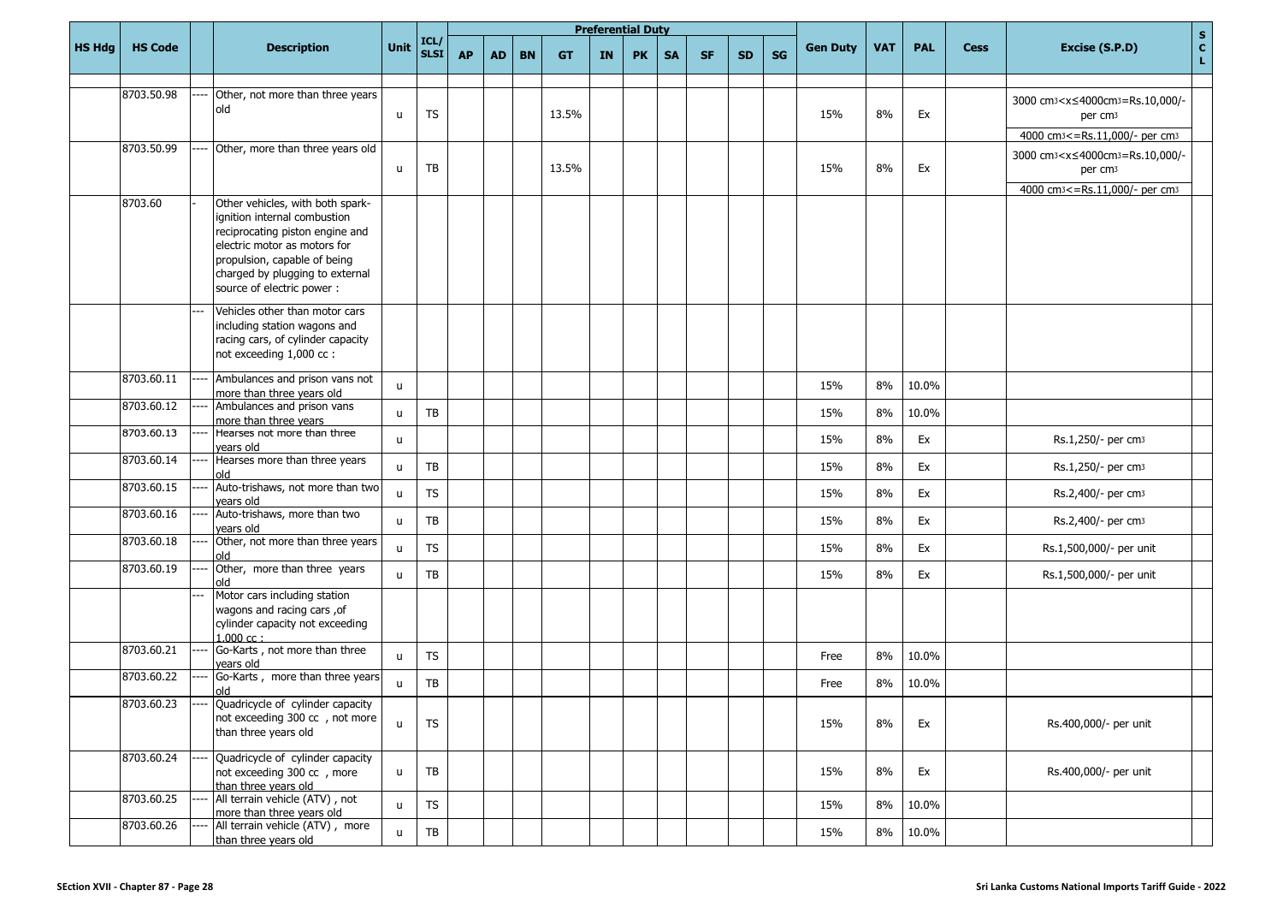|               |                |                                                                                                                                                                                                                                      |              |                        |           |           |           |           |           | <b>Preferential Duty</b> |           |           |           |           |                 |            |            |             |                                                                                        |                    |
|---------------|----------------|--------------------------------------------------------------------------------------------------------------------------------------------------------------------------------------------------------------------------------------|--------------|------------------------|-----------|-----------|-----------|-----------|-----------|--------------------------|-----------|-----------|-----------|-----------|-----------------|------------|------------|-------------|----------------------------------------------------------------------------------------|--------------------|
| <b>HS Hdg</b> | <b>HS Code</b> | <b>Description</b>                                                                                                                                                                                                                   | Unit         | ICL/<br><b>SLSI</b>    | <b>AP</b> | <b>AD</b> | <b>BN</b> | <b>GT</b> | <b>IN</b> | <b>PK</b>                | <b>SA</b> | <b>SF</b> | <b>SD</b> | <b>SG</b> | <b>Gen Duty</b> | <b>VAT</b> | <b>PAL</b> | <b>Cess</b> | Excise (S.P.D)                                                                         | $\frac{s}{c}$<br>L |
|               |                |                                                                                                                                                                                                                                      |              |                        |           |           |           |           |           |                          |           |           |           |           |                 |            |            |             |                                                                                        |                    |
|               | 8703.50.98     | Other, not more than three years<br>old                                                                                                                                                                                              | u            | <b>TS</b>              |           |           |           | 13.5%     |           |                          |           |           |           |           | 15%             | 8%         | Ex         |             | 3000 cm <sub>3</sub> <x≤4000cm<sub>3=Rs.10,000/-<br/>per cm<sub>3</sub></x≤4000cm<sub> |                    |
|               |                |                                                                                                                                                                                                                                      |              |                        |           |           |           |           |           |                          |           |           |           |           |                 |            |            |             | 4000 cm <sup>3</sup> <= Rs.11,000/- per cm <sup>3</sup>                                |                    |
|               | 8703.50.99     | Other, more than three years old                                                                                                                                                                                                     | u            | TB                     |           |           |           | 13.5%     |           |                          |           |           |           |           | 15%             | 8%         | Ex         |             | 3000 cm <sub>3</sub> <x≤4000cm<sub>3=Rs.10,000/-<br/>per cm<sub>3</sub></x≤4000cm<sub> |                    |
|               |                |                                                                                                                                                                                                                                      |              |                        |           |           |           |           |           |                          |           |           |           |           |                 |            |            |             | 4000 cm <sup>3</sup> <= Rs.11,000/- per cm <sup>3</sup>                                |                    |
|               | 8703.60        | Other vehicles, with both spark-<br>ignition internal combustion<br>reciprocating piston engine and<br>electric motor as motors for<br>propulsion, capable of being<br>charged by plugging to external<br>source of electric power : |              |                        |           |           |           |           |           |                          |           |           |           |           |                 |            |            |             |                                                                                        |                    |
|               |                | Vehicles other than motor cars<br>including station wagons and<br>racing cars, of cylinder capacity<br>not exceeding 1,000 cc :                                                                                                      |              |                        |           |           |           |           |           |                          |           |           |           |           |                 |            |            |             |                                                                                        |                    |
|               | 8703.60.11     | Ambulances and prison vans not<br>more than three years old                                                                                                                                                                          | u            |                        |           |           |           |           |           |                          |           |           |           |           | 15%             | 8%         | 10.0%      |             |                                                                                        |                    |
|               | 8703.60.12     | Ambulances and prison vans<br>more than three years                                                                                                                                                                                  | u            | TB                     |           |           |           |           |           |                          |           |           |           |           | 15%             | 8%         | 10.0%      |             |                                                                                        |                    |
|               | 8703.60.13     | Hearses not more than three<br>vears old                                                                                                                                                                                             | u            |                        |           |           |           |           |           |                          |           |           |           |           | 15%             | 8%         | Ex         |             | Rs.1,250/- per cm3                                                                     |                    |
|               | 8703.60.14     | Hearses more than three years<br>old                                                                                                                                                                                                 | u            | TB                     |           |           |           |           |           |                          |           |           |           |           | 15%             | 8%         | Ex         |             | Rs.1,250/- per cm3                                                                     |                    |
|               | 8703.60.15     | Auto-trishaws, not more than two<br>vears old                                                                                                                                                                                        | u            | <b>TS</b>              |           |           |           |           |           |                          |           |           |           |           | 15%             | 8%         | Ex         |             | Rs.2,400/- per cm <sub>3</sub>                                                         |                    |
|               | 8703.60.16     | Auto-trishaws, more than two<br>vears old                                                                                                                                                                                            | u            | TB                     |           |           |           |           |           |                          |           |           |           |           | 15%             | 8%         | Ex         |             | Rs.2,400/- per cm <sub>3</sub>                                                         |                    |
|               | 8703.60.18     | Other, not more than three years<br>old                                                                                                                                                                                              | u            | <b>TS</b>              |           |           |           |           |           |                          |           |           |           |           | 15%             | 8%         | Ex         |             | Rs.1,500,000/- per unit                                                                |                    |
|               | 8703.60.19     | Other, more than three years<br>old                                                                                                                                                                                                  | u            | TB                     |           |           |           |           |           |                          |           |           |           |           | 15%             | 8%         | Ex         |             | Rs.1,500,000/- per unit                                                                |                    |
|               |                | Motor cars including station<br>wagons and racing cars, of<br>cylinder capacity not exceeding<br>$1.000$ cc:                                                                                                                         |              |                        |           |           |           |           |           |                          |           |           |           |           |                 |            |            |             |                                                                                        |                    |
|               | 8703.60.21     | Go-Karts, not more than three<br>vears old                                                                                                                                                                                           | $\mathsf{u}$ | <b>TS</b>              |           |           |           |           |           |                          |           |           |           |           | Free            | 8%         | 10.0%      |             |                                                                                        |                    |
|               | 8703.60.22     | Go-Karts, more than three years<br>old                                                                                                                                                                                               | u            | TB                     |           |           |           |           |           |                          |           |           |           |           | Free            | 8%         | 10.0%      |             |                                                                                        |                    |
|               | 8703.60.23     | Quadricycle of cylinder capacity<br>not exceeding 300 cc , not more<br>than three years old                                                                                                                                          | $\mathsf{u}$ | <b>TS</b>              |           |           |           |           |           |                          |           |           |           |           | 15%             | 8%         | Ex         |             | Rs.400,000/- per unit                                                                  |                    |
|               | 8703.60.24     | Quadricycle of cylinder capacity<br>not exceeding 300 cc, more<br>than three years old                                                                                                                                               | u            | TB                     |           |           |           |           |           |                          |           |           |           |           | 15%             | 8%         | Ex         |             | Rs.400,000/- per unit                                                                  |                    |
|               | 8703.60.25     | All terrain vehicle (ATV), not<br>more than three years old                                                                                                                                                                          | u            | <b>TS</b>              |           |           |           |           |           |                          |           |           |           |           | 15%             | 8%         | 10.0%      |             |                                                                                        |                    |
|               | 8703.60.26     | All terrain vehicle (ATV), more<br>than three years old                                                                                                                                                                              | u            | $\mathsf{T}\mathsf{B}$ |           |           |           |           |           |                          |           |           |           |           | 15%             | 8%         | 10.0%      |             |                                                                                        |                    |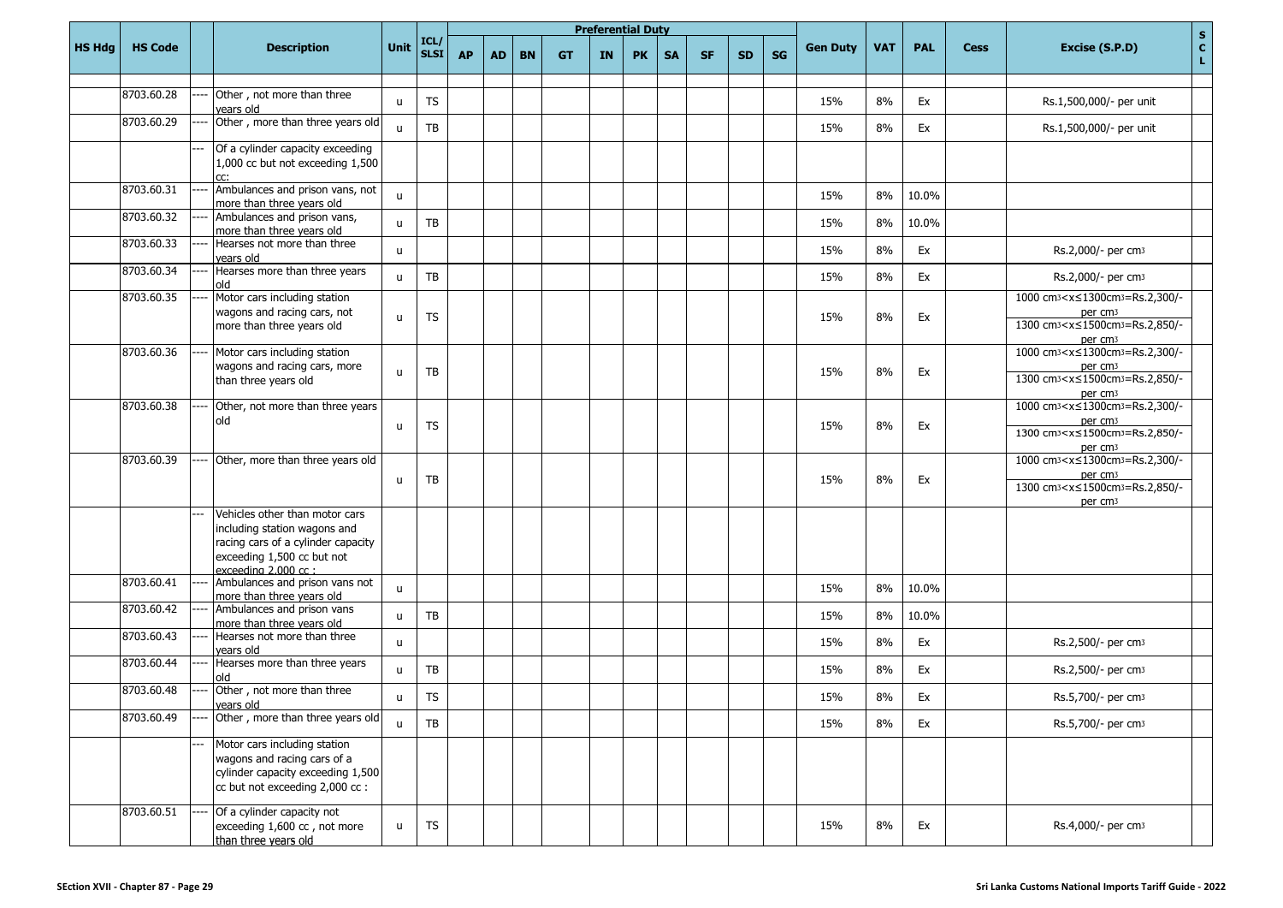|               |                |                                                                                                                                                           |              |                     |           |           |           |           |    | <b>Preferential Duty</b> |           |           |           |    |                 |            |            |             | $\mathbf S$                                                                                                                                                                   |
|---------------|----------------|-----------------------------------------------------------------------------------------------------------------------------------------------------------|--------------|---------------------|-----------|-----------|-----------|-----------|----|--------------------------|-----------|-----------|-----------|----|-----------------|------------|------------|-------------|-------------------------------------------------------------------------------------------------------------------------------------------------------------------------------|
| <b>HS Hdg</b> | <b>HS Code</b> | <b>Description</b>                                                                                                                                        | Unit         | ICL/<br><b>SLSI</b> | <b>AP</b> | <b>AD</b> | <b>BN</b> | <b>GT</b> | IN | <b>PK</b>                | <b>SA</b> | <b>SF</b> | <b>SD</b> | SG | <b>Gen Duty</b> | <b>VAT</b> | <b>PAL</b> | <b>Cess</b> | $\mathbf{c}$<br>Excise (S.P.D)<br>L.                                                                                                                                          |
|               |                |                                                                                                                                                           |              |                     |           |           |           |           |    |                          |           |           |           |    |                 |            |            |             |                                                                                                                                                                               |
|               | 8703.60.28     | Other, not more than three<br>vears old                                                                                                                   | $\mathsf{u}$ | <b>TS</b>           |           |           |           |           |    |                          |           |           |           |    | 15%             | 8%         | Ex         |             | Rs.1,500,000/- per unit                                                                                                                                                       |
|               | 8703.60.29     | Other, more than three years old                                                                                                                          | $\mathbf{u}$ | TB                  |           |           |           |           |    |                          |           |           |           |    | 15%             | 8%         | Ex         |             | Rs.1,500,000/- per unit                                                                                                                                                       |
|               |                | Of a cylinder capacity exceeding<br>1,000 cc but not exceeding 1,500                                                                                      |              |                     |           |           |           |           |    |                          |           |           |           |    |                 |            |            |             |                                                                                                                                                                               |
|               | 8703.60.31     | Ambulances and prison vans, not<br>more than three years old                                                                                              | $\mathbf{u}$ |                     |           |           |           |           |    |                          |           |           |           |    | 15%             | 8%         | 10.0%      |             |                                                                                                                                                                               |
|               | 8703.60.32     | Ambulances and prison vans,<br>more than three years old                                                                                                  | $\mathbf{u}$ | TB                  |           |           |           |           |    |                          |           |           |           |    | 15%             | 8%         | 10.0%      |             |                                                                                                                                                                               |
|               | 8703.60.33     | Hearses not more than three<br>vears old                                                                                                                  | $\mathbf{u}$ |                     |           |           |           |           |    |                          |           |           |           |    | 15%             | 8%         | Ex         |             | Rs.2,000/- per cm3                                                                                                                                                            |
|               | 8703.60.34     | Hearses more than three years<br>old                                                                                                                      | $\mathsf{u}$ | TB                  |           |           |           |           |    |                          |           |           |           |    | 15%             | 8%         | Ex         |             | Rs.2,000/- per cm3                                                                                                                                                            |
|               | 8703.60.35     | Motor cars including station<br>wagons and racing cars, not<br>more than three years old                                                                  | $\mathsf{u}$ | TS                  |           |           |           |           |    |                          |           |           |           |    | 15%             | 8%         | Ex         |             | 1000 cm <sup>3</sup> < x ≤ 1300 cm <sup>3</sup> = Rs.2,300/-<br>per cm <sub>3</sub><br>1300 cm <sub>3</sub> < x ≤ 1500 cm <sub>3</sub> = Rs. 2,850/-<br>per cm <sub>3</sub>   |
|               | 8703.60.36     | Motor cars including station<br>wagons and racing cars, more<br>than three years old                                                                      | $\mathsf{u}$ | TB                  |           |           |           |           |    |                          |           |           |           |    | 15%             | 8%         | Ex         |             | 1000 cm <sub>3</sub> < x ≤ 1300 cm <sub>3</sub> = Rs. 2, 300/-<br>per cm <sub>3</sub><br>1300 cm <sub>3</sub> < x ≤ 1500 cm <sub>3</sub> = Rs. 2,850/-<br>per cm <sub>3</sub> |
|               | 8703.60.38     | Other, not more than three years<br>old                                                                                                                   | $\mathsf{u}$ | <b>TS</b>           |           |           |           |           |    |                          |           |           |           |    | 15%             | 8%         | Ex         |             | 1000 cm <sub>3</sub> < x ≤ 1300 cm <sub>3</sub> = Rs.2,300/-<br>per cm <sub>3</sub><br>1300 cm <sub>3</sub> <x≤1500cm<sub>3=Rs.2,850/-<br/>per cm<sub>3</sub></x≤1500cm<sub>  |
|               | 8703.60.39     | Other, more than three years old                                                                                                                          | $\mathsf{u}$ | TB                  |           |           |           |           |    |                          |           |           |           |    | 15%             | 8%         | Ex         |             | 1000 cm <sub>3</sub> < x ≤ 1300 cm <sub>3</sub> = Rs.2,300/-<br>per cm <sub>3</sub><br>1300 cm <sup>3</sup> < x ≤ 1500 cm <sup>3</sup> = Rs. 2,850/-<br>per cm <sub>3</sub>   |
|               |                | Vehicles other than motor cars<br>including station wagons and<br>racing cars of a cylinder capacity<br>exceeding 1,500 cc but not<br>exceeding 2.000 cc: |              |                     |           |           |           |           |    |                          |           |           |           |    |                 |            |            |             |                                                                                                                                                                               |
|               | 8703.60.41     | Ambulances and prison vans not<br>more than three years old                                                                                               | $\mathsf{u}$ |                     |           |           |           |           |    |                          |           |           |           |    | 15%             | 8%         | 10.0%      |             |                                                                                                                                                                               |
|               | 8703.60.42     | Ambulances and prison vans<br>more than three years old                                                                                                   | $\mathsf{u}$ | TB                  |           |           |           |           |    |                          |           |           |           |    | 15%             | 8%         | 10.0%      |             |                                                                                                                                                                               |
|               | 8703.60.43     | Hearses not more than three<br>vears old                                                                                                                  | $\mathsf{u}$ |                     |           |           |           |           |    |                          |           |           |           |    | 15%             | 8%         | Ex         |             | Rs.2,500/- per cm3                                                                                                                                                            |
|               | 8703.60.44     | Hearses more than three years<br>old                                                                                                                      | $\mathsf{u}$ | TB                  |           |           |           |           |    |                          |           |           |           |    | 15%             | 8%         | Ex         |             | Rs.2,500/- per cm3                                                                                                                                                            |
|               | 8703.60.48     | Other, not more than three<br>vears old                                                                                                                   | u            | <b>TS</b>           |           |           |           |           |    |                          |           |           |           |    | 15%             | 8%         | Ex         |             | Rs.5,700/- per cm3                                                                                                                                                            |
|               | 8703.60.49     | Other, more than three years old                                                                                                                          | $\mathsf{u}$ | TB                  |           |           |           |           |    |                          |           |           |           |    | 15%             | 8%         | Ex         |             | Rs.5,700/- per cm3                                                                                                                                                            |
|               |                | Motor cars including station<br>wagons and racing cars of a<br>cylinder capacity exceeding 1,500<br>cc but not exceeding 2,000 cc :                       |              |                     |           |           |           |           |    |                          |           |           |           |    |                 |            |            |             |                                                                                                                                                                               |
|               | 8703.60.51     | Of a cylinder capacity not<br>exceeding 1,600 cc, not more<br>than three years old                                                                        | u            | TS                  |           |           |           |           |    |                          |           |           |           |    | 15%             | 8%         | Ex         |             | Rs.4,000/- per cm3                                                                                                                                                            |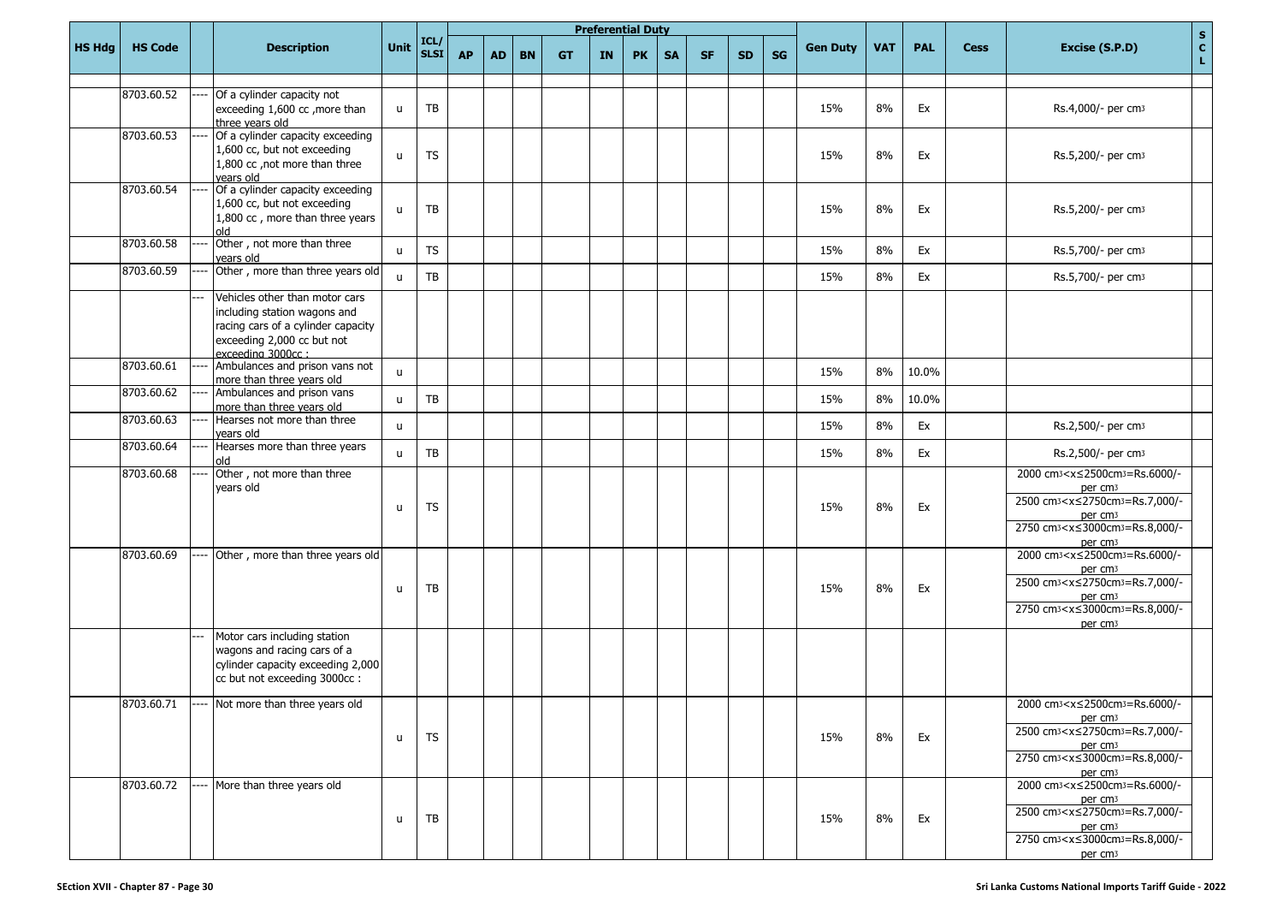|               |                |                                                                                                                                                         |              |                           |           |           |           |           |     | <b>Preferential Duty</b> |           |           |           |           |                 |            |            |             | $\mathbf{s}$                                                                                                                                                                                                                                                           |
|---------------|----------------|---------------------------------------------------------------------------------------------------------------------------------------------------------|--------------|---------------------------|-----------|-----------|-----------|-----------|-----|--------------------------|-----------|-----------|-----------|-----------|-----------------|------------|------------|-------------|------------------------------------------------------------------------------------------------------------------------------------------------------------------------------------------------------------------------------------------------------------------------|
| <b>HS Hdg</b> | <b>HS Code</b> | <b>Description</b>                                                                                                                                      | Unit         | ICL/<br>SLSI <sup>I</sup> | <b>AP</b> | <b>AD</b> | <b>BN</b> | <b>GT</b> | IN. | <b>PK</b>                | <b>SA</b> | <b>SF</b> | <b>SD</b> | <b>SG</b> | <b>Gen Duty</b> | <b>VAT</b> | <b>PAL</b> | <b>Cess</b> | $\mathbf{C}^-$<br>Excise (S.P.D)<br>L,                                                                                                                                                                                                                                 |
|               | 8703.60.52     | Of a cylinder capacity not                                                                                                                              |              |                           |           |           |           |           |     |                          |           |           |           |           |                 |            |            |             |                                                                                                                                                                                                                                                                        |
|               |                | exceeding 1,600 cc, more than<br>three vears old                                                                                                        | u            | TB                        |           |           |           |           |     |                          |           |           |           |           | 15%             | 8%         | Ex         |             | Rs.4,000/- per cm3                                                                                                                                                                                                                                                     |
|               | 8703.60.53     | Of a cylinder capacity exceeding<br>1,600 cc, but not exceeding<br>1,800 cc, not more than three<br>vears old                                           | $\mathsf{u}$ | <b>TS</b>                 |           |           |           |           |     |                          |           |           |           |           | 15%             | 8%         | Ex         |             | Rs.5,200/- per cm3                                                                                                                                                                                                                                                     |
|               | 8703.60.54     | Of a cylinder capacity exceeding<br>1,600 cc, but not exceeding<br>1,800 cc, more than three years<br>old                                               | u            | TB                        |           |           |           |           |     |                          |           |           |           |           | 15%             | 8%         | Ex         |             | Rs.5,200/- per cm3                                                                                                                                                                                                                                                     |
|               | 8703.60.58     | Other, not more than three<br>vears old                                                                                                                 | $\mathsf{u}$ | <b>TS</b>                 |           |           |           |           |     |                          |           |           |           |           | 15%             | 8%         | Ex         |             | Rs.5,700/- per cm3                                                                                                                                                                                                                                                     |
|               | 8703.60.59     | Other, more than three years old                                                                                                                        | u            | TB                        |           |           |           |           |     |                          |           |           |           |           | 15%             | 8%         | Ex         |             | Rs.5,700/- per cm3                                                                                                                                                                                                                                                     |
|               |                | Vehicles other than motor cars<br>including station wagons and<br>racing cars of a cylinder capacity<br>exceeding 2,000 cc but not<br>exceeding 3000cc: |              |                           |           |           |           |           |     |                          |           |           |           |           |                 |            |            |             |                                                                                                                                                                                                                                                                        |
|               | 8703.60.61     | Ambulances and prison vans not<br>more than three years old                                                                                             | $\mathsf{u}$ |                           |           |           |           |           |     |                          |           |           |           |           | 15%             | 8%         | 10.0%      |             |                                                                                                                                                                                                                                                                        |
|               | 8703.60.62     | Ambulances and prison vans<br>more than three years old                                                                                                 | u            | TB                        |           |           |           |           |     |                          |           |           |           |           | 15%             | 8%         | 10.0%      |             |                                                                                                                                                                                                                                                                        |
|               | 8703.60.63     | Hearses not more than three<br>vears old                                                                                                                | $\mathsf{u}$ |                           |           |           |           |           |     |                          |           |           |           |           | 15%             | 8%         | Ex         |             | Rs.2,500/- per cm3                                                                                                                                                                                                                                                     |
|               | 8703.60.64     | Hearses more than three years<br>old                                                                                                                    | $\mathsf{u}$ | TB                        |           |           |           |           |     |                          |           |           |           |           | 15%             | 8%         | Ex         |             | Rs.2,500/- per cm <sub>3</sub>                                                                                                                                                                                                                                         |
|               | 8703.60.68     | Other, not more than three<br>years old                                                                                                                 | $\mathsf{u}$ | <b>TS</b>                 |           |           |           |           |     |                          |           |           |           |           | 15%             | 8%         | Ex         |             | 2000 cm <sub>3</sub> <x≤2500cm<sub>3=Rs.6000/-<br/>per cm<sub>3</sub><br/>2500 cm<sub>3</sub><x≤2750cm<sub>3=Rs.7,000/-<br/>per cm<sub>3</sub><br/>2750 cm<sub>3</sub><x≤3000cm<sub>3=Rs.8,000/-<br/>per cm<sub>3</sub></x≤3000cm<sub></x≤2750cm<sub></x≤2500cm<sub>   |
|               | 8703.60.69     | Other, more than three years old                                                                                                                        | u            | TB                        |           |           |           |           |     |                          |           |           |           |           | 15%             | 8%         | Ex         |             | 2000 cm <sup>3</sup> < x ≤ 2500cm <sup>3</sup> = Rs.6000/-<br>per cm <sub>3</sub><br>2500 cm <sub>3</sub> <x≤2750cm<sub>3=Rs.7,000/-<br/>per cm<sub>3</sub><br/>2750 cm<sub>3</sub><x≤3000cm<sub>3=Rs.8,000/-<br/>per cm<sub>3</sub></x≤3000cm<sub></x≤2750cm<sub>     |
|               |                | Motor cars including station<br>wagons and racing cars of a<br>cylinder capacity exceeding 2,000<br>cc but not exceeding 3000cc:                        |              |                           |           |           |           |           |     |                          |           |           |           |           |                 |            |            |             |                                                                                                                                                                                                                                                                        |
|               |                | $\left 8703.60.71\right $ ---- Not more than three years old                                                                                            | u            | <b>TS</b>                 |           |           |           |           |     |                          |           |           |           |           | 15%             | 8%         | Ex         |             | 2000 cm <sup>3</sup> < x ≤ 2500cm <sup>3</sup> = Rs.6000/-<br>per cm <sub>3</sub><br>2500 cm <sup>3</sup> < x ≤ 2750 cm <sup>3</sup> = Rs. 7,000/-<br>per cm <sub>3</sub><br>2750 cm <sup>3</sup> < $x \le 3000$ cm <sup>3</sup> = Rs.8,000/-<br>per cm <sub>3</sub>   |
|               | 8703.60.72     | More than three years old                                                                                                                               | u            | TB                        |           |           |           |           |     |                          |           |           |           |           | 15%             | 8%         | Ex         |             | 2000 cm <sub>3</sub> <x≤2500cm<sub>3=Rs.6000/-<br/>per cm<sub>3</sub><br/>2500 cm<sub>3</sub> &lt; x ≤ 2750 cm<sub>3</sub> = Rs. 7,000/-<br/>per cm<sub>3</sub><br/>2750 cm<sub>3</sub><x≤3000cm<sub>3=Rs.8,000/-<br/>per cm<sub>3</sub></x≤3000cm<sub></x≤2500cm<sub> |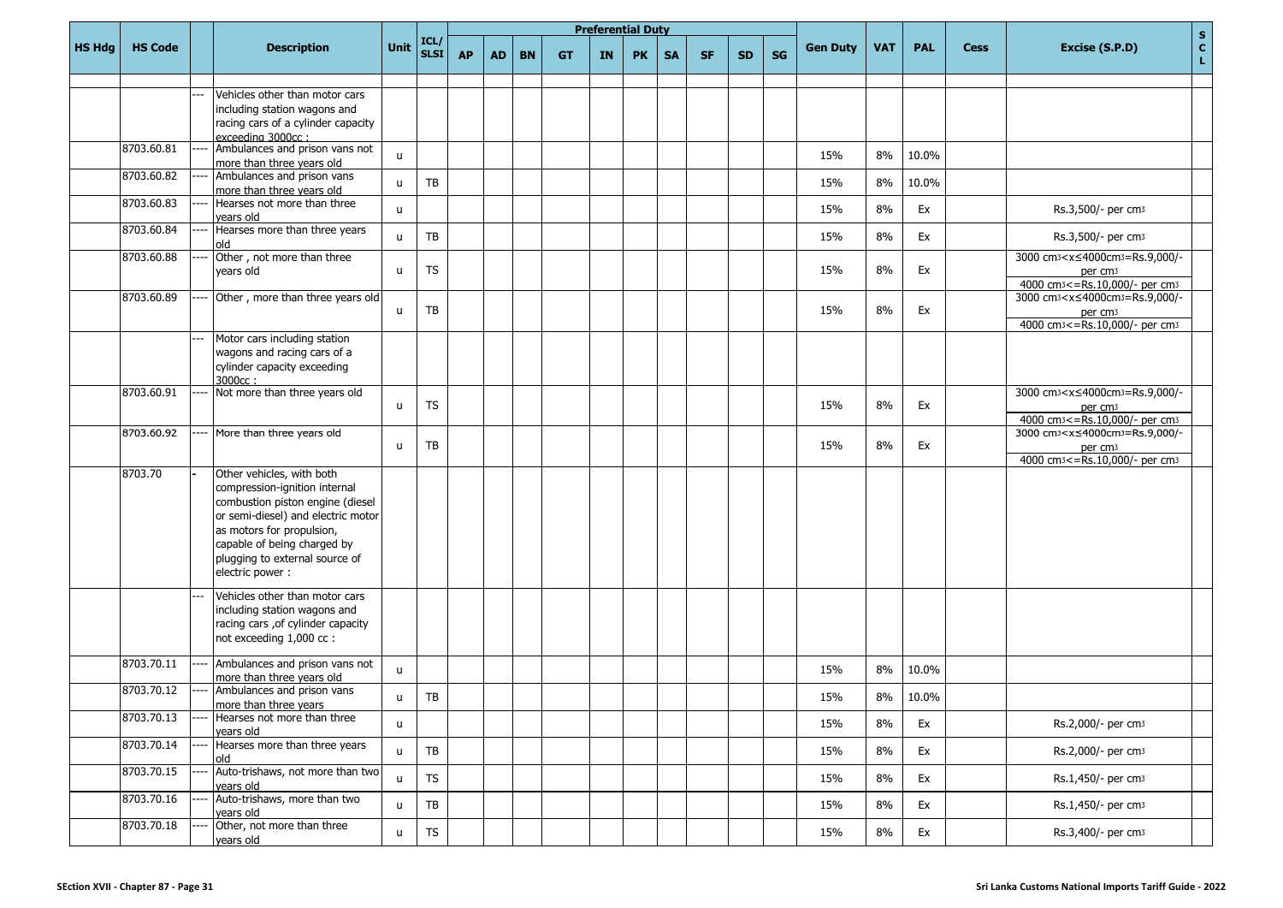|               |                |      |                                                                                                                                                                                                                                                       |      |                        |           |           |           |           |    | <b>Preferential Duty</b> |           |           |           |           |                 |            |            |             | $\mathbf S$                                                                                                                                        |
|---------------|----------------|------|-------------------------------------------------------------------------------------------------------------------------------------------------------------------------------------------------------------------------------------------------------|------|------------------------|-----------|-----------|-----------|-----------|----|--------------------------|-----------|-----------|-----------|-----------|-----------------|------------|------------|-------------|----------------------------------------------------------------------------------------------------------------------------------------------------|
| <b>HS Hdg</b> | <b>HS Code</b> |      | <b>Description</b>                                                                                                                                                                                                                                    | Unit | ICL/<br>SLSI           | <b>AP</b> | <b>AD</b> | <b>BN</b> | <b>GT</b> | IN | <b>PK</b>                | <b>SA</b> | <b>SF</b> | <b>SD</b> | <b>SG</b> | <b>Gen Duty</b> | <b>VAT</b> | <b>PAL</b> | <b>Cess</b> | c <br>Excise (S.P.D)<br>L.                                                                                                                         |
|               |                |      | Vehicles other than motor cars<br>including station wagons and<br>racing cars of a cylinder capacity<br>exceeding 3000cc:                                                                                                                             |      |                        |           |           |           |           |    |                          |           |           |           |           |                 |            |            |             |                                                                                                                                                    |
|               | 8703.60.81     |      | Ambulances and prison vans not<br>more than three years old                                                                                                                                                                                           | u    |                        |           |           |           |           |    |                          |           |           |           |           | 15%             | 8%         | 10.0%      |             |                                                                                                                                                    |
|               | 8703.60.82     |      | Ambulances and prison vans<br>more than three years old                                                                                                                                                                                               | u    | TB                     |           |           |           |           |    |                          |           |           |           |           | 15%             | 8%         | 10.0%      |             |                                                                                                                                                    |
|               | 8703.60.83     |      | Hearses not more than three<br>vears old                                                                                                                                                                                                              | u    |                        |           |           |           |           |    |                          |           |           |           |           | 15%             | 8%         | Ex         |             | Rs.3,500/- per cm3                                                                                                                                 |
|               | 8703.60.84     |      | Hearses more than three years<br>bla                                                                                                                                                                                                                  | u    | TB                     |           |           |           |           |    |                          |           |           |           |           | 15%             | 8%         | Ex         |             | Rs.3,500/- per cm3                                                                                                                                 |
|               | 8703.60.88     |      | Other, not more than three<br>years old                                                                                                                                                                                                               | u    | TS                     |           |           |           |           |    |                          |           |           |           |           | 15%             | 8%         | Ex         |             | 3000 cm <sub>3</sub> < x ≤ 4000 cm <sub>3</sub> = Rs.9,000/-<br>per cm <sub>3</sub><br>4000 cm <sup>3</sup> <= Rs.10,000/- per cm <sup>3</sup>     |
|               | 8703.60.89     |      | Other, more than three years old                                                                                                                                                                                                                      | u    | TB                     |           |           |           |           |    |                          |           |           |           |           | 15%             | 8%         | Ex         |             | 3000 cm <sub>3</sub> < x ≤ 4000 cm <sub>3</sub> = Rs.9,000/-<br>per cm <sub>3</sub><br>4000 cm <sup>3</sup> <= Rs.10,000/- per cm <sup>3</sup>     |
|               |                |      | Motor cars including station<br>wagons and racing cars of a<br>cylinder capacity exceeding<br>3000cc:                                                                                                                                                 |      |                        |           |           |           |           |    |                          |           |           |           |           |                 |            |            |             |                                                                                                                                                    |
|               | 8703.60.91     |      | Not more than three years old                                                                                                                                                                                                                         | u    | <b>TS</b>              |           |           |           |           |    |                          |           |           |           |           | 15%             | 8%         | Ex         |             | 3000 cm <sub>3</sub> <x≤4000cm<sub>3=Rs.9,000/-<br/>per cm<sub>3</sub><br/>4000 cm<sup>3</sup> &lt;= Rs.10,000/- per cm<sup>3</sup></x≤4000cm<sub> |
|               | 8703.60.92     |      | More than three years old                                                                                                                                                                                                                             | u    | TB                     |           |           |           |           |    |                          |           |           |           |           | 15%             | 8%         | Ex         |             | 3000 cm <sup>3</sup> < x ≤ 4000 cm <sup>3</sup> = Rs.9,000/-<br>per cm <sub>3</sub><br>4000 cm <sup>3</sup> <= Rs.10,000/- per cm <sup>3</sup>     |
|               | 8703.70        |      | Other vehicles, with both<br>compression-ignition internal<br>combustion piston engine (diesel<br>or semi-diesel) and electric motor<br>as motors for propulsion,<br>capable of being charged by<br>plugging to external source of<br>electric power: |      |                        |           |           |           |           |    |                          |           |           |           |           |                 |            |            |             |                                                                                                                                                    |
|               |                |      | Vehicles other than motor cars<br>including station wagons and<br>racing cars , of cylinder capacity<br>not exceeding 1,000 cc :                                                                                                                      |      |                        |           |           |           |           |    |                          |           |           |           |           |                 |            |            |             |                                                                                                                                                    |
|               | 8703.70.11     |      | Ambulances and prison vans not<br>more than three years old                                                                                                                                                                                           | u    |                        |           |           |           |           |    |                          |           |           |           |           | 15%             | 8%         | 10.0%      |             |                                                                                                                                                    |
|               | 8703.70.12     | ---- | Ambulances and prison vans<br>more than three years                                                                                                                                                                                                   | u    | TB                     |           |           |           |           |    |                          |           |           |           |           | 15%             | $8\%$      | 10.0%      |             |                                                                                                                                                    |
|               | 8703.70.13     |      | Hearses not more than three<br>years old                                                                                                                                                                                                              | u    |                        |           |           |           |           |    |                          |           |           |           |           | 15%             | 8%         | Ex         |             | Rs.2,000/- per cm3                                                                                                                                 |
|               | 8703.70.14     |      | Hearses more than three years<br>old                                                                                                                                                                                                                  | u    | $\mathsf{T}\mathsf{B}$ |           |           |           |           |    |                          |           |           |           |           | 15%             | 8%         | Ex         |             | Rs.2,000/- per cm3                                                                                                                                 |
|               | 8703.70.15     |      | Auto-trishaws, not more than two<br>years old                                                                                                                                                                                                         | u    | <b>TS</b>              |           |           |           |           |    |                          |           |           |           |           | 15%             | 8%         | Ex         |             | Rs.1,450/- per cm3                                                                                                                                 |
|               | 8703.70.16     |      | Auto-trishaws, more than two<br>years old                                                                                                                                                                                                             | u    | $\mathsf{T}\mathsf{B}$ |           |           |           |           |    |                          |           |           |           |           | 15%             | 8%         | Ex         |             | Rs.1,450/- per cm3                                                                                                                                 |
|               | 8703.70.18     |      | Other, not more than three<br>vears old                                                                                                                                                                                                               | u    | ${\sf TS}$             |           |           |           |           |    |                          |           |           |           |           | 15%             | 8%         | Ex         |             | Rs.3,400/- per cm3                                                                                                                                 |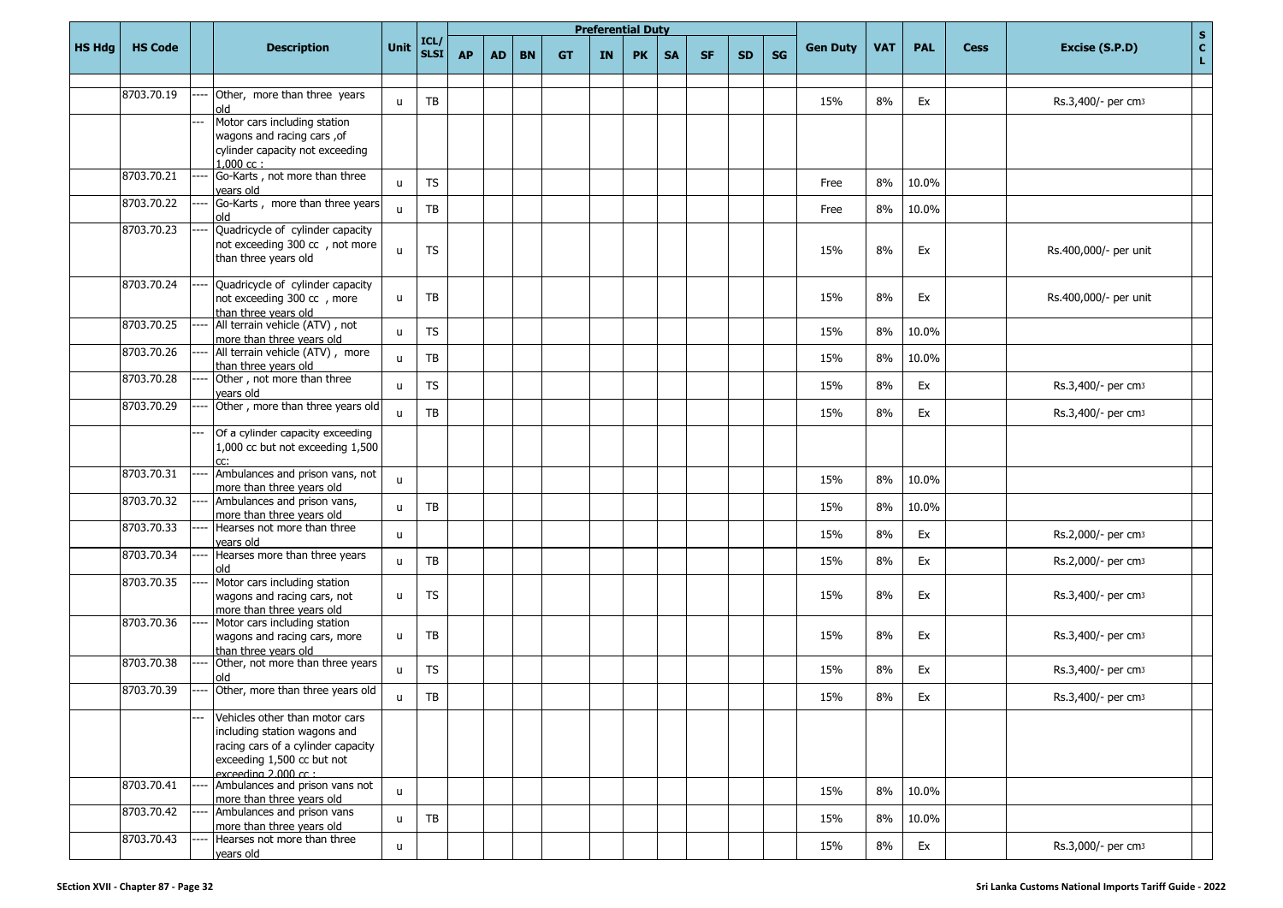|               |                |                                                                                                                                                            |                |                        |           |           |           |           | <b>Preferential Duty</b> |           |           |           |           |           |                 |            |            |             | $\mathbf{s}$                                  |
|---------------|----------------|------------------------------------------------------------------------------------------------------------------------------------------------------------|----------------|------------------------|-----------|-----------|-----------|-----------|--------------------------|-----------|-----------|-----------|-----------|-----------|-----------------|------------|------------|-------------|-----------------------------------------------|
| <b>HS Hdg</b> | <b>HS Code</b> | <b>Description</b>                                                                                                                                         | Unit           | ICL/<br>SLSI           | <b>AP</b> | <b>AD</b> | <b>BN</b> | <b>GT</b> | <b>IN</b>                | <b>PK</b> | <b>SA</b> | <b>SF</b> | <b>SD</b> | <b>SG</b> | <b>Gen Duty</b> | <b>VAT</b> | <b>PAL</b> | <b>Cess</b> | $\mathbf{c}$<br>Excise (S.P.D)<br>$\mathbf L$ |
|               | 8703.70.19     | Other, more than three years                                                                                                                               |                |                        |           |           |           |           |                          |           |           |           |           |           |                 |            |            |             |                                               |
|               |                | old                                                                                                                                                        | $\mathbf{u}$   | TB                     |           |           |           |           |                          |           |           |           |           |           | 15%             | 8%         | Ex         |             | Rs.3,400/- per cm3                            |
|               |                | Motor cars including station<br>wagons and racing cars, of<br>cylinder capacity not exceeding<br>$1.000$ cc:                                               |                |                        |           |           |           |           |                          |           |           |           |           |           |                 |            |            |             |                                               |
|               | 8703.70.21     | Go-Karts, not more than three<br>years old                                                                                                                 | $\mathsf{u}$   | <b>TS</b>              |           |           |           |           |                          |           |           |           |           |           | Free            | 8%         | 10.0%      |             |                                               |
|               | 8703.70.22     | Go-Karts, more than three years<br>old                                                                                                                     | $\mathbf{u}$   | TB                     |           |           |           |           |                          |           |           |           |           |           | Free            | 8%         | 10.0%      |             |                                               |
|               | 8703.70.23     | Quadricycle of cylinder capacity<br>not exceeding 300 cc , not more<br>than three years old                                                                | u              | <b>TS</b>              |           |           |           |           |                          |           |           |           |           |           | 15%             | 8%         | Ex         |             | Rs.400,000/- per unit                         |
|               | 8703.70.24     | Quadricycle of cylinder capacity<br>not exceeding 300 cc , more<br>than three years old                                                                    | u              | TB                     |           |           |           |           |                          |           |           |           |           |           | 15%             | 8%         | Ex         |             | Rs.400,000/- per unit                         |
|               | 8703.70.25     | All terrain vehicle (ATV), not<br>more than three years old                                                                                                | u              | <b>TS</b>              |           |           |           |           |                          |           |           |           |           |           | 15%             | 8%         | 10.0%      |             |                                               |
|               | 8703.70.26     | All terrain vehicle (ATV), more<br>than three years old                                                                                                    | u              | TB                     |           |           |           |           |                          |           |           |           |           |           | 15%             | 8%         | 10.0%      |             |                                               |
|               | 8703.70.28     | Other, not more than three<br>years old                                                                                                                    | u              | <b>TS</b>              |           |           |           |           |                          |           |           |           |           |           | 15%             | 8%         | Ex         |             | Rs.3,400/- per cm3                            |
|               | 8703.70.29     | Other, more than three years old                                                                                                                           | $\blacksquare$ | TB                     |           |           |           |           |                          |           |           |           |           |           | 15%             | 8%         | Ex         |             | Rs.3,400/- per cm3                            |
|               |                | Of a cylinder capacity exceeding<br>1,000 cc but not exceeding 1,500<br>CC:                                                                                |                |                        |           |           |           |           |                          |           |           |           |           |           |                 |            |            |             |                                               |
|               | 8703.70.31     | Ambulances and prison vans, not<br>more than three years old                                                                                               | $\mathsf{u}$   |                        |           |           |           |           |                          |           |           |           |           |           | 15%             | 8%         | 10.0%      |             |                                               |
|               | 8703.70.32     | Ambulances and prison vans,<br>more than three years old                                                                                                   | u              | TB                     |           |           |           |           |                          |           |           |           |           |           | 15%             | 8%         | 10.0%      |             |                                               |
|               | 8703.70.33     | Hearses not more than three<br>vears old                                                                                                                   | $\mathsf{u}$   |                        |           |           |           |           |                          |           |           |           |           |           | 15%             | 8%         | Ex         |             | Rs.2,000/- per cm3                            |
|               | 8703.70.34     | Hearses more than three years<br>old                                                                                                                       | $\mathsf{u}$   | TB                     |           |           |           |           |                          |           |           |           |           |           | 15%             | 8%         | Ex         |             | Rs.2,000/- per cm <sub>3</sub>                |
|               | 8703.70.35     | Motor cars including station<br>wagons and racing cars, not<br>more than three years old                                                                   | $\mathsf{u}$   | <b>TS</b>              |           |           |           |           |                          |           |           |           |           |           | 15%             | 8%         | Ex         |             | Rs.3,400/- per cm3                            |
|               | 8703.70.36     | Motor cars including station<br>wagons and racing cars, more<br>than three years old                                                                       | u              | TB                     |           |           |           |           |                          |           |           |           |           |           | 15%             | 8%         | Ex         |             | Rs.3,400/- per cm3                            |
|               | 8703.70.38     | Other, not more than three years<br>old                                                                                                                    | u              | <b>TS</b>              |           |           |           |           |                          |           |           |           |           |           | 15%             | 8%         | Ex         |             | Rs.3,400/- per cm3                            |
|               | 8703.70.39     | Other, more than three years old                                                                                                                           | u              | $\mathsf{T}\mathsf{B}$ |           |           |           |           |                          |           |           |           |           |           | 15%             | $8\%$      | Ex         |             | Rs.3,400/- per cm3                            |
|               |                | Vehicles other than motor cars<br>including station wagons and<br>racing cars of a cylinder capacity<br>exceeding 1,500 cc but not<br>exceeding 2,000 cc : |                |                        |           |           |           |           |                          |           |           |           |           |           |                 |            |            |             |                                               |
|               | 8703.70.41     | Ambulances and prison vans not<br>more than three years old                                                                                                | $\mathsf{u}$   |                        |           |           |           |           |                          |           |           |           |           |           | 15%             | 8%         | 10.0%      |             |                                               |
|               | 8703.70.42     | Ambulances and prison vans<br>more than three years old                                                                                                    | u              | $\mathsf{T}\mathsf{B}$ |           |           |           |           |                          |           |           |           |           |           | 15%             | 8%         | 10.0%      |             |                                               |
|               | 8703.70.43     | Hearses not more than three<br>years old                                                                                                                   | $\mathsf{u}$   |                        |           |           |           |           |                          |           |           |           |           |           | 15%             | 8%         | Ex         |             | Rs.3,000/- per cm3                            |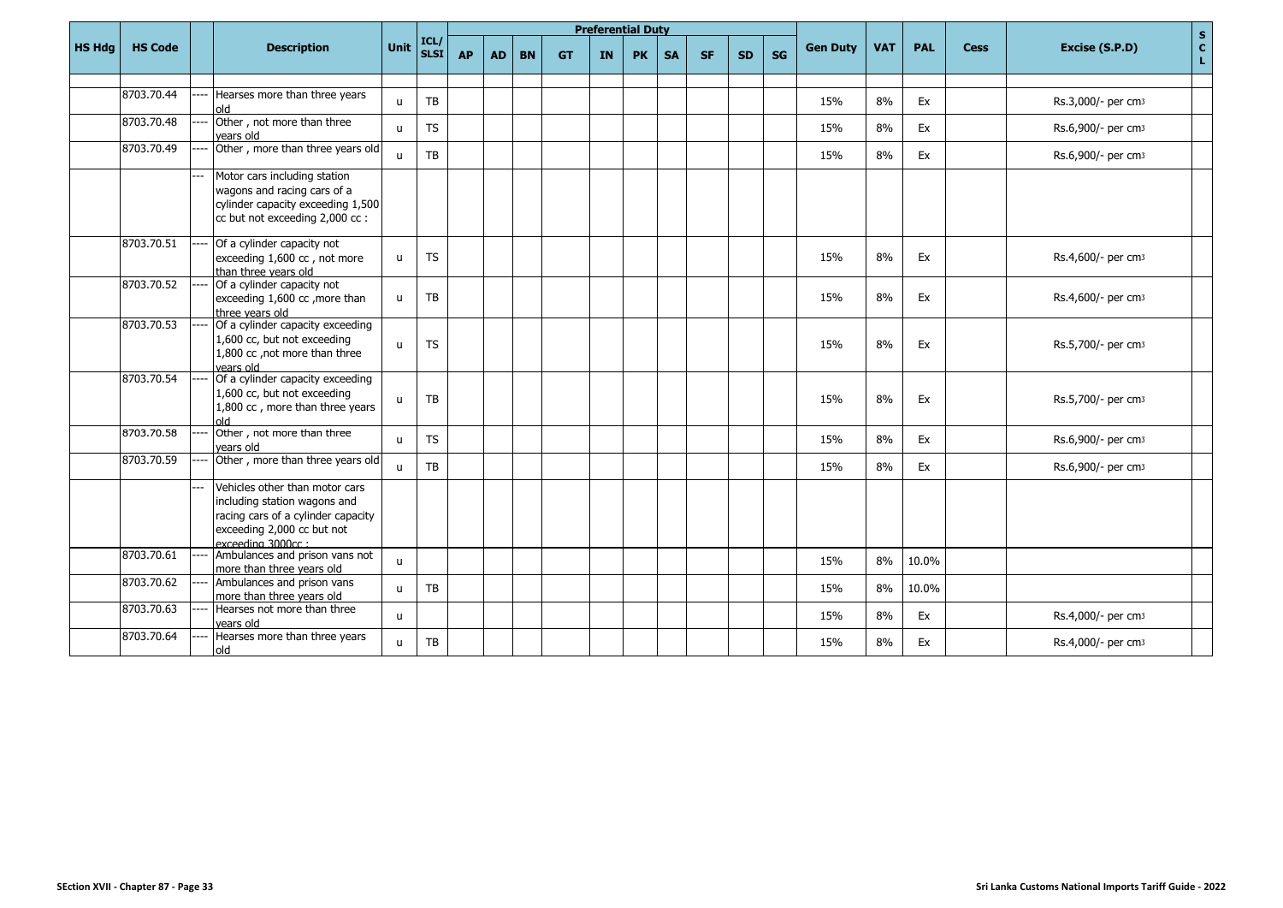|               |                |                                                                                                                                                         |              |                     |           |           |           |           | <b>Preferential Duty</b> |           |           |           |           |           |                 |            |            |             | $\mathbf S$                                    |
|---------------|----------------|---------------------------------------------------------------------------------------------------------------------------------------------------------|--------------|---------------------|-----------|-----------|-----------|-----------|--------------------------|-----------|-----------|-----------|-----------|-----------|-----------------|------------|------------|-------------|------------------------------------------------|
| <b>HS Hdg</b> | <b>HS Code</b> | <b>Description</b>                                                                                                                                      | Unit         | ICL/<br><b>SLSI</b> | <b>AP</b> | <b>AD</b> | <b>BN</b> | <b>GT</b> | <b>IN</b>                | <b>PK</b> | <b>SA</b> | <b>SF</b> | <b>SD</b> | <b>SG</b> | <b>Gen Duty</b> | <b>VAT</b> | <b>PAL</b> | <b>Cess</b> | $\mathbf{c}$<br>Excise (S.P.D)<br>$\mathbf{L}$ |
|               |                |                                                                                                                                                         |              |                     |           |           |           |           |                          |           |           |           |           |           |                 |            |            |             |                                                |
|               | 8703.70.44     | Hearses more than three years<br>old                                                                                                                    | $\mathbf{u}$ | <b>TB</b>           |           |           |           |           |                          |           |           |           |           |           | 15%             | 8%         | Ex         |             | Rs.3,000/- per cm3                             |
|               | 8703.70.48     | Other, not more than three<br>vears old                                                                                                                 | $\mathsf{u}$ | <b>TS</b>           |           |           |           |           |                          |           |           |           |           |           | 15%             | 8%         | Ex         |             | Rs.6,900/- per cm3                             |
|               | 8703.70.49     | Other, more than three years old                                                                                                                        | $\mathbf{H}$ | <b>TB</b>           |           |           |           |           |                          |           |           |           |           |           | 15%             | 8%         | Ex         |             | Rs.6,900/- per cm3                             |
|               |                | Motor cars including station<br>wagons and racing cars of a<br>cylinder capacity exceeding 1,500<br>cc but not exceeding 2,000 cc :                     |              |                     |           |           |           |           |                          |           |           |           |           |           |                 |            |            |             |                                                |
|               | 8703.70.51     | Of a cylinder capacity not<br>exceeding 1,600 cc, not more<br>than three years old                                                                      | u            | <b>TS</b>           |           |           |           |           |                          |           |           |           |           |           | 15%             | 8%         | Ex         |             | Rs.4,600/- per cm3                             |
|               | 8703.70.52     | Of a cylinder capacity not<br>exceeding 1,600 cc , more than<br>three vears old                                                                         | $\mathbf{u}$ | TB                  |           |           |           |           |                          |           |           |           |           |           | 15%             | 8%         | Ex         |             | Rs.4,600/- per cm3                             |
|               | 8703.70.53     | Of a cylinder capacity exceeding<br>1,600 cc, but not exceeding<br>1,800 cc, not more than three<br>vears old                                           | $\mathbf{u}$ | <b>TS</b>           |           |           |           |           |                          |           |           |           |           |           | 15%             | 8%         | Ex         |             | Rs.5,700/- per cm3                             |
|               | 8703.70.54     | Of a cylinder capacity exceeding<br>1,600 cc, but not exceeding<br>1,800 cc, more than three years<br>hlo                                               | $\mathbf{u}$ | TB                  |           |           |           |           |                          |           |           |           |           |           | 15%             | 8%         | Ex         |             | Rs.5,700/- per cm3                             |
|               | 8703.70.58     | Other, not more than three<br>vears old                                                                                                                 | $\mathbf{u}$ | <b>TS</b>           |           |           |           |           |                          |           |           |           |           |           | 15%             | 8%         | Ex         |             | Rs.6,900/- per cm3                             |
|               | 8703.70.59     | Other, more than three years old                                                                                                                        | $\mathbf{u}$ | TB                  |           |           |           |           |                          |           |           |           |           |           | 15%             | 8%         | Ex         |             | Rs.6,900/- per cm3                             |
|               |                | Vehicles other than motor cars<br>including station wagons and<br>racing cars of a cylinder capacity<br>exceeding 2,000 cc but not<br>exceeding 3000cc: |              |                     |           |           |           |           |                          |           |           |           |           |           |                 |            |            |             |                                                |
|               | 8703.70.61     | Ambulances and prison vans not<br>more than three years old                                                                                             | $\mathsf{u}$ |                     |           |           |           |           |                          |           |           |           |           |           | 15%             | 8%         | 10.0%      |             |                                                |
|               | 8703.70.62     | Ambulances and prison vans<br>more than three years old                                                                                                 | $\mathbf{u}$ | TB                  |           |           |           |           |                          |           |           |           |           |           | 15%             | 8%         | 10.0%      |             |                                                |
|               | 8703.70.63     | Hearses not more than three<br>years old                                                                                                                | $\mathbf{u}$ |                     |           |           |           |           |                          |           |           |           |           |           | 15%             | 8%         | Ex         |             | Rs.4,000/- per cm3                             |
|               | 8703.70.64     | Hearses more than three years<br>old                                                                                                                    | $\mathsf{u}$ | TB                  |           |           |           |           |                          |           |           |           |           |           | 15%             | 8%         | Ex         |             | Rs.4,000/- per cm3                             |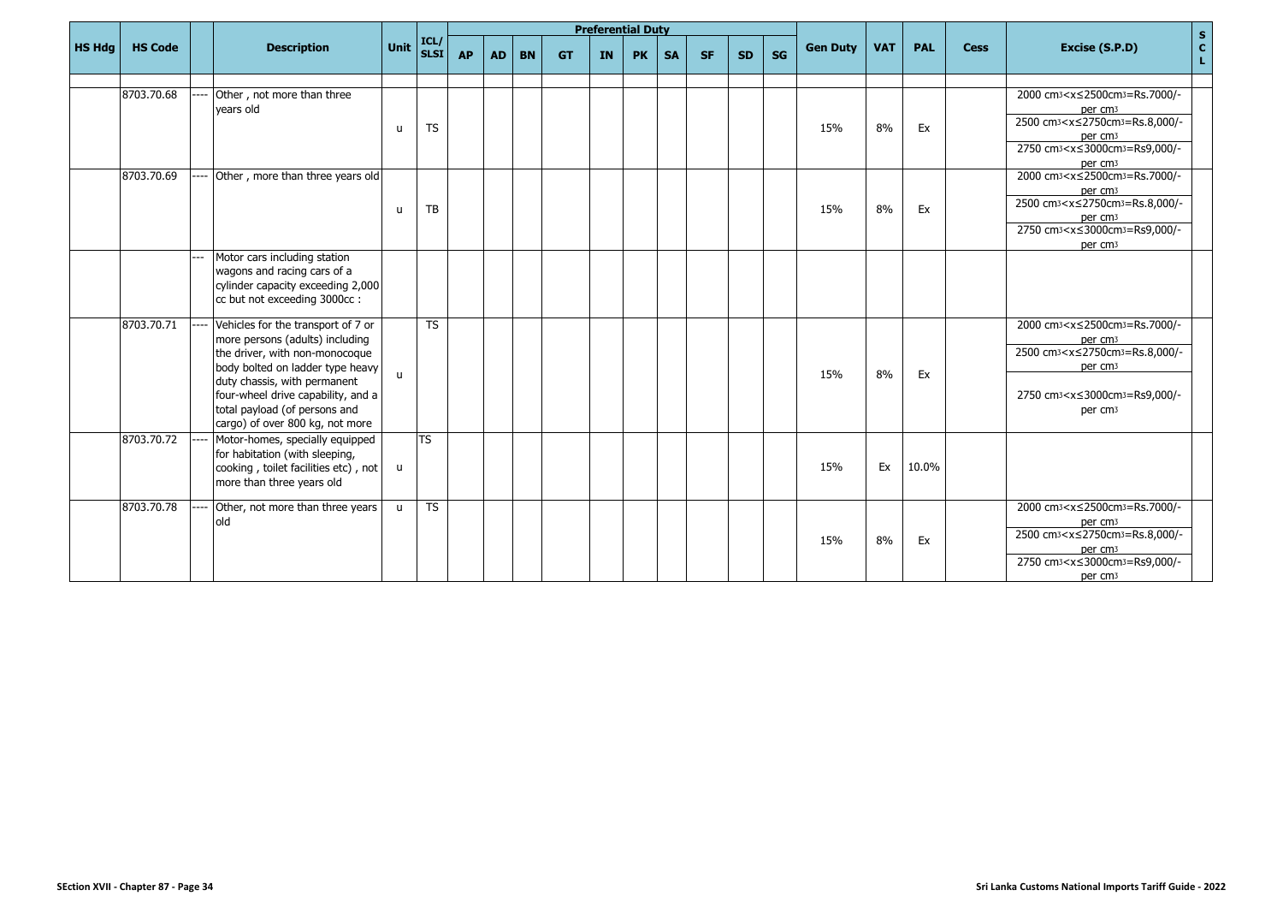|               |                |     |                                                                                                                                                                                                                                                                                       |              |                           |           |           |           |           |           | <b>Preferential Duty</b> |           |           |           |    |                 |            |            |             |                                                                                                                                                                                                                                                                     | $\mathbf S$       |
|---------------|----------------|-----|---------------------------------------------------------------------------------------------------------------------------------------------------------------------------------------------------------------------------------------------------------------------------------------|--------------|---------------------------|-----------|-----------|-----------|-----------|-----------|--------------------------|-----------|-----------|-----------|----|-----------------|------------|------------|-------------|---------------------------------------------------------------------------------------------------------------------------------------------------------------------------------------------------------------------------------------------------------------------|-------------------|
| <b>HS Hdg</b> | <b>HS Code</b> |     | <b>Description</b>                                                                                                                                                                                                                                                                    | Unit         | ICL,<br>SLSI <sup>I</sup> | <b>AP</b> | <b>AD</b> | <b>BN</b> | <b>GT</b> | <b>IN</b> | <b>PK</b>                | <b>SA</b> | <b>SF</b> | <b>SD</b> | SG | <b>Gen Duty</b> | <b>VAT</b> | <b>PAL</b> | <b>Cess</b> | Excise (S.P.D)                                                                                                                                                                                                                                                      | $\mathbf{C}$<br>L |
|               |                |     |                                                                                                                                                                                                                                                                                       |              |                           |           |           |           |           |           |                          |           |           |           |    |                 |            |            |             |                                                                                                                                                                                                                                                                     |                   |
|               | 8703.70.68     |     | Other, not more than three<br>vears old                                                                                                                                                                                                                                               | <b>u</b>     | <b>TS</b>                 |           |           |           |           |           |                          |           |           |           |    | 15%             | 8%         | Ex         |             | 2000 cm <sub>3</sub> <x≤2500cm<sub>3=Rs.7000/-<br/>per cm<sub>3</sub><br/>2500 cm<sub>3</sub><x≤2750cm<sub>3=Rs.8,000/-<br/>per cm<sub>3</sub><br/>2750 cm<sub>3</sub><x≤3000cm<sub>3=Rs9,000/-<br/>per cm<sub>3</sub></x≤3000cm<sub></x≤2750cm<sub></x≤2500cm<sub> |                   |
|               | 8703.70.69     |     | Other, more than three years old                                                                                                                                                                                                                                                      | u            | TB                        |           |           |           |           |           |                          |           |           |           |    | 15%             | 8%         | Ex         |             | 2000 cm <sub>3</sub> <x≤2500cm<sub>3=Rs.7000/-<br/>per cm<sub>3</sub><br/>2500 cm<sub>3</sub><x≤2750cm<sub>3=Rs.8,000/-<br/>per cm<sub>3</sub><br/>2750 cm<sub>3</sub><x≤3000cm<sub>3=Rs9,000/-<br/>per cm<sub>3</sub></x≤3000cm<sub></x≤2750cm<sub></x≤2500cm<sub> |                   |
|               |                | --- | Motor cars including station<br>wagons and racing cars of a<br>cylinder capacity exceeding 2,000<br>cc but not exceeding 3000cc:                                                                                                                                                      |              |                           |           |           |           |           |           |                          |           |           |           |    |                 |            |            |             |                                                                                                                                                                                                                                                                     |                   |
|               | 8703.70.71     |     | Vehicles for the transport of 7 or<br>more persons (adults) including<br>the driver, with non-monocoque<br>body bolted on ladder type heavy<br>duty chassis, with permanent<br>four-wheel drive capability, and a<br>total payload (of persons and<br>cargo) of over 800 kg, not more | $\mathbf{u}$ | <b>TS</b>                 |           |           |           |           |           |                          |           |           |           |    | 15%             | 8%         | Ex         |             | 2000 cm <sub>3</sub> <x≤2500cm<sub>3=Rs.7000/-<br/>per cm<sub>3</sub><br/>2500 cm<sub>3</sub><x≤2750cm<sub>3=Rs.8,000/-<br/>per cm<sub>3</sub><br/>2750 cm<sub>3</sub><x≤3000cm<sub>3=Rs9,000/-<br/>per cm<sub>3</sub></x≤3000cm<sub></x≤2750cm<sub></x≤2500cm<sub> |                   |
|               | 8703.70.72     |     | Motor-homes, specially equipped<br>for habitation (with sleeping,<br>cooking, toilet facilities etc), not<br>more than three years old                                                                                                                                                | u            | <b>TS</b>                 |           |           |           |           |           |                          |           |           |           |    | 15%             | Ex         | 10.0%      |             |                                                                                                                                                                                                                                                                     |                   |
|               | 8703.70.78     |     | Other, not more than three years<br>old                                                                                                                                                                                                                                               | $\mathbf{u}$ | $\overline{TS}$           |           |           |           |           |           |                          |           |           |           |    | 15%             | 8%         | Ex         |             | 2000 cm <sub>3</sub> <x≤2500cm<sub>3=Rs.7000/-<br/>per cm<sub>3</sub><br/>2500 cm<sub>3</sub><x≤2750cm<sub>3=Rs.8,000/-<br/>per cm<sub>3</sub><br/>2750 cm<sub>3</sub><x≤3000cm<sub>3=Rs9,000/-<br/>per cm<sub>3</sub></x≤3000cm<sub></x≤2750cm<sub></x≤2500cm<sub> |                   |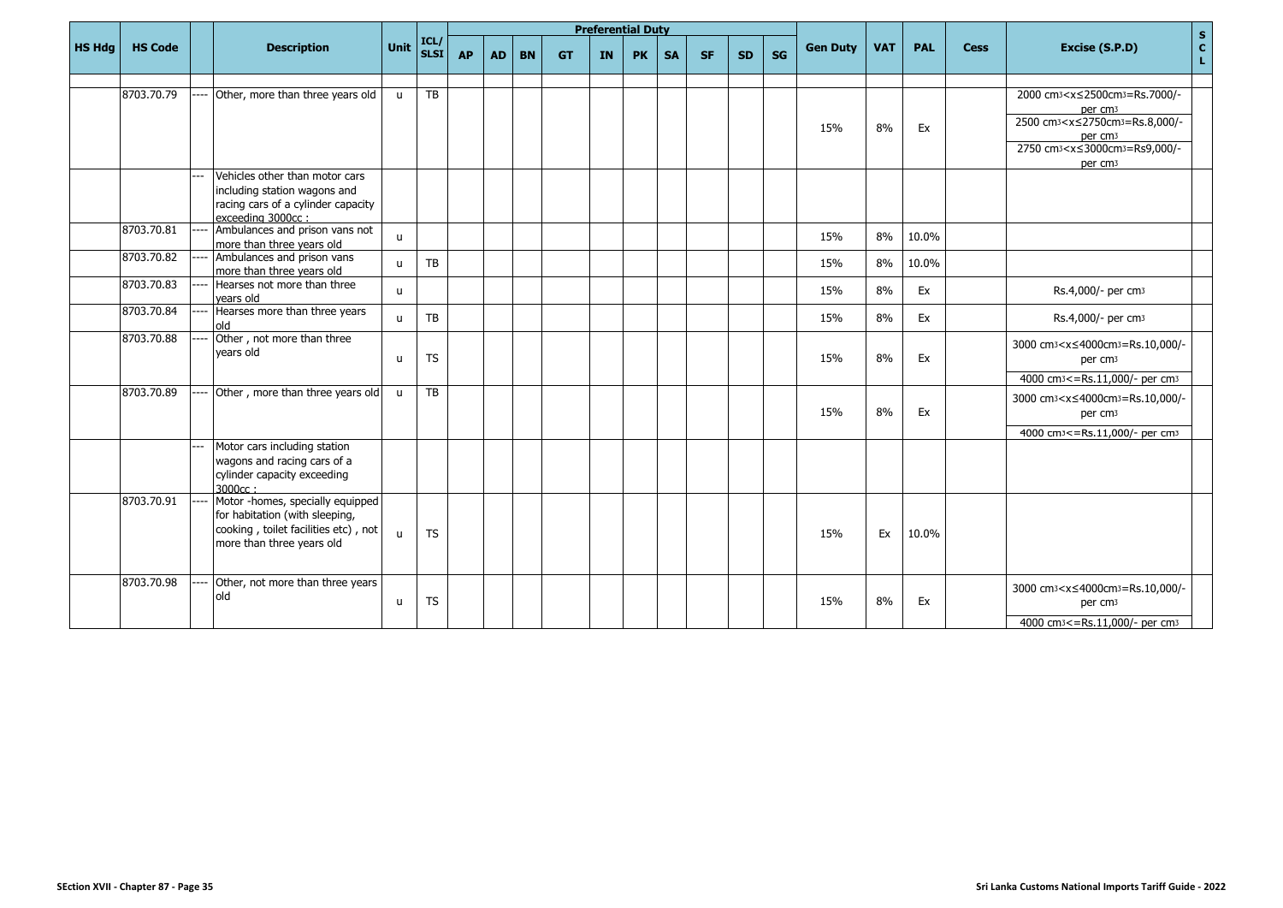|               |                |       |                                                                                                                                         |              |              |           |           |           |           |           | <b>Preferential Duty</b> |           |           |           |           |                 |            |            |             |                                                                                                                                                                                                                                                                     | $\mathbf{s}$                 |
|---------------|----------------|-------|-----------------------------------------------------------------------------------------------------------------------------------------|--------------|--------------|-----------|-----------|-----------|-----------|-----------|--------------------------|-----------|-----------|-----------|-----------|-----------------|------------|------------|-------------|---------------------------------------------------------------------------------------------------------------------------------------------------------------------------------------------------------------------------------------------------------------------|------------------------------|
| <b>HS Hdg</b> | <b>HS Code</b> |       | <b>Description</b>                                                                                                                      | <b>Unit</b>  | ICL/<br>SLSI | <b>AP</b> | <b>AD</b> | <b>BN</b> | <b>GT</b> | <b>IN</b> | <b>PK</b>                | <b>SA</b> | <b>SF</b> | <b>SD</b> | <b>SG</b> | <b>Gen Duty</b> | <b>VAT</b> | <b>PAL</b> | <b>Cess</b> | Excise (S.P.D)                                                                                                                                                                                                                                                      | $\mathbf{c}$<br>$\mathbf{L}$ |
|               |                |       |                                                                                                                                         |              |              |           |           |           |           |           |                          |           |           |           |           |                 |            |            |             |                                                                                                                                                                                                                                                                     |                              |
|               | 8703.70.79     |       | Other, more than three years old                                                                                                        | $\mathbf{u}$ | TB           |           |           |           |           |           |                          |           |           |           |           | 15%             | 8%         | Ex         |             | 2000 cm <sub>3</sub> <x≤2500cm<sub>3=Rs.7000/-<br/>per cm<sub>3</sub><br/>2500 cm<sub>3</sub><x≤2750cm<sub>3=Rs.8,000/-<br/>per cm<sub>3</sub><br/>2750 cm<sub>3</sub><x≤3000cm<sub>3=Rs9,000/-<br/>per cm<sub>3</sub></x≤3000cm<sub></x≤2750cm<sub></x≤2500cm<sub> |                              |
|               |                | $---$ | Vehicles other than motor cars<br>including station wagons and<br>racing cars of a cylinder capacity<br>exceeding 3000cc:               |              |              |           |           |           |           |           |                          |           |           |           |           |                 |            |            |             |                                                                                                                                                                                                                                                                     |                              |
|               | 8703.70.81     |       | Ambulances and prison vans not<br>more than three vears old                                                                             | $\mathsf{u}$ |              |           |           |           |           |           |                          |           |           |           |           | 15%             | 8%         | 10.0%      |             |                                                                                                                                                                                                                                                                     |                              |
|               | 8703.70.82     |       | Ambulances and prison vans<br>more than three years old                                                                                 | u            | TB           |           |           |           |           |           |                          |           |           |           |           | 15%             | 8%         | 10.0%      |             |                                                                                                                                                                                                                                                                     |                              |
|               | 8703.70.83     |       | Hearses not more than three<br>vears old                                                                                                | $\mathsf{u}$ |              |           |           |           |           |           |                          |           |           |           |           | 15%             | 8%         | Ex         |             | Rs.4,000/- per cm <sub>3</sub>                                                                                                                                                                                                                                      |                              |
|               | 8703.70.84     |       | Hearses more than three years<br>blo                                                                                                    | $\mathbf{u}$ | TB           |           |           |           |           |           |                          |           |           |           |           | 15%             | 8%         | Ex         |             | Rs.4,000/- per cm <sub>3</sub>                                                                                                                                                                                                                                      |                              |
|               | 8703.70.88     |       | Other, not more than three<br>vears old                                                                                                 | $\mathsf{u}$ | <b>TS</b>    |           |           |           |           |           |                          |           |           |           |           | 15%             | 8%         | Ex         |             | 3000 cm3 <x≤4000cm3=rs.10,000 -<br="">per cm<sub>3</sub><br/>4000 cm<sup>3</sup> &lt;= Rs.11,000/- per cm<sup>3</sup></x≤4000cm3=rs.10,000>                                                                                                                         |                              |
|               | 8703.70.89     |       | Other, more than three years old                                                                                                        | $\mathsf{u}$ | TB           |           |           |           |           |           |                          |           |           |           |           | 15%             | 8%         | Ex         |             | 3000 cm3 <x≤4000cm3=rs.10,000 -<br="">per cm<sub>3</sub><br/>4000 cm<sup>3</sup> &lt;= Rs.11,000/- per cm<sup>3</sup></x≤4000cm3=rs.10,000>                                                                                                                         |                              |
|               |                |       | Motor cars including station<br>wagons and racing cars of a<br>cylinder capacity exceeding<br>3000cc:                                   |              |              |           |           |           |           |           |                          |           |           |           |           |                 |            |            |             |                                                                                                                                                                                                                                                                     |                              |
|               | 8703.70.91     |       | Motor -homes, specially equipped<br>for habitation (with sleeping,<br>cooking, toilet facilities etc), not<br>more than three years old | u            | <b>TS</b>    |           |           |           |           |           |                          |           |           |           |           | 15%             | Ex         | 10.0%      |             |                                                                                                                                                                                                                                                                     |                              |
|               | 8703.70.98     |       | Other, not more than three years<br>old                                                                                                 | <b>u</b>     | <b>TS</b>    |           |           |           |           |           |                          |           |           |           |           | 15%             | 8%         | Ex         |             | 3000 cm <sub>3</sub> <x≤4000cm<sub>3=Rs.10,000/-<br/>per cm<sub>3</sub><br/>4000 cm<sup>3</sup> &lt;= Rs.11,000/- per cm<sup>3</sup></x≤4000cm<sub>                                                                                                                 |                              |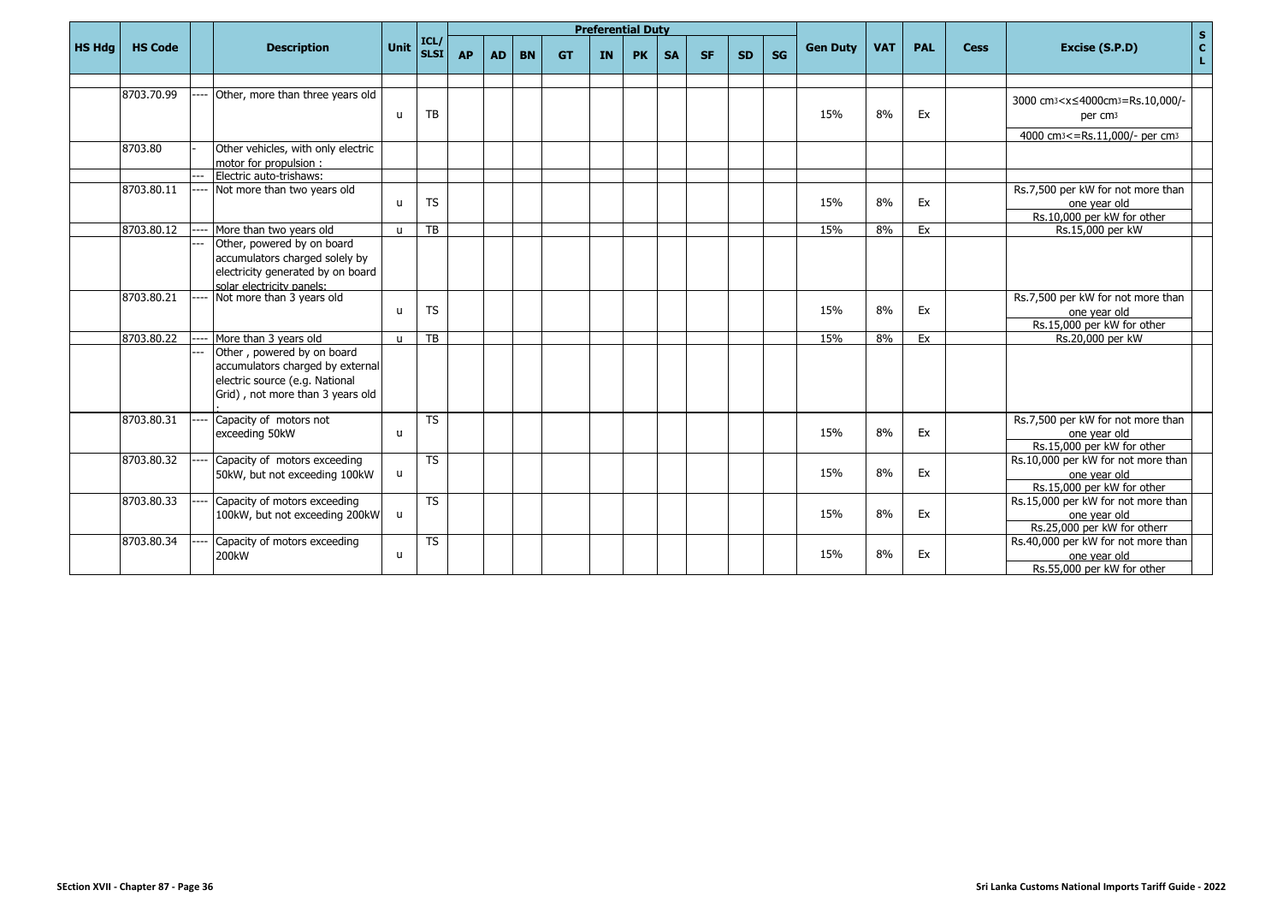|               |                |                                                                                                                                      |              |                     |           |           |           |           |    | <b>Preferential Duty</b> |           |           |           |    |                 |            |            |             | $\mathbf{s}$                                                                                                                                        |
|---------------|----------------|--------------------------------------------------------------------------------------------------------------------------------------|--------------|---------------------|-----------|-----------|-----------|-----------|----|--------------------------|-----------|-----------|-----------|----|-----------------|------------|------------|-------------|-----------------------------------------------------------------------------------------------------------------------------------------------------|
| <b>HS Hdg</b> | <b>HS Code</b> | <b>Description</b>                                                                                                                   | Unit         | ICL/<br><b>SLSI</b> | <b>AP</b> | <b>AD</b> | <b>BN</b> | <b>GT</b> | IN | <b>PK</b>                | <b>SA</b> | <b>SF</b> | <b>SD</b> | SG | <b>Gen Duty</b> | <b>VAT</b> | <b>PAL</b> | <b>Cess</b> | $\mathbf{C}$<br>Excise (S.P.D)<br>L.                                                                                                                |
|               |                |                                                                                                                                      |              |                     |           |           |           |           |    |                          |           |           |           |    |                 |            |            |             |                                                                                                                                                     |
|               | 8703.70.99     | Other, more than three years old                                                                                                     | $\mathsf{u}$ | TB                  |           |           |           |           |    |                          |           |           |           |    | 15%             | 8%         | Ex         |             | 3000 cm <sub>3</sub> <x≤4000cm<sub>3=Rs.10,000/-<br/>per cm<sub>3</sub><br/>4000 cm<sup>3</sup> &lt;= Rs.11,000/- per cm<sup>3</sup></x≤4000cm<sub> |
|               | 8703.80        | Other vehicles, with only electric<br>motor for propulsion:                                                                          |              |                     |           |           |           |           |    |                          |           |           |           |    |                 |            |            |             |                                                                                                                                                     |
|               |                | Electric auto-trishaws:                                                                                                              |              |                     |           |           |           |           |    |                          |           |           |           |    |                 |            |            |             |                                                                                                                                                     |
|               | 8703.80.11     | Not more than two years old                                                                                                          | $\mathbf{u}$ | <b>TS</b>           |           |           |           |           |    |                          |           |           |           |    | 15%             | 8%         | Ex         |             | Rs.7,500 per kW for not more than<br>one year old<br>Rs.10,000 per kW for other                                                                     |
|               | 8703.80.12     | More than two years old                                                                                                              | $\mathbf{u}$ | TB                  |           |           |           |           |    |                          |           |           |           |    | 15%             | 8%         | Ex         |             | Rs.15,000 per kW                                                                                                                                    |
|               |                | Other, powered by on board<br>accumulators charged solely by<br>electricity generated by on board<br>solar electricity panels:       |              |                     |           |           |           |           |    |                          |           |           |           |    |                 |            |            |             |                                                                                                                                                     |
|               | 8703.80.21     | Not more than 3 years old                                                                                                            | $\mathbf{u}$ | <b>TS</b>           |           |           |           |           |    |                          |           |           |           |    | 15%             | 8%         | Ex         |             | Rs.7,500 per kW for not more than<br>one year old<br>Rs.15,000 per kW for other                                                                     |
|               | 8703.80.22     | More than 3 years old                                                                                                                | $\mathbf{u}$ | <b>TB</b>           |           |           |           |           |    |                          |           |           |           |    | 15%             | 8%         | Ex         |             | Rs.20,000 per kW                                                                                                                                    |
|               |                | Other, powered by on board<br>accumulators charged by external<br>electric source (e.g. National<br>Grid), not more than 3 years old |              |                     |           |           |           |           |    |                          |           |           |           |    |                 |            |            |             |                                                                                                                                                     |
|               | 8703.80.31     | Capacity of motors not<br>exceeding 50kW                                                                                             | u            | <b>TS</b>           |           |           |           |           |    |                          |           |           |           |    | 15%             | 8%         | Ex         |             | Rs.7,500 per kW for not more than<br>one vear old<br>Rs.15,000 per kW for other                                                                     |
|               | 8703.80.32     | Capacity of motors exceeding<br>50kW, but not exceeding 100kW                                                                        | $\mathsf{u}$ | <b>TS</b>           |           |           |           |           |    |                          |           |           |           |    | 15%             | 8%         | Ex         |             | Rs.10,000 per kW for not more than<br>one year old<br>Rs.15,000 per kW for other                                                                    |
|               | 8703.80.33     | Capacity of motors exceeding<br>100kW, but not exceeding 200kW                                                                       | u            | $\overline{TS}$     |           |           |           |           |    |                          |           |           |           |    | 15%             | 8%         | Ex         |             | Rs.15,000 per kW for not more than<br>one vear old<br>Rs.25,000 per kW for otherr                                                                   |
|               | 8703.80.34     | Capacity of motors exceeding<br>200kW                                                                                                | u            | <b>TS</b>           |           |           |           |           |    |                          |           |           |           |    | 15%             | 8%         | Ex         |             | Rs.40,000 per kW for not more than<br>one year old<br>Rs.55,000 per kW for other                                                                    |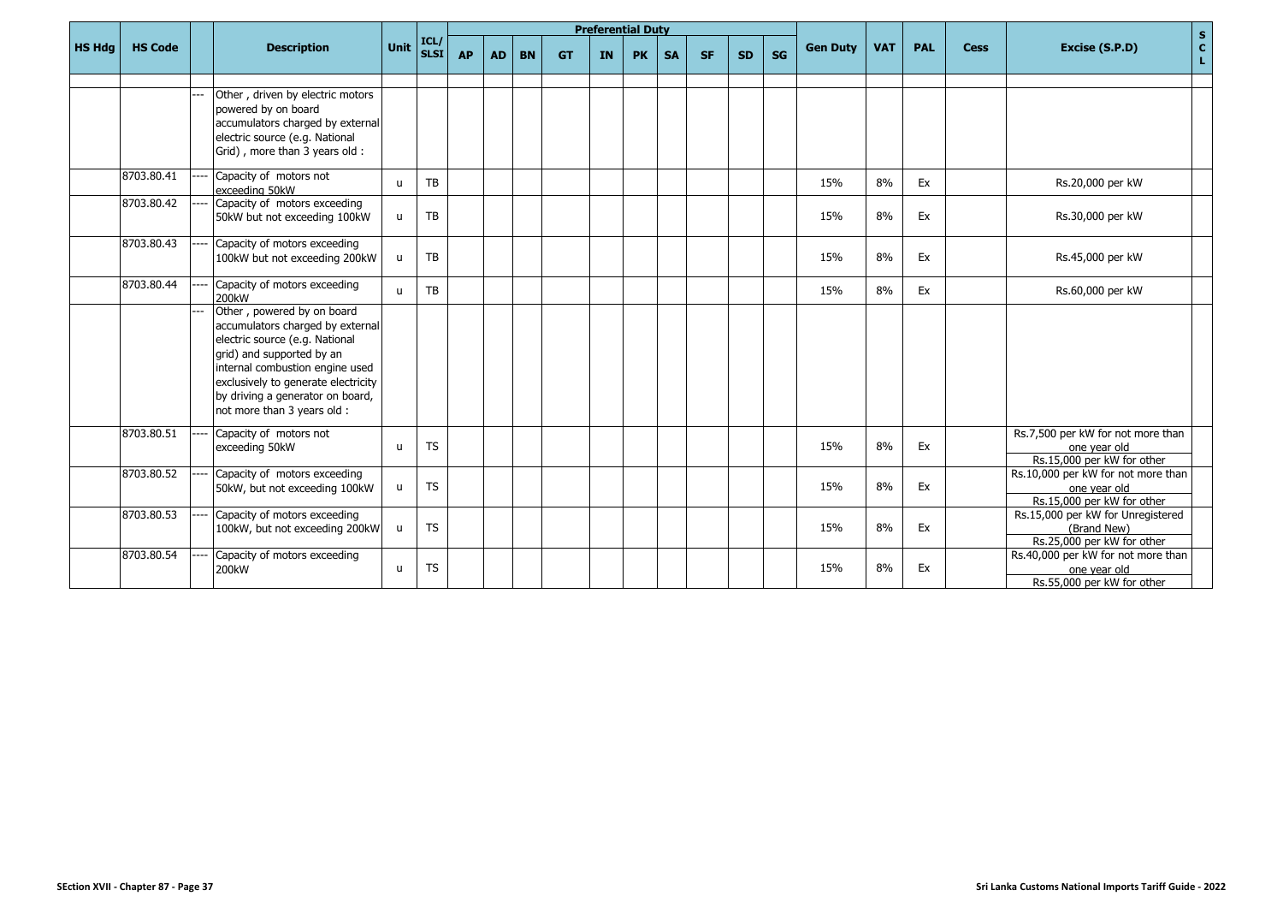|               |                |                                                                                                                                                                                                                                                                            |              |                                              |           |           |           |           | <b>Preferential Duty</b> |           |           |           |           |           |                 |            |            |             | $\mathbf{s}$                                                                     |
|---------------|----------------|----------------------------------------------------------------------------------------------------------------------------------------------------------------------------------------------------------------------------------------------------------------------------|--------------|----------------------------------------------|-----------|-----------|-----------|-----------|--------------------------|-----------|-----------|-----------|-----------|-----------|-----------------|------------|------------|-------------|----------------------------------------------------------------------------------|
| <b>HS Hdg</b> | <b>HS Code</b> | <b>Description</b>                                                                                                                                                                                                                                                         | Unit         | $\vert$ ICL/ $\vert$<br>$\vert$ SLSI $\vert$ | <b>AP</b> | <b>AD</b> | <b>BN</b> | <b>GT</b> | <b>IN</b>                | <b>PK</b> | <b>SA</b> | <b>SF</b> | <b>SD</b> | <b>SG</b> | <b>Gen Duty</b> | <b>VAT</b> | <b>PAL</b> | <b>Cess</b> | $\mathbf{C}$<br>Excise (S.P.D)<br>L                                              |
|               |                |                                                                                                                                                                                                                                                                            |              |                                              |           |           |           |           |                          |           |           |           |           |           |                 |            |            |             |                                                                                  |
|               |                | Other, driven by electric motors<br>powered by on board<br>accumulators charged by external<br>electric source (e.g. National<br>Grid), more than 3 years old:                                                                                                             |              |                                              |           |           |           |           |                          |           |           |           |           |           |                 |            |            |             |                                                                                  |
|               | 8703.80.41     | Capacity of motors not<br>exceeding 50kW                                                                                                                                                                                                                                   | $\mathbf{u}$ | TB                                           |           |           |           |           |                          |           |           |           |           |           | 15%             | 8%         | Ex         |             | Rs.20,000 per kW                                                                 |
|               | 8703.80.42     | Capacity of motors exceeding<br>50kW but not exceeding 100kW                                                                                                                                                                                                               | $\mathbf{u}$ | <b>TB</b>                                    |           |           |           |           |                          |           |           |           |           |           | 15%             | 8%         | Ex         |             | Rs.30,000 per kW                                                                 |
|               | 8703.80.43     | Capacity of motors exceeding<br>100kW but not exceeding 200kW                                                                                                                                                                                                              | u            | TB                                           |           |           |           |           |                          |           |           |           |           |           | 15%             | 8%         | Ex         |             | Rs.45,000 per kW                                                                 |
|               | 8703.80.44     | Capacity of motors exceeding<br>200kW                                                                                                                                                                                                                                      | $\mathbf{u}$ | <b>TB</b>                                    |           |           |           |           |                          |           |           |           |           |           | 15%             | 8%         | Ex         |             | Rs.60,000 per kW                                                                 |
|               |                | Other, powered by on board<br>accumulators charged by external<br>electric source (e.g. National<br>grid) and supported by an<br>internal combustion engine used<br>exclusively to generate electricity<br>by driving a generator on board,<br>not more than 3 years old : |              |                                              |           |           |           |           |                          |           |           |           |           |           |                 |            |            |             |                                                                                  |
|               | 8703.80.51     | Capacity of motors not<br>exceeding 50kW                                                                                                                                                                                                                                   | $\mathbf{u}$ | <b>TS</b>                                    |           |           |           |           |                          |           |           |           |           |           | 15%             | 8%         | Ex         |             | Rs.7,500 per kW for not more than<br>one year old<br>Rs.15,000 per kW for other  |
|               | 8703.80.52     | Capacity of motors exceeding<br>50kW, but not exceeding 100kW                                                                                                                                                                                                              | $\mathsf{u}$ | <b>TS</b>                                    |           |           |           |           |                          |           |           |           |           |           | 15%             | 8%         | Ex         |             | Rs.10,000 per kW for not more than<br>one year old<br>Rs.15,000 per kW for other |
|               | 8703.80.53     | Capacity of motors exceeding<br>100kW, but not exceeding 200kW                                                                                                                                                                                                             | $\mathsf{u}$ | <b>TS</b>                                    |           |           |           |           |                          |           |           |           |           |           | 15%             | 8%         | Ex         |             | Rs.15,000 per kW for Unregistered<br>(Brand New)<br>Rs.25,000 per kW for other   |
|               | 8703.80.54     | Capacity of motors exceeding<br>200 <sub>k</sub> W                                                                                                                                                                                                                         | $\mathbf{u}$ | <b>TS</b>                                    |           |           |           |           |                          |           |           |           |           |           | 15%             | 8%         | Ex         |             | Rs.40,000 per kW for not more than<br>one year old<br>Rs.55,000 per kW for other |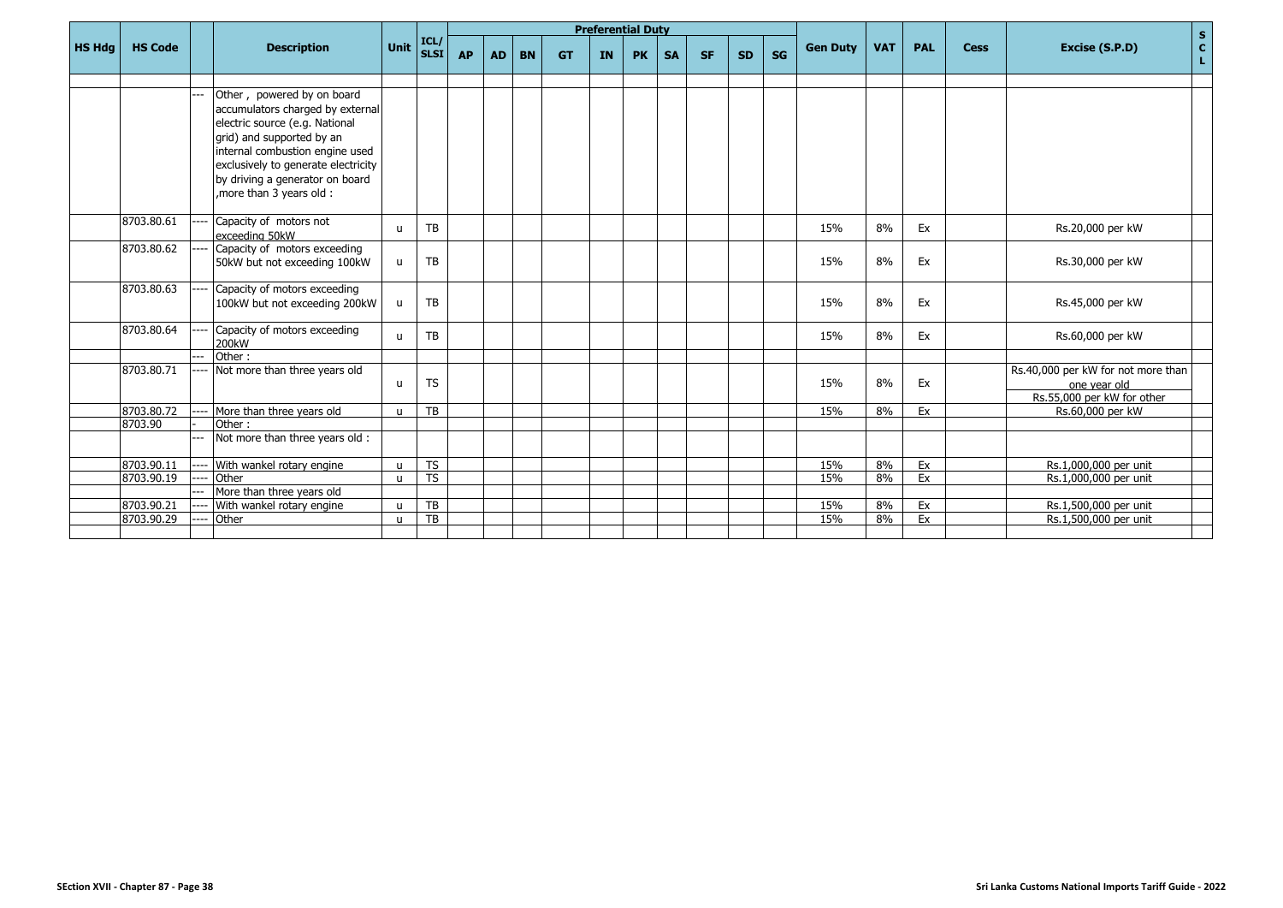|               |                |     |                                                                                                                                                                                                                                                                       |              |                        |           |           |           |           |    | <b>Preferential Duty</b> |           |           |           |    |                 |            |            |             | $\mathbf S$                                                                      |
|---------------|----------------|-----|-----------------------------------------------------------------------------------------------------------------------------------------------------------------------------------------------------------------------------------------------------------------------|--------------|------------------------|-----------|-----------|-----------|-----------|----|--------------------------|-----------|-----------|-----------|----|-----------------|------------|------------|-------------|----------------------------------------------------------------------------------|
| <b>HS Hdg</b> | <b>HS Code</b> |     | <b>Description</b>                                                                                                                                                                                                                                                    | <b>Unit</b>  | ICL/<br><b>SLSI</b>    | <b>AP</b> | <b>AD</b> | <b>BN</b> | <b>GT</b> | IN | <b>PK</b>                | <b>SA</b> | <b>SF</b> | <b>SD</b> | SG | <b>Gen Duty</b> | <b>VAT</b> | <b>PAL</b> | <b>Cess</b> | $\mathbf{C}$<br>Excise (S.P.D)<br>L.                                             |
|               |                |     |                                                                                                                                                                                                                                                                       |              |                        |           |           |           |           |    |                          |           |           |           |    |                 |            |            |             |                                                                                  |
|               |                |     | Other, powered by on board<br>accumulators charged by external<br>electric source (e.g. National<br>grid) and supported by an<br>internal combustion engine used<br>exclusively to generate electricity<br>by driving a generator on board<br>more than 3 years old : |              |                        |           |           |           |           |    |                          |           |           |           |    |                 |            |            |             |                                                                                  |
|               | 8703.80.61     |     | Capacity of motors not<br>exceeding 50kW                                                                                                                                                                                                                              | $\mathbf{H}$ | TB                     |           |           |           |           |    |                          |           |           |           |    | 15%             | 8%         | Ex         |             | Rs.20,000 per kW                                                                 |
|               | 8703.80.62     |     | Capacity of motors exceeding<br>50kW but not exceeding 100kW                                                                                                                                                                                                          | u            | <b>TB</b>              |           |           |           |           |    |                          |           |           |           |    | 15%             | 8%         | Ex         |             | Rs.30,000 per kW                                                                 |
|               | 8703.80.63     |     | Capacity of motors exceeding<br>100kW but not exceeding 200kW                                                                                                                                                                                                         | u            | TB                     |           |           |           |           |    |                          |           |           |           |    | 15%             | 8%         | Ex         |             | Rs.45,000 per kW                                                                 |
|               | 8703.80.64     |     | Capacity of motors exceeding<br>200kW                                                                                                                                                                                                                                 | $\mathbf{u}$ | TB                     |           |           |           |           |    |                          |           |           |           |    | 15%             | 8%         | Ex         |             | Rs.60,000 per kW                                                                 |
|               |                |     | Other:                                                                                                                                                                                                                                                                |              |                        |           |           |           |           |    |                          |           |           |           |    |                 |            |            |             |                                                                                  |
|               | 8703.80.71     |     | Not more than three years old                                                                                                                                                                                                                                         | $\mathbf{u}$ | <b>TS</b>              |           |           |           |           |    |                          |           |           |           |    | 15%             | 8%         | Ex         |             | Rs.40,000 per kW for not more than<br>one year old<br>Rs.55,000 per kW for other |
|               | 8703.80.72     |     | More than three years old                                                                                                                                                                                                                                             | $\mathbf{u}$ | TB                     |           |           |           |           |    |                          |           |           |           |    | 15%             | 8%         | Ex         |             | Rs.60,000 per kW                                                                 |
|               | 8703.90        |     | Other:                                                                                                                                                                                                                                                                |              |                        |           |           |           |           |    |                          |           |           |           |    |                 |            |            |             |                                                                                  |
|               |                | --- | Not more than three years old :                                                                                                                                                                                                                                       |              |                        |           |           |           |           |    |                          |           |           |           |    |                 |            |            |             |                                                                                  |
|               | 8703.90.11     |     | With wankel rotary engine                                                                                                                                                                                                                                             | $\mathbf{u}$ | TS                     |           |           |           |           |    |                          |           |           |           |    | 15%             | 8%         | Ex         |             | Rs.1,000,000 per unit                                                            |
|               | 8703.90.19     |     | Other                                                                                                                                                                                                                                                                 | $\mathsf{u}$ | $\overline{\text{TS}}$ |           |           |           |           |    |                          |           |           |           |    | 15%             | 8%         | Ex         |             | Rs.1,000,000 per unit                                                            |
|               |                |     | More than three years old                                                                                                                                                                                                                                             |              |                        |           |           |           |           |    |                          |           |           |           |    |                 |            |            |             |                                                                                  |
|               | 8703.90.21     |     | With wankel rotary engine                                                                                                                                                                                                                                             | $\mathbf{u}$ | TB                     |           |           |           |           |    |                          |           |           |           |    | 15%             | 8%         | Ex         |             | Rs.1,500,000 per unit                                                            |
|               | 8703.90.29     |     | Other                                                                                                                                                                                                                                                                 | $\mathbf{u}$ | TB                     |           |           |           |           |    |                          |           |           |           |    | 15%             | 8%         | Ex         |             | Rs.1,500,000 per unit                                                            |
|               |                |     |                                                                                                                                                                                                                                                                       |              |                        |           |           |           |           |    |                          |           |           |           |    |                 |            |            |             |                                                                                  |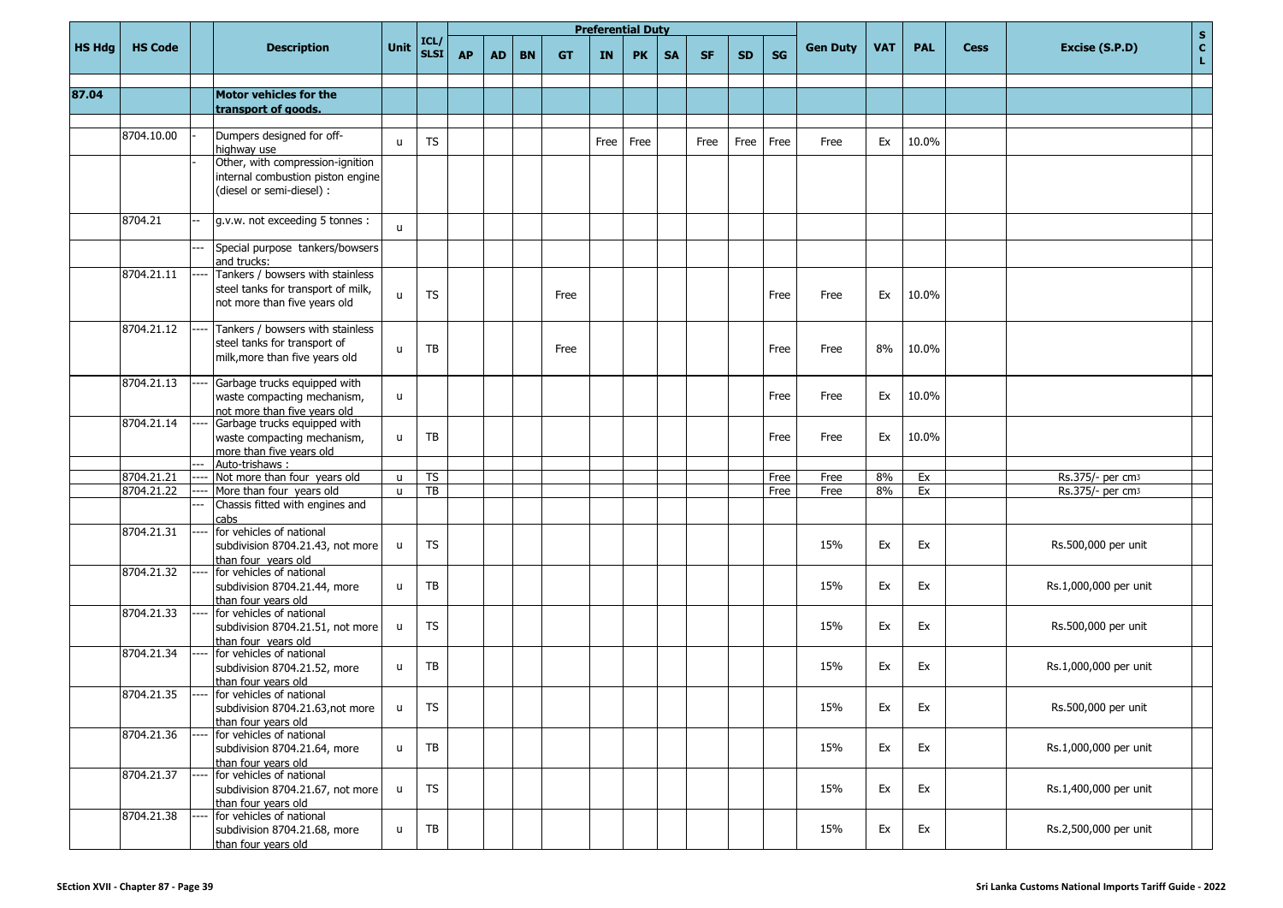|               |                |          |                                                                                                        |                              |              |           |           |           |           | <b>Preferential Duty</b> |           |           |           |           |           |                 |            |            |             | $\mathbf S$                  |
|---------------|----------------|----------|--------------------------------------------------------------------------------------------------------|------------------------------|--------------|-----------|-----------|-----------|-----------|--------------------------|-----------|-----------|-----------|-----------|-----------|-----------------|------------|------------|-------------|------------------------------|
| <b>HS Hdg</b> | <b>HS Code</b> |          | <b>Description</b>                                                                                     | Unit                         | ICL/<br>SLSI | <b>AP</b> | <b>AD</b> | <b>BN</b> | <b>GT</b> | IN                       | <b>PK</b> | <b>SA</b> | <b>SF</b> | <b>SD</b> | <b>SG</b> | <b>Gen Duty</b> | <b>VAT</b> | <b>PAL</b> | <b>Cess</b> | c <br>Excise (S.P.D)<br>L.   |
| 87.04         |                |          | Motor vehicles for the                                                                                 |                              |              |           |           |           |           |                          |           |           |           |           |           |                 |            |            |             |                              |
|               |                |          | transport of goods.                                                                                    |                              |              |           |           |           |           |                          |           |           |           |           |           |                 |            |            |             |                              |
|               | 8704.10.00     |          | Dumpers designed for off-<br>highway use                                                               | $\mathsf{u}$                 | <b>TS</b>    |           |           |           |           | Free                     | Free      |           | Free      | Free      | Free      | Free            | Ex         | 10.0%      |             |                              |
|               |                |          | Other, with compression-ignition<br>internal combustion piston engine<br>(diesel or semi-diesel) :     |                              |              |           |           |           |           |                          |           |           |           |           |           |                 |            |            |             |                              |
|               | 8704.21        |          | g.v.w. not exceeding 5 tonnes :                                                                        | $\mathsf{u}$                 |              |           |           |           |           |                          |           |           |           |           |           |                 |            |            |             |                              |
|               |                |          | Special purpose tankers/bowsers<br>and trucks:                                                         |                              |              |           |           |           |           |                          |           |           |           |           |           |                 |            |            |             |                              |
|               | 8704.21.11     |          | Tankers / bowsers with stainless<br>steel tanks for transport of milk,<br>not more than five years old | u                            | <b>TS</b>    |           |           |           | Free      |                          |           |           |           |           | Free      | Free            | Ex         | 10.0%      |             |                              |
|               | 8704.21.12     |          | Tankers / bowsers with stainless<br>steel tanks for transport of<br>milk, more than five years old     | u                            | <b>TB</b>    |           |           |           | Free      |                          |           |           |           |           | Free      | Free            | 8%         | 10.0%      |             |                              |
|               | 8704.21.13     |          | Garbage trucks equipped with<br>waste compacting mechanism,<br>not more than five vears old            | u                            |              |           |           |           |           |                          |           |           |           |           | Free      | Free            | Ex         | 10.0%      |             |                              |
|               | 8704.21.14     |          | Garbage trucks equipped with<br>waste compacting mechanism,<br>more than five years old                | u                            | ТB           |           |           |           |           |                          |           |           |           |           | Free      | Free            | Ex         | 10.0%      |             |                              |
|               | 8704.21.21     |          | Auto-trishaws:<br>Not more than four years old                                                         |                              | <b>TS</b>    |           |           |           |           |                          |           |           |           |           | Free      | Free            | 8%         | Ex         |             | Rs.375/- per cm3             |
|               | 8704.21.22     |          | More than four years old                                                                               | $\mathsf{u}$<br>$\mathsf{u}$ | TB           |           |           |           |           |                          |           |           |           |           | Free      | Free            | 8%         | Ex         |             | Rs.375/- per cm <sub>3</sub> |
|               |                |          | Chassis fitted with engines and                                                                        |                              |              |           |           |           |           |                          |           |           |           |           |           |                 |            |            |             |                              |
|               | 8704.21.31     |          | cabs<br>for vehicles of national<br>subdivision 8704.21.43, not more<br>than four years old            | u                            | <b>TS</b>    |           |           |           |           |                          |           |           |           |           |           | 15%             | Ex         | Ex         |             | Rs.500,000 per unit          |
|               | 8704.21.32     |          | for vehicles of national<br>subdivision 8704.21.44, more<br>than four years old                        | u                            | ТB           |           |           |           |           |                          |           |           |           |           |           | 15%             | Ex         | Ex         |             | Rs.1,000,000 per unit        |
|               | 8704.21.33     |          | for vehicles of national<br>subdivision 8704.21.51, not more<br>than four years old                    | u                            | <b>TS</b>    |           |           |           |           |                          |           |           |           |           |           | 15%             | Ex         | Ex         |             | Rs.500,000 per unit          |
|               | 8704.21.34     |          | for vehicles of national<br>subdivision 8704.21.52, more<br>than four years old                        | u                            | TB           |           |           |           |           |                          |           |           |           |           |           | 15%             | Ex         | Ex         |             | Rs.1,000,000 per unit        |
|               | 8704.21.35     | $\cdots$ | for vehicles of national<br>subdivision 8704.21.63, not more<br>than four years old                    | u                            | TS           |           |           |           |           |                          |           |           |           |           |           | 15%             | Ex         | Ex         |             | Rs.500,000 per unit          |
|               | 8704.21.36     |          | for vehicles of national<br>subdivision 8704.21.64, more<br>than four years old                        | u                            | TB           |           |           |           |           |                          |           |           |           |           |           | 15%             | Ex         | Ex         |             | Rs.1,000,000 per unit        |
|               | 8704.21.37     |          | for vehicles of national<br>subdivision 8704.21.67, not more<br>than four years old                    | u                            | <b>TS</b>    |           |           |           |           |                          |           |           |           |           |           | 15%             | Ex         | Ex         |             | Rs.1,400,000 per unit        |
|               | 8704.21.38     |          | for vehicles of national<br>subdivision 8704.21.68, more<br>than four vears old                        | u                            | ${\sf TB}$   |           |           |           |           |                          |           |           |           |           |           | 15%             | Ex         | Ex         |             | Rs.2,500,000 per unit        |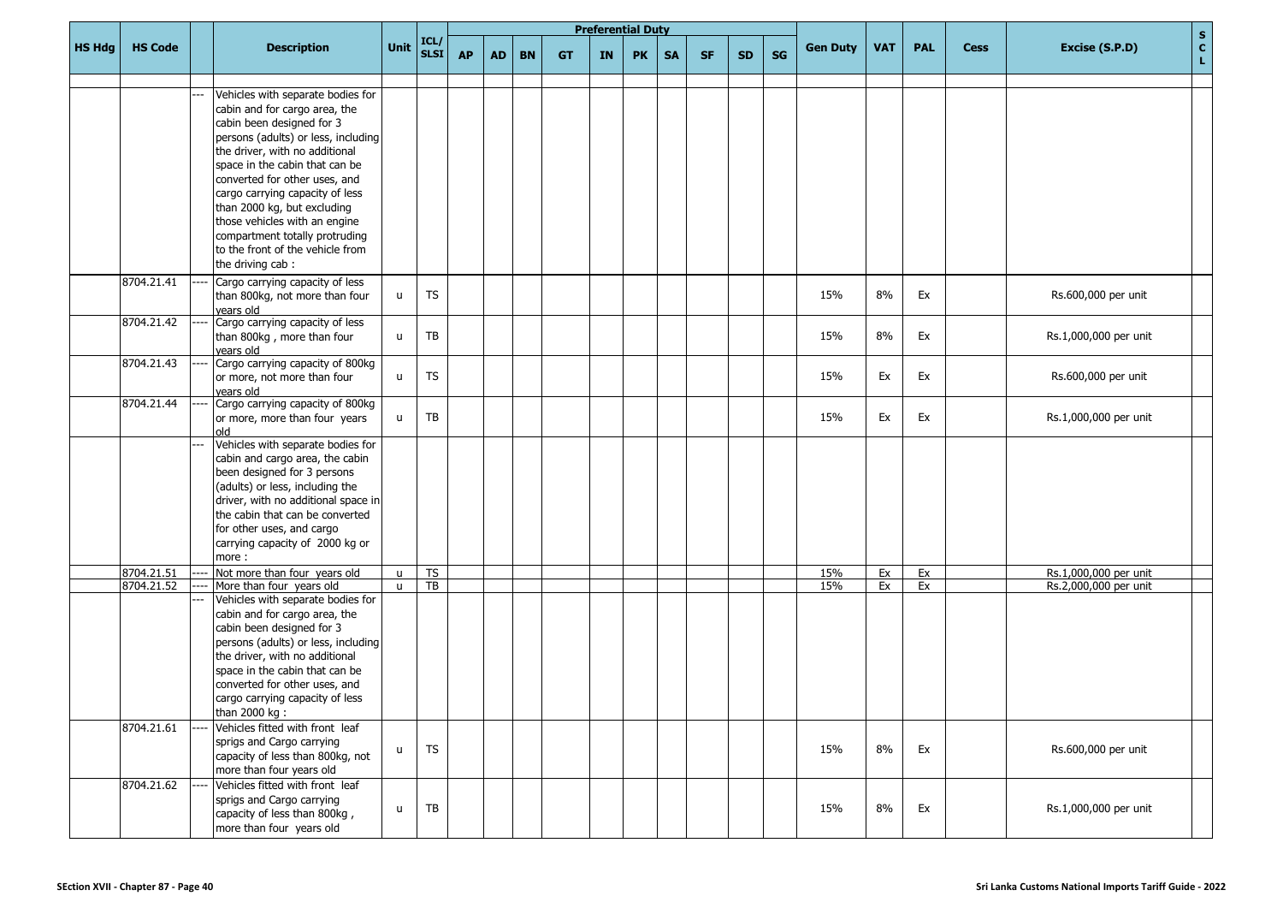|               |                |                                                                                                                                                                                                                                                                                                                                                                                                                                          |              |                    |           |           |           |           |    | <b>Preferential Duty</b> |           |           |           |           |                 |            |            |             | $\mathbf{s}$               |
|---------------|----------------|------------------------------------------------------------------------------------------------------------------------------------------------------------------------------------------------------------------------------------------------------------------------------------------------------------------------------------------------------------------------------------------------------------------------------------------|--------------|--------------------|-----------|-----------|-----------|-----------|----|--------------------------|-----------|-----------|-----------|-----------|-----------------|------------|------------|-------------|----------------------------|
| <b>HS Hdg</b> | <b>HS Code</b> | <b>Description</b>                                                                                                                                                                                                                                                                                                                                                                                                                       | Unit         | $\frac{ICL}{SLSI}$ | <b>AP</b> | <b>AD</b> | <b>BN</b> | <b>GT</b> | IN | <b>PK</b>                | <b>SA</b> | <b>SF</b> | <b>SD</b> | <b>SG</b> | <b>Gen Duty</b> | <b>VAT</b> | <b>PAL</b> | <b>Cess</b> | c <br>Excise (S.P.D)<br>L. |
|               |                | Vehicles with separate bodies for<br>cabin and for cargo area, the<br>cabin been designed for 3<br>persons (adults) or less, including<br>the driver, with no additional<br>space in the cabin that can be<br>converted for other uses, and<br>cargo carrying capacity of less<br>than 2000 kg, but excluding<br>those vehicles with an engine<br>compartment totally protruding<br>to the front of the vehicle from<br>the driving cab: |              |                    |           |           |           |           |    |                          |           |           |           |           |                 |            |            |             |                            |
|               | 8704.21.41     | Cargo carrying capacity of less<br>than 800kg, not more than four<br>years old                                                                                                                                                                                                                                                                                                                                                           | u            | TS                 |           |           |           |           |    |                          |           |           |           |           | 15%             | 8%         | Ex         |             | Rs.600,000 per unit        |
|               | 8704.21.42     | Cargo carrying capacity of less<br>than 800kg, more than four<br>vears old                                                                                                                                                                                                                                                                                                                                                               | u            | TB                 |           |           |           |           |    |                          |           |           |           |           | 15%             | 8%         | Ex         |             | Rs.1,000,000 per unit      |
|               | 8704.21.43     | Cargo carrying capacity of 800kg<br>or more, not more than four<br>vears old                                                                                                                                                                                                                                                                                                                                                             | u            | <b>TS</b>          |           |           |           |           |    |                          |           |           |           |           | 15%             | Ex         | Ex         |             | Rs.600,000 per unit        |
|               | 8704.21.44     | Cargo carrying capacity of 800kg<br>or more, more than four years<br>old                                                                                                                                                                                                                                                                                                                                                                 | u            | TB                 |           |           |           |           |    |                          |           |           |           |           | 15%             | Ex         | Ex         |             | Rs.1,000,000 per unit      |
|               |                | Vehicles with separate bodies for<br>cabin and cargo area, the cabin<br>been designed for 3 persons<br>(adults) or less, including the<br>driver, with no additional space in<br>the cabin that can be converted<br>for other uses, and cargo<br>carrying capacity of 2000 kg or<br>more:                                                                                                                                                |              |                    |           |           |           |           |    |                          |           |           |           |           |                 |            |            |             |                            |
|               | 8704.21.51     | Not more than four years old                                                                                                                                                                                                                                                                                                                                                                                                             | u            | <b>TS</b>          |           |           |           |           |    |                          |           |           |           |           | 15%             | Ex         | Ex         |             | Rs.1,000,000 per unit      |
|               | 8704.21.52     | More than four years old<br>Vehicles with separate bodies for<br>cabin and for cargo area, the<br>cabin been designed for 3<br>persons (adults) or less, including<br>the driver, with no additional<br>space in the cabin that can be<br>converted for other uses, and<br>cargo carrying capacity of less<br>than 2000 kg:                                                                                                              | $\mathsf{u}$ | TB                 |           |           |           |           |    |                          |           |           |           |           | 15%             | Ex         | Ex         |             | Rs.2,000,000 per unit      |
|               | 8704.21.61     | Vehicles fitted with front leaf<br>sprigs and Cargo carrying<br>capacity of less than 800kg, not<br>more than four years old                                                                                                                                                                                                                                                                                                             | u            | <b>TS</b>          |           |           |           |           |    |                          |           |           |           |           | 15%             | 8%         | Ex         |             | Rs.600,000 per unit        |
|               | 8704.21.62     | Vehicles fitted with front leaf<br>sprigs and Cargo carrying<br>capacity of less than 800kg,<br>more than four years old                                                                                                                                                                                                                                                                                                                 | u            | TB                 |           |           |           |           |    |                          |           |           |           |           | 15%             | 8%         | Ex         |             | Rs.1,000,000 per unit      |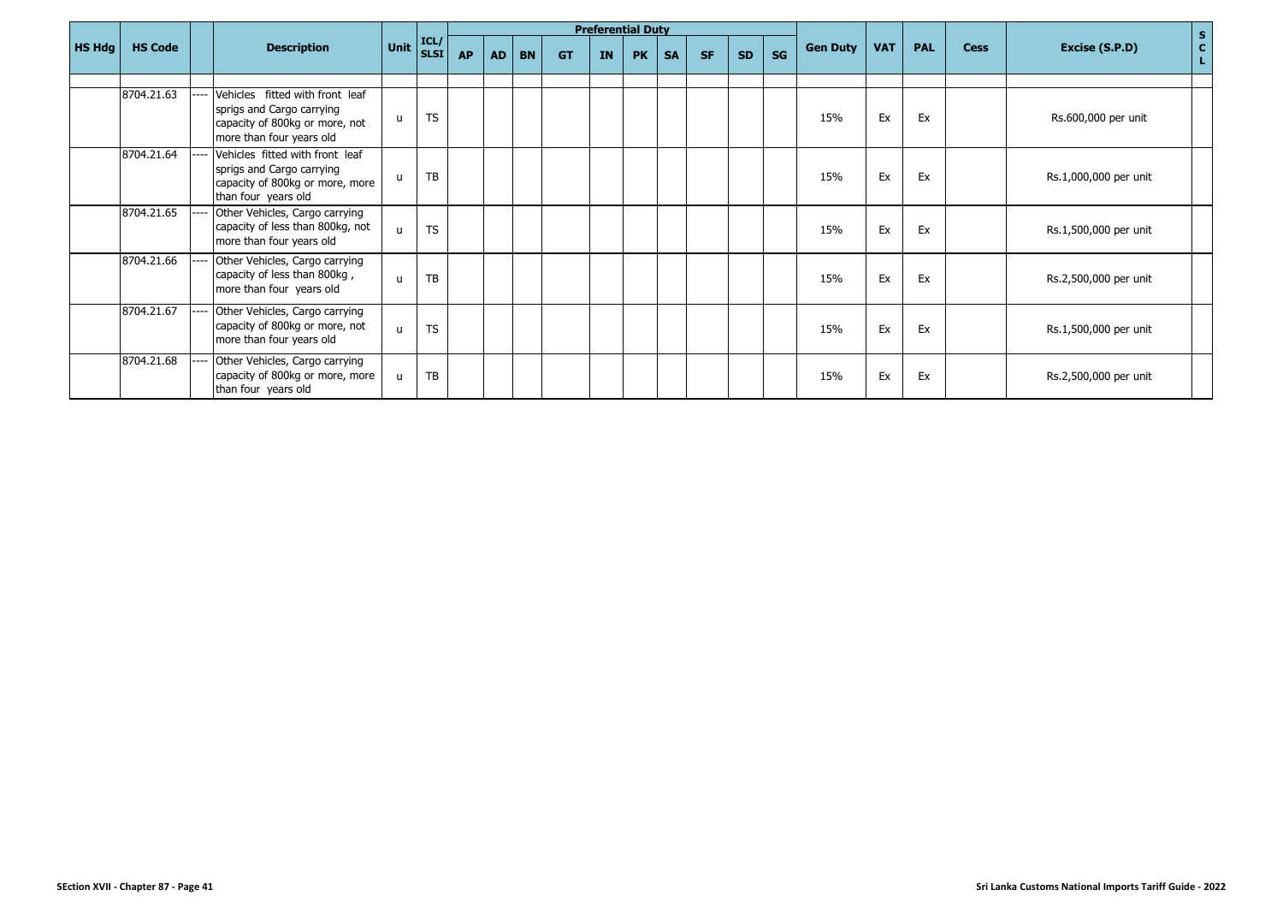|        |                |                                                                                                                            |                                                       |           |           |    |           |           |           | <b>Preferential Duty</b> |           |           |           |    |                 |            |            |             | $\mathbf{s}$                         |
|--------|----------------|----------------------------------------------------------------------------------------------------------------------------|-------------------------------------------------------|-----------|-----------|----|-----------|-----------|-----------|--------------------------|-----------|-----------|-----------|----|-----------------|------------|------------|-------------|--------------------------------------|
| HS Hdg | <b>HS Code</b> | <b>Description</b>                                                                                                         | $\vert$ Unit $\vert_{\text{SLSI}}^{\text{ICL/}}\vert$ |           | <b>AP</b> | AD | <b>BN</b> | <b>GT</b> | <b>IN</b> | <b>PK</b>                | <b>SA</b> | <b>SF</b> | <b>SD</b> | SG | <b>Gen Duty</b> | <b>VAT</b> | <b>PAL</b> | <b>Cess</b> | $\mathbf{C}$<br>Excise (S.P.D)<br>÷. |
|        |                |                                                                                                                            |                                                       |           |           |    |           |           |           |                          |           |           |           |    |                 |            |            |             |                                      |
|        | 8704.21.63     | Vehicles fitted with front leaf<br>sprigs and Cargo carrying<br>capacity of 800kg or more, not<br>more than four years old | $\mathbf{u}$                                          | <b>TS</b> |           |    |           |           |           |                          |           |           |           |    | 15%             | Ex         | Ex         |             | Rs.600,000 per unit                  |
|        | 8704.21.64     | Vehicles fitted with front leaf<br>sprigs and Cargo carrying<br>capacity of 800kg or more, more<br>than four years old     | $\mathsf{u}$                                          | TB        |           |    |           |           |           |                          |           |           |           |    | 15%             | Ex         | Ex         |             | Rs.1,000,000 per unit                |
|        | 8704.21.65     | Other Vehicles, Cargo carrying<br>capacity of less than 800kg, not<br>more than four years old                             | $\mathbf{u}$                                          | <b>TS</b> |           |    |           |           |           |                          |           |           |           |    | 15%             | Ex         | Ex         |             | Rs.1,500,000 per unit                |
|        | 8704.21.66     | Other Vehicles, Cargo carrying<br>capacity of less than 800kg,<br>more than four years old                                 | $\mathbf{u}$                                          | TB        |           |    |           |           |           |                          |           |           |           |    | 15%             | Ex         | Ex         |             | Rs.2,500,000 per unit                |
|        | 8704.21.67     | Other Vehicles, Cargo carrying<br>capacity of 800kg or more, not<br>more than four years old                               | $\mathsf{u}$                                          | <b>TS</b> |           |    |           |           |           |                          |           |           |           |    | 15%             | Ex         | Ex         |             | Rs.1,500,000 per unit                |
|        | 8704.21.68     | Other Vehicles, Cargo carrying<br>capacity of 800kg or more, more<br>than four years old                                   | u                                                     | TB        |           |    |           |           |           |                          |           |           |           |    | 15%             | Ex         | Ex         |             | Rs.2,500,000 per unit                |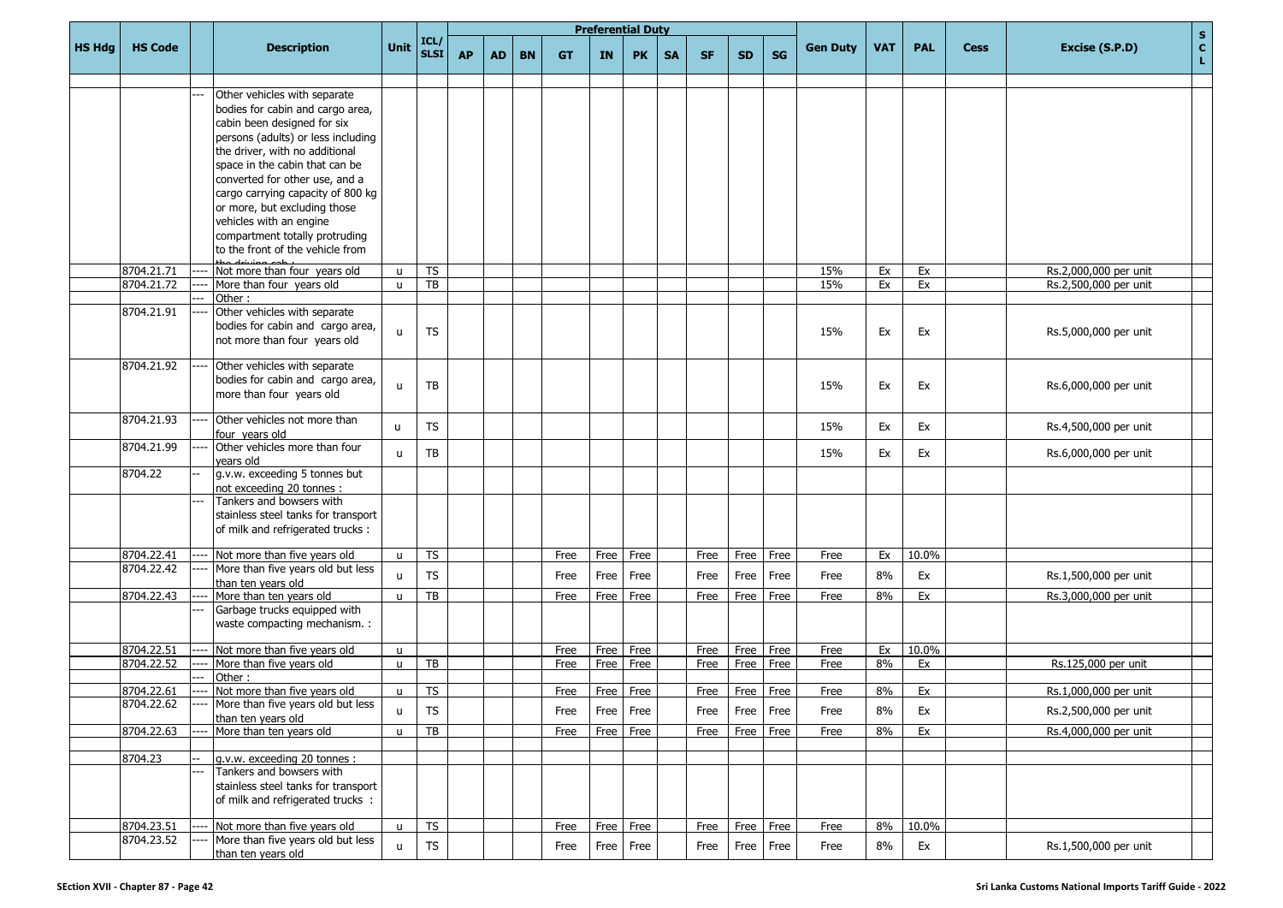|               |                          |      |                                                                   |              |                 |           |           |           |           |      | <b>Preferential Duty</b> |           |           |           |           |                 |            |            |             | $\mathbf S$                          |
|---------------|--------------------------|------|-------------------------------------------------------------------|--------------|-----------------|-----------|-----------|-----------|-----------|------|--------------------------|-----------|-----------|-----------|-----------|-----------------|------------|------------|-------------|--------------------------------------|
| <b>HS Hdg</b> | <b>HS Code</b>           |      | <b>Description</b>                                                | Unit         | ICL/<br>SLSI    | <b>AP</b> | <b>AD</b> | <b>BN</b> | <b>GT</b> | IN   | <b>PK</b>                | <b>SA</b> | <b>SF</b> | <b>SD</b> | <b>SG</b> | <b>Gen Duty</b> | <b>VAT</b> | <b>PAL</b> | <b>Cess</b> | $\mathbf{C}$<br>Excise (S.P.D)<br>L. |
|               |                          |      |                                                                   |              |                 |           |           |           |           |      |                          |           |           |           |           |                 |            |            |             |                                      |
|               |                          |      | Other vehicles with separate<br>bodies for cabin and cargo area,  |              |                 |           |           |           |           |      |                          |           |           |           |           |                 |            |            |             |                                      |
|               |                          |      | cabin been designed for six                                       |              |                 |           |           |           |           |      |                          |           |           |           |           |                 |            |            |             |                                      |
|               |                          |      | persons (adults) or less including                                |              |                 |           |           |           |           |      |                          |           |           |           |           |                 |            |            |             |                                      |
|               |                          |      | the driver, with no additional                                    |              |                 |           |           |           |           |      |                          |           |           |           |           |                 |            |            |             |                                      |
|               |                          |      | space in the cabin that can be                                    |              |                 |           |           |           |           |      |                          |           |           |           |           |                 |            |            |             |                                      |
|               |                          |      | converted for other use, and a                                    |              |                 |           |           |           |           |      |                          |           |           |           |           |                 |            |            |             |                                      |
|               |                          |      | cargo carrying capacity of 800 kg                                 |              |                 |           |           |           |           |      |                          |           |           |           |           |                 |            |            |             |                                      |
|               |                          |      | or more, but excluding those                                      |              |                 |           |           |           |           |      |                          |           |           |           |           |                 |            |            |             |                                      |
|               |                          |      | vehicles with an engine                                           |              |                 |           |           |           |           |      |                          |           |           |           |           |                 |            |            |             |                                      |
|               |                          |      | compartment totally protruding                                    |              |                 |           |           |           |           |      |                          |           |           |           |           |                 |            |            |             |                                      |
|               |                          |      | to the front of the vehicle from                                  |              |                 |           |           |           |           |      |                          |           |           |           |           |                 |            |            |             |                                      |
|               | 8704.21.71               |      | Not more than four years old                                      | u            | <b>TS</b>       |           |           |           |           |      |                          |           |           |           |           | 15%             | Ex         | Ex         |             | Rs.2,000,000 per unit                |
|               | 8704.21.72               |      | More than four years old                                          | $\mathsf{u}$ | TB              |           |           |           |           |      |                          |           |           |           |           | 15%             | Ex         | Ex         |             | Rs.2,500,000 per unit                |
|               |                          |      | Other:                                                            |              |                 |           |           |           |           |      |                          |           |           |           |           |                 |            |            |             |                                      |
|               | 8704.21.91               |      | Other vehicles with separate                                      |              |                 |           |           |           |           |      |                          |           |           |           |           |                 |            |            |             |                                      |
|               |                          |      | bodies for cabin and cargo area,<br>not more than four years old  | u            | <b>TS</b>       |           |           |           |           |      |                          |           |           |           |           | 15%             | Ex         | Ex         |             | Rs.5,000,000 per unit                |
|               |                          |      |                                                                   |              |                 |           |           |           |           |      |                          |           |           |           |           |                 |            |            |             |                                      |
|               | 8704.21.92               |      | Other vehicles with separate                                      |              |                 |           |           |           |           |      |                          |           |           |           |           |                 |            |            |             |                                      |
|               |                          |      | bodies for cabin and cargo area,                                  | u            | ТB              |           |           |           |           |      |                          |           |           |           |           | 15%             | Ex         | Ex         |             | Rs.6,000,000 per unit                |
|               |                          |      | more than four years old                                          |              |                 |           |           |           |           |      |                          |           |           |           |           |                 |            |            |             |                                      |
|               | 8704.21.93               |      | Other vehicles not more than                                      |              |                 |           |           |           |           |      |                          |           |           |           |           |                 |            |            |             |                                      |
|               |                          |      | our years old                                                     | u            | <b>TS</b>       |           |           |           |           |      |                          |           |           |           |           | 15%             | Ex         | Ex         |             | Rs.4,500,000 per unit                |
|               | 8704.21.99               |      | Other vehicles more than four                                     | $\mathsf{u}$ | TB              |           |           |           |           |      |                          |           |           |           |           | 15%             | Ex         | Ex         |             | Rs.6,000,000 per unit                |
|               |                          |      | vears old                                                         |              |                 |           |           |           |           |      |                          |           |           |           |           |                 |            |            |             |                                      |
|               | 8704.22                  |      | g.v.w. exceeding 5 tonnes but<br>not exceeding 20 tonnes :        |              |                 |           |           |           |           |      |                          |           |           |           |           |                 |            |            |             |                                      |
|               |                          |      | Tankers and bowsers with                                          |              |                 |           |           |           |           |      |                          |           |           |           |           |                 |            |            |             |                                      |
|               |                          |      | stainless steel tanks for transport                               |              |                 |           |           |           |           |      |                          |           |           |           |           |                 |            |            |             |                                      |
|               |                          |      | of milk and refrigerated trucks :                                 |              |                 |           |           |           |           |      |                          |           |           |           |           |                 |            |            |             |                                      |
|               |                          |      |                                                                   |              |                 |           |           |           |           |      |                          |           |           |           |           |                 |            |            |             |                                      |
|               | 8704.22.41<br>8704.22.42 | ---- | Not more than five years old<br>More than five years old but less | u            | <b>TS</b>       |           |           |           | Free      | Free | Free                     |           | Free      | Free      | Free      | Free            | Ex         | 10.0%      |             |                                      |
|               |                          |      | than ten years old                                                | u            | TS              |           |           |           | Free      | Free | Free                     |           | Free      | Free      | Free      | Free            | 8%         | Ex         |             | Rs.1,500,000 per unit                |
|               | 8704.22.43               |      | More than ten years old                                           | u            | TB              |           |           |           | Free      | Free | Free                     |           | Free      | Free      | Free      | Free            | 8%         | Ex         |             | Rs.3,000,000 per unit                |
|               |                          |      | Garbage trucks equipped with                                      |              |                 |           |           |           |           |      |                          |           |           |           |           |                 |            |            |             |                                      |
|               |                          |      | waste compacting mechanism. :                                     |              |                 |           |           |           |           |      |                          |           |           |           |           |                 |            |            |             |                                      |
|               | 8704.22.51               |      | Not more than five years old                                      | u            |                 |           |           |           | Free      | Free | Free                     |           | Free      | Free      | Free      | Free            | Ex         | 10.0%      |             |                                      |
|               | 8704.22.52               |      | More than five years old                                          | u            | TB              |           |           |           | Free      | Free | Free                     |           | Free      | Free      | Free      | Free            | 8%         | Ex         |             | Rs.125,000 per unit                  |
|               |                          |      | Other:                                                            |              |                 |           |           |           |           |      |                          |           |           |           |           |                 |            |            |             |                                      |
|               | 8704.22.61               | ---- | Not more than five years old                                      | $\mathsf{u}$ | <b>TS</b>       |           |           |           | Free      | Free | Free                     |           | Free      | Free      | Free      | Free            | 8%         | Ex         |             | Rs.1,000,000 per unit                |
|               | 8704.22.62               |      | More than five years old but less                                 | $\cup$       | TS              |           |           |           | Free      | Free | Free                     |           | Free      | Free      | Free      | Free            | 8%         | Ex         |             | Rs.2,500,000 per unit                |
|               |                          |      | than ten years old                                                |              |                 |           |           |           |           |      |                          |           |           |           |           |                 |            |            |             |                                      |
|               | 8704.22.63               | ---- | More than ten years old                                           | $\mathsf{u}$ | $\overline{TB}$ |           |           |           | Free      | Free | Free                     |           | Free      | Free      | Free      | Free            | 8%         | Ex         |             | Rs.4,000,000 per unit                |
|               | 8704.23                  |      | g.v.w. exceeding 20 tonnes :                                      |              |                 |           |           |           |           |      |                          |           |           |           |           |                 |            |            |             |                                      |
|               |                          |      | Tankers and bowsers with                                          |              |                 |           |           |           |           |      |                          |           |           |           |           |                 |            |            |             |                                      |
|               |                          |      | stainless steel tanks for transport                               |              |                 |           |           |           |           |      |                          |           |           |           |           |                 |            |            |             |                                      |
|               |                          |      | of milk and refrigerated trucks :                                 |              |                 |           |           |           |           |      |                          |           |           |           |           |                 |            |            |             |                                      |
|               |                          |      | Not more than five years old                                      |              | TS              |           |           |           |           |      | Free Free                |           |           | Free      | Free      |                 | 8%         | 10.0%      |             |                                      |
|               | 8704.23.51<br>8704.23.52 |      | More than five years old but less                                 | $\mathsf{u}$ |                 |           |           |           | Free      |      |                          |           | Free      |           |           | Free            |            |            |             |                                      |
|               |                          |      | than ten years old                                                | $\mathsf{u}$ | <b>TS</b>       |           |           |           | Free      | Free | Free                     |           | Free      | Free      | Free      | Free            | 8%         | Ex         |             | Rs.1,500,000 per unit                |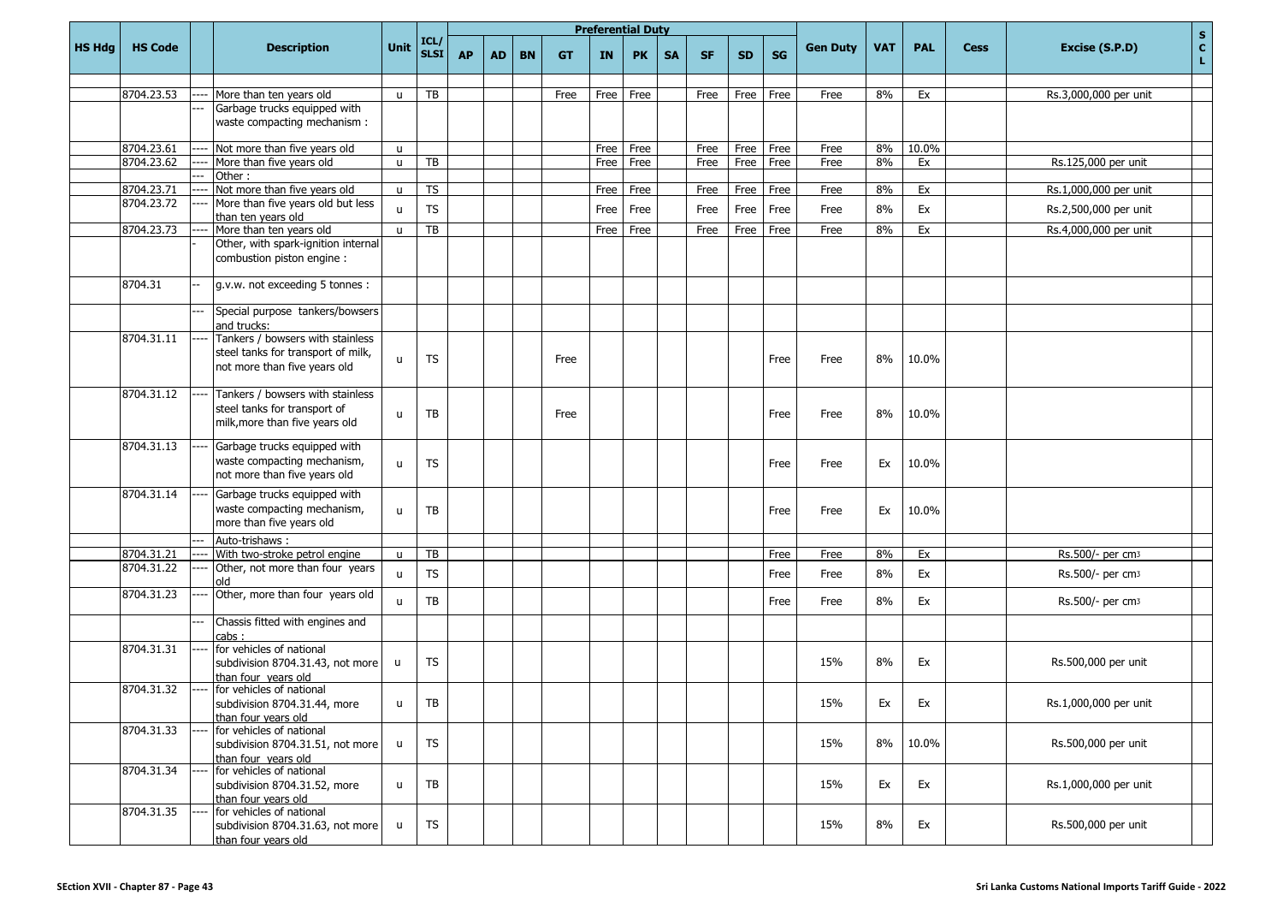|               |                |                                                                        |              |                          |           |           |           |           |           | <b>Preferential Duty</b> |           |           |           |           |                 |            |            |             | $\mathbf S$                          |
|---------------|----------------|------------------------------------------------------------------------|--------------|--------------------------|-----------|-----------|-----------|-----------|-----------|--------------------------|-----------|-----------|-----------|-----------|-----------------|------------|------------|-------------|--------------------------------------|
| <b>HS Hdg</b> | <b>HS Code</b> | <b>Description</b>                                                     | Unit         | ICL/<br>SLSI             | <b>AP</b> | <b>AD</b> | <b>BN</b> | <b>GT</b> | <b>IN</b> | <b>PK</b>                | <b>SA</b> | <b>SF</b> | <b>SD</b> | <b>SG</b> | <b>Gen Duty</b> | <b>VAT</b> | <b>PAL</b> | <b>Cess</b> | $\mathbf{c}$<br>Excise (S.P.D)<br>L. |
|               |                |                                                                        |              |                          |           |           |           |           |           |                          |           |           |           |           |                 |            |            |             |                                      |
|               | 8704.23.53     | <br>More than ten years old<br>Garbage trucks equipped with            | $\mathbf{u}$ | TB                       |           |           |           | Free      | Free      | Free                     |           | Free      | Free      | Free      | Free            | 8%         | Ex         |             | Rs.3,000,000 per unit                |
|               |                | waste compacting mechanism :                                           |              |                          |           |           |           |           |           |                          |           |           |           |           |                 |            |            |             |                                      |
|               |                |                                                                        |              |                          |           |           |           |           |           |                          |           |           |           |           |                 |            |            |             |                                      |
|               | 8704.23.61     | Not more than five years old                                           | u            |                          |           |           |           |           | Free      | Free                     |           | Free      | Free      | Free      | Free            | 8%         | 10.0%      |             |                                      |
|               | 8704.23.62     | More than five years old                                               | $\mathbf{H}$ | TB                       |           |           |           |           | Free      | Free                     |           | Free      | Free      | Free      | Free            | 8%         | Ex         |             | Rs.125,000 per unit                  |
|               |                | Other:                                                                 |              |                          |           |           |           |           |           |                          |           |           |           |           |                 |            |            |             |                                      |
|               | 8704.23.71     | Not more than five years old                                           | $\mathbf{u}$ | $\overline{\mathsf{TS}}$ |           |           |           |           | Free      | Free                     |           | Free      | Free      | Free      | Free            | 8%         | Ex         |             | Rs.1,000,000 per unit                |
|               | 8704.23.72     | More than five years old but less<br>than ten years old                | $\mathbf{u}$ | <b>TS</b>                |           |           |           |           | Free      | Free                     |           | Free      | Free      | Free      | Free            | 8%         | Ex         |             | Rs.2,500,000 per unit                |
|               | 8704.23.73     | More than ten years old                                                | $\mathsf{u}$ | $\overline{AB}$          |           |           |           |           | Free      | Free                     |           | Free      | Free      | Free      | Free            | 8%         | Ex         |             | Rs.4,000,000 per unit                |
|               |                | Other, with spark-ignition internal<br>combustion piston engine:       |              |                          |           |           |           |           |           |                          |           |           |           |           |                 |            |            |             |                                      |
|               | 8704.31        | g.v.w. not exceeding 5 tonnes :                                        |              |                          |           |           |           |           |           |                          |           |           |           |           |                 |            |            |             |                                      |
|               |                | Special purpose tankers/bowsers                                        |              |                          |           |           |           |           |           |                          |           |           |           |           |                 |            |            |             |                                      |
|               |                | and trucks:                                                            |              |                          |           |           |           |           |           |                          |           |           |           |           |                 |            |            |             |                                      |
|               | 8704.31.11     | Tankers / bowsers with stainless<br>steel tanks for transport of milk, |              |                          |           |           |           |           |           |                          |           |           |           |           |                 |            |            |             |                                      |
|               |                | not more than five years old                                           | $\mathbf{u}$ | <b>TS</b>                |           |           |           | Free      |           |                          |           |           |           | Free      | Free            | 8%         | 10.0%      |             |                                      |
|               | 8704.31.12     | Tankers / bowsers with stainless                                       |              |                          |           |           |           |           |           |                          |           |           |           |           |                 |            |            |             |                                      |
|               |                | steel tanks for transport of                                           | $\mathbf{u}$ | TB                       |           |           |           | Free      |           |                          |           |           |           | Free      | Free            | 8%         | 10.0%      |             |                                      |
|               |                | milk, more than five years old                                         |              |                          |           |           |           |           |           |                          |           |           |           |           |                 |            |            |             |                                      |
|               | 8704.31.13     | Garbage trucks equipped with                                           |              |                          |           |           |           |           |           |                          |           |           |           |           |                 |            |            |             |                                      |
|               |                | waste compacting mechanism,                                            | $\mathsf{u}$ | <b>TS</b>                |           |           |           |           |           |                          |           |           |           | Free      | Free            | Ex         | 10.0%      |             |                                      |
|               |                | not more than five years old                                           |              |                          |           |           |           |           |           |                          |           |           |           |           |                 |            |            |             |                                      |
|               | 8704.31.14     | Garbage trucks equipped with                                           |              |                          |           |           |           |           |           |                          |           |           |           |           |                 |            |            |             |                                      |
|               |                | waste compacting mechanism,                                            | $\mathsf{u}$ | <b>TB</b>                |           |           |           |           |           |                          |           |           |           | Free      | Free            | Ex         | 10.0%      |             |                                      |
|               |                | more than five years old                                               |              |                          |           |           |           |           |           |                          |           |           |           |           |                 |            |            |             |                                      |
|               |                | Auto-trishaws:                                                         |              |                          |           |           |           |           |           |                          |           |           |           |           |                 |            |            |             |                                      |
|               | 8704.31.21     | With two-stroke petrol engine                                          | $\mathsf{u}$ | TB                       |           |           |           |           |           |                          |           |           |           | Free      | Free            | 8%         | Ex         |             | Rs.500/- per cm3                     |
|               | 8704.31.22     | Other, not more than four years                                        | $\mathbf{u}$ | <b>TS</b>                |           |           |           |           |           |                          |           |           |           | Free      | Free            | 8%         | Ex         |             | Rs.500/- per cm <sub>3</sub>         |
|               | 8704.31.23     | old<br>Other, more than four years old                                 |              |                          |           |           |           |           |           |                          |           |           |           |           |                 |            |            |             |                                      |
|               |                | Chassis fitted with engines and                                        | $\mathbf{u}$ | <b>TB</b>                |           |           |           |           |           |                          |           |           |           | Free      | Free            | 8%         | Ex         |             | Rs.500/- per cm <sub>3</sub>         |
|               |                | cabs:                                                                  |              |                          |           |           |           |           |           |                          |           |           |           |           |                 |            |            |             |                                      |
|               | 8704.31.31     | for vehicles of national                                               |              |                          |           |           |           |           |           |                          |           |           |           |           |                 |            |            |             |                                      |
|               |                | subdivision 8704.31.43, not more                                       | <b>u</b>     | <b>TS</b>                |           |           |           |           |           |                          |           |           |           |           | 15%             | 8%         | Ex         |             | Rs.500,000 per unit                  |
|               | 8704.31.32     | than four years old<br>for vehicles of national                        |              |                          |           |           |           |           |           |                          |           |           |           |           |                 |            |            |             |                                      |
|               |                | subdivision 8704.31.44, more                                           | u            | TB                       |           |           |           |           |           |                          |           |           |           |           | 15%             | Ex         | Ex         |             | Rs.1,000,000 per unit                |
|               |                | than four years old                                                    |              |                          |           |           |           |           |           |                          |           |           |           |           |                 |            |            |             |                                      |
|               | 8704.31.33     | for vehicles of national                                               |              |                          |           |           |           |           |           |                          |           |           |           |           |                 |            |            |             |                                      |
|               |                | subdivision 8704.31.51, not more                                       | u            | <b>TS</b>                |           |           |           |           |           |                          |           |           |           |           | 15%             | 8%         | 10.0%      |             | Rs.500,000 per unit                  |
|               |                | than four years old                                                    |              |                          |           |           |           |           |           |                          |           |           |           |           |                 |            |            |             |                                      |
|               | 8704.31.34     | for vehicles of national<br>subdivision 8704.31.52, more               | u            | TB                       |           |           |           |           |           |                          |           |           |           |           | 15%             | Ex         | Ex         |             | Rs.1,000,000 per unit                |
|               |                | than four years old                                                    |              |                          |           |           |           |           |           |                          |           |           |           |           |                 |            |            |             |                                      |
|               | 8704.31.35     | for vehicles of national                                               |              |                          |           |           |           |           |           |                          |           |           |           |           |                 |            |            |             |                                      |
|               |                | subdivision 8704.31.63, not more                                       | u            | <b>TS</b>                |           |           |           |           |           |                          |           |           |           |           | 15%             | 8%         | Ex         |             | Rs.500,000 per unit                  |
|               |                | than four vears old                                                    |              |                          |           |           |           |           |           |                          |           |           |           |           |                 |            |            |             |                                      |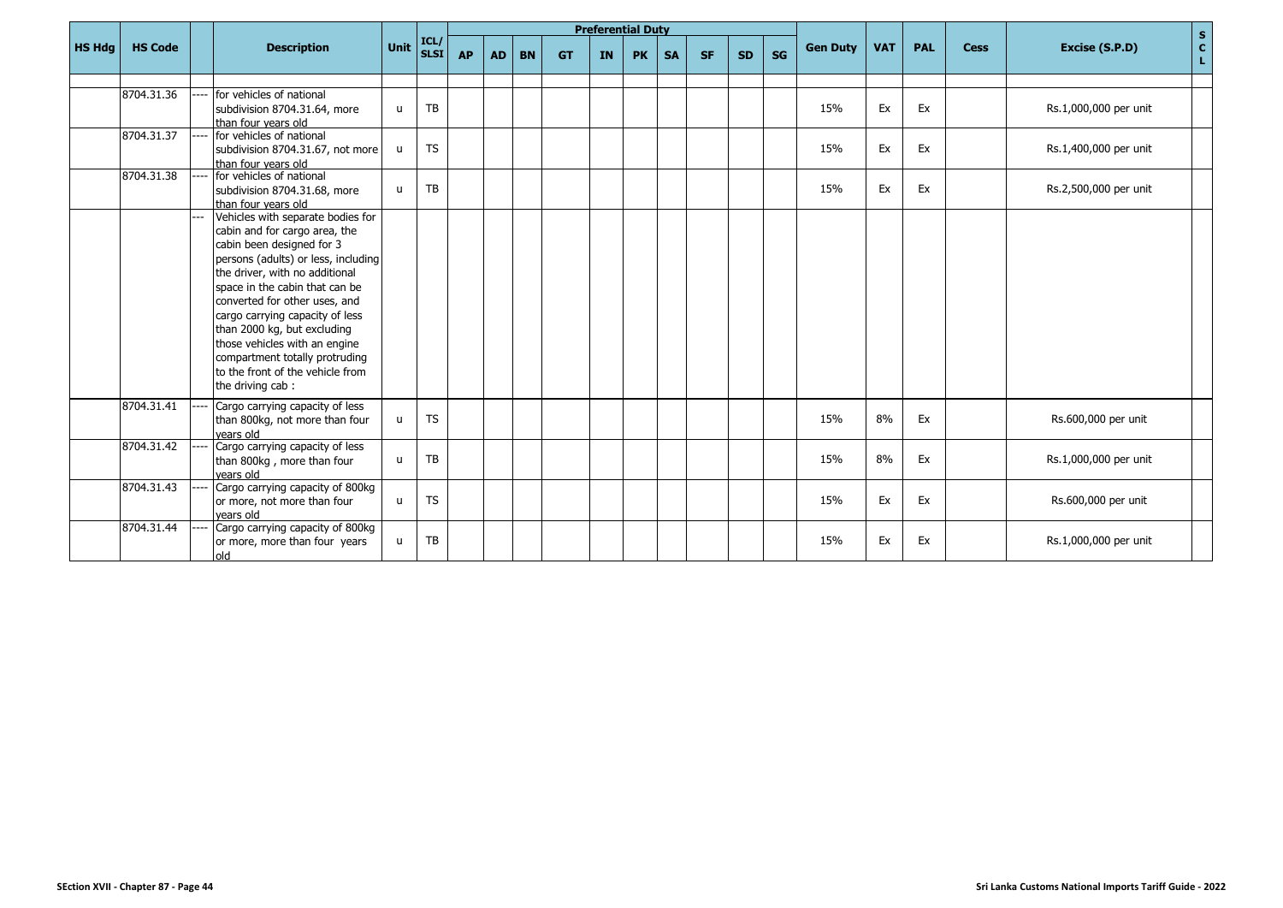|               |                |                                                                                                                                                                                                                                                                                                                                                                                                                                          |              |                     |           |           |           |           |    | <b>Preferential Duty</b> |           |           |           |    |                 |            |            |             |                                                               |
|---------------|----------------|------------------------------------------------------------------------------------------------------------------------------------------------------------------------------------------------------------------------------------------------------------------------------------------------------------------------------------------------------------------------------------------------------------------------------------------|--------------|---------------------|-----------|-----------|-----------|-----------|----|--------------------------|-----------|-----------|-----------|----|-----------------|------------|------------|-------------|---------------------------------------------------------------|
| <b>HS Hdg</b> | <b>HS Code</b> | <b>Description</b>                                                                                                                                                                                                                                                                                                                                                                                                                       | <b>Unit</b>  | ICL <br><b>SLSI</b> | <b>AP</b> | <b>AD</b> | <b>BN</b> | <b>GT</b> | IN | <b>PK</b>                | <b>SA</b> | <b>SF</b> | <b>SD</b> | SG | <b>Gen Duty</b> | <b>VAT</b> | <b>PAL</b> | <b>Cess</b> | $\begin{bmatrix} 5 \\ C \\ L \end{bmatrix}$<br>Excise (S.P.D) |
|               |                |                                                                                                                                                                                                                                                                                                                                                                                                                                          |              |                     |           |           |           |           |    |                          |           |           |           |    |                 |            |            |             |                                                               |
|               | 8704.31.36     | for vehicles of national<br>subdivision 8704.31.64, more<br>than four years old                                                                                                                                                                                                                                                                                                                                                          | $\mathsf{u}$ | TB                  |           |           |           |           |    |                          |           |           |           |    | 15%             | Ex         | Ex         |             | Rs.1,000,000 per unit                                         |
|               | 8704.31.37     | for vehicles of national<br>subdivision 8704.31.67, not more<br>than four vears old                                                                                                                                                                                                                                                                                                                                                      | u            | <b>TS</b>           |           |           |           |           |    |                          |           |           |           |    | 15%             | Ex         | Ex         |             | Rs.1,400,000 per unit                                         |
|               | 8704.31.38     | for vehicles of national<br>subdivision 8704.31.68, more<br>than four vears old                                                                                                                                                                                                                                                                                                                                                          | $\mathbf{u}$ | TB                  |           |           |           |           |    |                          |           |           |           |    | 15%             | Ex         | Ex         |             | Rs.2,500,000 per unit                                         |
|               |                | Vehicles with separate bodies for<br>cabin and for cargo area, the<br>cabin been designed for 3<br>persons (adults) or less, including<br>the driver, with no additional<br>space in the cabin that can be<br>converted for other uses, and<br>cargo carrying capacity of less<br>than 2000 kg, but excluding<br>those vehicles with an engine<br>compartment totally protruding<br>to the front of the vehicle from<br>the driving cab: |              |                     |           |           |           |           |    |                          |           |           |           |    |                 |            |            |             |                                                               |
|               | 8704.31.41     | Cargo carrying capacity of less<br>than 800kg, not more than four<br>vears old                                                                                                                                                                                                                                                                                                                                                           | u            | TS                  |           |           |           |           |    |                          |           |           |           |    | 15%             | 8%         | Ex         |             | Rs.600,000 per unit                                           |
|               | 8704.31.42     | Cargo carrying capacity of less<br>than 800kg, more than four<br>vears old                                                                                                                                                                                                                                                                                                                                                               | u            | TB                  |           |           |           |           |    |                          |           |           |           |    | 15%             | 8%         | Ex         |             | Rs.1,000,000 per unit                                         |
|               | 8704.31.43     | Cargo carrying capacity of 800kg<br>or more, not more than four<br>vears old                                                                                                                                                                                                                                                                                                                                                             | $\mathsf{u}$ | <b>TS</b>           |           |           |           |           |    |                          |           |           |           |    | 15%             | Ex         | Ex         |             | Rs.600,000 per unit                                           |
|               | 8704.31.44     | Cargo carrying capacity of 800kg<br>or more, more than four years<br>old                                                                                                                                                                                                                                                                                                                                                                 | u            | TB                  |           |           |           |           |    |                          |           |           |           |    | 15%             | Ex         | Ex         |             | Rs.1,000,000 per unit                                         |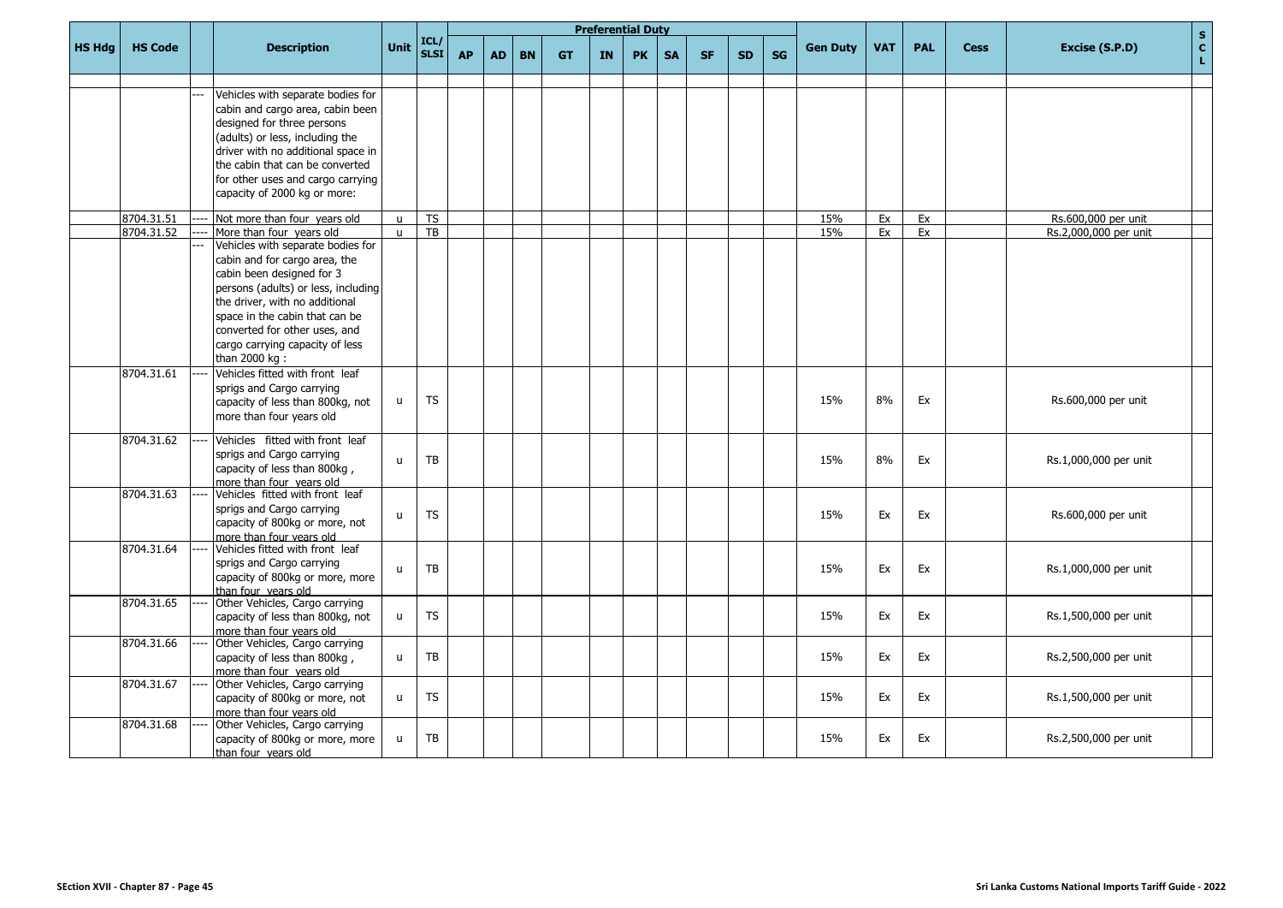|               |                |                                                             |              |              |           |           |           |           |           | <b>Preferential Duty</b> |           |           |           |           |                 |            |            |             | $\mathbf S$                                   |
|---------------|----------------|-------------------------------------------------------------|--------------|--------------|-----------|-----------|-----------|-----------|-----------|--------------------------|-----------|-----------|-----------|-----------|-----------------|------------|------------|-------------|-----------------------------------------------|
| <b>HS Hdg</b> | <b>HS Code</b> | <b>Description</b>                                          | <b>Unit</b>  | ICL/<br>SLSI | <b>AP</b> | <b>AD</b> | <b>BN</b> | <b>GT</b> | <b>IN</b> | <b>PK</b>                | <b>SA</b> | <b>SF</b> | <b>SD</b> | <b>SG</b> | <b>Gen Duty</b> | <b>VAT</b> | <b>PAL</b> | <b>Cess</b> | $\mathbf{c}$<br>Excise (S.P.D)<br>$\mathbf L$ |
|               |                |                                                             |              |              |           |           |           |           |           |                          |           |           |           |           |                 |            |            |             |                                               |
|               |                | Vehicles with separate bodies for                           |              |              |           |           |           |           |           |                          |           |           |           |           |                 |            |            |             |                                               |
|               |                | cabin and cargo area, cabin been                            |              |              |           |           |           |           |           |                          |           |           |           |           |                 |            |            |             |                                               |
|               |                | designed for three persons                                  |              |              |           |           |           |           |           |                          |           |           |           |           |                 |            |            |             |                                               |
|               |                | (adults) or less, including the                             |              |              |           |           |           |           |           |                          |           |           |           |           |                 |            |            |             |                                               |
|               |                | driver with no additional space in                          |              |              |           |           |           |           |           |                          |           |           |           |           |                 |            |            |             |                                               |
|               |                | the cabin that can be converted                             |              |              |           |           |           |           |           |                          |           |           |           |           |                 |            |            |             |                                               |
|               |                | for other uses and cargo carrying                           |              |              |           |           |           |           |           |                          |           |           |           |           |                 |            |            |             |                                               |
|               |                | capacity of 2000 kg or more:                                |              |              |           |           |           |           |           |                          |           |           |           |           |                 |            |            |             |                                               |
|               | 8704.31.51     | Not more than four years old                                | $\mathbf{u}$ | TS           |           |           |           |           |           |                          |           |           |           |           | 15%             | Ex         | Ex         |             | Rs.600,000 per unit                           |
|               | 8704.31.52     | More than four years old                                    | $\mathbf{u}$ | TB           |           |           |           |           |           |                          |           |           |           |           | 15%             | Ex         | Ex         |             | Rs.2,000,000 per unit                         |
|               |                | Vehicles with separate bodies for                           |              |              |           |           |           |           |           |                          |           |           |           |           |                 |            |            |             |                                               |
|               |                | cabin and for cargo area, the                               |              |              |           |           |           |           |           |                          |           |           |           |           |                 |            |            |             |                                               |
|               |                | cabin been designed for 3                                   |              |              |           |           |           |           |           |                          |           |           |           |           |                 |            |            |             |                                               |
|               |                | persons (adults) or less, including                         |              |              |           |           |           |           |           |                          |           |           |           |           |                 |            |            |             |                                               |
|               |                | the driver, with no additional                              |              |              |           |           |           |           |           |                          |           |           |           |           |                 |            |            |             |                                               |
|               |                | space in the cabin that can be                              |              |              |           |           |           |           |           |                          |           |           |           |           |                 |            |            |             |                                               |
|               |                | converted for other uses, and                               |              |              |           |           |           |           |           |                          |           |           |           |           |                 |            |            |             |                                               |
|               |                | cargo carrying capacity of less                             |              |              |           |           |           |           |           |                          |           |           |           |           |                 |            |            |             |                                               |
|               |                | than 2000 kg :                                              |              |              |           |           |           |           |           |                          |           |           |           |           |                 |            |            |             |                                               |
|               | 8704.31.61     | Vehicles fitted with front leaf                             |              |              |           |           |           |           |           |                          |           |           |           |           |                 |            |            |             |                                               |
|               |                | sprigs and Cargo carrying                                   |              |              |           |           |           |           |           |                          |           |           |           |           |                 |            |            |             |                                               |
|               |                | capacity of less than 800kg, not                            | $\mathsf{u}$ | <b>TS</b>    |           |           |           |           |           |                          |           |           |           |           | 15%             | 8%         | Ex         |             | Rs.600,000 per unit                           |
|               |                | more than four years old                                    |              |              |           |           |           |           |           |                          |           |           |           |           |                 |            |            |             |                                               |
|               | 8704.31.62     | Vehicles fitted with front leaf                             |              |              |           |           |           |           |           |                          |           |           |           |           |                 |            |            |             |                                               |
|               |                | sprigs and Cargo carrying                                   | $\mathsf{u}$ | ТB           |           |           |           |           |           |                          |           |           |           |           | 15%             | 8%         | Ex         |             | Rs.1,000,000 per unit                         |
|               |                | capacity of less than 800kg,                                |              |              |           |           |           |           |           |                          |           |           |           |           |                 |            |            |             |                                               |
|               |                | more than four vears old                                    |              |              |           |           |           |           |           |                          |           |           |           |           |                 |            |            |             |                                               |
|               | 8704.31.63     | Vehicles fitted with front leaf                             |              |              |           |           |           |           |           |                          |           |           |           |           |                 |            |            |             |                                               |
|               |                | sprigs and Cargo carrying                                   | $\mathbf{u}$ | <b>TS</b>    |           |           |           |           |           |                          |           |           |           |           | 15%             | Ex         | Ex         |             | Rs.600,000 per unit                           |
|               |                | capacity of 800kg or more, not                              |              |              |           |           |           |           |           |                          |           |           |           |           |                 |            |            |             |                                               |
|               | 8704.31.64     | more than four years old<br>Vehicles fitted with front leaf |              |              |           |           |           |           |           |                          |           |           |           |           |                 |            |            |             |                                               |
|               |                | sprigs and Cargo carrying                                   |              |              |           |           |           |           |           |                          |           |           |           |           |                 |            |            |             |                                               |
|               |                | capacity of 800kg or more, more                             | $\mathsf{u}$ | TB           |           |           |           |           |           |                          |           |           |           |           | 15%             | Ex         | Ex         |             | Rs.1,000,000 per unit                         |
|               |                | than four vears old                                         |              |              |           |           |           |           |           |                          |           |           |           |           |                 |            |            |             |                                               |
|               | 8704.31.65     | Other Vehicles, Cargo carrying                              |              |              |           |           |           |           |           |                          |           |           |           |           |                 |            |            |             |                                               |
|               |                | capacity of less than 800kg, not                            | u            | <b>TS</b>    |           |           |           |           |           |                          |           |           |           |           | 15%             | Ex         | Ex         |             | Rs.1,500,000 per unit                         |
|               |                | more than four years old                                    |              |              |           |           |           |           |           |                          |           |           |           |           |                 |            |            |             |                                               |
|               | 8704.31.66     | Other Vehicles, Cargo carrying                              |              |              |           |           |           |           |           |                          |           |           |           |           |                 |            |            |             |                                               |
|               |                | capacity of less than 800kg,                                | $\mathsf{u}$ | <b>TB</b>    |           |           |           |           |           |                          |           |           |           |           | 15%             | Ex         | Ex         |             | Rs.2,500,000 per unit                         |
|               |                | more than four years old                                    |              |              |           |           |           |           |           |                          |           |           |           |           |                 |            |            |             |                                               |
|               | 8704.31.67     | Other Vehicles, Cargo carrying                              |              | <b>TS</b>    |           |           |           |           |           |                          |           |           |           |           | 15%             | Ex         | Ex         |             |                                               |
|               |                | capacity of 800kg or more, not<br>more than four years old  | u            |              |           |           |           |           |           |                          |           |           |           |           |                 |            |            |             | Rs.1,500,000 per unit                         |
|               | 8704.31.68     | Other Vehicles, Cargo carrying                              |              |              |           |           |           |           |           |                          |           |           |           |           |                 |            |            |             |                                               |
|               |                | capacity of 800kg or more, more                             | u            | <b>TB</b>    |           |           |           |           |           |                          |           |           |           |           | 15%             | Ex         | Ex         |             | Rs.2,500,000 per unit                         |
|               |                | than four vears old                                         |              |              |           |           |           |           |           |                          |           |           |           |           |                 |            |            |             |                                               |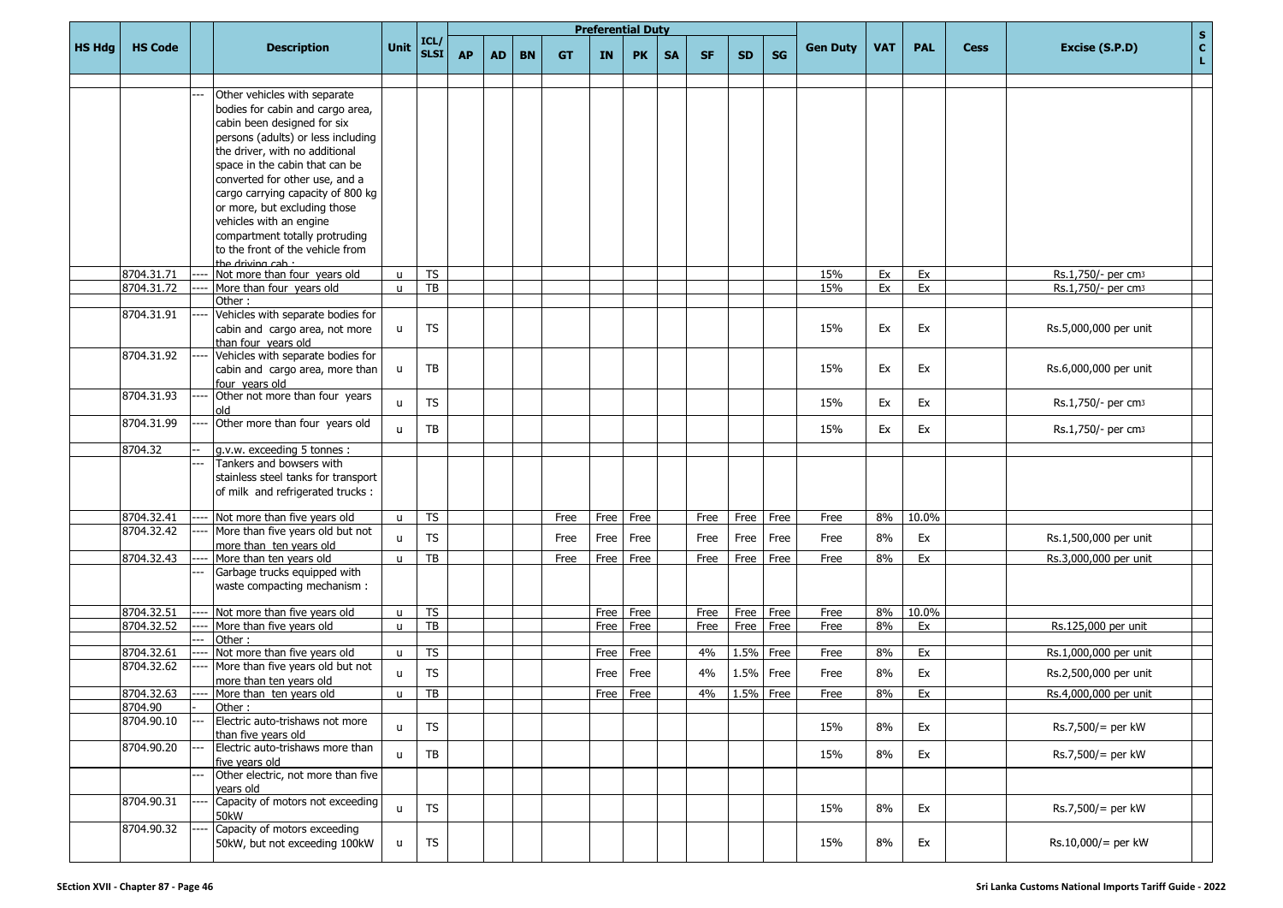|               |                |                                                                  |              |              |           |           |           |           | <b>Preferential Duty</b> |           |           |           |           |           |                 |            |            |             |                                                      |
|---------------|----------------|------------------------------------------------------------------|--------------|--------------|-----------|-----------|-----------|-----------|--------------------------|-----------|-----------|-----------|-----------|-----------|-----------------|------------|------------|-------------|------------------------------------------------------|
| <b>HS Hdg</b> | <b>HS Code</b> | <b>Description</b>                                               | <b>Unit</b>  | ICL/<br>SLSI | <b>AP</b> | <b>AD</b> | <b>BN</b> | <b>GT</b> | <b>IN</b>                | <b>PK</b> | <b>SA</b> | <b>SF</b> | <b>SD</b> | <b>SG</b> | <b>Gen Duty</b> | <b>VAT</b> | <b>PAL</b> | <b>Cess</b> | $\mathbf{s}$<br>$\mathbf{c}$<br>Excise (S.P.D)<br>L. |
|               |                |                                                                  |              |              |           |           |           |           |                          |           |           |           |           |           |                 |            |            |             |                                                      |
|               |                | Other vehicles with separate                                     |              |              |           |           |           |           |                          |           |           |           |           |           |                 |            |            |             |                                                      |
|               |                | bodies for cabin and cargo area,                                 |              |              |           |           |           |           |                          |           |           |           |           |           |                 |            |            |             |                                                      |
|               |                | cabin been designed for six                                      |              |              |           |           |           |           |                          |           |           |           |           |           |                 |            |            |             |                                                      |
|               |                | persons (adults) or less including                               |              |              |           |           |           |           |                          |           |           |           |           |           |                 |            |            |             |                                                      |
|               |                | the driver, with no additional<br>space in the cabin that can be |              |              |           |           |           |           |                          |           |           |           |           |           |                 |            |            |             |                                                      |
|               |                | converted for other use, and a                                   |              |              |           |           |           |           |                          |           |           |           |           |           |                 |            |            |             |                                                      |
|               |                | cargo carrying capacity of 800 kg                                |              |              |           |           |           |           |                          |           |           |           |           |           |                 |            |            |             |                                                      |
|               |                | or more, but excluding those                                     |              |              |           |           |           |           |                          |           |           |           |           |           |                 |            |            |             |                                                      |
|               |                | vehicles with an engine                                          |              |              |           |           |           |           |                          |           |           |           |           |           |                 |            |            |             |                                                      |
|               |                | compartment totally protruding                                   |              |              |           |           |           |           |                          |           |           |           |           |           |                 |            |            |             |                                                      |
|               |                | to the front of the vehicle from                                 |              |              |           |           |           |           |                          |           |           |           |           |           |                 |            |            |             |                                                      |
|               |                | the driving $\cosh \cdot$                                        |              |              |           |           |           |           |                          |           |           |           |           |           |                 |            |            |             |                                                      |
|               | 8704.31.71     | Not more than four years old                                     | $\mathbf{u}$ | <b>TS</b>    |           |           |           |           |                          |           |           |           |           |           | 15%             | Ex         | Ex         |             | Rs.1,750/- per cm3                                   |
|               | 8704.31.72     | More than four years old                                         | $\mathsf{u}$ | TB           |           |           |           |           |                          |           |           |           |           |           | 15%             | Ex         | Ex         |             | Rs.1,750/- per cm3                                   |
|               |                | Other:                                                           |              |              |           |           |           |           |                          |           |           |           |           |           |                 |            |            |             |                                                      |
|               | 8704.31.91     | Vehicles with separate bodies for                                |              |              |           |           |           |           |                          |           |           |           |           |           |                 |            |            |             |                                                      |
|               |                | cabin and cargo area, not more                                   | u            | <b>TS</b>    |           |           |           |           |                          |           |           |           |           |           | 15%             | Ex         | Ex         |             | Rs.5,000,000 per unit                                |
|               | 8704.31.92     | than four vears old<br>Vehicles with separate bodies for         |              |              |           |           |           |           |                          |           |           |           |           |           |                 |            |            |             |                                                      |
|               |                | cabin and cargo area, more than                                  | u            | TB           |           |           |           |           |                          |           |           |           |           |           | 15%             | Ex         | Ex         |             | Rs.6,000,000 per unit                                |
|               |                | four vears old                                                   |              |              |           |           |           |           |                          |           |           |           |           |           |                 |            |            |             |                                                      |
|               | 8704.31.93     | Other not more than four years                                   |              |              |           |           |           |           |                          |           |           |           |           |           |                 |            |            |             |                                                      |
|               |                | old                                                              | u            | <b>TS</b>    |           |           |           |           |                          |           |           |           |           |           | 15%             | Ex         | Ex         |             | Rs.1,750/- per cm3                                   |
|               | 8704.31.99     | Other more than four years old                                   |              | TB           |           |           |           |           |                          |           |           |           |           |           |                 | Ex         |            |             |                                                      |
|               |                |                                                                  | u            |              |           |           |           |           |                          |           |           |           |           |           | 15%             |            | Ex         |             | Rs.1,750/- per cm3                                   |
|               | 8704.32        | g.v.w. exceeding 5 tonnes :                                      |              |              |           |           |           |           |                          |           |           |           |           |           |                 |            |            |             |                                                      |
|               |                | Tankers and bowsers with                                         |              |              |           |           |           |           |                          |           |           |           |           |           |                 |            |            |             |                                                      |
|               |                | stainless steel tanks for transport                              |              |              |           |           |           |           |                          |           |           |           |           |           |                 |            |            |             |                                                      |
|               |                | of milk and refrigerated trucks :                                |              |              |           |           |           |           |                          |           |           |           |           |           |                 |            |            |             |                                                      |
|               | 8704.32.41     | Not more than five years old                                     | u            | <b>TS</b>    |           |           |           | Free      | Free                     | Free      |           | Free      | Free      | Free      | Free            | 8%         | 10.0%      |             |                                                      |
|               | 8704.32.42     | More than five years old but not                                 |              | <b>TS</b>    |           |           |           |           |                          |           |           |           |           | Free      |                 |            |            |             |                                                      |
|               |                | more than ten years old                                          | $\mathbf{u}$ |              |           |           |           | Free      | Free                     | Free      |           | Free      | Free      |           | Free            | 8%         | Ex         |             | Rs.1,500,000 per unit                                |
|               | 8704.32.43     | More than ten years old                                          | u            | TB           |           |           |           | Free      | Free                     | Free      |           | Free      | Free      | Free      | Free            | 8%         | Ex         |             | Rs.3,000,000 per unit                                |
|               |                | Garbage trucks equipped with                                     |              |              |           |           |           |           |                          |           |           |           |           |           |                 |            |            |             |                                                      |
|               |                | waste compacting mechanism :                                     |              |              |           |           |           |           |                          |           |           |           |           |           |                 |            |            |             |                                                      |
|               | 8704.32.51     | Not more than five years old                                     | u            | <b>TS</b>    |           |           |           |           | Free                     | Free      |           | Free      | Free      | Free      | Free            | 8%         | 10.0%      |             |                                                      |
|               | 8704.32.52     | More than five years old                                         | u            | TB           |           |           |           |           | Free                     | Free      |           | Free      | Free      | Free      | Free            | 8%         | Ex         |             | Rs.125,000 per unit                                  |
|               |                | Other:                                                           |              |              |           |           |           |           |                          |           |           |           |           |           |                 |            |            |             |                                                      |
|               | 8704.32.61     | Not more than five years old                                     | $\mathsf{u}$ | <b>TS</b>    |           |           |           |           | Free                     | Free      |           | 4%        | 1.5%      | Free      | Free            | 8%         | Ex         |             | Rs.1,000,000 per unit                                |
|               | 8704.32.62     | More than five years old but not                                 | u            | <b>TS</b>    |           |           |           |           | Free                     | Free      |           | 4%        | 1.5% Free |           | Free            | 8%         | Ex         |             | Rs.2,500,000 per unit                                |
|               |                | more than ten years old                                          |              |              |           |           |           |           |                          |           |           |           |           |           |                 |            |            |             |                                                      |
|               | 8704.32.63     | More than ten years old                                          | u            | TB           |           |           |           |           |                          | Free Free |           | 4%        | 1.5% Free |           | Free            | 8%         | Ex         |             | Rs.4,000,000 per unit                                |
|               | 8704.90        | Other:                                                           |              |              |           |           |           |           |                          |           |           |           |           |           |                 |            |            |             |                                                      |
|               | 8704.90.10     | Electric auto-trishaws not more<br>than five years old           | $\mathsf{u}$ | <b>TS</b>    |           |           |           |           |                          |           |           |           |           |           | 15%             | 8%         | Ex         |             | Rs.7,500/= per kW                                    |
|               | 8704.90.20     | Electric auto-trishaws more than                                 |              |              |           |           |           |           |                          |           |           |           |           |           |                 |            |            |             |                                                      |
|               |                | five years old                                                   | u            | TB           |           |           |           |           |                          |           |           |           |           |           | 15%             | 8%         | Ex         |             | Rs.7,500/= per kW                                    |
|               |                | Other electric, not more than five                               |              |              |           |           |           |           |                          |           |           |           |           |           |                 |            |            |             |                                                      |
|               |                | vears old                                                        |              |              |           |           |           |           |                          |           |           |           |           |           |                 |            |            |             |                                                      |
|               | 8704.90.31     | Capacity of motors not exceeding                                 | $\mathsf{u}$ | <b>TS</b>    |           |           |           |           |                          |           |           |           |           |           | 15%             | 8%         | Ex         |             | Rs.7,500/= per kW                                    |
|               |                | 50kW                                                             |              |              |           |           |           |           |                          |           |           |           |           |           |                 |            |            |             |                                                      |
|               | 8704.90.32     | Capacity of motors exceeding                                     |              | <b>TS</b>    |           |           |           |           |                          |           |           |           |           |           |                 | 8%         |            |             | $Rs.10,000/=$ per kW                                 |
|               |                | 50kW, but not exceeding 100kW                                    | u            |              |           |           |           |           |                          |           |           |           |           |           | 15%             |            | Ex         |             |                                                      |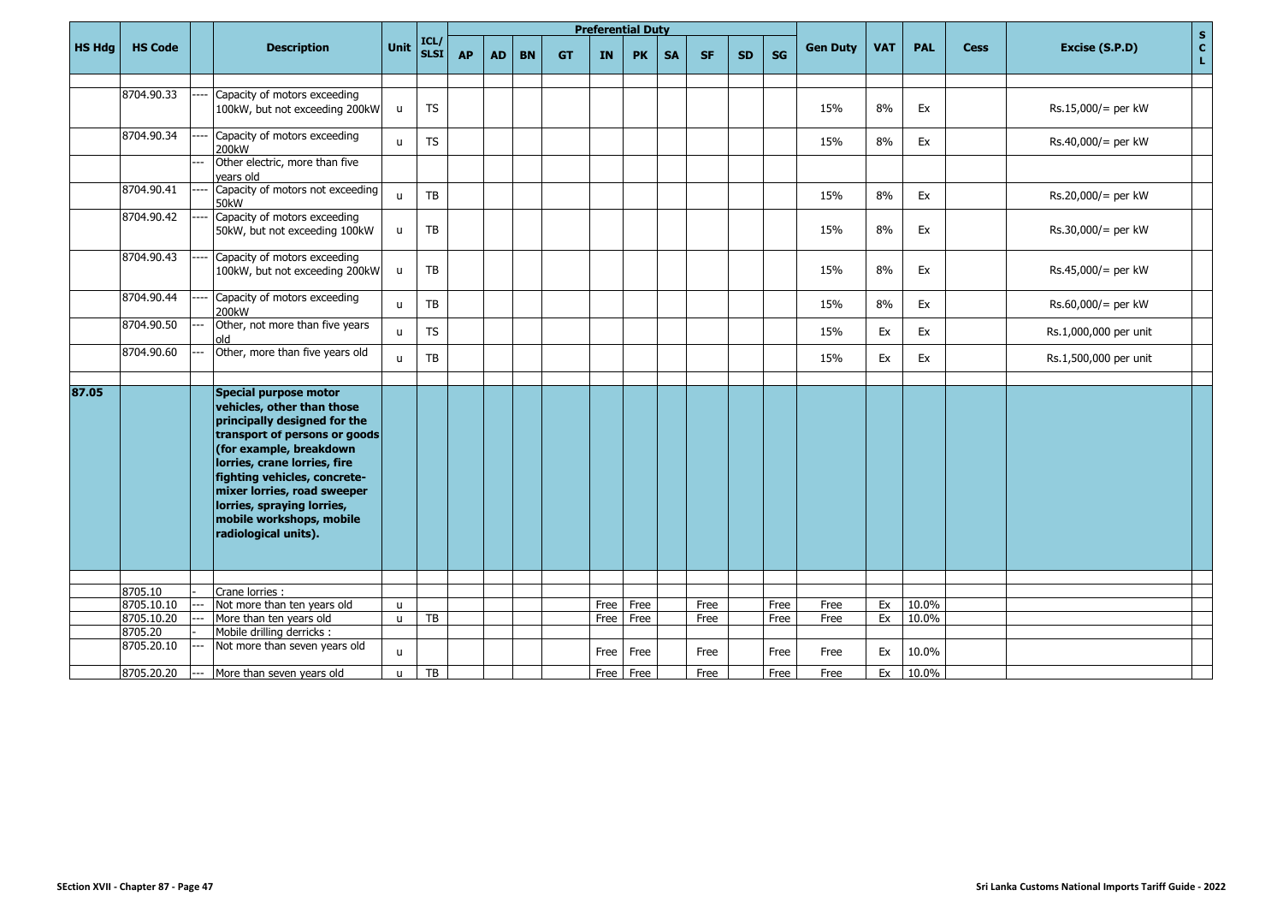|               |                       |     |                                                                                                                                                                                                                                                                                                                                  |              |                     |           |           |           |           | <b>Preferential Duty</b> |           |           |           |           |           |                 |            |            |             |                       | $\mathbf S$       |
|---------------|-----------------------|-----|----------------------------------------------------------------------------------------------------------------------------------------------------------------------------------------------------------------------------------------------------------------------------------------------------------------------------------|--------------|---------------------|-----------|-----------|-----------|-----------|--------------------------|-----------|-----------|-----------|-----------|-----------|-----------------|------------|------------|-------------|-----------------------|-------------------|
| <b>HS Hdg</b> | <b>HS Code</b>        |     | <b>Description</b>                                                                                                                                                                                                                                                                                                               | Unit         | ICL/<br><b>SLSI</b> | <b>AP</b> | <b>AD</b> | <b>BN</b> | <b>GT</b> | <b>IN</b>                | <b>PK</b> | <b>SA</b> | <b>SF</b> | <b>SD</b> | <b>SG</b> | <b>Gen Duty</b> | <b>VAT</b> | <b>PAL</b> | <b>Cess</b> | Excise (S.P.D)        | $\mathbf{c}$<br>L |
|               |                       |     |                                                                                                                                                                                                                                                                                                                                  |              |                     |           |           |           |           |                          |           |           |           |           |           |                 |            |            |             |                       |                   |
|               | 8704.90.33            |     | Capacity of motors exceeding<br>100kW, but not exceeding 200kW                                                                                                                                                                                                                                                                   | u            | <b>TS</b>           |           |           |           |           |                          |           |           |           |           |           | 15%             | 8%         | Ex         |             | $Rs.15,000/=$ per kW  |                   |
|               | 8704.90.34            |     | Capacity of motors exceeding<br>200kW                                                                                                                                                                                                                                                                                            | $\mathsf{u}$ | ${\sf TS}$          |           |           |           |           |                          |           |           |           |           |           | 15%             | 8%         | Ex         |             | $Rs.40,000/=$ per kW  |                   |
|               |                       |     | Other electric, more than five<br>vears old                                                                                                                                                                                                                                                                                      |              |                     |           |           |           |           |                          |           |           |           |           |           |                 |            |            |             |                       |                   |
|               | 8704.90.41            |     | Capacity of motors not exceeding<br>50 <sub>k</sub> W                                                                                                                                                                                                                                                                            | $\mathbf{u}$ | TB                  |           |           |           |           |                          |           |           |           |           |           | 15%             | 8%         | Ex         |             | $Rs.20,000/=$ per kW  |                   |
|               | 8704.90.42            |     | Capacity of motors exceeding<br>50kW, but not exceeding 100kW                                                                                                                                                                                                                                                                    | u            | TB                  |           |           |           |           |                          |           |           |           |           |           | 15%             | 8%         | Ex         |             | $Rs.30,000/=$ per kW  |                   |
|               | 8704.90.43            |     | Capacity of motors exceeding<br>100kW, but not exceeding 200kW                                                                                                                                                                                                                                                                   | $\mathsf{u}$ | TB                  |           |           |           |           |                          |           |           |           |           |           | 15%             | 8%         | Ex         |             | $Rs.45,000/=$ per kW  |                   |
|               | 8704.90.44            |     | Capacity of motors exceeding<br>200 <sub>k</sub> W                                                                                                                                                                                                                                                                               | $\mathbf{u}$ | TB                  |           |           |           |           |                          |           |           |           |           |           | 15%             | 8%         | Ex         |             | $Rs.60,000/=$ per kW  |                   |
|               | 8704.90.50            |     | Other, not more than five years<br>hlo                                                                                                                                                                                                                                                                                           | $\mathbf{u}$ | <b>TS</b>           |           |           |           |           |                          |           |           |           |           |           | 15%             | Ex         | Ex         |             | Rs.1,000,000 per unit |                   |
|               | 8704.90.60            |     | Other, more than five years old                                                                                                                                                                                                                                                                                                  | $\mathsf{u}$ | TB                  |           |           |           |           |                          |           |           |           |           |           | 15%             | Ex         | Ex         |             | Rs.1,500,000 per unit |                   |
| 87.05         |                       |     | Special purpose motor<br>vehicles, other than those<br>principally designed for the<br>transport of persons or goods<br>(for example, breakdown<br>lorries, crane lorries, fire<br>fighting vehicles, concrete-<br>mixer lorries, road sweeper<br>lorries, spraying lorries,<br>mobile workshops, mobile<br>radiological units). |              |                     |           |           |           |           |                          |           |           |           |           |           |                 |            |            |             |                       |                   |
|               |                       |     |                                                                                                                                                                                                                                                                                                                                  |              |                     |           |           |           |           |                          |           |           |           |           |           |                 |            |            |             |                       |                   |
|               | 8705.10               |     | Crane lorries :                                                                                                                                                                                                                                                                                                                  |              |                     |           |           |           |           |                          |           |           |           |           |           |                 |            |            |             |                       |                   |
|               | 8705.10.10            |     | Not more than ten years old                                                                                                                                                                                                                                                                                                      | $\mathbf{u}$ |                     |           |           |           |           | Free                     | Free      |           | Free      |           | Free      | Free            | Ex         | 10.0%      |             |                       |                   |
|               | 8705.10.20<br>8705.20 |     | More than ten years old<br>Mobile drilling derricks :                                                                                                                                                                                                                                                                            | $\mathbf{u}$ | <b>TB</b>           |           |           |           |           | Free                     | Free      |           | Free      |           | Free      | Free            | Ex         | 10.0%      |             |                       |                   |
|               | 8705.20.10            |     | Not more than seven years old                                                                                                                                                                                                                                                                                                    | $\mathsf{u}$ |                     |           |           |           |           | Free                     | Free      |           | Free      |           | Free      | Free            | Ex         | 10.0%      |             |                       |                   |
|               | 8705.20.20            | --- | More than seven years old                                                                                                                                                                                                                                                                                                        | $\mathsf{u}$ | TB                  |           |           |           |           |                          | Free Free |           | Free      |           | Free      | Free            | Ex         | 10.0%      |             |                       |                   |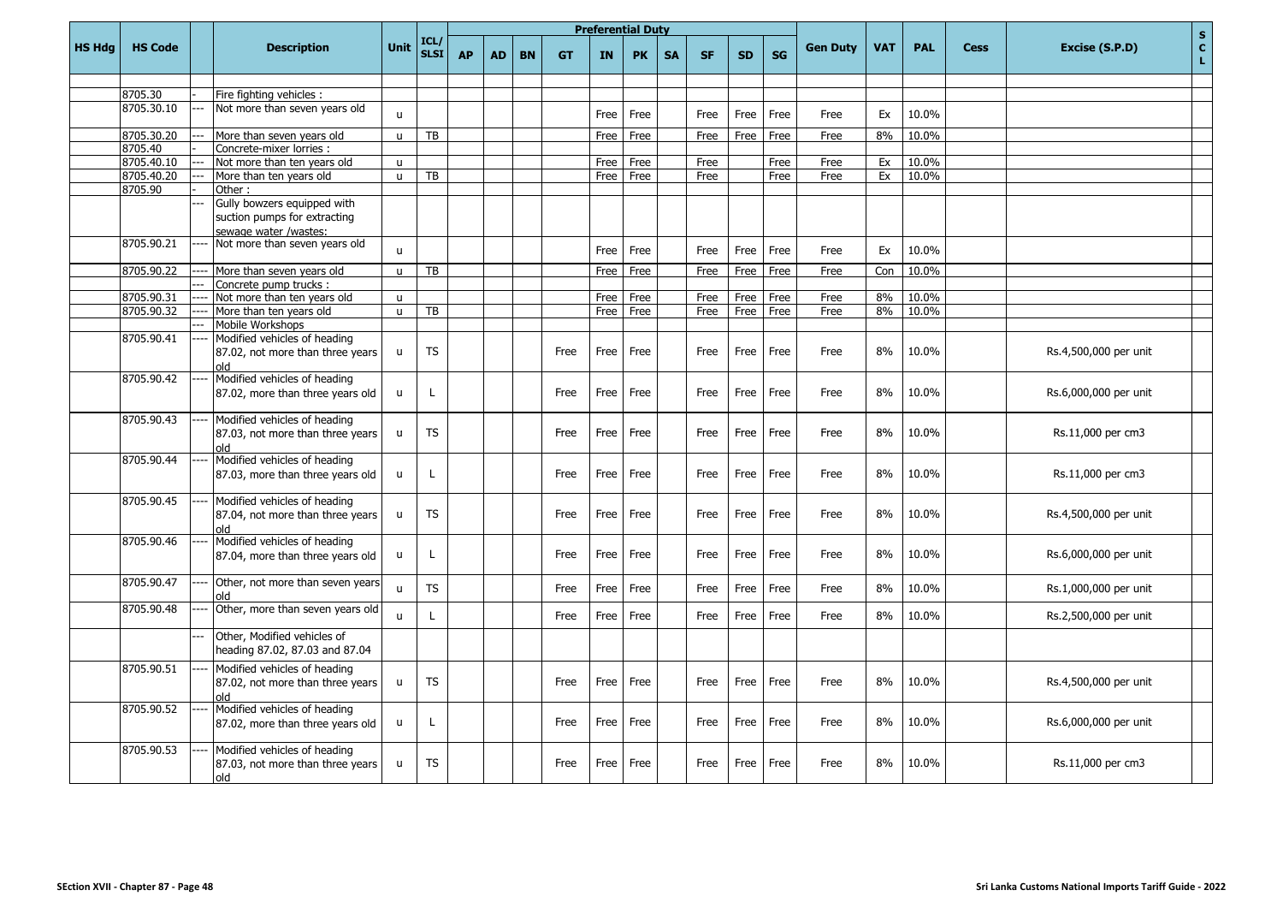|               |                |                                                                                      |                              |                     |           |           |           |           |              | <b>Preferential Duty</b> |           |              |              |              |                 |            |                |             | $\mathbf{s}$                         |
|---------------|----------------|--------------------------------------------------------------------------------------|------------------------------|---------------------|-----------|-----------|-----------|-----------|--------------|--------------------------|-----------|--------------|--------------|--------------|-----------------|------------|----------------|-------------|--------------------------------------|
| <b>HS Hdg</b> | <b>HS Code</b> | <b>Description</b>                                                                   | Unit                         | ICL/<br><b>SLSI</b> | <b>AP</b> | <b>AD</b> | <b>BN</b> | <b>GT</b> | IN           | <b>PK</b>                | <b>SA</b> | <b>SF</b>    | <b>SD</b>    | <b>SG</b>    | <b>Gen Duty</b> | <b>VAT</b> | <b>PAL</b>     | <b>Cess</b> | $\mathbf{C}$<br>Excise (S.P.D)<br>L. |
|               |                |                                                                                      |                              |                     |           |           |           |           |              |                          |           |              |              |              |                 |            |                |             |                                      |
|               | 8705.30        | Fire fighting vehicles :                                                             |                              |                     |           |           |           |           |              |                          |           |              |              |              |                 |            |                |             |                                      |
|               | 8705.30.10     | Not more than seven years old                                                        | $\mathbf{u}$                 |                     |           |           |           |           | Free         | Free                     |           | Free         | Free         | Free         | Free            | Ex         | 10.0%          |             |                                      |
|               | 8705.30.20     | More than seven years old                                                            | $\mathbf{u}$                 | TB                  |           |           |           |           | Free         | Free                     |           | Free         | Free         | Free         | Free            | 8%         | 10.0%          |             |                                      |
|               | 8705.40        | Concrete-mixer lorries :                                                             |                              |                     |           |           |           |           |              |                          |           |              |              |              |                 |            |                |             |                                      |
|               | 8705.40.10     | Not more than ten years old                                                          | $\mathbf{u}$                 |                     |           |           |           |           | Free         | Free                     |           | Free         |              | Free         | Free            | Ex         | 10.0%          |             |                                      |
|               | 8705.40.20     | <br>More than ten years old                                                          | $\mathbf{u}$                 | TB                  |           |           |           |           | Free         | Free                     |           | Free         |              | Free         | Free            | Ex         | 10.0%          |             |                                      |
|               | 8705.90        | Other:                                                                               |                              |                     |           |           |           |           |              |                          |           |              |              |              |                 |            |                |             |                                      |
|               |                | Gully bowzers equipped with<br>suction pumps for extracting<br>sewage water /wastes: |                              |                     |           |           |           |           |              |                          |           |              |              |              |                 |            |                |             |                                      |
|               | 8705.90.21     | Not more than seven years old                                                        |                              |                     |           |           |           |           |              |                          |           |              |              |              |                 |            |                |             |                                      |
|               | 8705.90.22     | More than seven years old                                                            | $\mathsf{u}$<br>$\mathsf{u}$ | TB                  |           |           |           |           | Free<br>Free | Free<br>Free             |           | Free<br>Free | Free<br>Free | Free<br>Free | Free<br>Free    | Ex<br>Con  | 10.0%<br>10.0% |             |                                      |
|               |                | Concrete pump trucks:                                                                |                              |                     |           |           |           |           |              |                          |           |              |              |              |                 |            |                |             |                                      |
|               | 8705.90.31     | Not more than ten years old                                                          | $\mathsf{u}$                 |                     |           |           |           |           | Free         | Free                     |           | Free         | Free         | Free         | Free            | 8%         | 10.0%          |             |                                      |
|               | 8705.90.32     | More than ten years old                                                              | $\mathsf{u}$                 | TB                  |           |           |           |           | Free         | Free                     |           | Free         | Free         | Free         | Free            | 8%         | 10.0%          |             |                                      |
|               |                | Mobile Workshops                                                                     |                              |                     |           |           |           |           |              |                          |           |              |              |              |                 |            |                |             |                                      |
|               | 8705.90.41     | Modified vehicles of heading<br>87.02, not more than three years<br>bla              | $\mathsf{u}$                 | <b>TS</b>           |           |           |           | Free      | Free         | Free                     |           | Free         | Free         | Free         | Free            | 8%         | 10.0%          |             | Rs.4,500,000 per unit                |
|               | 8705.90.42     | Modified vehicles of heading<br>87.02, more than three years old                     | $\mathbf{u}$                 | L.                  |           |           |           | Free      | Free         | Free                     |           | Free         | Free         | Free         | Free            | 8%         | 10.0%          |             | Rs.6,000,000 per unit                |
|               | 8705.90.43     | Modified vehicles of heading<br>87.03, not more than three years<br>hlo              | $\mathsf{u}$                 | <b>TS</b>           |           |           |           | Free      | Free         | Free                     |           | Free         | Free         | Free         | Free            | 8%         | 10.0%          |             | Rs.11,000 per cm3                    |
|               | 8705.90.44     | Modified vehicles of heading<br>87.03, more than three years old                     | $\mathsf{u}$                 | L                   |           |           |           | Free      | Free         | Free                     |           | Free         | Free         | Free         | Free            | 8%         | 10.0%          |             | Rs.11,000 per cm3                    |
|               | 8705.90.45     | Modified vehicles of heading<br>87.04, not more than three years<br>hlo              | $\mathbf{u}$                 | <b>TS</b>           |           |           |           | Free      | Free         | Free                     |           | Free         | Free         | Free         | Free            | 8%         | 10.0%          |             | Rs.4,500,000 per unit                |
|               | 8705.90.46     | Modified vehicles of heading<br>87.04, more than three years old                     | $\mathsf{u}$                 | L                   |           |           |           | Free      | Free         | Free                     |           | Free         | Free         | Free         | Free            | 8%         | 10.0%          |             | Rs.6,000,000 per unit                |
|               | 8705.90.47     | Other, not more than seven years<br>blo                                              | $\mathbf{u}$                 | <b>TS</b>           |           |           |           | Free      | Free         | Free                     |           | Free         | Free         | Free         | Free            | 8%         | 10.0%          |             | Rs.1,000,000 per unit                |
|               | 8705.90.48     | Other, more than seven years old                                                     | $\mathbf{u}$                 | L                   |           |           |           | Free      | Free         | Free                     |           | Free         | Free         | Free         | Free            | 8%         | 10.0%          |             | Rs.2,500,000 per unit                |
|               |                | Other, Modified vehicles of<br>heading 87.02, 87.03 and 87.04                        |                              |                     |           |           |           |           |              |                          |           |              |              |              |                 |            |                |             |                                      |
|               | 8705.90.51     | Modified vehicles of heading<br>87.02, not more than three years<br>hlo              | $\mathsf{u}$                 | <b>TS</b>           |           |           |           | Free      | Free         | Free                     |           | Free         | Free         | Free         | Free            | 8%         | 10.0%          |             | Rs.4,500,000 per unit                |
|               | 8705.90.52     | Modified vehicles of heading<br>87.02, more than three years old                     | u                            | $\mathsf{L}$        |           |           |           | Free      | Free         | Free                     |           | Free         | Free         | Free         | Free            | 8%         | 10.0%          |             | Rs.6,000,000 per unit                |
|               | 8705.90.53     | Modified vehicles of heading<br>87.03, not more than three years<br>blo              | u                            | <b>TS</b>           |           |           |           | Free      | Free         | Free                     |           | Free         | Free         | Free         | Free            | 8%         | 10.0%          |             | Rs.11,000 per cm3                    |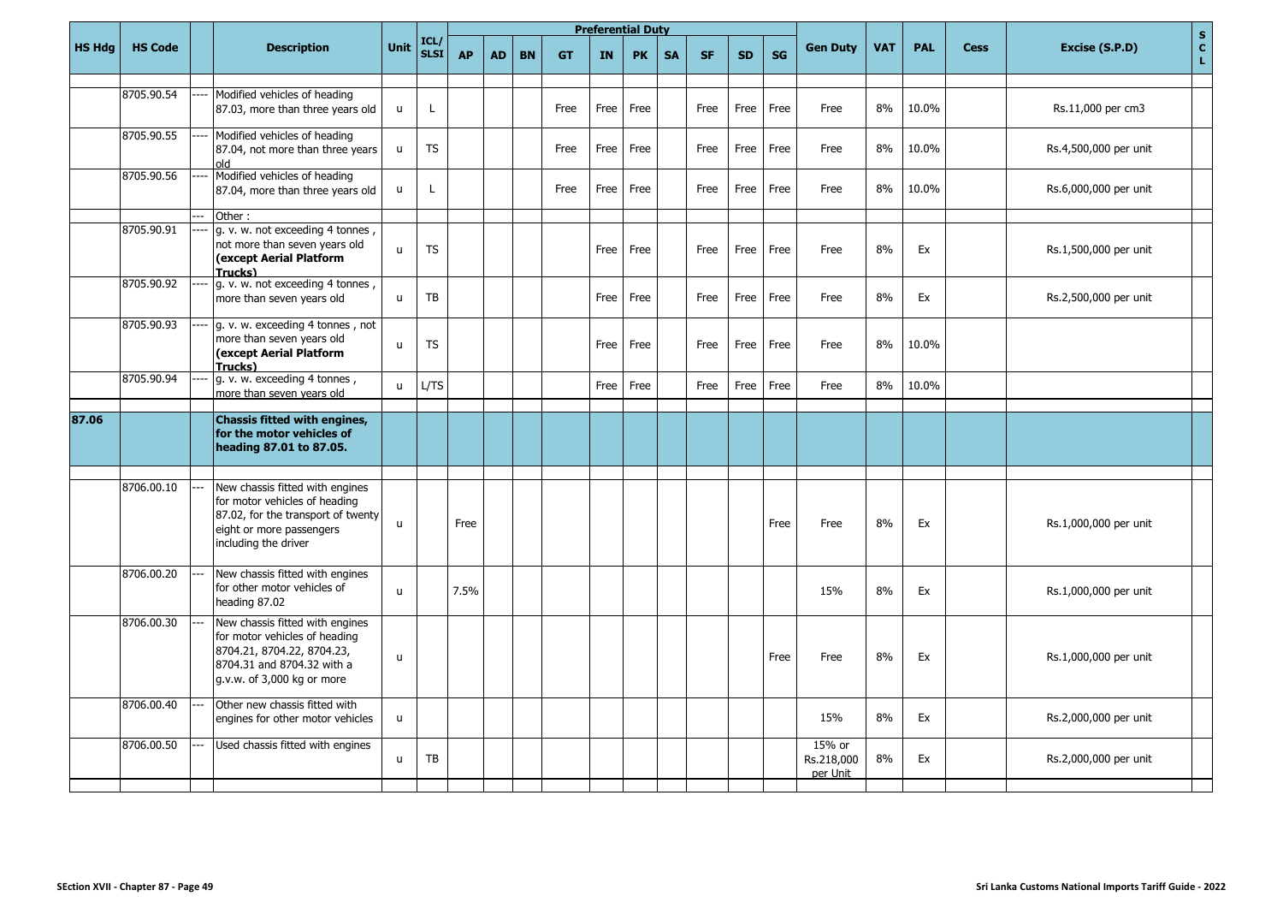|               |                |                                                                                                                                                            |              |                     |           | <b>Preferential Duty</b> |           |           |           |           |           |           |           |           |                                  |            |            |             | $\mathbf S$                          |
|---------------|----------------|------------------------------------------------------------------------------------------------------------------------------------------------------------|--------------|---------------------|-----------|--------------------------|-----------|-----------|-----------|-----------|-----------|-----------|-----------|-----------|----------------------------------|------------|------------|-------------|--------------------------------------|
| <b>HS Hdg</b> | <b>HS Code</b> | <b>Description</b>                                                                                                                                         | Unit         | ICL/<br><b>SLSI</b> | <b>AP</b> | <b>AD</b>                | <b>BN</b> | <b>GT</b> | <b>IN</b> | <b>PK</b> | <b>SA</b> | <b>SF</b> | <b>SD</b> | <b>SG</b> | <b>Gen Duty</b>                  | <b>VAT</b> | <b>PAL</b> | <b>Cess</b> | $\mathbf{c}$<br>Excise (S.P.D)<br>L. |
|               | 8705.90.54     | Modified vehicles of heading<br>87.03, more than three years old                                                                                           | $\mathsf{u}$ | I.                  |           |                          |           | Free      | Free      | Free      |           | Free      | Free      | Free      | Free                             | 8%         | 10.0%      |             | Rs.11,000 per cm3                    |
|               | 8705.90.55     | Modified vehicles of heading<br>87.04, not more than three years<br>hlo                                                                                    | $\mathsf{u}$ | <b>TS</b>           |           |                          |           | Free      | Free      | Free      |           | Free      | Free      | Free      | Free                             | 8%         | 10.0%      |             | Rs.4,500,000 per unit                |
|               | 8705.90.56     | Modified vehicles of heading<br>87.04, more than three years old                                                                                           | $\mathsf{u}$ | $\mathbf{I}$        |           |                          |           | Free      | Free      | Free      |           | Free      | Free      | Free      | Free                             | 8%         | 10.0%      |             | Rs.6,000,000 per unit                |
|               | 8705.90.91     | Other:<br>g. v. w. not exceeding 4 tonnes,<br>not more than seven years old                                                                                | $\mathbf{u}$ | <b>TS</b>           |           |                          |           |           | Free      | Free      |           | Free      | Free      | Free      | Free                             | 8%         | Ex         |             | Rs.1,500,000 per unit                |
|               | 8705.90.92     | (except Aerial Platform<br>Trucks)<br>g. v. w. not exceeding 4 tonnes,                                                                                     |              |                     |           |                          |           |           |           |           |           |           |           |           |                                  |            |            |             |                                      |
|               |                | more than seven years old                                                                                                                                  | u            | TB                  |           |                          |           |           | Free      | Free      |           | Free      | Free      | Free      | Free                             | 8%         | Ex         |             | Rs.2,500,000 per unit                |
|               | 8705.90.93     | g. v. w. exceeding 4 tonnes, not<br>more than seven years old<br>(except Aerial Platform<br>Trucks)                                                        | $\mathsf{u}$ | <b>TS</b>           |           |                          |           |           | Free      | Free      |           | Free      | Free      | Free      | Free                             | 8%         | 10.0%      |             |                                      |
|               | 8705.90.94     | g. v. w. exceeding 4 tonnes,<br>more than seven years old                                                                                                  | $\mathbf{u}$ | L/TS                |           |                          |           |           | Free      | Free      |           | Free      | Free      | Free      | Free                             | 8%         | 10.0%      |             |                                      |
| 87.06         |                | <b>Chassis fitted with engines,</b><br>for the motor vehicles of<br>heading 87.01 to 87.05.                                                                |              |                     |           |                          |           |           |           |           |           |           |           |           |                                  |            |            |             |                                      |
|               | 8706.00.10     | New chassis fitted with engines<br>for motor vehicles of heading<br>87.02, for the transport of twenty<br>eight or more passengers<br>including the driver | $\mathsf{u}$ |                     | Free      |                          |           |           |           |           |           |           |           | Free      | Free                             | 8%         | Ex         |             | Rs.1,000,000 per unit                |
|               | 8706.00.20     | New chassis fitted with engines<br>for other motor vehicles of<br>heading 87.02                                                                            | $\mathbf{u}$ |                     | 7.5%      |                          |           |           |           |           |           |           |           |           | 15%                              | 8%         | Ex         |             | Rs.1,000,000 per unit                |
|               | 8706.00.30     | New chassis fitted with engines<br>for motor vehicles of heading<br>8704.21, 8704.22, 8704.23,<br>8704.31 and 8704.32 with a<br>g.v.w. of 3,000 kg or more | $\mathsf{u}$ |                     |           |                          |           |           |           |           |           |           |           | Free      | Free                             | 8%         | Ex         |             | Rs.1,000,000 per unit                |
|               | 8706.00.40     | Other new chassis fitted with<br>engines for other motor vehicles                                                                                          | $\mathsf{u}$ |                     |           |                          |           |           |           |           |           |           |           |           | 15%                              | 8%         | Ex         |             | Rs.2,000,000 per unit                |
|               | 8706.00.50     | Used chassis fitted with engines                                                                                                                           | $\mathbf{u}$ | <b>TB</b>           |           |                          |           |           |           |           |           |           |           |           | 15% or<br>Rs.218,000<br>per Unit | 8%         | Ex         |             | Rs.2,000,000 per unit                |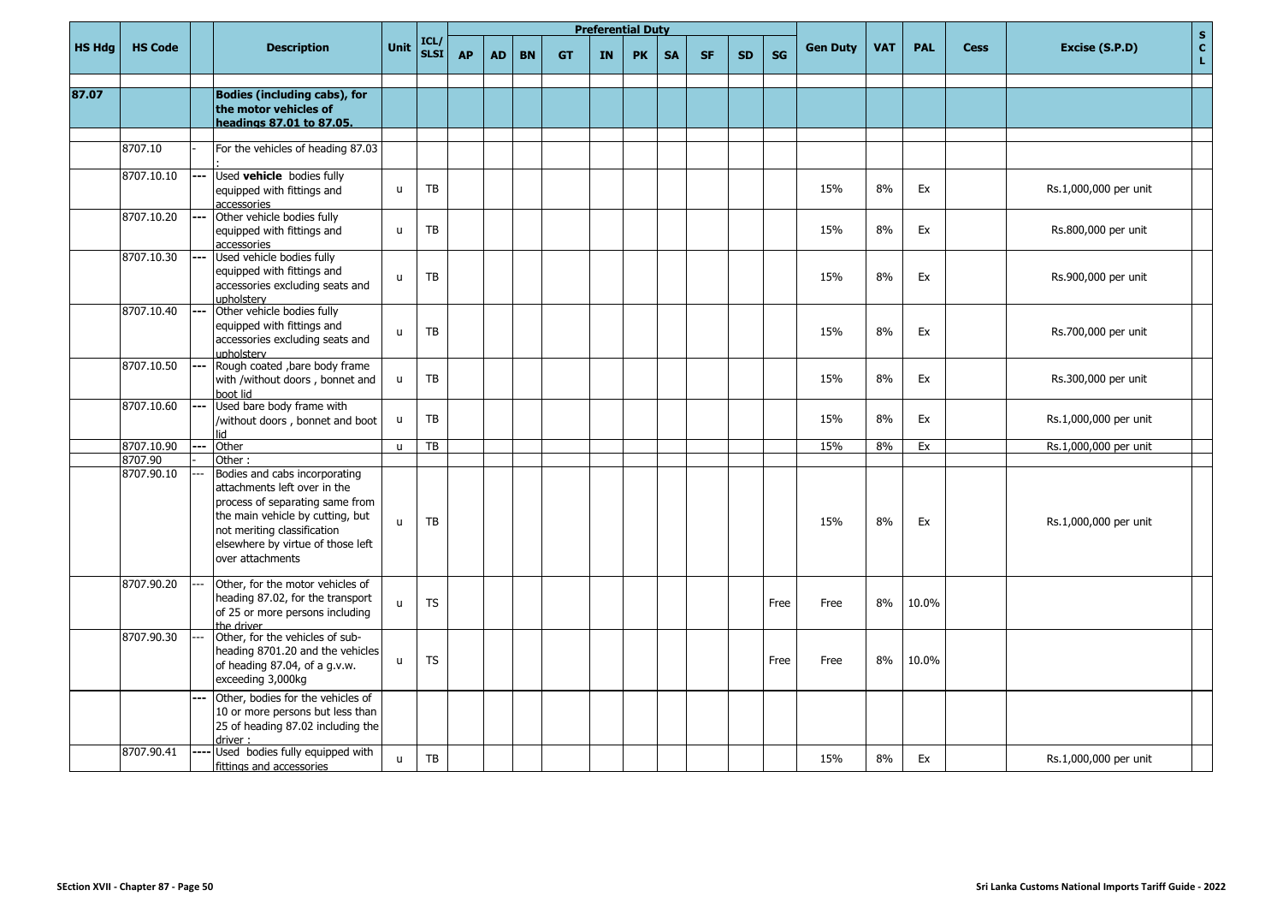|               |                       |     |                                                                                                                                                                                                                                        |              |                     |           |           |           | <b>Preferential Duty</b> |           |           |           |           |           |           |                 |            |            |             | $\mathbf{s}$                                 |
|---------------|-----------------------|-----|----------------------------------------------------------------------------------------------------------------------------------------------------------------------------------------------------------------------------------------|--------------|---------------------|-----------|-----------|-----------|--------------------------|-----------|-----------|-----------|-----------|-----------|-----------|-----------------|------------|------------|-------------|----------------------------------------------|
| <b>HS Hdg</b> | <b>HS Code</b>        |     | <b>Description</b>                                                                                                                                                                                                                     | <b>Unit</b>  | ICL/<br><b>SLSI</b> | <b>AP</b> | <b>AD</b> | <b>BN</b> | <b>GT</b>                | <b>IN</b> | <b>PK</b> | <b>SA</b> | <b>SF</b> | <b>SD</b> | <b>SG</b> | <b>Gen Duty</b> | <b>VAT</b> | <b>PAL</b> | <b>Cess</b> | $\tilde{\mathbf{c}}$<br>Excise (S.P.D)<br>L. |
| 87.07         |                       |     | <b>Bodies (including cabs), for</b><br>the motor vehicles of<br>headings 87.01 to 87.05.                                                                                                                                               |              |                     |           |           |           |                          |           |           |           |           |           |           |                 |            |            |             |                                              |
|               | 8707.10               |     | For the vehicles of heading 87.03                                                                                                                                                                                                      |              |                     |           |           |           |                          |           |           |           |           |           |           |                 |            |            |             |                                              |
|               | 8707.10.10            |     | Used <b>vehicle</b> bodies fully<br>equipped with fittings and<br>accessories                                                                                                                                                          | $\mathsf{u}$ | <b>TB</b>           |           |           |           |                          |           |           |           |           |           |           | 15%             | 8%         | Ex         |             | Rs.1,000,000 per unit                        |
|               | 8707.10.20            |     | Other vehicle bodies fully<br>equipped with fittings and<br>accessories                                                                                                                                                                | $\mathsf{u}$ | <b>TB</b>           |           |           |           |                          |           |           |           |           |           |           | 15%             | 8%         | Ex         |             | Rs.800,000 per unit                          |
|               | 8707.10.30            |     | Used vehicle bodies fully<br>equipped with fittings and<br>accessories excluding seats and<br>upholsterv                                                                                                                               | $\mathsf{u}$ | TB                  |           |           |           |                          |           |           |           |           |           |           | 15%             | 8%         | Ex         |             | Rs.900,000 per unit                          |
|               | 8707.10.40            |     | Other vehicle bodies fully<br>equipped with fittings and<br>accessories excluding seats and<br>upholstery                                                                                                                              | $\mathsf{u}$ | <b>TB</b>           |           |           |           |                          |           |           |           |           |           |           | 15%             | 8%         | Ex         |             | Rs.700,000 per unit                          |
|               | 8707.10.50            |     | Rough coated , bare body frame<br>with /without doors, bonnet and<br>boot lid                                                                                                                                                          | $\mathsf{u}$ | TB                  |           |           |           |                          |           |           |           |           |           |           | 15%             | 8%         | Ex         |             | Rs.300,000 per unit                          |
|               | 8707.10.60            |     | Used bare body frame with<br>/without doors, bonnet and boot<br>hil                                                                                                                                                                    | u            | TB                  |           |           |           |                          |           |           |           |           |           |           | 15%             | 8%         | Ex         |             | Rs.1,000,000 per unit                        |
|               | 8707.10.90            | --- | Other                                                                                                                                                                                                                                  | $\mathsf{u}$ | TB                  |           |           |           |                          |           |           |           |           |           |           | 15%             | 8%         | Ex         |             | Rs.1,000,000 per unit                        |
|               | 8707.90<br>8707.90.10 |     | Other:<br>Bodies and cabs incorporating<br>attachments left over in the<br>process of separating same from<br>the main vehicle by cutting, but<br>not meriting classification<br>elsewhere by virtue of those left<br>over attachments | $\mathbf{u}$ | <b>TB</b>           |           |           |           |                          |           |           |           |           |           |           | 15%             | 8%         | Ex         |             | Rs.1,000,000 per unit                        |
|               | 8707.90.20            |     | Other, for the motor vehicles of<br>heading 87.02, for the transport<br>of 25 or more persons including<br>the driver                                                                                                                  | u            | <b>TS</b>           |           |           |           |                          |           |           |           |           |           | Free      | Free            | 8%         | 10.0%      |             |                                              |
|               | 8707.90.30            |     | Other, for the vehicles of sub-<br>heading 8701.20 and the vehicles<br>of heading 87.04, of a g.v.w.<br>exceeding 3,000kg                                                                                                              | u            | <b>TS</b>           |           |           |           |                          |           |           |           |           |           | Free      | Free            | 8%         | 10.0%      |             |                                              |
|               |                       |     | Other, bodies for the vehicles of<br>10 or more persons but less than<br>25 of heading 87.02 including the<br>driver                                                                                                                   |              |                     |           |           |           |                          |           |           |           |           |           |           |                 |            |            |             |                                              |
|               | 8707.90.41            |     | Used bodies fully equipped with<br>fittings and accessories                                                                                                                                                                            | $\mathsf{u}$ | TB                  |           |           |           |                          |           |           |           |           |           |           | 15%             | 8%         | Ex         |             | Rs.1,000,000 per unit                        |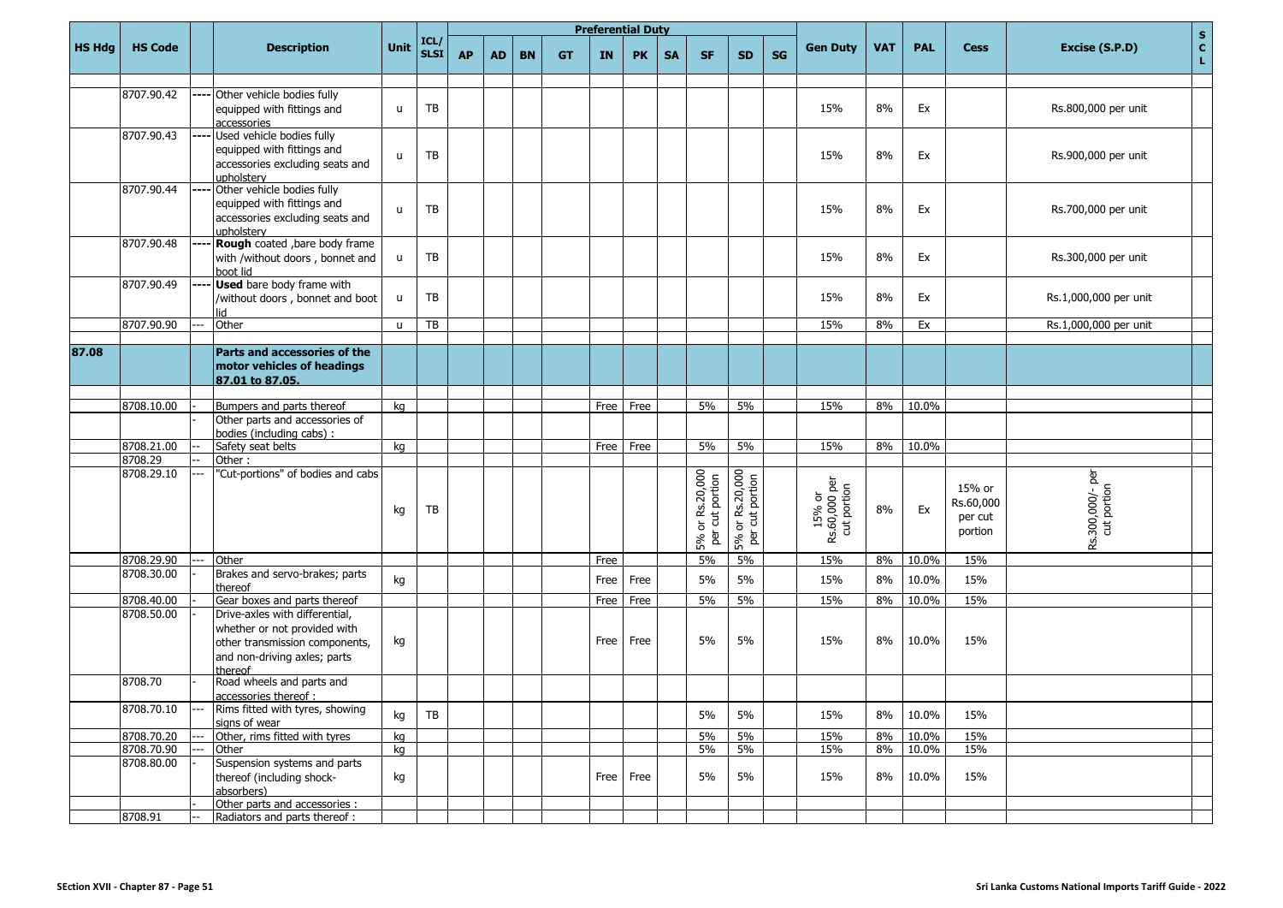|               |                       |     |                                                                                                                                             |              |                    |           |           |           |           |      | <b>Preferential Duty</b> |           |                                          |                                    |    |                                        |            |            |                                           |                                     | S                  |
|---------------|-----------------------|-----|---------------------------------------------------------------------------------------------------------------------------------------------|--------------|--------------------|-----------|-----------|-----------|-----------|------|--------------------------|-----------|------------------------------------------|------------------------------------|----|----------------------------------------|------------|------------|-------------------------------------------|-------------------------------------|--------------------|
| <b>HS Hdg</b> | <b>HS Code</b>        |     | <b>Description</b>                                                                                                                          | Unit         | ICL<br><b>SLSI</b> | <b>AP</b> | <b>AD</b> | <b>BN</b> | <b>GT</b> | IN   | <b>PK</b>                | <b>SA</b> | <b>SF</b>                                | <b>SD</b>                          | SG | <b>Gen Duty</b>                        | <b>VAT</b> | <b>PAL</b> | <b>Cess</b>                               | Excise (S.P.D)                      | $\mathbf{c}$<br>L. |
|               | 8707.90.42            |     | Other vehicle bodies fully<br>equipped with fittings and<br>accessories                                                                     | $\mathsf{u}$ | TB                 |           |           |           |           |      |                          |           |                                          |                                    |    | 15%                                    | 8%         | Ex         |                                           | Rs.800,000 per unit                 |                    |
|               | 8707.90.43            |     | Used vehicle bodies fully<br>equipped with fittings and<br>accessories excluding seats and<br>upholsterv                                    | $\mathsf{u}$ | TB                 |           |           |           |           |      |                          |           |                                          |                                    |    | 15%                                    | 8%         | Ex         |                                           | Rs.900,000 per unit                 |                    |
|               | 8707.90.44            |     | Other vehicle bodies fully<br>equipped with fittings and<br>accessories excluding seats and<br>upholsterv                                   | $\mathsf{u}$ | TB                 |           |           |           |           |      |                          |           |                                          |                                    |    | 15%                                    | 8%         | Ex         |                                           | Rs.700,000 per unit                 |                    |
|               | 8707.90.48            |     | Rough coated , bare body frame<br>with /without doors, bonnet and<br>boot lid                                                               | u            | TB                 |           |           |           |           |      |                          |           |                                          |                                    |    | 15%                                    | 8%         | Ex         |                                           | Rs.300,000 per unit                 |                    |
|               | 8707.90.49            |     | <b>Used</b> bare body frame with<br>/without doors, bonnet and boot                                                                         | u            | TB                 |           |           |           |           |      |                          |           |                                          |                                    |    | 15%                                    | 8%         | Ex         |                                           | Rs.1,000,000 per unit               |                    |
|               | 8707.90.90            | --- | Other                                                                                                                                       | $\mathsf{u}$ | TB                 |           |           |           |           |      |                          |           |                                          |                                    |    | 15%                                    | 8%         | Ex         |                                           | Rs.1,000,000 per unit               |                    |
|               |                       |     |                                                                                                                                             |              |                    |           |           |           |           |      |                          |           |                                          |                                    |    |                                        |            |            |                                           |                                     |                    |
| 87.08         |                       |     | <b>Parts and accessories of the</b><br>motor vehicles of headings<br>87.01 to 87.05.                                                        |              |                    |           |           |           |           |      |                          |           |                                          |                                    |    |                                        |            |            |                                           |                                     |                    |
|               | 8708.10.00            |     | Bumpers and parts thereof                                                                                                                   | kg           |                    |           |           |           |           | Free | Free                     |           | 5%                                       | 5%                                 |    | 15%                                    | 8%         | 10.0%      |                                           |                                     |                    |
|               |                       |     | Other parts and accessories of<br>bodies (including cabs) :                                                                                 |              |                    |           |           |           |           |      |                          |           |                                          |                                    |    |                                        |            |            |                                           |                                     |                    |
|               | 8708.21.00            |     | Safety seat belts                                                                                                                           | kq           |                    |           |           |           |           | Free | Free                     |           | 5%                                       | 5%                                 |    | 15%                                    | 8%         | 10.0%      |                                           |                                     |                    |
|               | 8708.29<br>8708.29.10 |     | Other:<br>"Cut-portions" of bodies and cabs                                                                                                 | kg           | TB                 |           |           |           |           |      |                          |           | 5% or Rs.20,000<br>per cut portion<br>5% | 5% or Rs.20,000<br>per cut portion |    | 15% or<br>Rs.60,000 per<br>cut portion | 8%         | Ex         | 15% or<br>Rs.60,000<br>per cut<br>portion | ă<br>Rs.300,000/- pe<br>cut portion |                    |
|               | 8708.29.90            |     | Other                                                                                                                                       |              |                    |           |           |           |           | Free |                          |           | 5%                                       | 5%                                 |    | 15%                                    | 8%         | 10.0%      | 15%                                       |                                     |                    |
|               | 8708.30.00            |     | Brakes and servo-brakes; parts<br>thereof                                                                                                   | kg           |                    |           |           |           |           | Free | Free                     |           | 5%                                       | 5%                                 |    | 15%                                    | 8%         | 10.0%      | 15%                                       |                                     |                    |
|               | 8708.40.00            |     | Gear boxes and parts thereof                                                                                                                |              |                    |           |           |           |           | Free | Free                     |           | 5%                                       | 5%                                 |    | 15%                                    | 8%         | 10.0%      | 15%                                       |                                     |                    |
|               | 8708.50.00            |     | Drive-axles with differential,<br>whether or not provided with<br>other transmission components,<br>and non-driving axles; parts<br>thereof | kg           |                    |           |           |           |           | Free | Free                     |           | 5%                                       | 5%                                 |    | 15%                                    | 8%         | 10.0%      | 15%                                       |                                     |                    |
|               | 8708.70               |     | Road wheels and parts and<br>accessories thereof:                                                                                           |              |                    |           |           |           |           |      |                          |           |                                          |                                    |    |                                        |            |            |                                           |                                     |                    |
|               | 8708.70.10            |     | Rims fitted with tyres, showing<br>signs of wear                                                                                            | kg           | TB                 |           |           |           |           |      |                          |           | 5%                                       | 5%                                 |    | 15%                                    | 8%         | 10.0%      | 15%                                       |                                     |                    |
|               | 8708.70.20            |     | Other, rims fitted with tyres                                                                                                               | kg           |                    |           |           |           |           |      |                          |           | 5%                                       | 5%                                 |    | 15%                                    | 8%         | 10.0%      | 15%                                       |                                     |                    |
|               | 8708.70.90            |     | Other                                                                                                                                       | kg           |                    |           |           |           |           |      |                          |           | 5%                                       | 5%                                 |    | 15%                                    | 8%         | 10.0%      | 15%                                       |                                     |                    |
|               | 8708.80.00            |     | Suspension systems and parts<br>thereof (including shock-<br>absorbers)<br>Other parts and accessories :                                    | kg           |                    |           |           |           |           |      | Free Free                |           | 5%                                       | 5%                                 |    | 15%                                    | 8%         | 10.0%      | 15%                                       |                                     |                    |
|               | 8708.91               |     | Radiators and parts thereof :                                                                                                               |              |                    |           |           |           |           |      |                          |           |                                          |                                    |    |                                        |            |            |                                           |                                     |                    |
|               |                       |     |                                                                                                                                             |              |                    |           |           |           |           |      |                          |           |                                          |                                    |    |                                        |            |            |                                           |                                     |                    |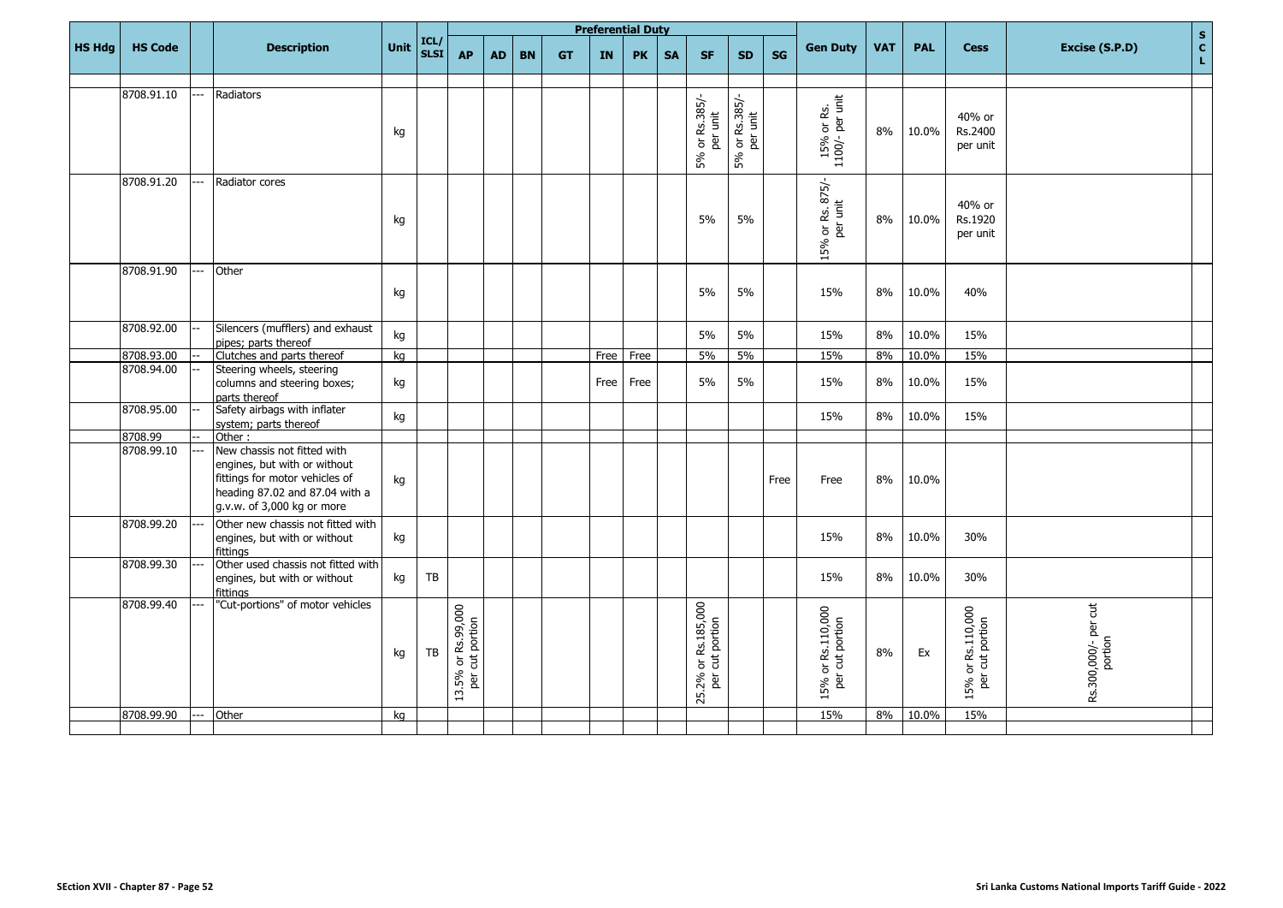|               |                |     |                                                                                                                                                               |      |                     |                                       |           |           |           |           | <b>Preferential Duty</b> |           |                                                                                                    |                            |           |                                      |            |            |                                                                         | $\mathbf{s}$                                  |
|---------------|----------------|-----|---------------------------------------------------------------------------------------------------------------------------------------------------------------|------|---------------------|---------------------------------------|-----------|-----------|-----------|-----------|--------------------------|-----------|----------------------------------------------------------------------------------------------------|----------------------------|-----------|--------------------------------------|------------|------------|-------------------------------------------------------------------------|-----------------------------------------------|
| <b>HS Hdg</b> | <b>HS Code</b> |     | <b>Description</b>                                                                                                                                            | Unit | ICL/<br><b>SLSI</b> | <b>AP</b>                             | <b>AD</b> | <b>BN</b> | <b>GT</b> | <b>IN</b> | <b>PK</b>                | <b>SA</b> | <b>SF</b>                                                                                          | <b>SD</b>                  | <b>SG</b> | <b>Gen Duty</b>                      | <b>VAT</b> | <b>PAL</b> | <b>Cess</b>                                                             | $\mathbf{c}$<br>Excise (S.P.D)<br>$\mathbf L$ |
|               |                |     |                                                                                                                                                               |      |                     |                                       |           |           |           |           |                          |           |                                                                                                    |                            |           |                                      |            |            |                                                                         |                                               |
|               | 8708.91.10     |     | Radiators                                                                                                                                                     | kg   |                     |                                       |           |           |           |           |                          |           | 5% or Rs.385/-<br>per unit                                                                         | 5% or Rs.385/-<br>per unit |           | 15% or Rs.<br>1100/- per unit        | 8%         | 10.0%      | 40% or<br>Rs.2400<br>per unit                                           |                                               |
|               | 8708.91.20     |     | Radiator cores                                                                                                                                                | kg   |                     |                                       |           |           |           |           |                          |           | 5%                                                                                                 | 5%                         |           | or Rs. 875/-<br>per unit<br>15%      | 8%         | 10.0%      | 40% or<br>Rs.1920<br>per unit                                           |                                               |
|               | 8708.91.90     |     | Other                                                                                                                                                         | kg   |                     |                                       |           |           |           |           |                          |           | 5%                                                                                                 | 5%                         |           | 15%                                  | 8%         | 10.0%      | 40%                                                                     |                                               |
|               | 8708.92.00     |     | Silencers (mufflers) and exhaust<br>pipes: parts thereof                                                                                                      | kg   |                     |                                       |           |           |           |           |                          |           | 5%                                                                                                 | 5%                         |           | 15%                                  | 8%         | 10.0%      | 15%                                                                     |                                               |
|               | 8708.93.00     |     | Clutches and parts thereof                                                                                                                                    | kg   |                     |                                       |           |           |           | Free      | Free                     |           | 5%                                                                                                 | 5%                         |           | 15%                                  | 8%         | 10.0%      | 15%                                                                     |                                               |
|               | 8708.94.00     |     | Steering wheels, steering<br>columns and steering boxes;<br>parts thereof                                                                                     | kg   |                     |                                       |           |           |           | Free      | Free                     |           | 5%                                                                                                 | 5%                         |           | 15%                                  | 8%         | 10.0%      | 15%                                                                     |                                               |
|               | 8708.95.00     |     | Safety airbags with inflater<br>system; parts thereof                                                                                                         | kg   |                     |                                       |           |           |           |           |                          |           |                                                                                                    |                            |           | 15%                                  | 8%         | 10.0%      | 15%                                                                     |                                               |
|               | 8708.99        |     | Other:                                                                                                                                                        |      |                     |                                       |           |           |           |           |                          |           |                                                                                                    |                            |           |                                      |            |            |                                                                         |                                               |
|               | 8708.99.10     | --- | New chassis not fitted with<br>engines, but with or without<br>fittings for motor vehicles of<br>heading 87.02 and 87.04 with a<br>g.v.w. of 3,000 kg or more | kg   |                     |                                       |           |           |           |           |                          |           |                                                                                                    |                            | Free      | Free                                 | 8%         | 10.0%      |                                                                         |                                               |
|               | 8708.99.20     |     | Other new chassis not fitted with<br>engines, but with or without<br>fittinas                                                                                 | kg   |                     |                                       |           |           |           |           |                          |           |                                                                                                    |                            |           | 15%                                  | 8%         | 10.0%      | 30%                                                                     |                                               |
|               | 8708.99.30     |     | Other used chassis not fitted with<br>engines, but with or without<br>fittinas                                                                                | kg   | TB                  |                                       |           |           |           |           |                          |           |                                                                                                    |                            |           | 15%                                  | 8%         | 10.0%      | 30%                                                                     |                                               |
|               | 8708.99.40     |     | "Cut-portions" of motor vehicles                                                                                                                              | kg   | TB                  | 13.5% or Rs.99,000<br>per cut portion |           |           |           |           |                          |           | Rs.185,000<br>cut portion<br>$\overleftarrow{\mathtt{o}}$<br>25.2%<br>$\overleftarrow{\mathbf{g}}$ |                            |           | 15% or Rs.110,000<br>per cut portion | 8%         | Ex         | or Rs.110,000<br>r cut portion<br>$\overleftarrow{\mathrm{o}}$<br>15% c | Rs.300,000/- per cut<br>portion               |
|               | 8708.99.90     | --- | Other                                                                                                                                                         | kg   |                     |                                       |           |           |           |           |                          |           |                                                                                                    |                            |           | 15%                                  | 8%         | 10.0%      | 15%                                                                     |                                               |
|               |                |     |                                                                                                                                                               |      |                     |                                       |           |           |           |           |                          |           |                                                                                                    |                            |           |                                      |            |            |                                                                         |                                               |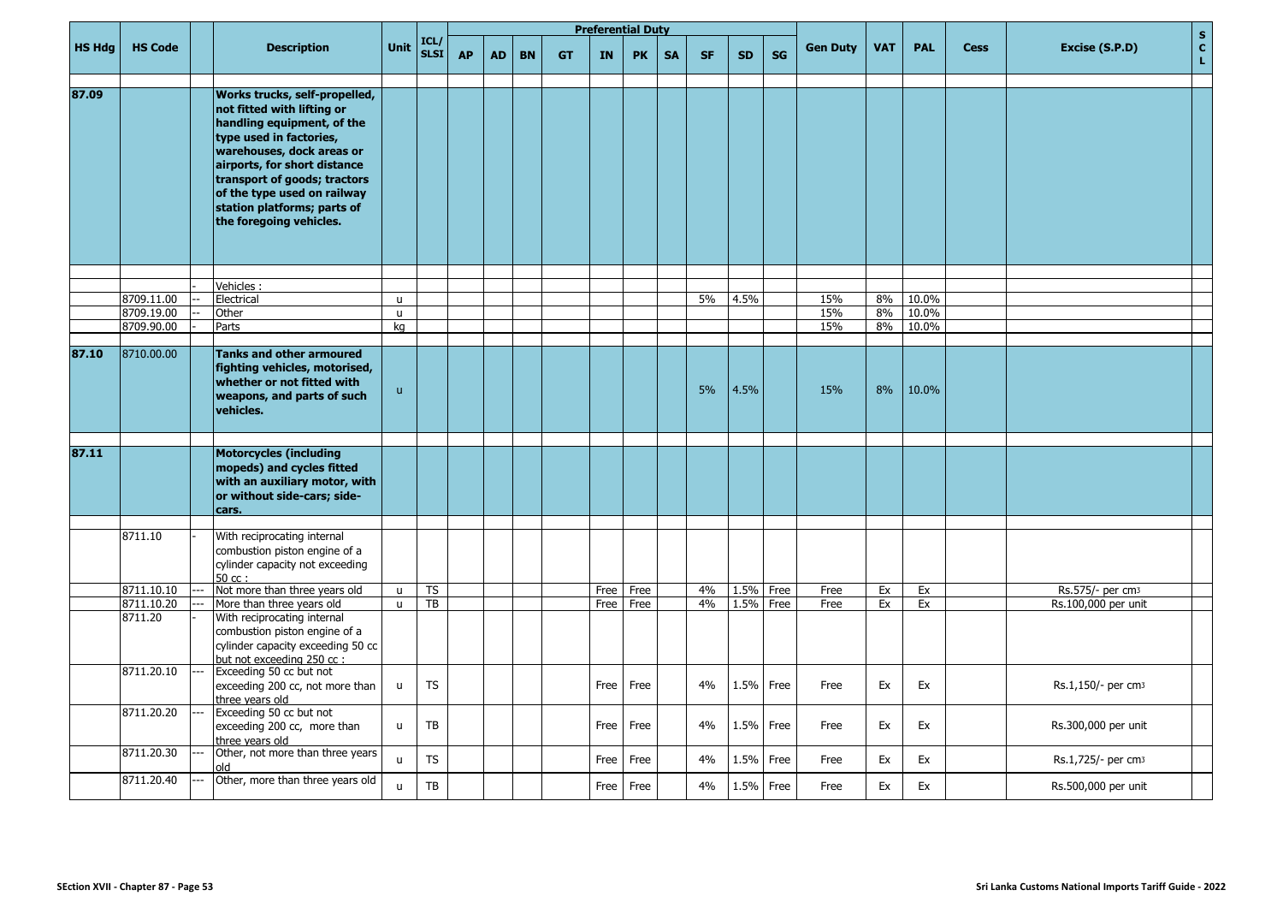|               |                       |                                                                                                                                                                                                                                                                                                            |              |                     |           |           |           |           | <b>Preferential Duty</b> |           |           |           |           |           |                 |            |            |             |                                | ${\sf s}$         |
|---------------|-----------------------|------------------------------------------------------------------------------------------------------------------------------------------------------------------------------------------------------------------------------------------------------------------------------------------------------------|--------------|---------------------|-----------|-----------|-----------|-----------|--------------------------|-----------|-----------|-----------|-----------|-----------|-----------------|------------|------------|-------------|--------------------------------|-------------------|
| <b>HS Hdg</b> | <b>HS Code</b>        | <b>Description</b>                                                                                                                                                                                                                                                                                         | Unit         | ICL/<br><b>SLSI</b> | <b>AP</b> | <b>AD</b> | <b>BN</b> | <b>GT</b> | <b>IN</b>                | <b>PK</b> | <b>SA</b> | <b>SF</b> | <b>SD</b> | <b>SG</b> | <b>Gen Duty</b> | <b>VAT</b> | <b>PAL</b> | <b>Cess</b> | Excise (S.P.D)                 | $\mathbf{c}$<br>L |
| 87.09         |                       | Works trucks, self-propelled,<br>not fitted with lifting or<br>handling equipment, of the<br>type used in factories,<br>warehouses, dock areas or<br>airports, for short distance<br>transport of goods; tractors<br>of the type used on railway<br>station platforms; parts of<br>the foregoing vehicles. |              |                     |           |           |           |           |                          |           |           |           |           |           |                 |            |            |             |                                |                   |
|               |                       | Vehicles:                                                                                                                                                                                                                                                                                                  |              |                     |           |           |           |           |                          |           |           |           |           |           |                 |            |            |             |                                |                   |
|               | 8709.11.00            | Electrical                                                                                                                                                                                                                                                                                                 | $\mathsf{u}$ |                     |           |           |           |           |                          |           |           | 5%        | 4.5%      |           | 15%             | 8%         | 10.0%      |             |                                |                   |
|               | 8709.19.00            | Other                                                                                                                                                                                                                                                                                                      | $\mathsf{u}$ |                     |           |           |           |           |                          |           |           |           |           |           | 15%             | 8%         | 10.0%      |             |                                |                   |
|               | 8709.90.00            | Parts                                                                                                                                                                                                                                                                                                      | kg           |                     |           |           |           |           |                          |           |           |           |           |           | 15%             | 8%         | 10.0%      |             |                                |                   |
|               |                       |                                                                                                                                                                                                                                                                                                            |              |                     |           |           |           |           |                          |           |           |           |           |           |                 |            |            |             |                                |                   |
| 87.10         | 8710.00.00            | <b>Tanks and other armoured</b><br>fighting vehicles, motorised,<br>whether or not fitted with<br>weapons, and parts of such<br>vehicles.                                                                                                                                                                  | $\mathsf{u}$ |                     |           |           |           |           |                          |           |           | 5%        | 4.5%      |           | 15%             | 8%         | 10.0%      |             |                                |                   |
| 87.11         |                       | <b>Motorcycles (including</b><br>mopeds) and cycles fitted<br>with an auxiliary motor, with<br>or without side-cars; side-<br>cars.                                                                                                                                                                        |              |                     |           |           |           |           |                          |           |           |           |           |           |                 |            |            |             |                                |                   |
|               |                       |                                                                                                                                                                                                                                                                                                            |              |                     |           |           |           |           |                          |           |           |           |           |           |                 |            |            |             |                                |                   |
|               | 8711.10               | With reciprocating internal<br>combustion piston engine of a<br>cylinder capacity not exceeding<br>$50 \text{ cc}$ :                                                                                                                                                                                       |              |                     |           |           |           |           |                          |           |           |           |           |           |                 |            |            |             |                                |                   |
|               | 8711.10.10            | Not more than three years old                                                                                                                                                                                                                                                                              | $\mathsf{u}$ | <b>TS</b>           |           |           |           |           | Free                     | Free      |           | 4%        | 1.5%      | Free      | Free            | Ex         | Ex         |             | Rs.575/- per cm3               |                   |
|               | 8711.10.20<br>8711.20 | More than three years old<br>With reciprocating internal<br>combustion piston engine of a<br>cylinder capacity exceeding 50 cc<br>but not exceeding 250 cc :                                                                                                                                               | $\mathsf{u}$ | TB                  |           |           |           |           | Free                     | Free      |           | 4%        | 1.5%      | Free      | Free            | Ex         | Ex         |             | Rs.100,000 per unit            |                   |
|               | 8711.20.10            | Exceeding 50 cc but not<br>exceeding 200 cc, not more than<br>three vears old                                                                                                                                                                                                                              | $\mathsf{u}$ | <b>TS</b>           |           |           |           |           | Free                     | Free      |           | 4%        | 1.5%      | Free      | Free            | Ex         | Ex         |             | Rs.1,150/- per cm3             |                   |
|               | 8711.20.20            | Exceeding 50 cc but not<br>exceeding 200 cc, more than<br>three years old                                                                                                                                                                                                                                  | $\mathsf{u}$ | TB                  |           |           |           |           | Free                     | Free      |           | 4%        | 1.5%      | Free      | Free            | Ex         | Ex         |             | Rs.300,000 per unit            |                   |
|               | 8711.20.30            | Other, not more than three years<br>bla                                                                                                                                                                                                                                                                    | $\mathsf{u}$ | <b>TS</b>           |           |           |           |           | Free                     | Free      |           | 4%        | 1.5%      | Free      | Free            | Ex         | Ex         |             | Rs.1,725/- per cm <sub>3</sub> |                   |
|               | 8711.20.40            | Other, more than three years old                                                                                                                                                                                                                                                                           | $\mathsf{u}$ | TB                  |           |           |           |           | Free                     | Free      |           | 4%        | 1.5%      | Free      | Free            | Ex         | Ex         |             | Rs.500,000 per unit            |                   |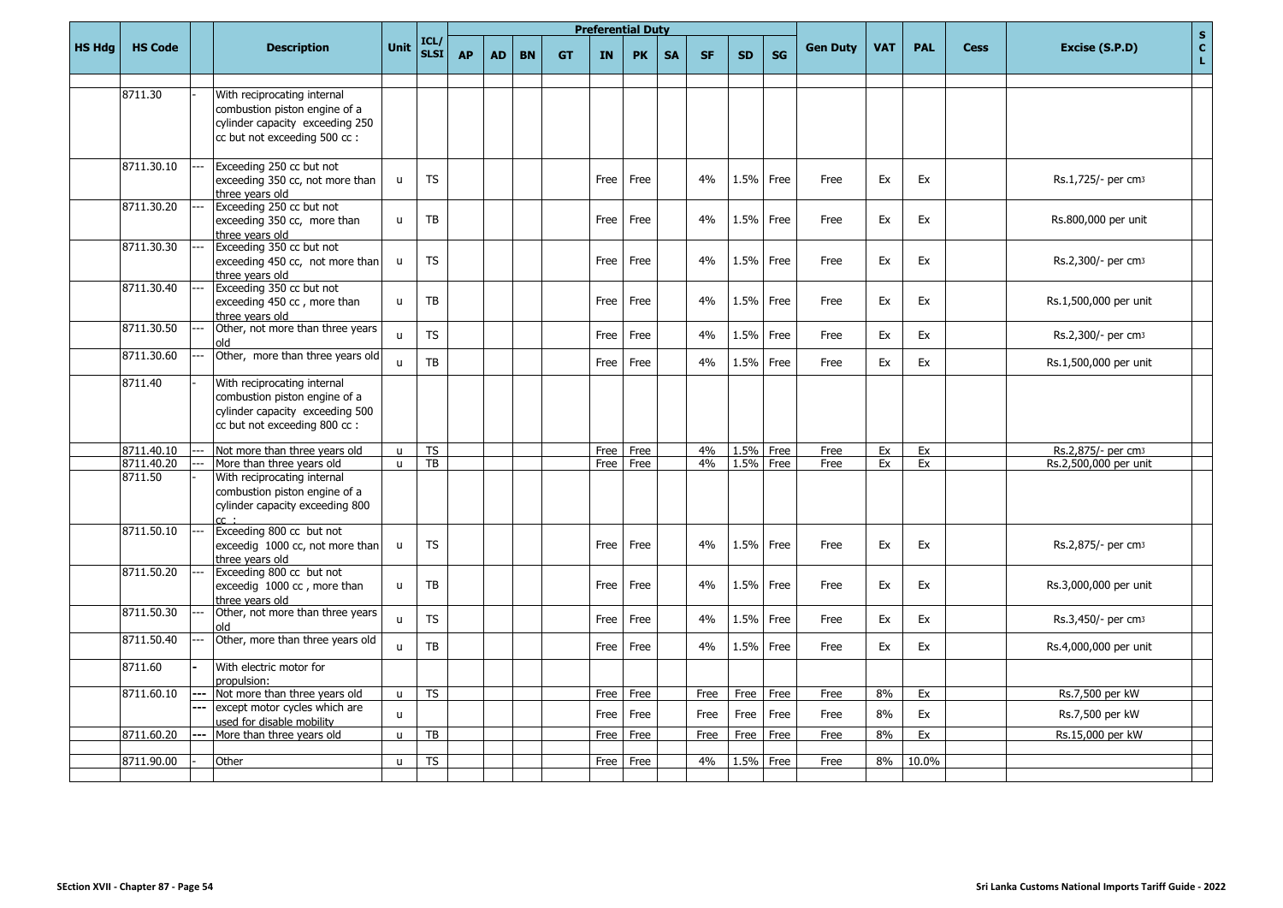|               |                |       |                                                                                                                                  |              |                     |           |           |           |           |           | <b>Preferential Duty</b> |           |           |           |           |                 |            |            |             | $\mathbf S$                          |
|---------------|----------------|-------|----------------------------------------------------------------------------------------------------------------------------------|--------------|---------------------|-----------|-----------|-----------|-----------|-----------|--------------------------|-----------|-----------|-----------|-----------|-----------------|------------|------------|-------------|--------------------------------------|
| <b>HS Hdg</b> | <b>HS Code</b> |       | <b>Description</b>                                                                                                               | <b>Unit</b>  | ICL/<br><b>SLSI</b> | <b>AP</b> | <b>AD</b> | <b>BN</b> | <b>GT</b> | <b>IN</b> | <b>PK</b>                | <b>SA</b> | <b>SF</b> | <b>SD</b> | <b>SG</b> | <b>Gen Duty</b> | <b>VAT</b> | <b>PAL</b> | <b>Cess</b> | $\mathbf{C}$<br>Excise (S.P.D)<br>L. |
|               |                |       |                                                                                                                                  |              |                     |           |           |           |           |           |                          |           |           |           |           |                 |            |            |             |                                      |
|               | 8711.30        |       | With reciprocating internal<br>combustion piston engine of a<br>cylinder capacity exceeding 250<br>cc but not exceeding 500 cc : |              |                     |           |           |           |           |           |                          |           |           |           |           |                 |            |            |             |                                      |
|               | 8711.30.10     |       | Exceeding 250 cc but not<br>exceeding 350 cc, not more than<br>three vears old                                                   | $\mathsf{u}$ | <b>TS</b>           |           |           |           |           | Free      | Free                     |           | 4%        | 1.5%      | Free      | Free            | Ex         | Ex         |             | Rs.1,725/- per cm3                   |
|               | 8711.30.20     |       | Exceeding 250 cc but not<br>exceeding 350 cc, more than<br>three vears old                                                       | $\mathsf{u}$ | TB                  |           |           |           |           | Free      | Free                     |           | 4%        | 1.5%      | Free      | Free            | Ex         | Ex         |             | Rs.800,000 per unit                  |
|               | 8711.30.30     |       | Exceeding 350 cc but not<br>exceeding 450 cc, not more than<br>three vears old                                                   | $\mathsf{u}$ | <b>TS</b>           |           |           |           |           | Free      | Free                     |           | 4%        | 1.5%      | Free      | Free            | Ex         | Ex         |             | Rs.2,300/- per cm <sub>3</sub>       |
|               | 8711.30.40     |       | Exceeding 350 cc but not<br>exceeding 450 cc, more than<br>three vears old                                                       | $\mathbf{u}$ | <b>TB</b>           |           |           |           |           | Free      | Free                     |           | 4%        | 1.5%      | Free      | Free            | Ex         | Ex         |             | Rs.1,500,000 per unit                |
|               | 8711.30.50     |       | Other, not more than three years<br>old                                                                                          | $\mathbf{u}$ | <b>TS</b>           |           |           |           |           | Free      | Free                     |           | 4%        | 1.5%      | Free      | Free            | Ex         | Ex         |             | Rs.2,300/- per cm <sub>3</sub>       |
|               | 8711.30.60     |       | Other, more than three years old                                                                                                 | $\mathbf{u}$ | <b>TB</b>           |           |           |           |           | Free      | Free                     |           | 4%        | 1.5%      | Free      | Free            | Ex         | Ex         |             | Rs.1,500,000 per unit                |
|               | 8711.40        |       | With reciprocating internal<br>combustion piston engine of a<br>cylinder capacity exceeding 500<br>cc but not exceeding 800 cc : |              |                     |           |           |           |           |           |                          |           |           |           |           |                 |            |            |             |                                      |
|               | 8711.40.10     |       | Not more than three years old                                                                                                    | u            | <b>TS</b>           |           |           |           |           | Free      | Free                     |           | 4%        | 1.5%      | Free      | Free            | Ex         | Ex         |             | Rs.2,875/- per cm3                   |
|               | 8711.40.20     |       | More than three years old                                                                                                        | $\mathbf{u}$ | TB                  |           |           |           |           | Free      | Free                     |           | 4%        | 1.5%      | Free      | Free            | Ex         | Ex         |             | Rs.2,500,000 per unit                |
|               | 8711.50        |       | With reciprocating internal<br>combustion piston engine of a<br>cylinder capacity exceeding 800                                  |              |                     |           |           |           |           |           |                          |           |           |           |           |                 |            |            |             |                                      |
|               | 8711.50.10     |       | Exceeding 800 cc but not<br>exceedig 1000 cc, not more than<br>three vears old                                                   | $\mathsf{u}$ | <b>TS</b>           |           |           |           |           | Free      | Free                     |           | 4%        | 1.5%      | Free      | Free            | Ex         | Ex         |             | Rs.2,875/- per cm3                   |
|               | 8711.50.20     |       | Exceeding 800 cc but not<br>exceedig 1000 cc, more than<br>three vears old                                                       | $\mathsf{u}$ | TB                  |           |           |           |           | Free      | Free                     |           | 4%        | 1.5%      | Free      | Free            | Ex         | Ex         |             | Rs.3,000,000 per unit                |
|               | 8711.50.30     |       | Other, not more than three years<br>old                                                                                          | $\mathbf{u}$ | <b>TS</b>           |           |           |           |           | Free      | Free                     |           | 4%        | 1.5%      | Free      | Free            | Ex         | Ex         |             | Rs.3,450/- per cm3                   |
|               | 8711.50.40     |       | Other, more than three years old                                                                                                 | $\mathbf{u}$ | <b>TB</b>           |           |           |           |           | Free      | Free                     |           | 4%        | 1.5%      | Free      | Free            | Ex         | Ex         |             | Rs.4,000,000 per unit                |
|               | 8711.60        |       | With electric motor for<br>propulsion:                                                                                           |              |                     |           |           |           |           |           |                          |           |           |           |           |                 |            |            |             |                                      |
|               | 8711.60.10     | $---$ | Not more than three years old                                                                                                    | $\mathsf{u}$ | <b>TS</b>           |           |           |           |           | Free      | Free                     |           | Free      | Free      | Free      | Free            | 8%         | Ex         |             | Rs.7,500 per kW                      |
|               |                |       | except motor cycles which are<br>used for disable mobility                                                                       | $\mathsf{u}$ |                     |           |           |           |           | Free      | Free                     |           | Free      | Free      | Free      | Free            | 8%         | Ex         |             | Rs.7,500 per kW                      |
|               | 8711.60.20     |       | More than three years old                                                                                                        | $\mathsf{u}$ | TB                  |           |           |           |           | Free      | Free                     |           | Free      | Free      | Free      | Free            | 8%         | Ex         |             | Rs.15,000 per kW                     |
|               | 8711.90.00     |       | Other                                                                                                                            | $\mathbf{u}$ | <b>TS</b>           |           |           |           |           | Free      | Free                     |           | 4%        | 1.5%      | Free      | Free            | 8%         | 10.0%      |             |                                      |
|               |                |       |                                                                                                                                  |              |                     |           |           |           |           |           |                          |           |           |           |           |                 |            |            |             |                                      |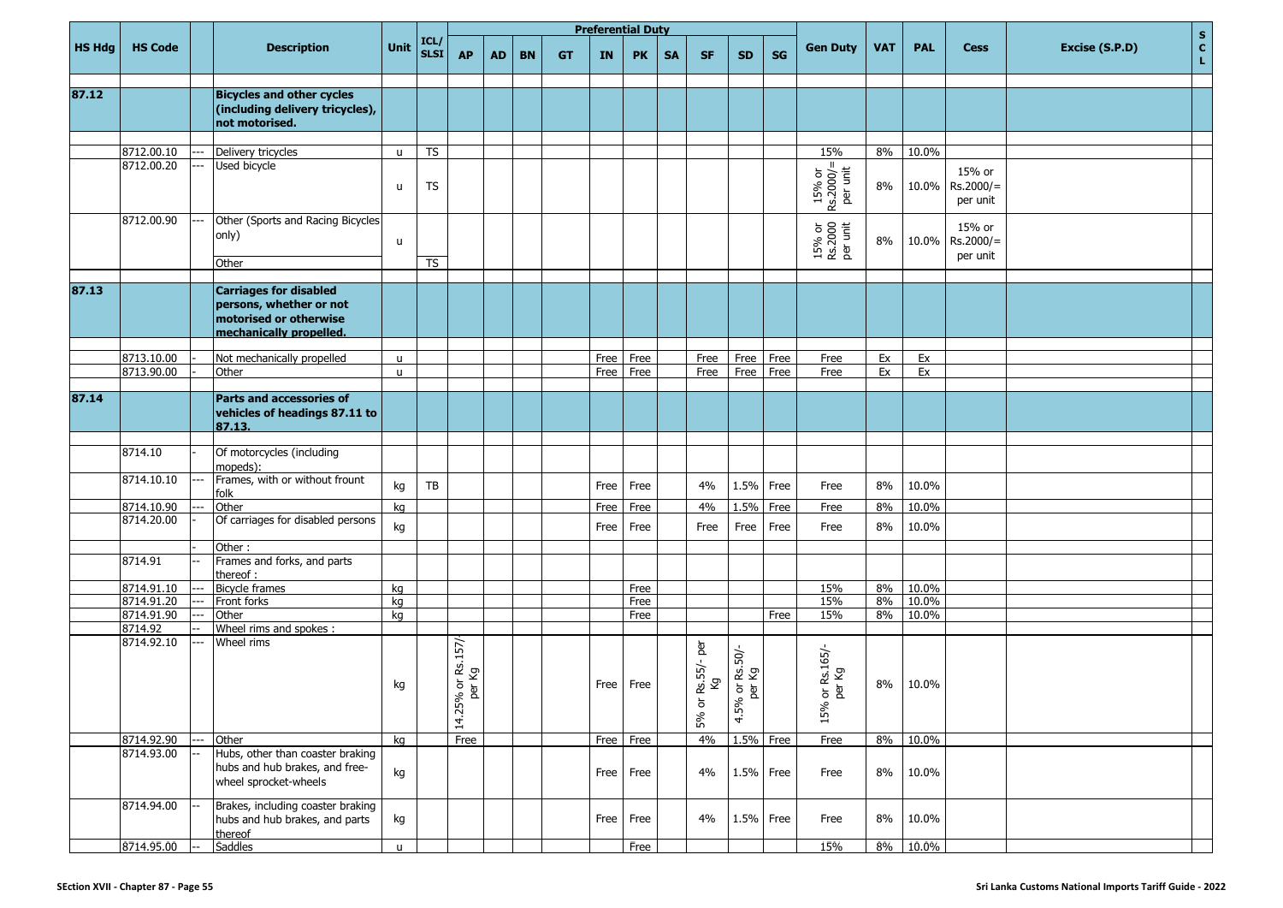|               |                          |                                                                                                               |              |                     |                             |           |           |           |      | <b>Preferential Duty</b> |           |                                                       |                                |           |                                                |            |            |                                   |                | $\mathbf S$        |
|---------------|--------------------------|---------------------------------------------------------------------------------------------------------------|--------------|---------------------|-----------------------------|-----------|-----------|-----------|------|--------------------------|-----------|-------------------------------------------------------|--------------------------------|-----------|------------------------------------------------|------------|------------|-----------------------------------|----------------|--------------------|
| <b>HS Hdg</b> | <b>HS Code</b>           | <b>Description</b>                                                                                            | Unit         | ICL/<br><b>SLSI</b> | <b>AP</b>                   | <b>AD</b> | <b>BN</b> | <b>GT</b> | IN   | <b>PK</b>                | <b>SA</b> | <b>SF</b>                                             | <b>SD</b>                      | <b>SG</b> | <b>Gen Duty</b>                                | <b>VAT</b> | <b>PAL</b> | <b>Cess</b>                       | Excise (S.P.D) | $\mathbf{c}$<br>L. |
|               |                          |                                                                                                               |              |                     |                             |           |           |           |      |                          |           |                                                       |                                |           |                                                |            |            |                                   |                |                    |
| 87.12         |                          | <b>Bicycles and other cycles</b><br>(including delivery tricycles),<br>not motorised.                         |              |                     |                             |           |           |           |      |                          |           |                                                       |                                |           |                                                |            |            |                                   |                |                    |
|               |                          |                                                                                                               |              |                     |                             |           |           |           |      |                          |           |                                                       |                                |           |                                                |            |            |                                   |                |                    |
|               | 8712.00.10<br>8712.00.20 | Delivery tricycles<br>Used bicycle                                                                            | $\mathsf{u}$ | <b>TS</b>           |                             |           |           |           |      |                          |           |                                                       |                                |           | 15%                                            | 8%         | 10.0%      |                                   |                |                    |
|               |                          |                                                                                                               | $\mathsf{u}$ | <b>TS</b>           |                             |           |           |           |      |                          |           |                                                       |                                |           | $15%$ or<br>Rs.2000/=<br>per unit              | 8%         | 10.0%      | 15% or<br>$Rs.2000/=$<br>per unit |                |                    |
|               | 8712.00.90               | Other (Sports and Racing Bicycles<br>only)                                                                    | $\mathsf{u}$ | <b>TS</b>           |                             |           |           |           |      |                          |           |                                                       |                                |           | 15% or<br>Rs.2000<br>per unit                  | 8%         | 10.0%      | 15% or<br>$Rs.2000/=$<br>per unit |                |                    |
|               |                          | Other                                                                                                         |              |                     |                             |           |           |           |      |                          |           |                                                       |                                |           |                                                |            |            |                                   |                |                    |
| 87.13         |                          | <b>Carriages for disabled</b><br>persons, whether or not<br>motorised or otherwise<br>mechanically propelled. |              |                     |                             |           |           |           |      |                          |           |                                                       |                                |           |                                                |            |            |                                   |                |                    |
|               | 8713.10.00               | Not mechanically propelled                                                                                    | $\mathsf{u}$ |                     |                             |           |           |           | Free | Free                     |           | Free                                                  | Free                           | Free      | Free                                           | Ex         | Ex         |                                   |                |                    |
|               | 8713.90.00               | Other                                                                                                         | $\mathsf{u}$ |                     |                             |           |           |           | Free | Free                     |           | Free                                                  | Free                           | Free      | Free                                           | Ex         | Ex         |                                   |                |                    |
|               |                          |                                                                                                               |              |                     |                             |           |           |           |      |                          |           |                                                       |                                |           |                                                |            |            |                                   |                |                    |
| 87.14         |                          | <b>Parts and accessories of</b><br>vehicles of headings 87.11 to<br>87.13.                                    |              |                     |                             |           |           |           |      |                          |           |                                                       |                                |           |                                                |            |            |                                   |                |                    |
|               | 8714.10                  | Of motorcycles (including<br>mopeds):                                                                         |              |                     |                             |           |           |           |      |                          |           |                                                       |                                |           |                                                |            |            |                                   |                |                    |
|               | 8714.10.10               | Frames, with or without frount<br>folk                                                                        | kg           | TB                  |                             |           |           |           | Free | Free                     |           | 4%                                                    | 1.5%                           | Free      | Free                                           | 8%         | 10.0%      |                                   |                |                    |
|               | 8714.10.90               | Other<br>Of carriages for disabled persons                                                                    | kg           |                     |                             |           |           |           | Free | Free                     |           | 4%                                                    | 1.5%                           | Free      | Free                                           | 8%         | 10.0%      |                                   |                |                    |
|               | 8714.20.00               | Other:                                                                                                        | kg           |                     |                             |           |           |           | Free | Free                     |           | Free                                                  | Free                           | Free      | Free                                           | 8%         | 10.0%      |                                   |                |                    |
|               | 8714.91                  | Frames and forks, and parts<br>thereof:                                                                       |              |                     |                             |           |           |           |      |                          |           |                                                       |                                |           |                                                |            |            |                                   |                |                    |
|               | 8714.91.10               | <b>Bicycle frames</b>                                                                                         | kg           |                     |                             |           |           |           |      | Free                     |           |                                                       |                                |           | 15%                                            | 8%         | 10.0%      |                                   |                |                    |
|               | 8714.91.20<br>8714.91.90 | Front forks<br>Other                                                                                          | kg<br>ka     |                     |                             |           |           |           |      | Free                     |           |                                                       |                                | Free      | 15%<br>15%                                     | 8%         | 10.0%      |                                   |                |                    |
|               | 8714.92                  | Wheel rims and spokes :                                                                                       |              |                     |                             |           |           |           |      | Free                     |           |                                                       |                                |           |                                                | 8%         | 10.0%      |                                   |                |                    |
|               | 8714.92.10               | Wheel rims                                                                                                    | kg           |                     | 14.25% or Rs.157/<br>per Kg |           |           |           | Free | Free                     |           | èĭ<br>Rs.55/-<br>Κg<br>$\overleftarrow{\sigma}$<br>5% | 5% or Rs.50/-<br>per Kg<br>4.5 |           | or Rs.165/-<br>per Kg<br>يو<br>15 <sup>o</sup> | 8%         | 10.0%      |                                   |                |                    |
|               | 8714.92.90               | Other                                                                                                         | kg           |                     | Free                        |           |           |           |      | Free Free                |           | 4%                                                    | 1.5%                           | Free      | Free                                           | 8%         | 10.0%      |                                   |                |                    |
|               | 8714.93.00               | Hubs, other than coaster braking<br>hubs and hub brakes, and free-<br>wheel sprocket-wheels                   | kg           |                     |                             |           |           |           |      | Free Free                |           | 4%                                                    | 1.5% Free                      |           | Free                                           | 8%         | 10.0%      |                                   |                |                    |
|               | 8714.94.00               | Brakes, including coaster braking<br>hubs and hub brakes, and parts<br>thereof                                | kg           |                     |                             |           |           |           |      | Free Free                |           | 4%                                                    | 1.5% Free                      |           | Free                                           | 8%         | 10.0%      |                                   |                |                    |
|               | 8714.95.00               | Saddles                                                                                                       | $\mathsf{u}$ |                     |                             |           |           |           |      | Free                     |           |                                                       |                                |           | 15%                                            |            | 8% 10.0%   |                                   |                |                    |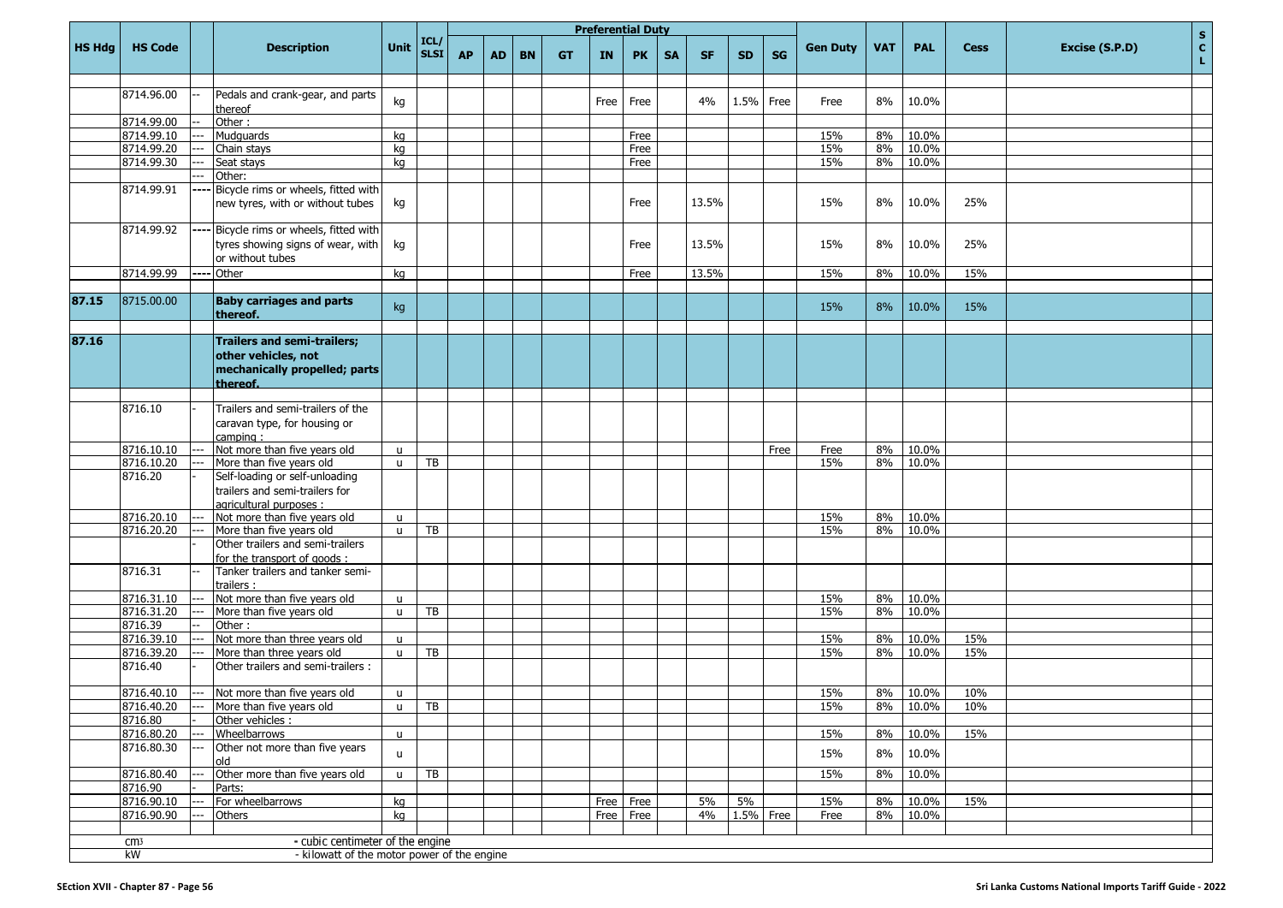|               |                       |       |                                                                                              |                              |              |           |           |           |           | <b>Preferential Duty</b> |           |           |           |           |           |                 |            |            |             | $\mathbf S$                          |
|---------------|-----------------------|-------|----------------------------------------------------------------------------------------------|------------------------------|--------------|-----------|-----------|-----------|-----------|--------------------------|-----------|-----------|-----------|-----------|-----------|-----------------|------------|------------|-------------|--------------------------------------|
| <b>HS Hdg</b> | <b>HS Code</b>        |       | <b>Description</b>                                                                           | Unit                         | ICL/<br>SLSI | <b>AP</b> | <b>AD</b> | <b>BN</b> | <b>GT</b> | <b>IN</b>                | <b>PK</b> | <b>SA</b> | <b>SF</b> | <b>SD</b> | <b>SG</b> | <b>Gen Duty</b> | <b>VAT</b> | <b>PAL</b> | <b>Cess</b> | $\mathbf{c}$<br>Excise (S.P.D)<br>L. |
|               |                       |       |                                                                                              |                              |              |           |           |           |           |                          |           |           |           |           |           |                 |            |            |             |                                      |
|               | 8714.96.00            |       | Pedals and crank-gear, and parts<br>thereof                                                  | kg                           |              |           |           |           |           | Free                     | Free      |           | 4%        | 1.5%      | Free      | Free            | 8%         | 10.0%      |             |                                      |
|               | 8714.99.00            |       | Other:                                                                                       |                              |              |           |           |           |           |                          |           |           |           |           |           |                 |            |            |             |                                      |
|               | 8714.99.10            |       | Mudguards                                                                                    | kg                           |              |           |           |           |           |                          | Free      |           |           |           |           | 15%             | 8%         | 10.0%      |             |                                      |
|               | 8714.99.20            |       | Chain stays                                                                                  | kg                           |              |           |           |           |           |                          | Free      |           |           |           |           | 15%             | 8%         | 10.0%      |             |                                      |
|               | 8714.99.30            |       | Seat stays                                                                                   | kg                           |              |           |           |           |           |                          | Free      |           |           |           |           | 15%             | 8%         | 10.0%      |             |                                      |
|               |                       |       | Other:                                                                                       |                              |              |           |           |           |           |                          |           |           |           |           |           |                 |            |            |             |                                      |
|               | 8714.99.91            |       | Bicycle rims or wheels, fitted with<br>new tyres, with or without tubes                      | kg                           |              |           |           |           |           |                          | Free      |           | 13.5%     |           |           | 15%             | 8%         | 10.0%      | 25%         |                                      |
|               | 8714.99.92            | ----  | Bicycle rims or wheels, fitted with<br>tyres showing signs of wear, with<br>or without tubes | kg                           |              |           |           |           |           |                          | Free      |           | 13.5%     |           |           | 15%             | 8%         | 10.0%      | 25%         |                                      |
|               | 8714.99.99            | ----  | Other                                                                                        | kg                           |              |           |           |           |           |                          | Free      |           | 13.5%     |           |           | 15%             | 8%         | 10.0%      | 15%         |                                      |
|               |                       |       |                                                                                              |                              |              |           |           |           |           |                          |           |           |           |           |           |                 |            |            |             |                                      |
| 87.15         | 8715.00.00            |       | <b>Baby carriages and parts</b><br>thereof.                                                  | kg                           |              |           |           |           |           |                          |           |           |           |           |           | 15%             | 8%         | 10.0%      | 15%         |                                      |
| 87.16         |                       |       | <b>Trailers and semi-trailers;</b>                                                           |                              |              |           |           |           |           |                          |           |           |           |           |           |                 |            |            |             |                                      |
|               |                       |       | other vehicles, not<br>mechanically propelled; parts<br>thereof.                             |                              |              |           |           |           |           |                          |           |           |           |           |           |                 |            |            |             |                                      |
|               |                       |       |                                                                                              |                              |              |           |           |           |           |                          |           |           |           |           |           |                 |            |            |             |                                      |
|               | 8716.10               |       | Trailers and semi-trailers of the<br>caravan type, for housing or<br>camping:                |                              |              |           |           |           |           |                          |           |           |           |           |           |                 |            |            |             |                                      |
|               | 8716.10.10            | $---$ | Not more than five years old                                                                 | $\mathsf{u}$                 |              |           |           |           |           |                          |           |           |           |           | Free      | Free            | 8%         | 10.0%      |             |                                      |
|               | 8716.10.20            |       | More than five years old                                                                     | $\mathsf{u}$                 | TB           |           |           |           |           |                          |           |           |           |           |           | 15%             | 8%         | 10.0%      |             |                                      |
|               | 8716.20               |       | Self-loading or self-unloading<br>trailers and semi-trailers for<br>agricultural purposes :  |                              |              |           |           |           |           |                          |           |           |           |           |           |                 |            |            |             |                                      |
|               | 8716.20.10            |       | Not more than five years old                                                                 | u                            |              |           |           |           |           |                          |           |           |           |           |           | 15%             | 8%         | 10.0%      |             |                                      |
|               | 8716.20.20            |       | More than five years old                                                                     | $\mathsf{u}$                 | TB           |           |           |           |           |                          |           |           |           |           |           | 15%             | 8%         | 10.0%      |             |                                      |
|               |                       |       | Other trailers and semi-trailers                                                             |                              |              |           |           |           |           |                          |           |           |           |           |           |                 |            |            |             |                                      |
|               |                       |       | for the transport of goods:                                                                  |                              |              |           |           |           |           |                          |           |           |           |           |           |                 |            |            |             |                                      |
|               | 8716.31               |       | Tanker trailers and tanker semi-<br>trailers :                                               |                              |              |           |           |           |           |                          |           |           |           |           |           |                 |            |            |             |                                      |
|               | 8716.31.10            |       | Not more than five years old                                                                 | u                            |              |           |           |           |           |                          |           |           |           |           |           | 15%             | 8%         | 10.0%      |             |                                      |
|               | 8716.31.20            |       | More than five years old                                                                     | $\mathsf{u}$                 | <b>TB</b>    |           |           |           |           |                          |           |           |           |           |           | 15%             | 8%         | 10.0%      |             |                                      |
|               | 8716.39               |       | Other:                                                                                       |                              |              |           |           |           |           |                          |           |           |           |           |           |                 |            |            |             |                                      |
|               | 8716.39.10            |       | Not more than three years old                                                                | u                            |              |           |           |           |           |                          |           |           |           |           |           | 15%             | 8%         | 10.0%      | 15%         |                                      |
|               | 8716.39.20<br>8716.40 |       | More than three years old<br>Other trailers and semi-trailers:                               | $\mathsf{u}$                 | TB           |           |           |           |           |                          |           |           |           |           |           | 15%             | 8%         | 10.0%      | 15%         |                                      |
|               | 8716.40.10            |       | --- Not more than five years old                                                             |                              |              |           |           |           |           |                          |           |           |           |           |           |                 | 8%         | 10.0%      | 10%         |                                      |
|               | 8716.40.20            | ---   | More than five years old                                                                     | $\mathsf{u}$<br>$\mathsf{u}$ | TB           |           |           |           |           |                          |           |           |           |           |           | 15%<br>15%      | 8%         | 10.0%      | 10%         |                                      |
|               | 8716.80               |       | Other vehicles :                                                                             |                              |              |           |           |           |           |                          |           |           |           |           |           |                 |            |            |             |                                      |
|               | 8716.80.20            | ---   | Wheelbarrows                                                                                 | $\mathsf{u}$                 |              |           |           |           |           |                          |           |           |           |           |           | 15%             | 8%         | 10.0%      | 15%         |                                      |
|               | 8716.80.30            | ---   | Other not more than five years<br>old                                                        | $\mathsf{u}$                 |              |           |           |           |           |                          |           |           |           |           |           | 15%             | 8%         | 10.0%      |             |                                      |
|               | 8716.80.40            |       | Other more than five years old                                                               | u                            | TB           |           |           |           |           |                          |           |           |           |           |           | 15%             | 8%         | 10.0%      |             |                                      |
|               | 8716.90               |       | Parts:                                                                                       |                              |              |           |           |           |           |                          |           |           |           |           |           |                 |            |            |             |                                      |
|               | 8716.90.10            |       | For wheelbarrows                                                                             | kg                           |              |           |           |           |           |                          | Free Free |           | 5%        | 5%        |           | 15%             | 8%         | 10.0%      | 15%         |                                      |
|               | 8716.90.90            | ---   | Others                                                                                       | kg                           |              |           |           |           |           |                          | Free Free |           | 4%        |           | 1.5% Free | Free            | 8%         | 10.0%      |             |                                      |
|               |                       |       |                                                                                              |                              |              |           |           |           |           |                          |           |           |           |           |           |                 |            |            |             |                                      |
|               | cm <sub>3</sub><br>kW |       | - cubic centimeter of the engine<br>- kilowatt of the motor power of the engine              |                              |              |           |           |           |           |                          |           |           |           |           |           |                 |            |            |             |                                      |